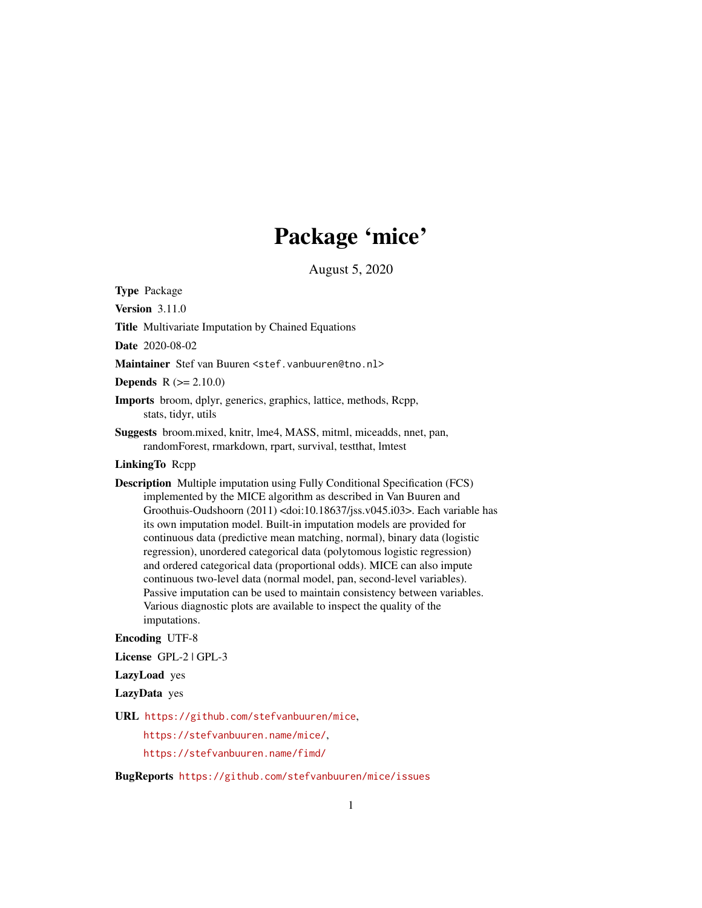# Package 'mice'

August 5, 2020

<span id="page-0-0"></span>Type Package

Version 3.11.0

Title Multivariate Imputation by Chained Equations

Date 2020-08-02

Maintainer Stef van Buuren <stef.vanbuuren@tno.nl>

**Depends**  $R (= 2.10.0)$ 

- Imports broom, dplyr, generics, graphics, lattice, methods, Rcpp, stats, tidyr, utils
- Suggests broom.mixed, knitr, lme4, MASS, mitml, miceadds, nnet, pan, randomForest, rmarkdown, rpart, survival, testthat, lmtest

# LinkingTo Rcpp

Description Multiple imputation using Fully Conditional Specification (FCS) implemented by the MICE algorithm as described in Van Buuren and Groothuis-Oudshoorn (2011) <doi:10.18637/jss.v045.i03>. Each variable has its own imputation model. Built-in imputation models are provided for continuous data (predictive mean matching, normal), binary data (logistic regression), unordered categorical data (polytomous logistic regression) and ordered categorical data (proportional odds). MICE can also impute continuous two-level data (normal model, pan, second-level variables). Passive imputation can be used to maintain consistency between variables. Various diagnostic plots are available to inspect the quality of the imputations.

#### Encoding UTF-8

License GPL-2 | GPL-3

LazyLoad yes

LazyData yes

URL <https://github.com/stefvanbuuren/mice>,

<https://stefvanbuuren.name/mice/>,

<https://stefvanbuuren.name/fimd/>

BugReports <https://github.com/stefvanbuuren/mice/issues>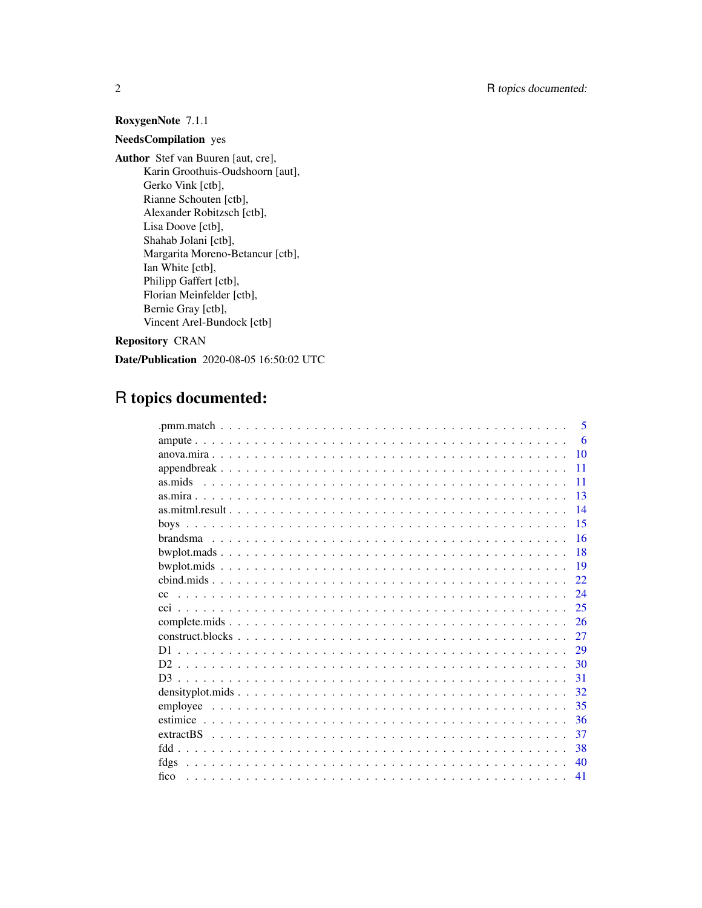# RoxygenNote 7.1.1

# NeedsCompilation yes

Author Stef van Buuren [aut, cre], Karin Groothuis-Oudshoorn [aut], Gerko Vink [ctb], Rianne Schouten [ctb], Alexander Robitzsch [ctb], Lisa Doove [ctb], Shahab Jolani [ctb], Margarita Moreno-Betancur [ctb], Ian White [ctb], Philipp Gaffert [ctb], Florian Meinfelder [ctb], Bernie Gray [ctb], Vincent Arel-Bundock [ctb]

Repository CRAN

Date/Publication 2020-08-05 16:50:02 UTC

# R topics documented:

|         | 5  |
|---------|----|
|         | 6  |
|         | 10 |
|         | 11 |
| as.mids | 11 |
|         | 13 |
|         | 14 |
|         | 15 |
|         | 16 |
|         | 18 |
|         | 19 |
|         | 22 |
| cc      | 24 |
| cci.    | 25 |
|         | 26 |
|         | 27 |
| D1      | 29 |
|         | 30 |
|         | 31 |
|         | 32 |
|         | 35 |
|         | 36 |
|         | 37 |
|         | 38 |
| fdgs    | 40 |
| fico    | 41 |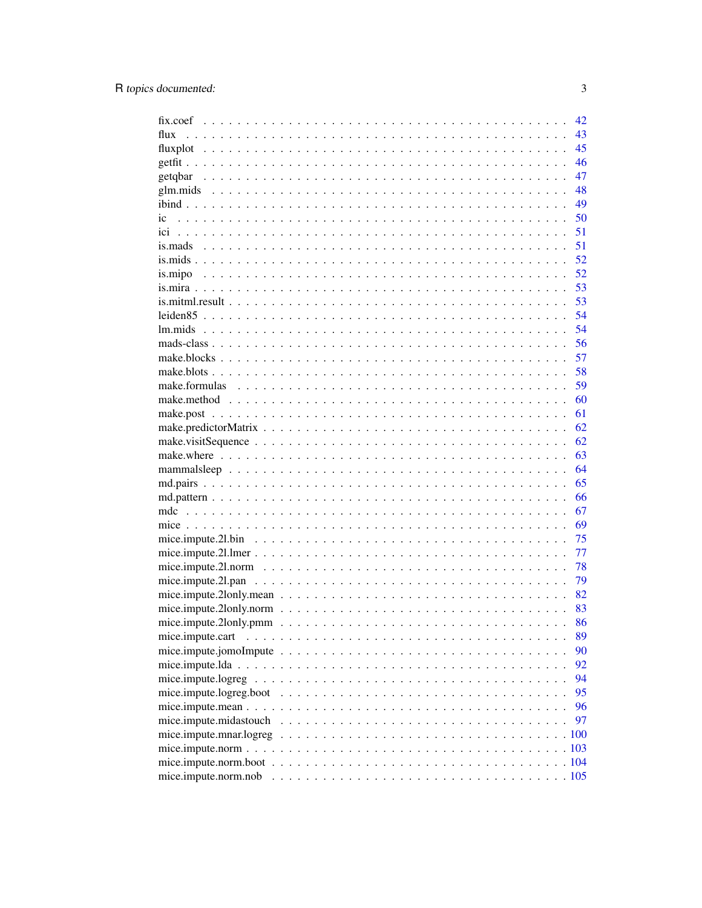|                      | 42 |
|----------------------|----|
| flux                 | 43 |
|                      | 45 |
|                      | 46 |
|                      | 47 |
|                      | 48 |
|                      | 49 |
| ic                   | 50 |
|                      | 51 |
|                      | 51 |
|                      | 52 |
|                      | 52 |
|                      | 53 |
|                      | 53 |
|                      | 54 |
|                      | 54 |
|                      | 56 |
|                      | 57 |
|                      | 58 |
|                      | 59 |
|                      | 60 |
|                      | 61 |
|                      | 62 |
|                      | 62 |
|                      | 63 |
|                      | 64 |
|                      | 65 |
|                      | 66 |
|                      | 67 |
|                      | 69 |
|                      | 75 |
|                      | 77 |
|                      | 78 |
|                      | 79 |
|                      | 82 |
|                      | 83 |
|                      | 86 |
|                      | 89 |
|                      | 90 |
|                      | 92 |
|                      | 94 |
|                      | 95 |
|                      | 96 |
|                      | 97 |
|                      |    |
|                      |    |
|                      |    |
| mice.impute.norm.nob |    |
|                      |    |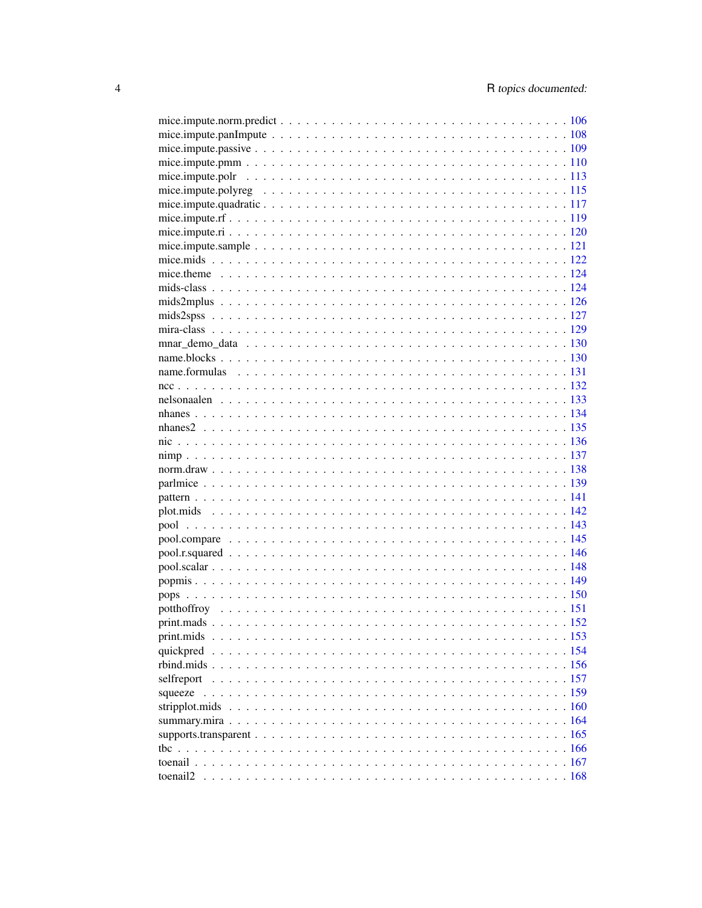| selfreport |  |
|------------|--|
|            |  |
|            |  |
|            |  |
|            |  |
|            |  |
| tbc        |  |
|            |  |
|            |  |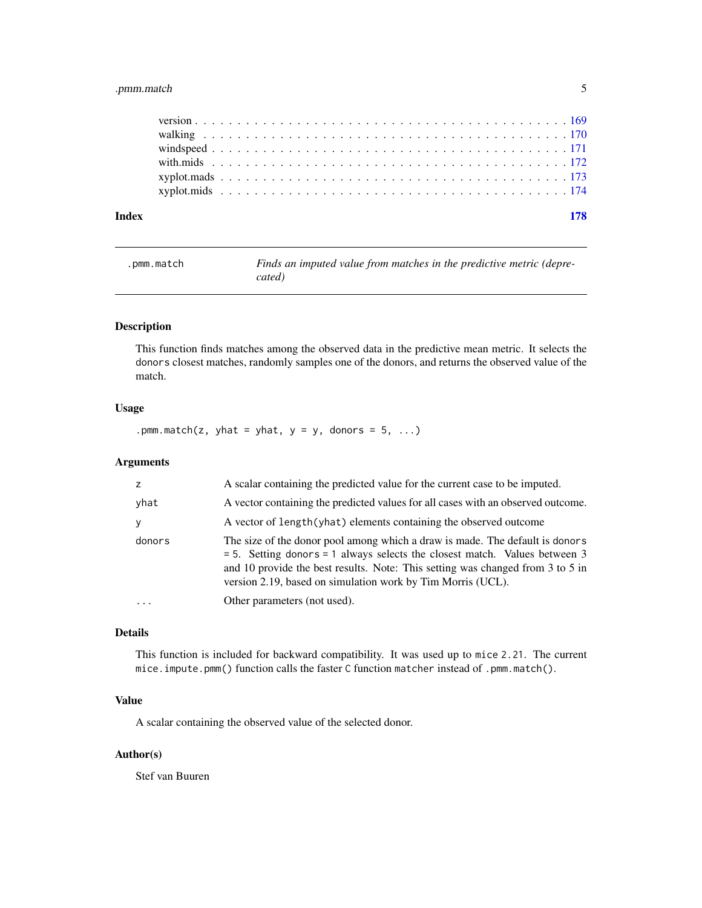# <span id="page-4-0"></span>.pmm.match 5

|  |  |  |  |  |  |  |  |  |  |  |  |  |  |  |  |  |  |  |  |  | 178 |
|--|--|--|--|--|--|--|--|--|--|--|--|--|--|--|--|--|--|--|--|--|-----|
|  |  |  |  |  |  |  |  |  |  |  |  |  |  |  |  |  |  |  |  |  |     |
|  |  |  |  |  |  |  |  |  |  |  |  |  |  |  |  |  |  |  |  |  |     |
|  |  |  |  |  |  |  |  |  |  |  |  |  |  |  |  |  |  |  |  |  |     |
|  |  |  |  |  |  |  |  |  |  |  |  |  |  |  |  |  |  |  |  |  |     |
|  |  |  |  |  |  |  |  |  |  |  |  |  |  |  |  |  |  |  |  |  |     |
|  |  |  |  |  |  |  |  |  |  |  |  |  |  |  |  |  |  |  |  |  |     |
|  |  |  |  |  |  |  |  |  |  |  |  |  |  |  |  |  |  |  |  |  |     |

.pmm.match *Finds an imputed value from matches in the predictive metric (deprecated)*

# Description

This function finds matches among the observed data in the predictive mean metric. It selects the donors closest matches, randomly samples one of the donors, and returns the observed value of the match.

### Usage

.pmm.match(z, yhat = yhat,  $y = y$ , donors = 5, ...)

# Arguments

| yhat<br>A vector of length (yhat) elements containing the observed outcome<br>y<br>donors<br>version 2.19, based on simulation work by Tim Morris (UCL).<br>Other parameters (not used).<br>. | z | A scalar containing the predicted value for the current case to be imputed.                                                                                                                                                                      |
|-----------------------------------------------------------------------------------------------------------------------------------------------------------------------------------------------|---|--------------------------------------------------------------------------------------------------------------------------------------------------------------------------------------------------------------------------------------------------|
|                                                                                                                                                                                               |   | A vector containing the predicted values for all cases with an observed outcome.                                                                                                                                                                 |
|                                                                                                                                                                                               |   |                                                                                                                                                                                                                                                  |
|                                                                                                                                                                                               |   | The size of the donor pool among which a draw is made. The default is donors<br>$=$ 5. Setting donors $=$ 1 always selects the closest match. Values between 3<br>and 10 provide the best results. Note: This setting was changed from 3 to 5 in |
|                                                                                                                                                                                               |   |                                                                                                                                                                                                                                                  |

# Details

This function is included for backward compatibility. It was used up to mice 2.21. The current mice.impute.pmm() function calls the faster C function matcher instead of .pmm.match().

# Value

A scalar containing the observed value of the selected donor.

# Author(s)

Stef van Buuren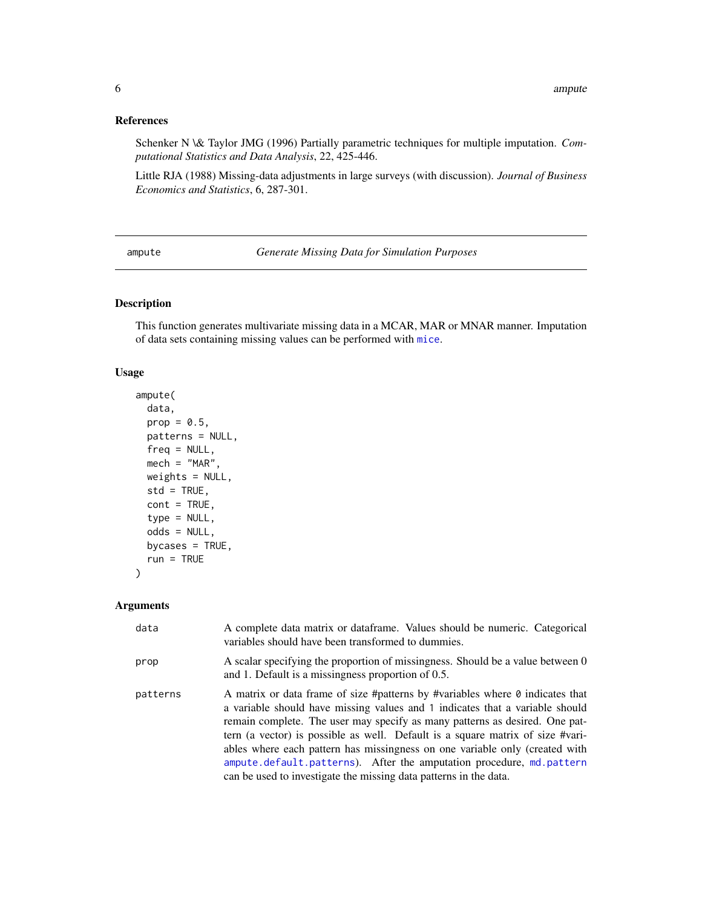# <span id="page-5-0"></span>References

Schenker N \& Taylor JMG (1996) Partially parametric techniques for multiple imputation. *Computational Statistics and Data Analysis*, 22, 425-446.

Little RJA (1988) Missing-data adjustments in large surveys (with discussion). *Journal of Business Economics and Statistics*, 6, 287-301.

<span id="page-5-1"></span>ampute *Generate Missing Data for Simulation Purposes*

# Description

This function generates multivariate missing data in a MCAR, MAR or MNAR manner. Imputation of data sets containing missing values can be performed with [mice](#page-68-1).

# Usage

```
ampute(
  data,
 prop = 0.5,
 patterns = NULL,
  freq = NULL,mech = "MAR",weights = NULL,
  std = TRUE,cont = TRUE,type = NULL,
  odds = NULL,
 bycases = TRUE,
  run = TRUE)
```
# Arguments

| data     | A complete data matrix or dataframe. Values should be numeric. Categorical<br>variables should have been transformed to dummies.                                                                                                                                                                                                                                                                                                                                                                                                                                  |
|----------|-------------------------------------------------------------------------------------------------------------------------------------------------------------------------------------------------------------------------------------------------------------------------------------------------------------------------------------------------------------------------------------------------------------------------------------------------------------------------------------------------------------------------------------------------------------------|
| prop     | A scalar specifying the proportion of missingness. Should be a value between 0<br>and 1. Default is a missingness proportion of 0.5.                                                                                                                                                                                                                                                                                                                                                                                                                              |
| patterns | A matrix or data frame of size #patterns by #variables where $\theta$ indicates that<br>a variable should have missing values and 1 indicates that a variable should<br>remain complete. The user may specify as many patterns as desired. One pat-<br>tern (a vector) is possible as well. Default is a square matrix of size #vari-<br>ables where each pattern has missingness on one variable only (created with<br>ampute.default.patterns). After the amputation procedure, md.pattern<br>can be used to investigate the missing data patterns in the data. |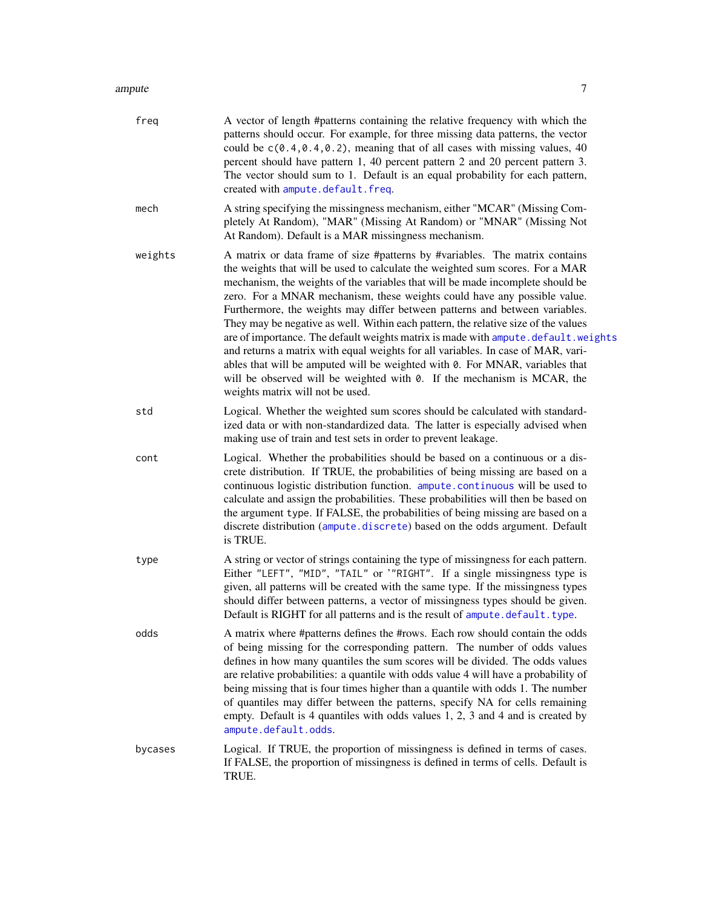| freq    | A vector of length #patterns containing the relative frequency with which the<br>patterns should occur. For example, for three missing data patterns, the vector<br>could be $c(0.4, 0.4, 0.2)$ , meaning that of all cases with missing values, 40<br>percent should have pattern 1, 40 percent pattern 2 and 20 percent pattern 3.<br>The vector should sum to 1. Default is an equal probability for each pattern,<br>created with ampute.default.freq.                                                                                                                                                                                                                                                                                                                                                                                                              |
|---------|-------------------------------------------------------------------------------------------------------------------------------------------------------------------------------------------------------------------------------------------------------------------------------------------------------------------------------------------------------------------------------------------------------------------------------------------------------------------------------------------------------------------------------------------------------------------------------------------------------------------------------------------------------------------------------------------------------------------------------------------------------------------------------------------------------------------------------------------------------------------------|
| mech    | A string specifying the missingness mechanism, either "MCAR" (Missing Com-<br>pletely At Random), "MAR" (Missing At Random) or "MNAR" (Missing Not<br>At Random). Default is a MAR missingness mechanism.                                                                                                                                                                                                                                                                                                                                                                                                                                                                                                                                                                                                                                                               |
| weights | A matrix or data frame of size #patterns by #variables. The matrix contains<br>the weights that will be used to calculate the weighted sum scores. For a MAR<br>mechanism, the weights of the variables that will be made incomplete should be<br>zero. For a MNAR mechanism, these weights could have any possible value.<br>Furthermore, the weights may differ between patterns and between variables.<br>They may be negative as well. Within each pattern, the relative size of the values<br>are of importance. The default weights matrix is made with ampute.default.weights<br>and returns a matrix with equal weights for all variables. In case of MAR, vari-<br>ables that will be amputed will be weighted with 0. For MNAR, variables that<br>will be observed will be weighted with 0. If the mechanism is MCAR, the<br>weights matrix will not be used. |
| std     | Logical. Whether the weighted sum scores should be calculated with standard-<br>ized data or with non-standardized data. The latter is especially advised when<br>making use of train and test sets in order to prevent leakage.                                                                                                                                                                                                                                                                                                                                                                                                                                                                                                                                                                                                                                        |
| cont    | Logical. Whether the probabilities should be based on a continuous or a dis-<br>crete distribution. If TRUE, the probabilities of being missing are based on a<br>continuous logistic distribution function. ampute.continuous will be used to<br>calculate and assign the probabilities. These probabilities will then be based on<br>the argument type. If FALSE, the probabilities of being missing are based on a<br>discrete distribution (ampute.discrete) based on the odds argument. Default<br>is TRUE.                                                                                                                                                                                                                                                                                                                                                        |
| type    | A string or vector of strings containing the type of missingness for each pattern.<br>Either "LEFT", "MID", "TAIL" or '"RIGHT". If a single missingness type is<br>given, all patterns will be created with the same type. If the missingness types<br>should differ between patterns, a vector of missingness types should be given.<br>Default is RIGHT for all patterns and is the result of ampute.default.type.                                                                                                                                                                                                                                                                                                                                                                                                                                                    |
| odds    | A matrix where #patterns defines the #rows. Each row should contain the odds<br>of being missing for the corresponding pattern. The number of odds values<br>defines in how many quantiles the sum scores will be divided. The odds values<br>are relative probabilities: a quantile with odds value 4 will have a probability of<br>being missing that is four times higher than a quantile with odds 1. The number<br>of quantiles may differ between the patterns, specify NA for cells remaining<br>empty. Default is 4 quantiles with odds values 1, 2, 3 and 4 and is created by<br>ampute.default.odds.                                                                                                                                                                                                                                                          |
| bycases | Logical. If TRUE, the proportion of missingness is defined in terms of cases.<br>If FALSE, the proportion of missingness is defined in terms of cells. Default is<br>TRUE.                                                                                                                                                                                                                                                                                                                                                                                                                                                                                                                                                                                                                                                                                              |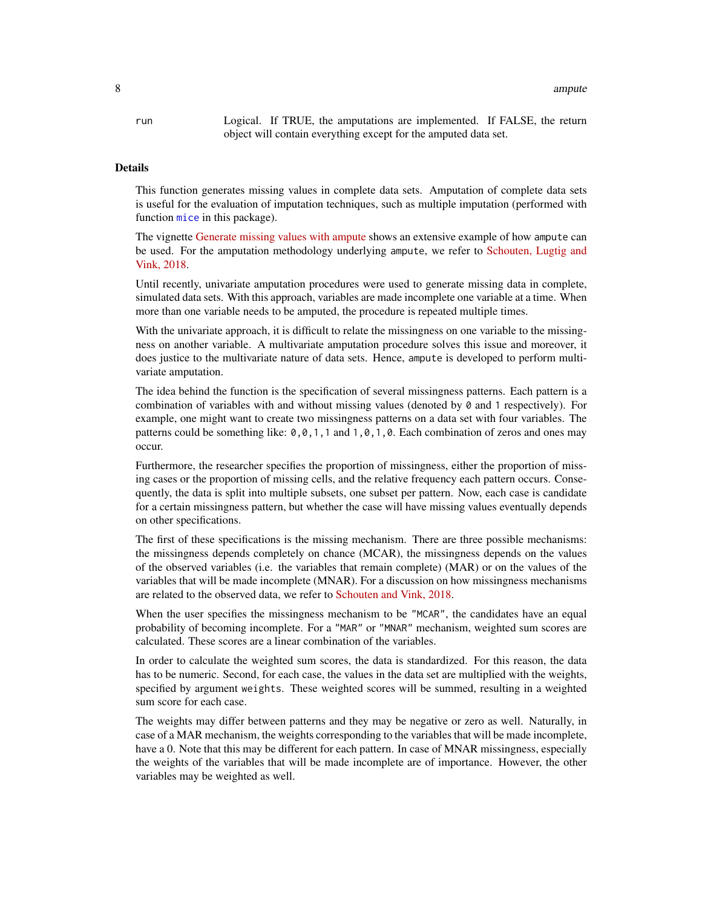run Logical. If TRUE, the amputations are implemented. If FALSE, the return object will contain everything except for the amputed data set.

#### **Details**

This function generates missing values in complete data sets. Amputation of complete data sets is useful for the evaluation of imputation techniques, such as multiple imputation (performed with function [mice](#page-68-1) in this package).

The vignette [Generate missing values with ampute](https://rianneschouten.github.io/mice_ampute/vignette/ampute.html) shows an extensive example of how ampute can be used. For the amputation methodology underlying ampute, we refer to [Schouten, Lugtig and](https://www.tandfonline.com/doi/full/10.1080/00949655.2018.1491577) [Vink, 2018.](https://www.tandfonline.com/doi/full/10.1080/00949655.2018.1491577)

Until recently, univariate amputation procedures were used to generate missing data in complete, simulated data sets. With this approach, variables are made incomplete one variable at a time. When more than one variable needs to be amputed, the procedure is repeated multiple times.

With the univariate approach, it is difficult to relate the missingness on one variable to the missingness on another variable. A multivariate amputation procedure solves this issue and moreover, it does justice to the multivariate nature of data sets. Hence, ampute is developed to perform multivariate amputation.

The idea behind the function is the specification of several missingness patterns. Each pattern is a combination of variables with and without missing values (denoted by 0 and 1 respectively). For example, one might want to create two missingness patterns on a data set with four variables. The patterns could be something like:  $0, 0, 1, 1$  and  $1, 0, 1, 0$ . Each combination of zeros and ones may occur.

Furthermore, the researcher specifies the proportion of missingness, either the proportion of missing cases or the proportion of missing cells, and the relative frequency each pattern occurs. Consequently, the data is split into multiple subsets, one subset per pattern. Now, each case is candidate for a certain missingness pattern, but whether the case will have missing values eventually depends on other specifications.

The first of these specifications is the missing mechanism. There are three possible mechanisms: the missingness depends completely on chance (MCAR), the missingness depends on the values of the observed variables (i.e. the variables that remain complete) (MAR) or on the values of the variables that will be made incomplete (MNAR). For a discussion on how missingness mechanisms are related to the observed data, we refer to [Schouten and Vink, 2018.](https://journals.sagepub.com/doi/10.1177/0049124118799376)

When the user specifies the missingness mechanism to be "MCAR", the candidates have an equal probability of becoming incomplete. For a "MAR" or "MNAR" mechanism, weighted sum scores are calculated. These scores are a linear combination of the variables.

In order to calculate the weighted sum scores, the data is standardized. For this reason, the data has to be numeric. Second, for each case, the values in the data set are multiplied with the weights, specified by argument weights. These weighted scores will be summed, resulting in a weighted sum score for each case.

The weights may differ between patterns and they may be negative or zero as well. Naturally, in case of a MAR mechanism, the weights corresponding to the variables that will be made incomplete, have a 0. Note that this may be different for each pattern. In case of MNAR missingness, especially the weights of the variables that will be made incomplete are of importance. However, the other variables may be weighted as well.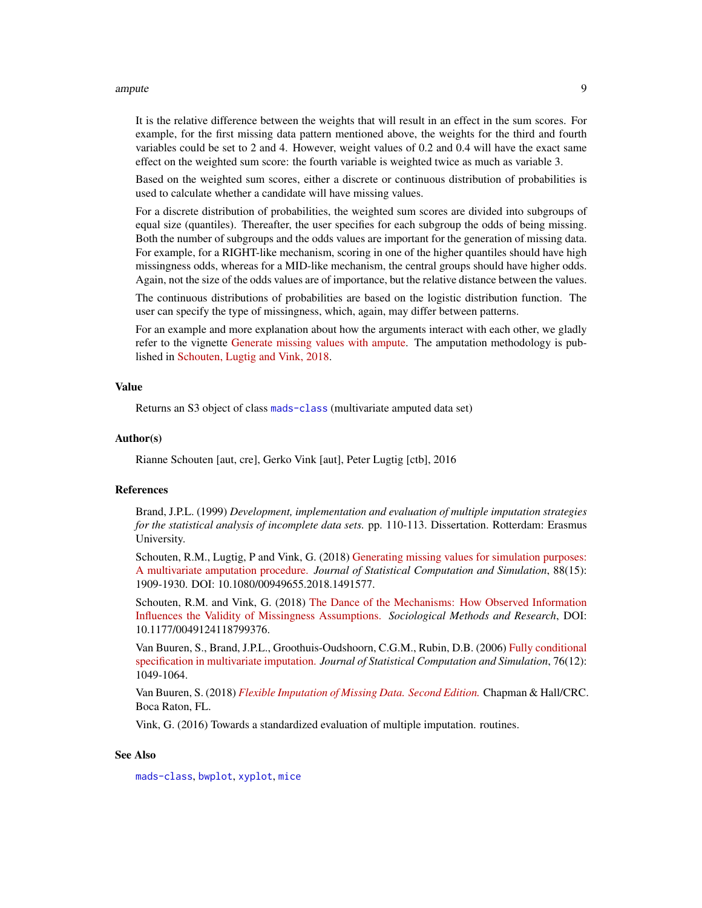#### ampute the contract of the contract of the contract of the contract of the contract of the contract of the contract of the contract of the contract of the contract of the contract of the contract of the contract of the con

It is the relative difference between the weights that will result in an effect in the sum scores. For example, for the first missing data pattern mentioned above, the weights for the third and fourth variables could be set to 2 and 4. However, weight values of 0.2 and 0.4 will have the exact same effect on the weighted sum score: the fourth variable is weighted twice as much as variable 3.

Based on the weighted sum scores, either a discrete or continuous distribution of probabilities is used to calculate whether a candidate will have missing values.

For a discrete distribution of probabilities, the weighted sum scores are divided into subgroups of equal size (quantiles). Thereafter, the user specifies for each subgroup the odds of being missing. Both the number of subgroups and the odds values are important for the generation of missing data. For example, for a RIGHT-like mechanism, scoring in one of the higher quantiles should have high missingness odds, whereas for a MID-like mechanism, the central groups should have higher odds. Again, not the size of the odds values are of importance, but the relative distance between the values.

The continuous distributions of probabilities are based on the logistic distribution function. The user can specify the type of missingness, which, again, may differ between patterns.

For an example and more explanation about how the arguments interact with each other, we gladly refer to the vignette [Generate missing values with ampute.](https://rianneschouten.github.io/mice_ampute/vignette/ampute.html) The amputation methodology is published in [Schouten, Lugtig and Vink, 2018.](https://www.tandfonline.com/doi/full/10.1080/00949655.2018.1491577)

#### Value

Returns an S3 object of class [mads-class](#page-55-1) (multivariate amputed data set)

#### Author(s)

Rianne Schouten [aut, cre], Gerko Vink [aut], Peter Lugtig [ctb], 2016

# References

Brand, J.P.L. (1999) *Development, implementation and evaluation of multiple imputation strategies for the statistical analysis of incomplete data sets.* pp. 110-113. Dissertation. Rotterdam: Erasmus University.

Schouten, R.M., Lugtig, P and Vink, G. (2018) [Generating missing values for simulation purposes:](https://www.tandfonline.com/doi/full/10.1080/00949655.2018.1491577) [A multivariate amputation procedure.](https://www.tandfonline.com/doi/full/10.1080/00949655.2018.1491577) *Journal of Statistical Computation and Simulation*, 88(15): 1909-1930. DOI: 10.1080/00949655.2018.1491577.

Schouten, R.M. and Vink, G. (2018) [The Dance of the Mechanisms: How Observed Information](https://journals.sagepub.com/doi/full/10.1177/0049124118799376) [Influences the Validity of Missingness Assumptions.](https://journals.sagepub.com/doi/full/10.1177/0049124118799376) *Sociological Methods and Research*, DOI: 10.1177/0049124118799376.

Van Buuren, S., Brand, J.P.L., Groothuis-Oudshoorn, C.G.M., Rubin, D.B. (2006) [Fully conditional](https://www.tandfonline.com/doi/abs/10.1080/10629360600810434) [specification in multivariate imputation.](https://www.tandfonline.com/doi/abs/10.1080/10629360600810434) *Journal of Statistical Computation and Simulation*, 76(12): 1049-1064.

Van Buuren, S. (2018) *[Flexible Imputation of Missing Data. Second Edition.](https://stefvanbuuren.name/fimd/sec-FCS.html#sec:MICE)* Chapman & Hall/CRC. Boca Raton, FL.

Vink, G. (2016) Towards a standardized evaluation of multiple imputation. routines.

# See Also

[mads-class](#page-55-1), [bwplot](#page-18-1), [xyplot](#page-173-1), [mice](#page-68-1)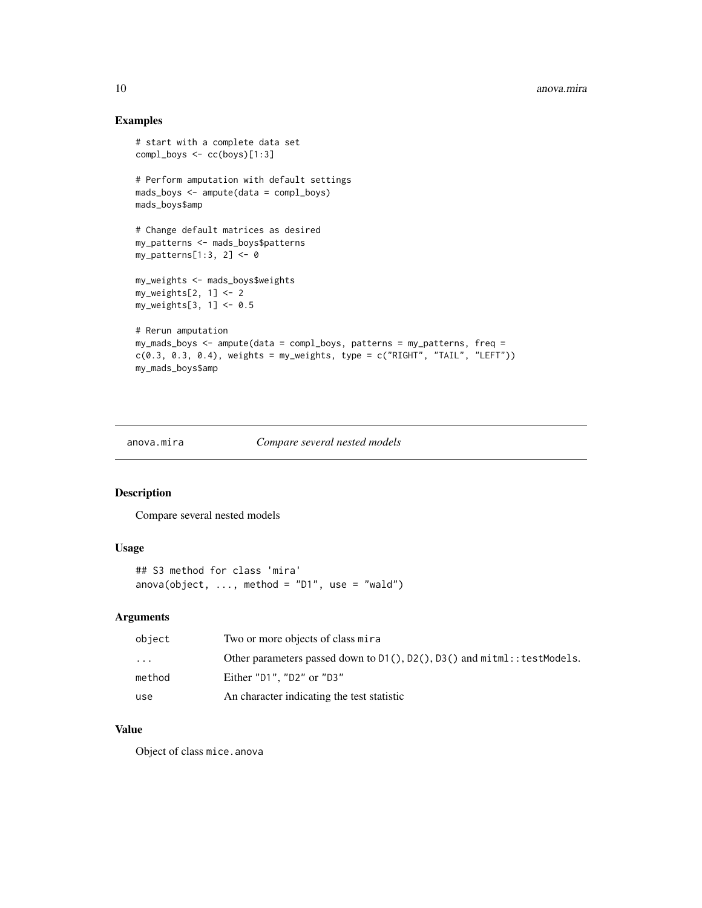# Examples

```
# start with a complete data set
compl_boys <- cc(boys)[1:3]
# Perform amputation with default settings
mads_boys <- ampute(data = compl_boys)
mads_boys$amp
# Change default matrices as desired
my_patterns <- mads_boys$patterns
my_patterns[1:3, 2] <- 0
my_weights <- mads_boys$weights
my\_weights[2, 1] <- 2
my_weights[3, 1] <- 0.5
# Rerun amputation
my_mads_boys <- ampute(data = compl_boys, patterns = my_patterns, freq =
c(0.3, 0.3, 0.4), weights = my_weights, type = c("RIGHT", "TAIL", "LEFT"))my_mads_boys$amp
```
anova.mira *Compare several nested models*

# Description

Compare several nested models

# Usage

```
## S3 method for class 'mira'
anova(object, \dots, method = "D1", use = "wald")
```
# Arguments

| object    | Two or more objects of class mira                                                  |
|-----------|------------------------------------------------------------------------------------|
| $\ddotsc$ | Other parameters passed down to $D1()$ , $D2()$ , $D3()$ and $m$ itml::testModels. |
| method    | Either $"D1"$ . $"D2"$ or $"D3"$                                                   |
| use       | An character indicating the test statistic                                         |

#### Value

Object of class mice.anova

<span id="page-9-0"></span>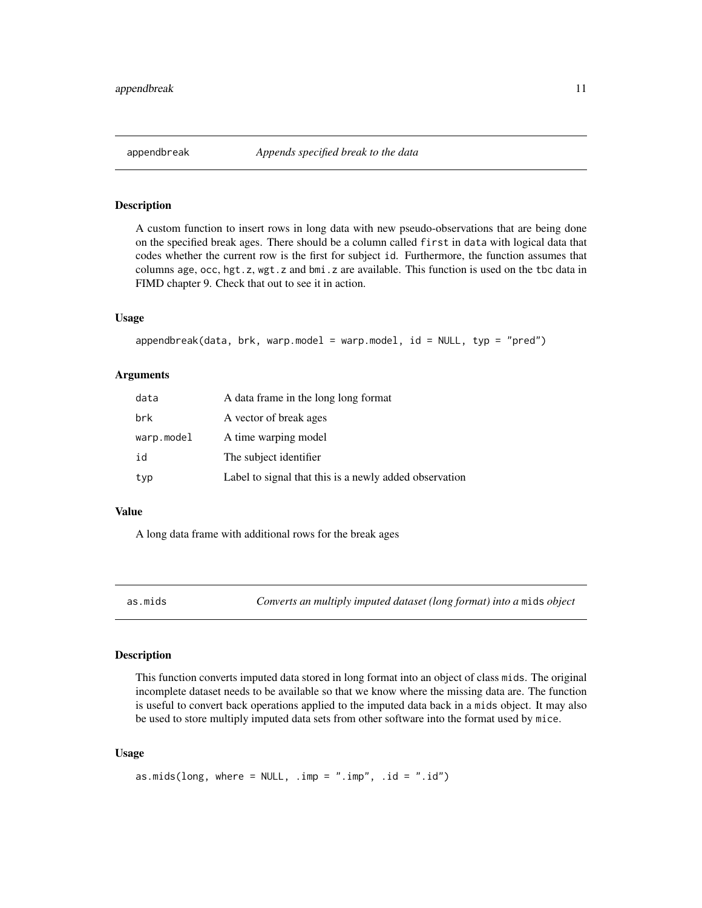<span id="page-10-0"></span>

# Description

A custom function to insert rows in long data with new pseudo-observations that are being done on the specified break ages. There should be a column called first in data with logical data that codes whether the current row is the first for subject id. Furthermore, the function assumes that columns age, occ, hgt.z, wgt.z and bmi.z are available. This function is used on the tbc data in FIMD chapter 9. Check that out to see it in action.

#### Usage

```
appendbreak(data, brk, warp.model = warp.model, id = NULL, typ = "pred")
```
#### Arguments

| data       | A data frame in the long long format                   |
|------------|--------------------------------------------------------|
| brk        | A vector of break ages                                 |
| warp.model | A time warping model                                   |
| id         | The subject identifier                                 |
| typ        | Label to signal that this is a newly added observation |

#### Value

A long data frame with additional rows for the break ages

as.mids *Converts an multiply imputed dataset (long format) into a* mids *object*

# Description

This function converts imputed data stored in long format into an object of class mids. The original incomplete dataset needs to be available so that we know where the missing data are. The function is useful to convert back operations applied to the imputed data back in a mids object. It may also be used to store multiply imputed data sets from other software into the format used by mice.

#### Usage

```
as.mids(long, where = NULL, .imp = ".imp", .id = ".id")
```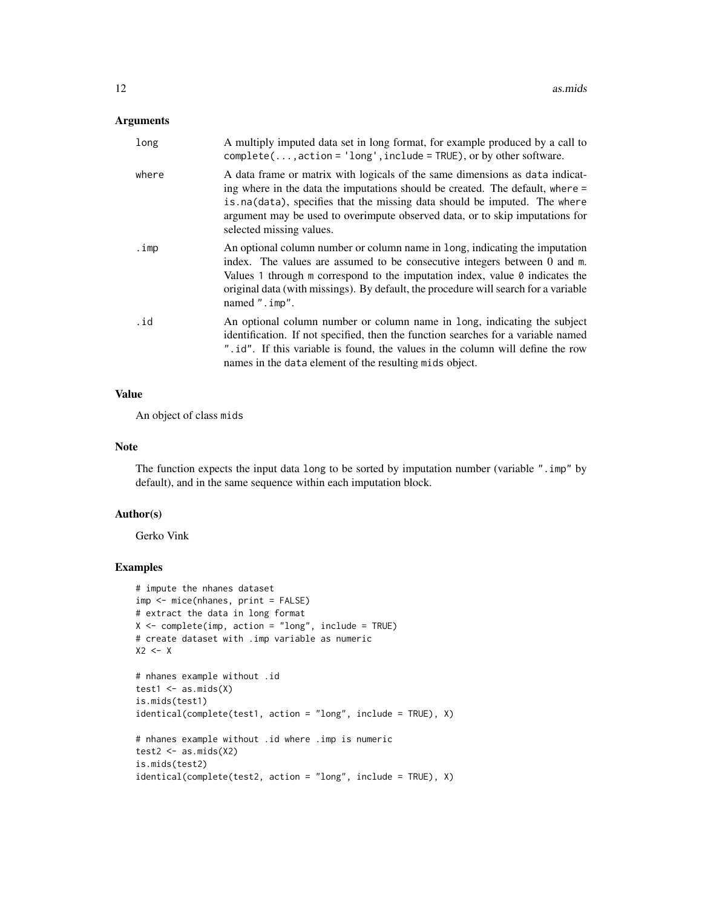# Arguments

| long  | A multiply imputed data set in long format, for example produced by a call to<br>$complete(, action='long', include = TRUE), or by other software.$                                                                                                                                                                                                     |
|-------|---------------------------------------------------------------------------------------------------------------------------------------------------------------------------------------------------------------------------------------------------------------------------------------------------------------------------------------------------------|
| where | A data frame or matrix with logicals of the same dimensions as data indicat-<br>ing where in the data the imputations should be created. The default, where =<br>is na(data), specifies that the missing data should be imputed. The where<br>argument may be used to overimpute observed data, or to skip imputations for<br>selected missing values.  |
| .imp  | An optional column number or column name in long, indicating the imputation<br>index. The values are assumed to be consecutive integers between 0 and m.<br>Values 1 through m correspond to the imputation index, value $\theta$ indicates the<br>original data (with missings). By default, the procedure will search for a variable<br>named ".imp". |
| .id   | An optional column number or column name in long, indicating the subject<br>identification. If not specified, then the function searches for a variable named<br>". id". If this variable is found, the values in the column will define the row<br>names in the data element of the resulting mids object.                                             |

# Value

An object of class mids

# Note

The function expects the input data long to be sorted by imputation number (variable ".imp" by default), and in the same sequence within each imputation block.

#### Author(s)

Gerko Vink

```
# impute the nhanes dataset
imp <- mice(nhanes, print = FALSE)
# extract the data in long format
X \leq complete(imp, action = "long", include = TRUE)
# create dataset with .imp variable as numeric
X2 \leftarrow X
```

```
# nhanes example without .id
test1 \leq as.mids(X)
is.mids(test1)
identical(complete(test1, action = "long", include = TRUE), X)
# nhanes example without .id where .imp is numeric
test2 \leq -as.mids(X2)is.mids(test2)
identical(complete(test2, action = "long", include = TRUE), X)
```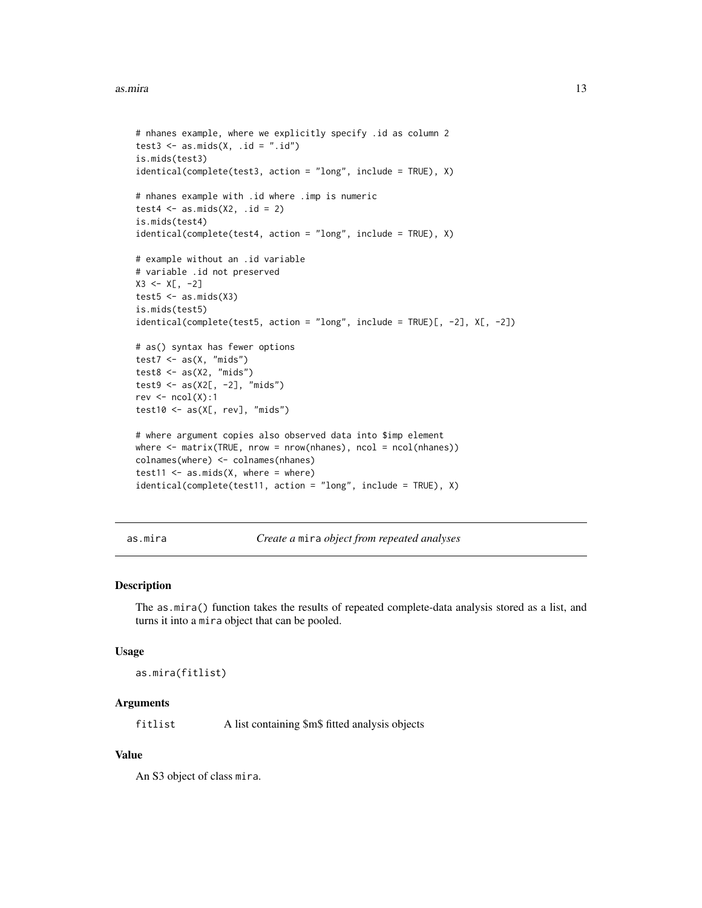#### <span id="page-12-0"></span>as.mira 13

```
# nhanes example, where we explicitly specify .id as column 2
test3 \leq as.mids(X, .id = ".id")
is.mids(test3)
identical(complete(test3, action = "long", include = TRUE), X)
# nhanes example with .id where .imp is numeric
test4 \leftarrow as.mids(X2, .id = 2)
is.mids(test4)
identical(complete(test4, action = "long", include = TRUE), X)
# example without an .id variable
# variable .id not preserved
X3 \leq X[\ , -2]test5 \leq -as.mids(X3)is.mids(test5)
identical(complete(test5, action = "long", include = TRUE)[, -2], X[, -2])
# as() syntax has fewer options
test7 \leq as(X, "mids")
test8 <- as(X2, "mids")
test9 <- as(X2[, -2], "mids")rev \leftarrow \text{ncol}(X):1test10 <- as(X[, rev], "mids")# where argument copies also observed data into $imp element
where \leq matrix(TRUE, nrow = nrow(nhanes), ncol = ncol(nhanes))
colnames(where) <- colnames(nhanes)
test11 \leq as.mids(X, where = where)
identical(complete(test11, action = "long", include = TRUE), X)
```
as.mira *Create a* mira *object from repeated analyses*

## Description

The as.mira() function takes the results of repeated complete-data analysis stored as a list, and turns it into a mira object that can be pooled.

#### Usage

as.mira(fitlist)

# Arguments

fitlist A list containing \$m\$ fitted analysis objects

#### Value

An S3 object of class mira.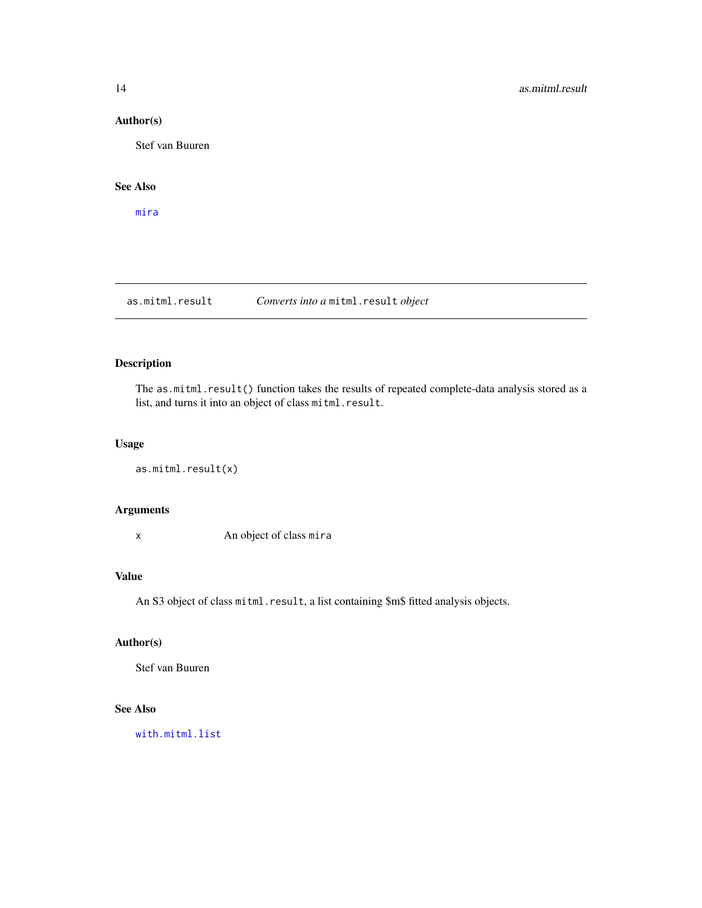# <span id="page-13-0"></span>Author(s)

Stef van Buuren

# See Also

[mira](#page-128-1)

# as.mitml.result *Converts into a* mitml.result *object*

# Description

The as.mitml.result() function takes the results of repeated complete-data analysis stored as a list, and turns it into an object of class mitml.result.

# Usage

as.mitml.result(x)

# Arguments

x An object of class mira

# Value

An S3 object of class mitml.result, a list containing \$m\$ fitted analysis objects.

# Author(s)

Stef van Buuren

# See Also

[with.mitml.list](#page-0-0)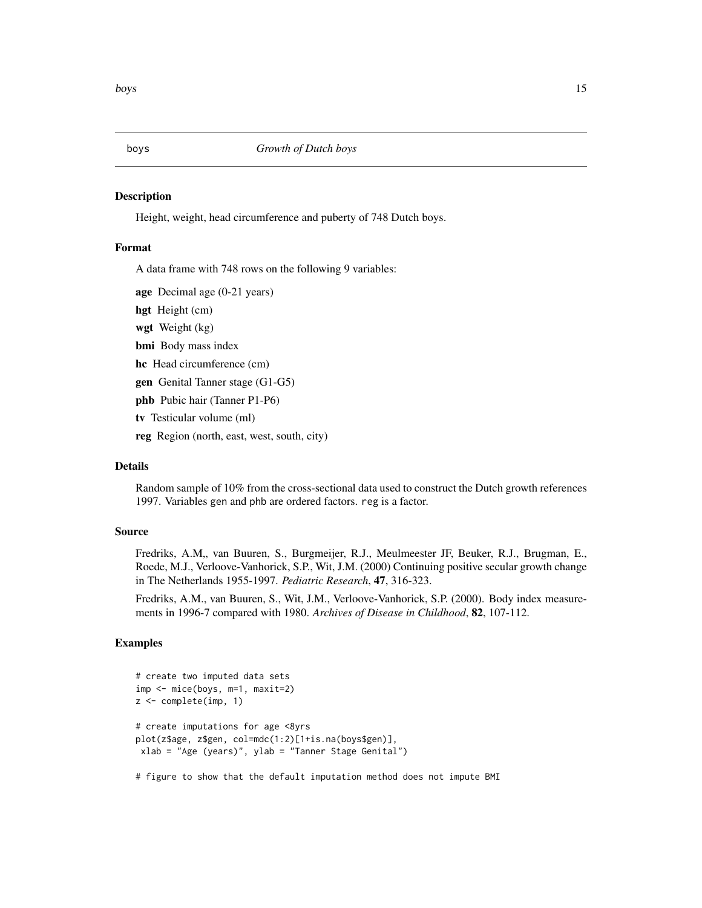<span id="page-14-0"></span>

# Description

Height, weight, head circumference and puberty of 748 Dutch boys.

#### Format

A data frame with 748 rows on the following 9 variables:

age Decimal age (0-21 years)

hgt Height (cm)

wgt Weight (kg)

bmi Body mass index

hc Head circumference (cm)

gen Genital Tanner stage (G1-G5)

phb Pubic hair (Tanner P1-P6)

tv Testicular volume (ml)

reg Region (north, east, west, south, city)

# Details

Random sample of 10% from the cross-sectional data used to construct the Dutch growth references 1997. Variables gen and phb are ordered factors. reg is a factor.

#### Source

Fredriks, A.M., van Buuren, S., Burgmeijer, R.J., Meulmeester JF, Beuker, R.J., Brugman, E., Roede, M.J., Verloove-Vanhorick, S.P., Wit, J.M. (2000) Continuing positive secular growth change in The Netherlands 1955-1997. *Pediatric Research*, 47, 316-323.

Fredriks, A.M., van Buuren, S., Wit, J.M., Verloove-Vanhorick, S.P. (2000). Body index measurements in 1996-7 compared with 1980. *Archives of Disease in Childhood*, 82, 107-112.

# Examples

```
# create two imputed data sets
imp <- mice(boys, m=1, maxit=2)
z <- complete(imp, 1)
# create imputations for age <8yrs
plot(z$age, z$gen, col=mdc(1:2)[1+is.na(boys$gen)],
xlab = "Age (years)", ylab = "Tanner Stage Genital")
```
# figure to show that the default imputation method does not impute BMI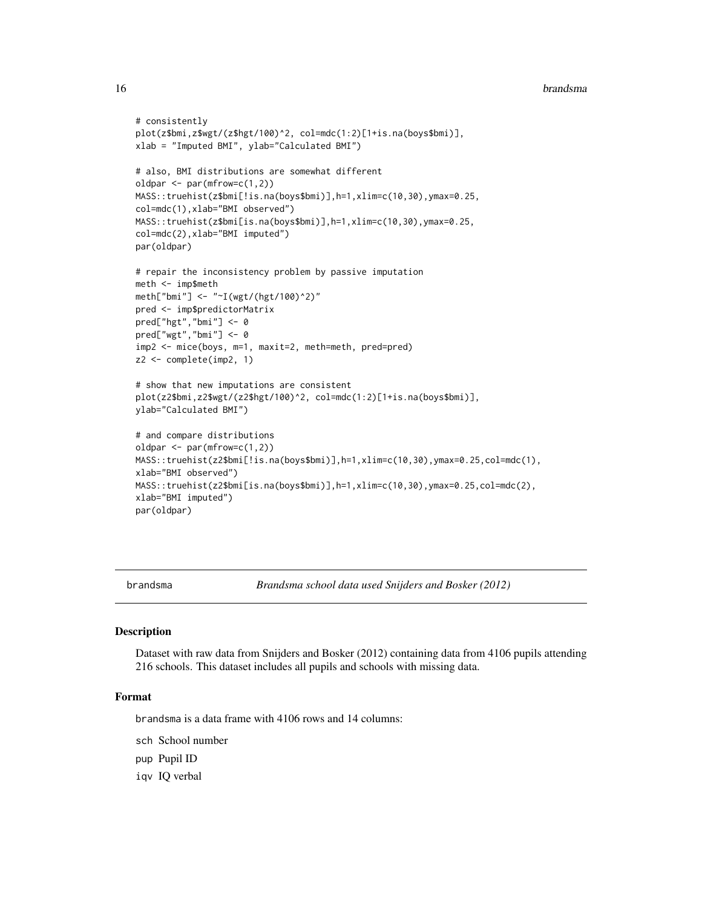#### <span id="page-15-0"></span>16 brandsma

```
# consistently
plot(z$bmi,z$wgt/(z$hgt/100)^2, col=mdc(1:2)[1+is.na(boys$bmi)],
xlab = "Imputed BMI", ylab="Calculated BMI")
# also, BMI distributions are somewhat different
oldpar \leq par(mfrow=c(1,2))
MASS::truehist(z$bmi[!is.na(boys$bmi)],h=1,xlim=c(10,30),ymax=0.25,
col=mdc(1),xlab="BMI observed")
MASS::truehist(z$bmi[is.na(boys$bmi)],h=1,xlim=c(10,30),ymax=0.25,
col=mdc(2),xlab="BMI imputed")
par(oldpar)
# repair the inconsistency problem by passive imputation
meth <- imp$meth
meth["bmi"] <- "~I(wgt/(hgt/100)^2)"
pred <- imp$predictorMatrix
pred["hgt","bmi"] <- 0
pred["wgt","bmi"] <- 0
imp2 <- mice(boys, m=1, maxit=2, meth=meth, pred=pred)
z2 <- complete(imp2, 1)
# show that new imputations are consistent
plot(z2$bmi,z2$wgt/(z2$hgt/100)^2, col=mdc(1:2)[1+is.na(boys$bmi)],
ylab="Calculated BMI")
# and compare distributions
oldpar <- par(mfrow=c(1,2))
MASS::truehist(z2$bmi[!is.na(boys$bmi)],h=1,xlim=c(10,30),ymax=0.25,col=mdc(1),
xlab="BMI observed")
MASS::truehist(z2$bmi[is.na(boys$bmi)],h=1,xlim=c(10,30),ymax=0.25,col=mdc(2),
xlab="BMI imputed")
par(oldpar)
```
brandsma *Brandsma school data used Snijders and Bosker (2012)*

# Description

Dataset with raw data from Snijders and Bosker (2012) containing data from 4106 pupils attending 216 schools. This dataset includes all pupils and schools with missing data.

#### Format

brandsma is a data frame with 4106 rows and 14 columns:

- sch School number
- pup Pupil ID
- iqv IQ verbal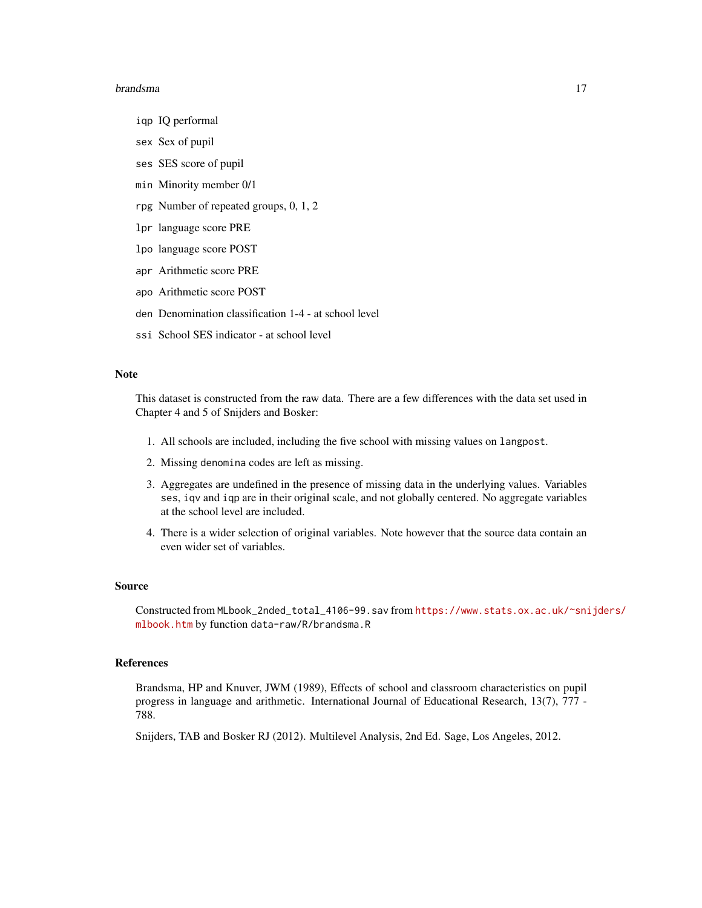#### brandsma 17

- iqp IQ performal
- sex Sex of pupil
- ses SES score of pupil
- min Minority member 0/1
- rpg Number of repeated groups, 0, 1, 2
- lpr language score PRE
- lpo language score POST
- apr Arithmetic score PRE
- apo Arithmetic score POST
- den Denomination classification 1-4 at school level
- ssi School SES indicator at school level

# Note

This dataset is constructed from the raw data. There are a few differences with the data set used in Chapter 4 and 5 of Snijders and Bosker:

- 1. All schools are included, including the five school with missing values on langpost.
- 2. Missing denomina codes are left as missing.
- 3. Aggregates are undefined in the presence of missing data in the underlying values. Variables ses, iqv and iqp are in their original scale, and not globally centered. No aggregate variables at the school level are included.
- 4. There is a wider selection of original variables. Note however that the source data contain an even wider set of variables.

#### Source

Constructed from MLbook\_2nded\_total\_4106-99.sav from [https://www.stats.ox.ac.uk/~sni](https://www.stats.ox.ac.uk/~snijders/mlbook.htm)jders/ [mlbook.htm](https://www.stats.ox.ac.uk/~snijders/mlbook.htm) by function data-raw/R/brandsma.R

# References

Brandsma, HP and Knuver, JWM (1989), Effects of school and classroom characteristics on pupil progress in language and arithmetic. International Journal of Educational Research, 13(7), 777 - 788.

Snijders, TAB and Bosker RJ (2012). Multilevel Analysis, 2nd Ed. Sage, Los Angeles, 2012.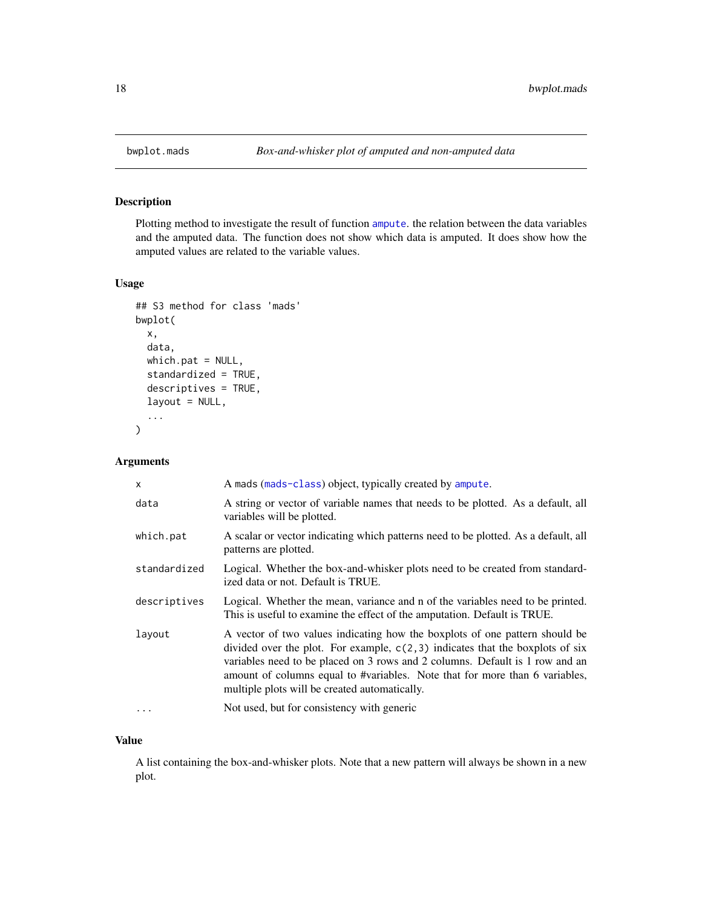<span id="page-17-0"></span>

# Description

Plotting method to investigate the result of function [ampute](#page-5-1). the relation between the data variables and the amputed data. The function does not show which data is amputed. It does show how the amputed values are related to the variable values.

# Usage

```
## S3 method for class 'mads'
bwplot(
  x,
  data,
 which.pat = NULL,
  standardized = TRUE,
  descriptives = TRUE,
  layout = NULL,
  ...
)
```
# Arguments

| x            | A mads (mads-class) object, typically created by ampute.                                                                                                                                                                                                                                                                                                                       |
|--------------|--------------------------------------------------------------------------------------------------------------------------------------------------------------------------------------------------------------------------------------------------------------------------------------------------------------------------------------------------------------------------------|
| data         | A string or vector of variable names that needs to be plotted. As a default, all<br>variables will be plotted.                                                                                                                                                                                                                                                                 |
| which.pat    | A scalar or vector indicating which patterns need to be plotted. As a default, all<br>patterns are plotted.                                                                                                                                                                                                                                                                    |
| standardized | Logical. Whether the box-and-whisker plots need to be created from standard-<br>ized data or not. Default is TRUE.                                                                                                                                                                                                                                                             |
| descriptives | Logical. Whether the mean, variance and n of the variables need to be printed.<br>This is useful to examine the effect of the amputation. Default is TRUE.                                                                                                                                                                                                                     |
| layout       | A vector of two values indicating how the boxplots of one pattern should be<br>divided over the plot. For example, $c(2,3)$ indicates that the boxplots of six<br>variables need to be placed on 3 rows and 2 columns. Default is 1 row and an<br>amount of columns equal to #variables. Note that for more than 6 variables,<br>multiple plots will be created automatically. |
| .            | Not used, but for consistency with generic                                                                                                                                                                                                                                                                                                                                     |

#### Value

A list containing the box-and-whisker plots. Note that a new pattern will always be shown in a new plot.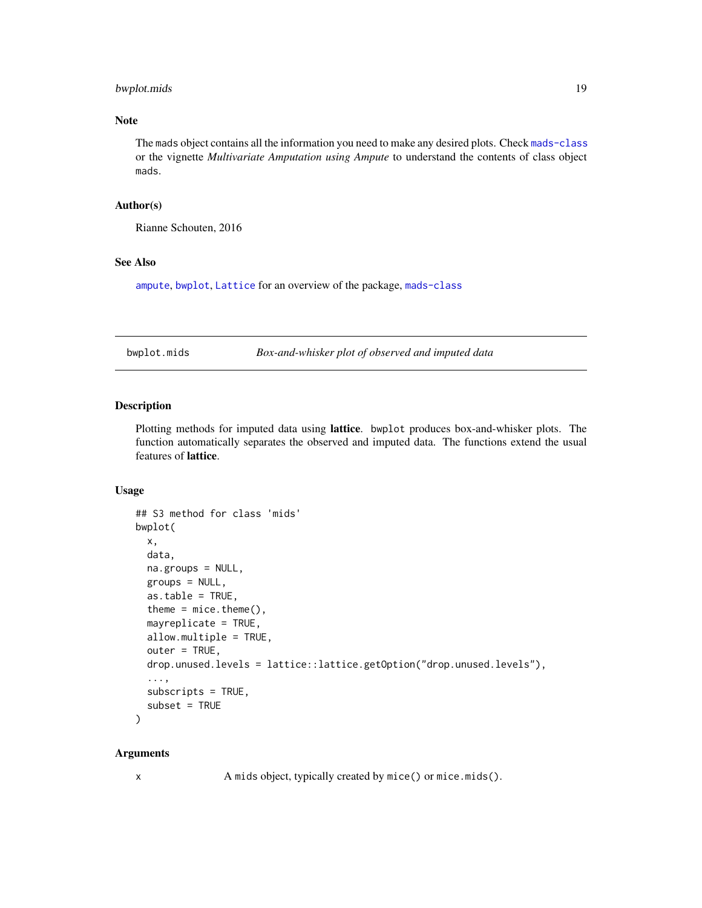# <span id="page-18-0"></span>bwplot.mids 19

# Note

The mads object contains all the information you need to make any desired plots. Check [mads-class](#page-55-1) or the vignette *Multivariate Amputation using Ampute* to understand the contents of class object mads.

# Author(s)

Rianne Schouten, 2016

# See Also

[ampute](#page-5-1), [bwplot](#page-18-1), [Lattice](#page-0-0) for an overview of the package, [mads-class](#page-55-1)

bwplot.mids *Box-and-whisker plot of observed and imputed data*

#### <span id="page-18-1"></span>Description

Plotting methods for imputed data using lattice. bwplot produces box-and-whisker plots. The function automatically separates the observed and imputed data. The functions extend the usual features of lattice.

# Usage

```
## S3 method for class 'mids'
bwplot(
  x,
 data,
 na.groups = NULL,
 groups = NULL,
 as.table = TRUE,
  theme = mice. theme(),mayreplicate = TRUE,
  allow.multiple = TRUE,
  outer = TRUE,
  drop.unused.levels = lattice::lattice.getOption("drop.unused.levels"),
  ...,
  subscripts = TRUE,
  subset = TRUE\mathcal{L}
```
#### Arguments

x A mids object, typically created by mice() or mice.mids().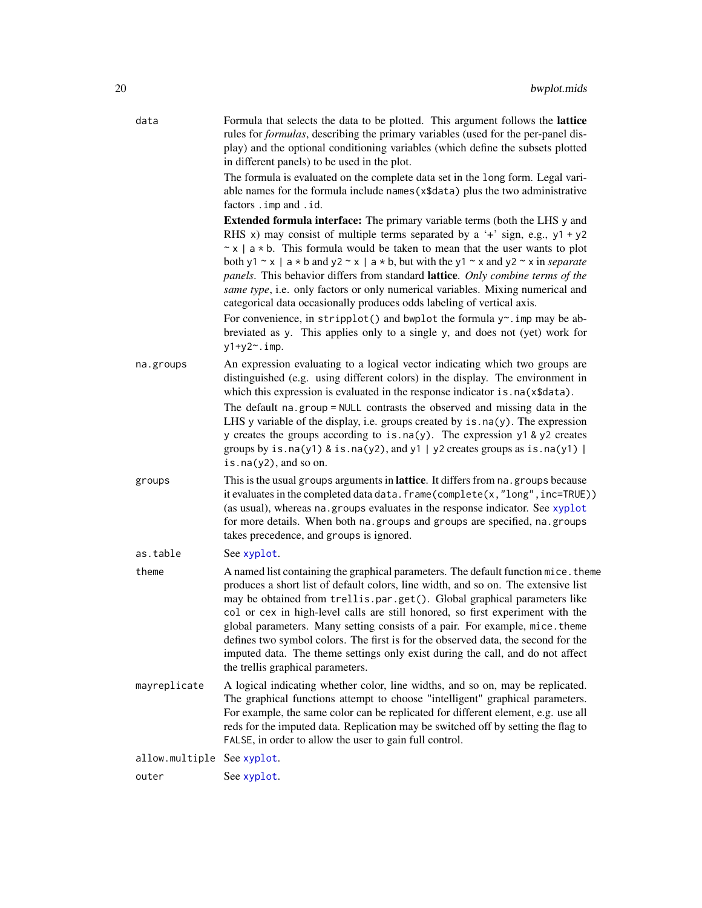| data           | Formula that selects the data to be plotted. This argument follows the <b>lattice</b><br>rules for <i>formulas</i> , describing the primary variables (used for the per-panel dis-<br>play) and the optional conditioning variables (which define the subsets plotted<br>in different panels) to be used in the plot.<br>The formula is evaluated on the complete data set in the long form. Legal vari-<br>able names for the formula include names (x\$data) plus the two administrative<br>factors . imp and . id.                                                                                                                                                                                                                                                               |
|----------------|-------------------------------------------------------------------------------------------------------------------------------------------------------------------------------------------------------------------------------------------------------------------------------------------------------------------------------------------------------------------------------------------------------------------------------------------------------------------------------------------------------------------------------------------------------------------------------------------------------------------------------------------------------------------------------------------------------------------------------------------------------------------------------------|
|                | <b>Extended formula interface:</b> The primary variable terms (both the LHS y and<br>RHS x) may consist of multiple terms separated by a '+' sign, e.g., $y1 + y2$<br>$\sim$ x   a $\star$ b. This formula would be taken to mean that the user wants to plot<br>both y1 ~ x   a * b and y2 ~ x   a * b, but with the y1 ~ x and y2 ~ x in separate<br>panels. This behavior differs from standard lattice. Only combine terms of the<br>same type, i.e. only factors or only numerical variables. Mixing numerical and<br>categorical data occasionally produces odds labeling of vertical axis.<br>For convenience, in stripplot() and bwplot the formula $y^*$ imp may be ab-<br>breviated as y. This applies only to a single y, and does not (yet) work for<br>$y1+y2$ ~. imp. |
| na.groups      | An expression evaluating to a logical vector indicating which two groups are<br>distinguished (e.g. using different colors) in the display. The environment in<br>which this expression is evaluated in the response indicator is . na(x\$data).<br>The default na.group = NULL contrasts the observed and missing data in the<br>LHS y variable of the display, i.e. groups created by $is$ $na(y)$ . The expression<br>y creates the groups according to is.na(y). The expression $y1$ & $y2$ creates<br>groups by is.na(y1) & is.na(y2), and y1   y2 creates groups as is.na(y1)  <br>is.na $(y2)$ , and so on.                                                                                                                                                                  |
| groups         | This is the usual groups arguments in lattice. It differs from na. groups because<br>it evaluates in the completed data data. frame(complete(x,"long", inc=TRUE))<br>(as usual), whereas na. groups evaluates in the response indicator. See xyplot<br>for more details. When both na. groups and groups are specified, na. groups<br>takes precedence, and groups is ignored.                                                                                                                                                                                                                                                                                                                                                                                                      |
| as.table       | See xyplot.                                                                                                                                                                                                                                                                                                                                                                                                                                                                                                                                                                                                                                                                                                                                                                         |
| theme          | A named list containing the graphical parameters. The default function mice. theme<br>produces a short list of default colors, line width, and so on. The extensive list<br>may be obtained from trellis.par.get(). Global graphical parameters like<br>col or cex in high-level calls are still honored, so first experiment with the<br>global parameters. Many setting consists of a pair. For example, mice. theme<br>defines two symbol colors. The first is for the observed data, the second for the<br>imputed data. The theme settings only exist during the call, and do not affect<br>the trellis graphical parameters.                                                                                                                                                  |
| mayreplicate   | A logical indicating whether color, line widths, and so on, may be replicated.<br>The graphical functions attempt to choose "intelligent" graphical parameters.<br>For example, the same color can be replicated for different element, e.g. use all<br>reds for the imputed data. Replication may be switched off by setting the flag to<br>FALSE, in order to allow the user to gain full control.                                                                                                                                                                                                                                                                                                                                                                                |
| allow.multiple | See xyplot.                                                                                                                                                                                                                                                                                                                                                                                                                                                                                                                                                                                                                                                                                                                                                                         |
| outer          | See xyplot.                                                                                                                                                                                                                                                                                                                                                                                                                                                                                                                                                                                                                                                                                                                                                                         |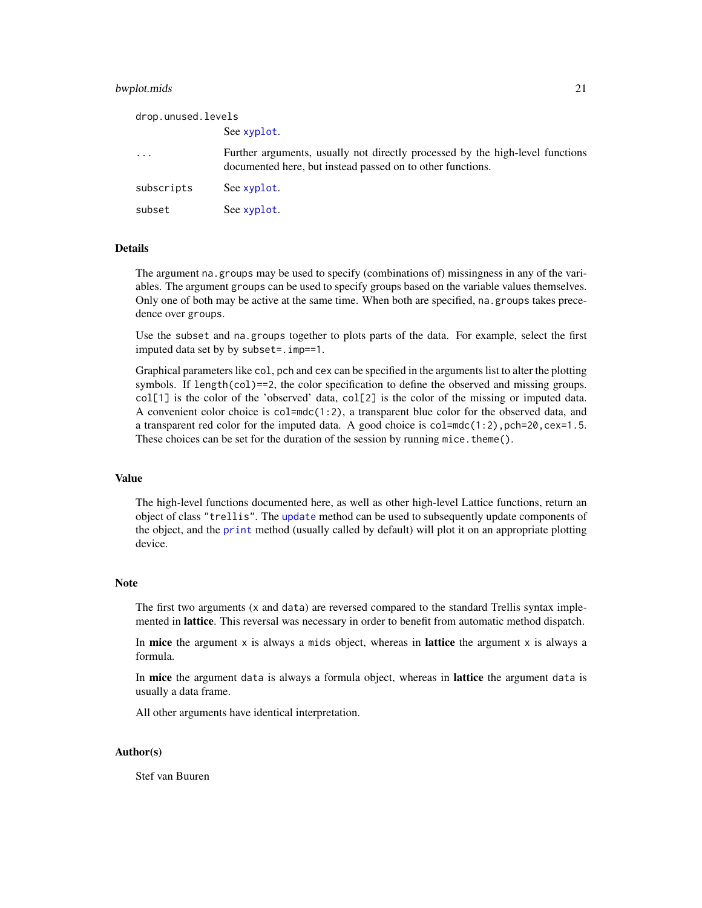#### bwplot.mids 21

| drop.unused.levels |                                                                                                                                             |
|--------------------|---------------------------------------------------------------------------------------------------------------------------------------------|
|                    | See xyplot.                                                                                                                                 |
| $\ddotsc$          | Further arguments, usually not directly processed by the high-level functions<br>documented here, but instead passed on to other functions. |
| subscripts         | See xyplot.                                                                                                                                 |
| subset             | See xyplot.                                                                                                                                 |

#### Details

The argument na.groups may be used to specify (combinations of) missingness in any of the variables. The argument groups can be used to specify groups based on the variable values themselves. Only one of both may be active at the same time. When both are specified, na.groups takes precedence over groups.

Use the subset and na.groups together to plots parts of the data. For example, select the first imputed data set by by subset=.imp==1.

Graphical parameters like col, pch and cex can be specified in the arguments list to alter the plotting symbols. If length(col)==2, the color specification to define the observed and missing groups. col[1] is the color of the 'observed' data, col[2] is the color of the missing or imputed data. A convenient color choice is col=mdc(1:2), a transparent blue color for the observed data, and a transparent red color for the imputed data. A good choice is  $col = mc(1:2)$ ,  $pch = 20$ ,  $cex = 1.5$ . These choices can be set for the duration of the session by running mice. theme $()$ .

# Value

The high-level functions documented here, as well as other high-level Lattice functions, return an object of class "trellis". The [update](#page-0-0) method can be used to subsequently update components of the object, and the [print](#page-0-0) method (usually called by default) will plot it on an appropriate plotting device.

#### Note

The first two arguments (x and data) are reversed compared to the standard Trellis syntax implemented in lattice. This reversal was necessary in order to benefit from automatic method dispatch.

In mice the argument  $x$  is always a mids object, whereas in lattice the argument  $x$  is always a formula.

In **mice** the argument data is always a formula object, whereas in **lattice** the argument data is usually a data frame.

All other arguments have identical interpretation.

#### Author(s)

Stef van Buuren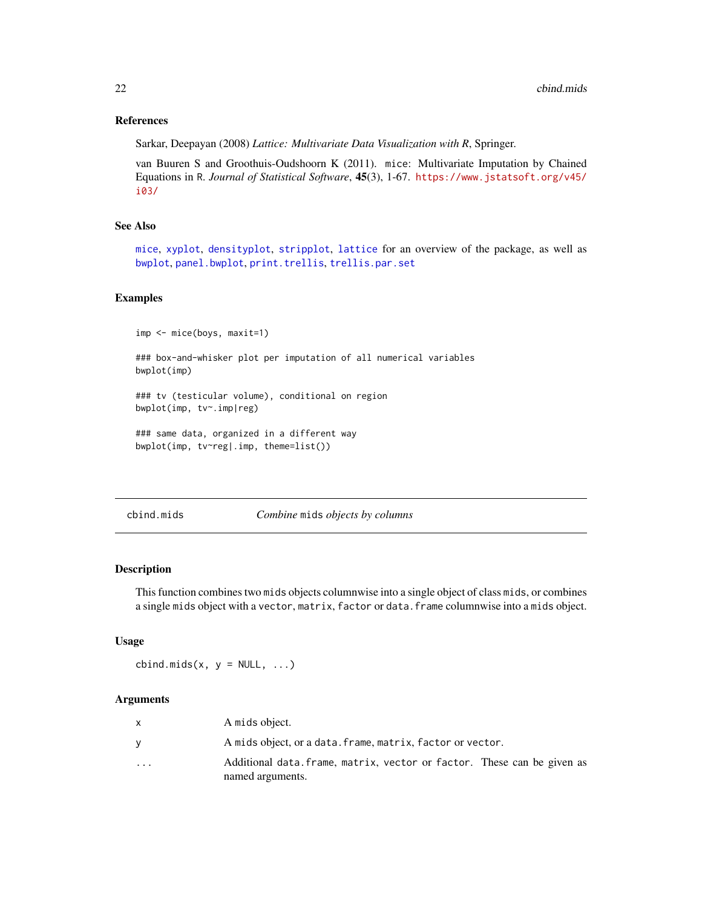#### References

Sarkar, Deepayan (2008) *Lattice: Multivariate Data Visualization with R*, Springer.

van Buuren S and Groothuis-Oudshoorn K (2011). mice: Multivariate Imputation by Chained Equations in R. *Journal of Statistical Software*, 45(3), 1-67. [https://www.jstatsoft.org/v45/](https://www.jstatsoft.org/v45/i03/) [i03/](https://www.jstatsoft.org/v45/i03/)

# See Also

[mice](#page-68-1), [xyplot](#page-173-1), [densityplot](#page-31-1), [stripplot](#page-159-1), [lattice](#page-0-0) for an overview of the package, as well as [bwplot](#page-18-1), [panel.bwplot](#page-0-0), [print.trellis](#page-0-0), [trellis.par.set](#page-0-0)

# Examples

```
imp <- mice(boys, maxit=1)
```
### box-and-whisker plot per imputation of all numerical variables bwplot(imp)

### tv (testicular volume), conditional on region bwplot(imp, tv~.imp|reg)

```
### same data, organized in a different way
bwplot(imp, tv~reg|.imp, theme=list())
```
cbind.mids *Combine* mids *objects by columns*

#### Description

This function combines two mids objects columnwise into a single object of class mids, or combines a single mids object with a vector, matrix, factor or data.frame columnwise into a mids object.

#### Usage

cbind.mids(x,  $y = NULL, ...$ )

# Arguments

|                         | A mids object.                                                                              |
|-------------------------|---------------------------------------------------------------------------------------------|
|                         | A mids object, or a data. frame, matrix, factor or vector.                                  |
| $\cdot$ $\cdot$ $\cdot$ | Additional data. frame, matrix, vector or factor. These can be given as<br>named arguments. |

<span id="page-21-0"></span>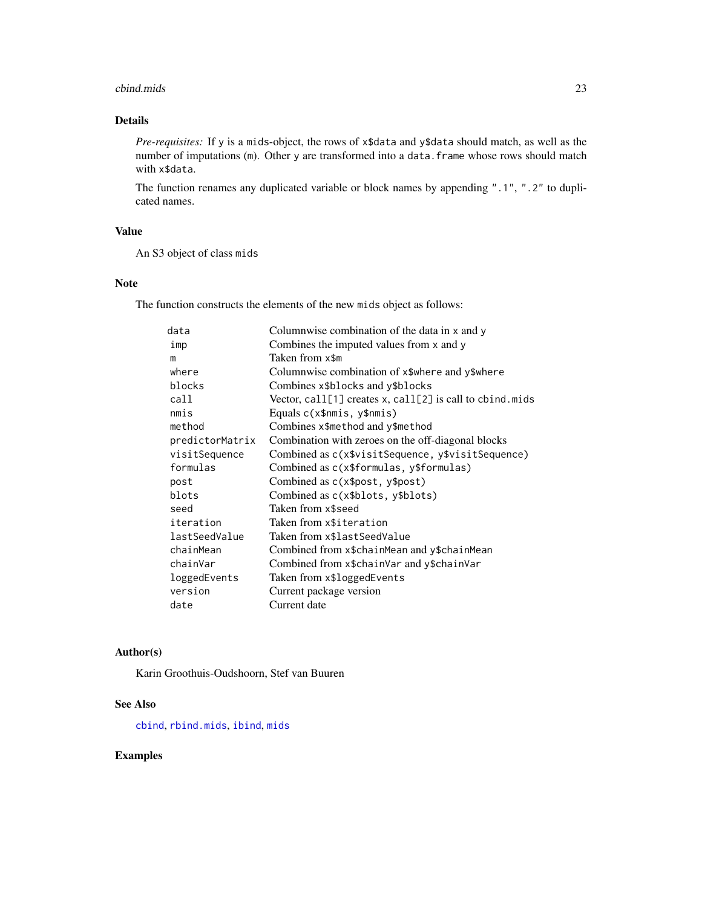#### cbind.mids 23

# Details

*Pre-requisites:* If y is a mids-object, the rows of x\$data and y\$data should match, as well as the number of imputations (m). Other y are transformed into a data. frame whose rows should match with x\$data.

The function renames any duplicated variable or block names by appending ".1", ".2" to duplicated names.

# Value

An S3 object of class mids

# Note

The function constructs the elements of the new mids object as follows:

| data            | Columnwise combination of the data in x and y            |
|-----------------|----------------------------------------------------------|
| imp             | Combines the imputed values from x and y                 |
| m               | Taken from x\$m                                          |
| where           | Columnwise combination of x\$where and y\$where          |
| blocks          | Combines x\$blocks and y\$blocks                         |
| call            | Vector, call[1] creates x, call[2] is call to cbind.mids |
| nmis            | Equals c(x\$nmis, y\$nmis)                               |
| method          | Combines x\$method and y\$method                         |
| predictorMatrix | Combination with zeroes on the off-diagonal blocks       |
| visitSequence   | Combined as c(x\$visitSequence, y\$visitSequence)        |
| formulas        | Combined as c(x\$formulas, y\$formulas)                  |
| post            | Combined as $c(x\$ text{post}, y\text{post})             |
| blots           | Combined as c(x\$blots, y\$blots)                        |
| seed            | Taken from x\$seed                                       |
| iteration       | Taken from x\$iteration                                  |
| lastSeedValue   | Taken from x\$lastSeedValue                              |
| chainMean       | Combined from x\$chainMean and y\$chainMean              |
| chainVar        | Combined from x\$chainVar and y\$chainVar                |
| loggedEvents    | Taken from x\$loggedEvents                               |
| version         | Current package version                                  |
| date            | Current date                                             |

# Author(s)

Karin Groothuis-Oudshoorn, Stef van Buuren

# See Also

[cbind](#page-0-0), [rbind.mids](#page-155-1), [ibind](#page-48-1), [mids](#page-123-1)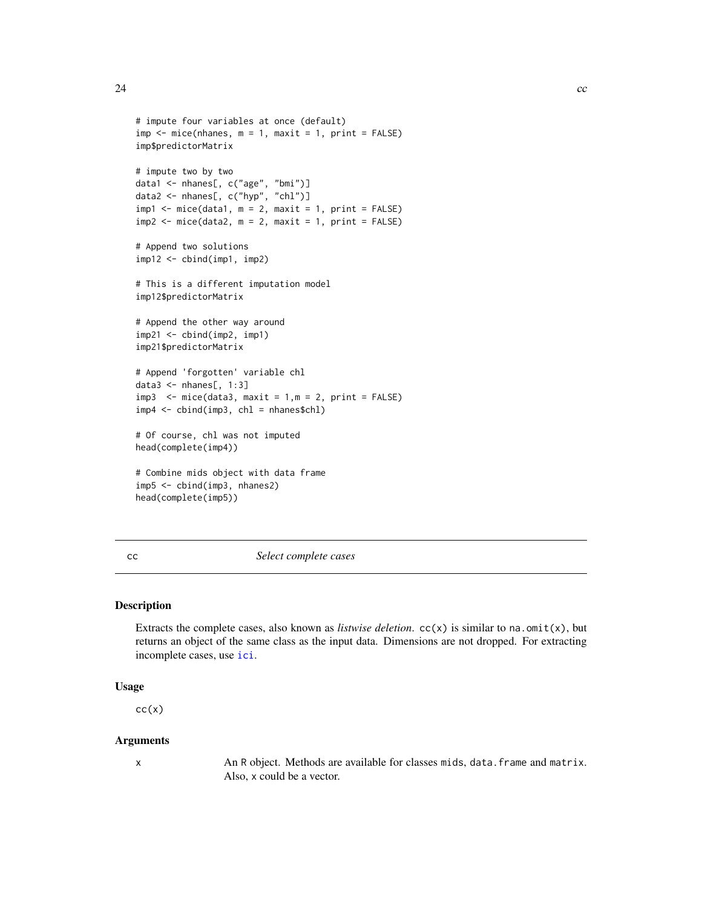```
# impute four variables at once (default)
imp \leq mice(nhanes, m = 1, maxit = 1, print = FALSE)imp$predictorMatrix
# impute two by two
data1 <- nhanes[, c("age", "bmi")]
data2 <- nhanes[, c("hyp", "chl")]
imp1 < - mice(data1, m = 2, maxit = 1, print = FALSE)
imp2 \leq mice(data2, m = 2, maxit = 1, print = FALSE)# Append two solutions
imp12 <- cbind(imp1, imp2)
# This is a different imputation model
imp12$predictorMatrix
# Append the other way around
imp21 <- cbind(imp2, imp1)
imp21$predictorMatrix
# Append 'forgotten' variable chl
data3 \leq nhanes[, 1:3]
imp3 < - mice(data3, maxit = 1, m = 2, print = FALSE)
imp4 <- cbind(imp3, chl = nhanes$chl)
# Of course, chl was not imputed
head(complete(imp4))
# Combine mids object with data frame
imp5 <- cbind(imp3, nhanes2)
head(complete(imp5))
```
<span id="page-23-1"></span>cc *Select complete cases*

# Description

Extracts the complete cases, also known as *listwise deletion*.  $cc(x)$  is similar to na.omit(x), but returns an object of the same class as the input data. Dimensions are not dropped. For extracting incomplete cases, use [ici](#page-50-1).

# Usage

 $cc(x)$ 

#### Arguments

x An R object. Methods are available for classes mids, data.frame and matrix. Also, x could be a vector.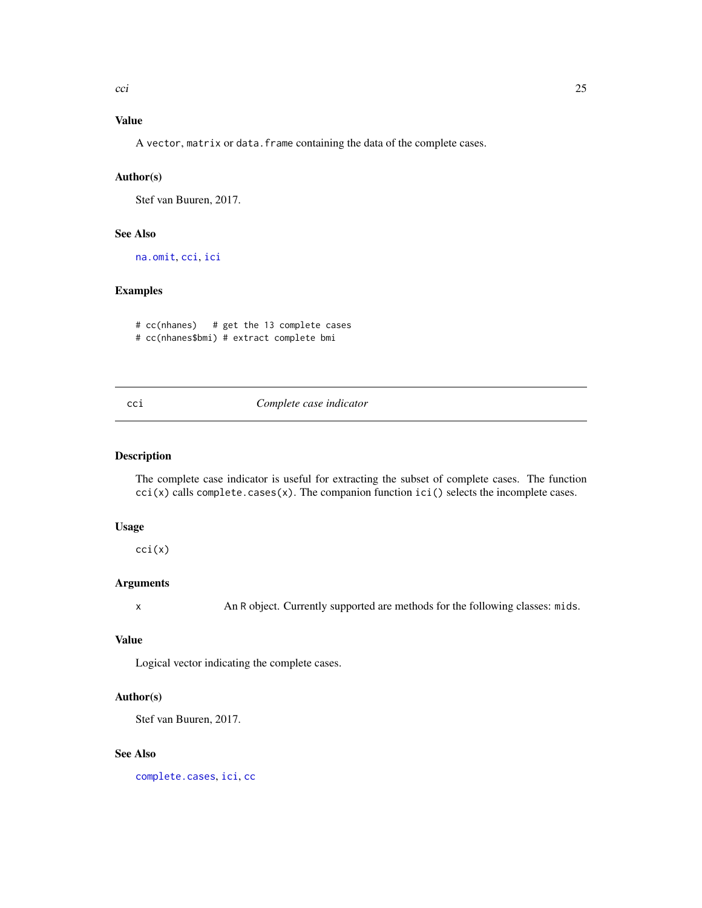# <span id="page-24-0"></span>Value

A vector, matrix or data. frame containing the data of the complete cases.

# Author(s)

Stef van Buuren, 2017.

# See Also

[na.omit](#page-0-0), [cci](#page-24-1), [ici](#page-50-1)

# Examples

```
# cc(nhanes) # get the 13 complete cases
# cc(nhanes$bmi) # extract complete bmi
```
# <span id="page-24-1"></span>cci *Complete case indicator*

# Description

The complete case indicator is useful for extracting the subset of complete cases. The function  $cci(x)$  calls complete.cases(x). The companion function  $ici()$  selects the incomplete cases.

#### Usage

cci(x)

# Arguments

x An R object. Currently supported are methods for the following classes: mids.

# Value

Logical vector indicating the complete cases.

# Author(s)

Stef van Buuren, 2017.

#### See Also

[complete.cases](#page-0-0), [ici](#page-50-1), [cc](#page-23-1)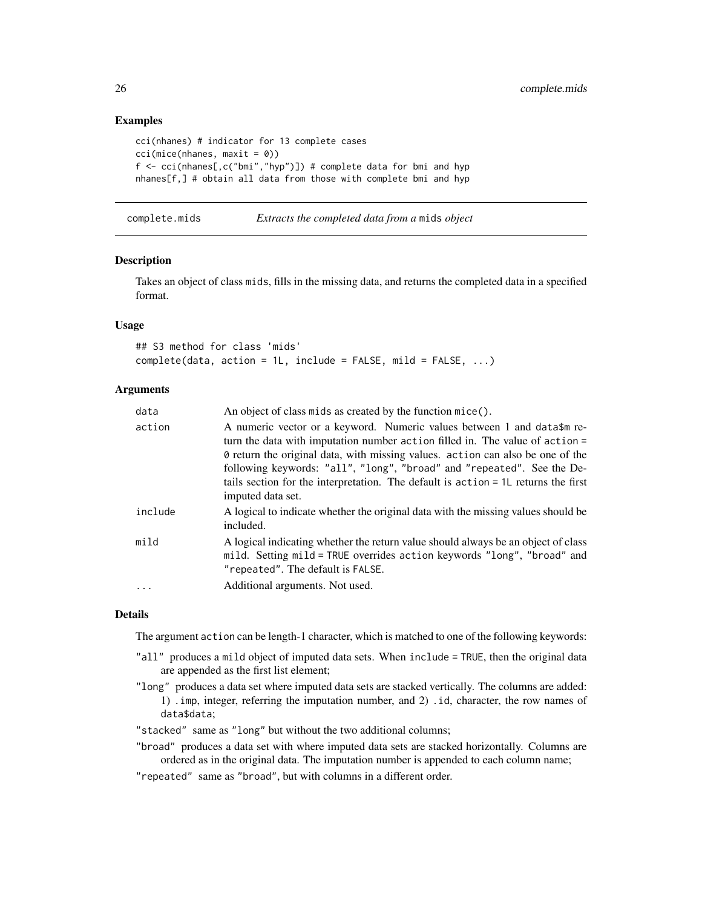# Examples

```
cci(nhanes) # indicator for 13 complete cases
cci(mice(nhanes, maxit = 0))
f \leq cci(nhanes[,c("bmi","hyp")]) # complete data for bmi and hyp
nhanes[f,] # obtain all data from those with complete bmi and hyp
```
complete.mids *Extracts the completed data from a* mids *object*

#### Description

Takes an object of class mids, fills in the missing data, and returns the completed data in a specified format.

#### Usage

```
## S3 method for class 'mids'
complete(data, action = 1L, include = FALSE, mild = FALSE, ...)
```
#### Arguments

| data    | An object of class mids as created by the function mice().                                                                                                                                                                                                                                                                                                                                                                         |
|---------|------------------------------------------------------------------------------------------------------------------------------------------------------------------------------------------------------------------------------------------------------------------------------------------------------------------------------------------------------------------------------------------------------------------------------------|
| action  | A numeric vector or a keyword. Numeric values between 1 and data\$m re-<br>turn the data with imputation number action filled in. The value of action =<br>If of return the original data, with missing values. action can also be one of the<br>following keywords: "all", "long", "broad" and "repeated". See the De-<br>tails section for the interpretation. The default is action = 1L returns the first<br>imputed data set. |
| include | A logical to indicate whether the original data with the missing values should be<br>included.                                                                                                                                                                                                                                                                                                                                     |
| mild    | A logical indicating whether the return value should always be an object of class<br>mild. Setting mild = TRUE overrides action keywords "long", "broad" and<br>"repeated". The default is FALSE.                                                                                                                                                                                                                                  |
|         | Additional arguments. Not used.                                                                                                                                                                                                                                                                                                                                                                                                    |

#### Details

The argument action can be length-1 character, which is matched to one of the following keywords:

- "all" produces a mild object of imputed data sets. When include = TRUE, then the original data are appended as the first list element;
- "long" produces a data set where imputed data sets are stacked vertically. The columns are added: 1) .imp, integer, referring the imputation number, and 2) .id, character, the row names of data\$data;
- "stacked" same as "long" but without the two additional columns;
- "broad" produces a data set with where imputed data sets are stacked horizontally. Columns are ordered as in the original data. The imputation number is appended to each column name;
- "repeated" same as "broad", but with columns in a different order.

<span id="page-25-0"></span>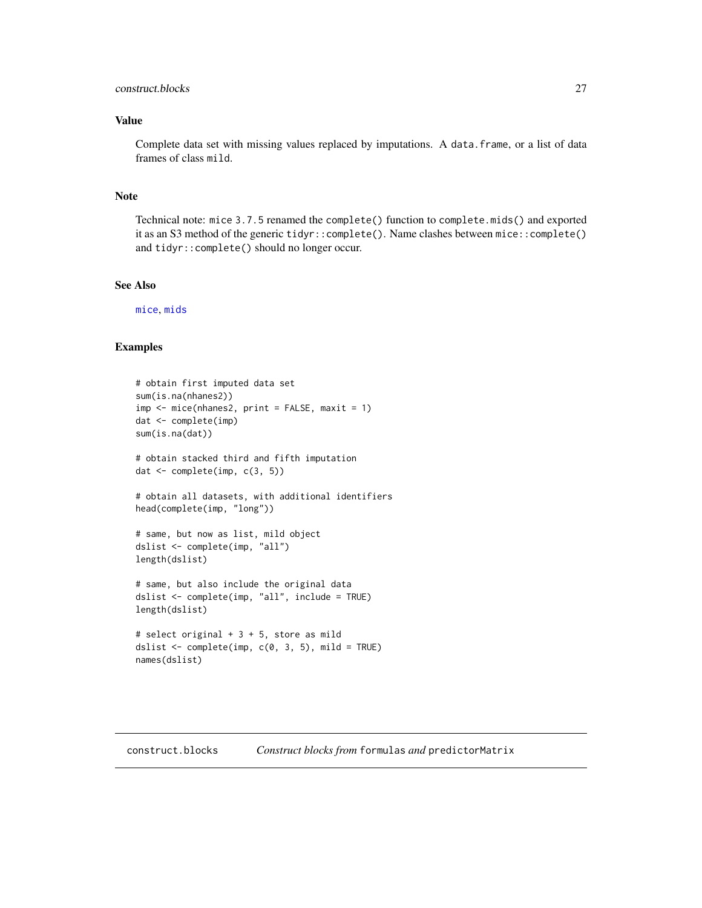# <span id="page-26-0"></span>construct.blocks 27

# Value

Complete data set with missing values replaced by imputations. A data. frame, or a list of data frames of class mild.

# Note

Technical note: mice 3.7.5 renamed the complete() function to complete.mids() and exported it as an S3 method of the generic tidyr::complete(). Name clashes between mice::complete() and tidyr::complete() should no longer occur.

# See Also

[mice](#page-68-1), [mids](#page-123-1)

```
# obtain first imputed data set
sum(is.na(nhanes2))
imp <- mice(nhanes2, print = FALSE, maxit = 1)
dat <- complete(imp)
sum(is.na(dat))
# obtain stacked third and fifth imputation
dat <- complete(imp, c(3, 5))
# obtain all datasets, with additional identifiers
head(complete(imp, "long"))
# same, but now as list, mild object
dslist <- complete(imp, "all")
length(dslist)
# same, but also include the original data
dslist <- complete(imp, "all", include = TRUE)
length(dslist)
# select original + 3 + 5, store as mild
dslist \leq complete(imp, c(0, 3, 5), mild = TRUE)
names(dslist)
```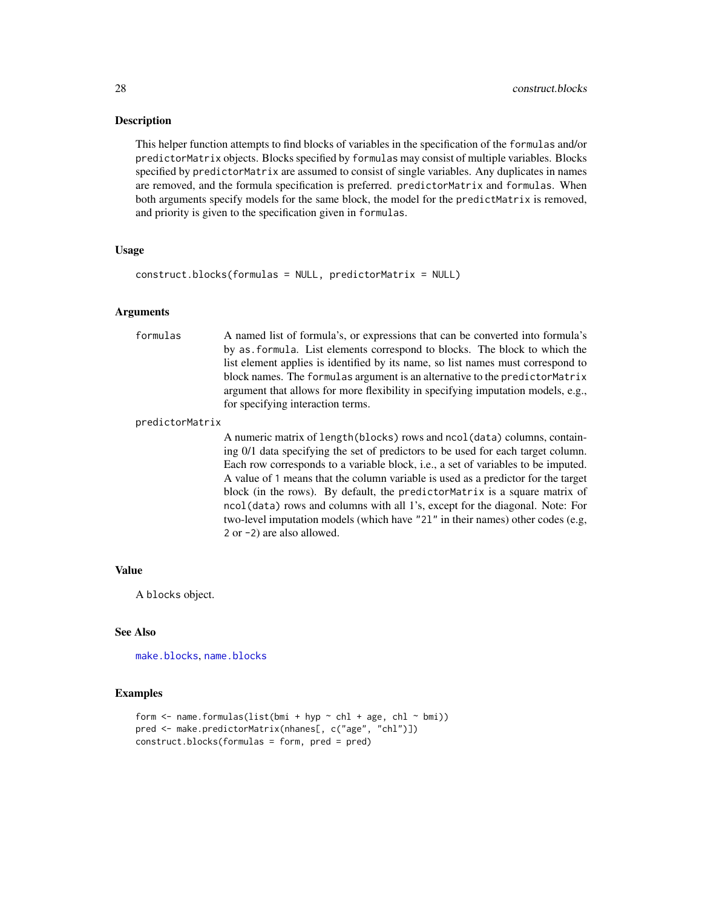#### Description

This helper function attempts to find blocks of variables in the specification of the formulas and/or predictorMatrix objects. Blocks specified by formulas may consist of multiple variables. Blocks specified by predictorMatrix are assumed to consist of single variables. Any duplicates in names are removed, and the formula specification is preferred. predictorMatrix and formulas. When both arguments specify models for the same block, the model for the predictMatrix is removed, and priority is given to the specification given in formulas.

# Usage

```
construct.blocks(formulas = NULL, predictorMatrix = NULL)
```
# Arguments

formulas A named list of formula's, or expressions that can be converted into formula's by as.formula. List elements correspond to blocks. The block to which the list element applies is identified by its name, so list names must correspond to block names. The formulas argument is an alternative to the predictorMatrix argument that allows for more flexibility in specifying imputation models, e.g., for specifying interaction terms.

#### predictorMatrix

A numeric matrix of length(blocks) rows and ncol(data) columns, containing 0/1 data specifying the set of predictors to be used for each target column. Each row corresponds to a variable block, i.e., a set of variables to be imputed. A value of 1 means that the column variable is used as a predictor for the target block (in the rows). By default, the predictorMatrix is a square matrix of ncol(data) rows and columns with all 1's, except for the diagonal. Note: For two-level imputation models (which have "2l" in their names) other codes (e.g, 2 or -2) are also allowed.

#### Value

A blocks object.

# See Also

[make.blocks](#page-56-1), [name.blocks](#page-129-1)

```
form \leq name.formulas(list(bmi + hyp \sim chl + age, chl \sim bmi))
pred <- make.predictorMatrix(nhanes[, c("age", "chl")])
construct.blocks(formulas = form, pred = pred)
```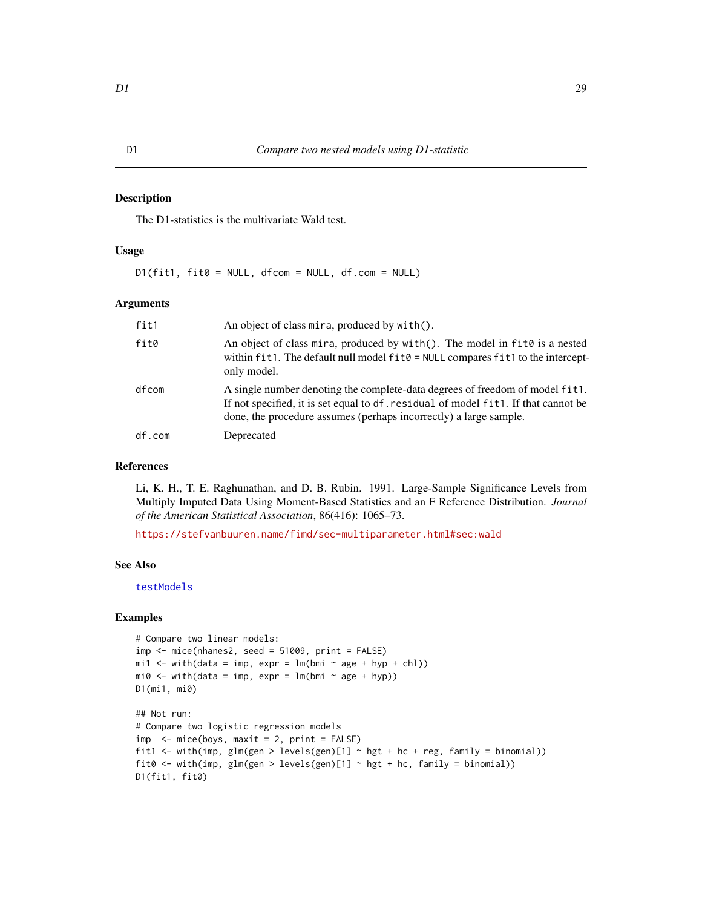#### <span id="page-28-0"></span>Description

The D1-statistics is the multivariate Wald test.

# Usage

 $D1(fit1, fit0 = NULL, dfcom = NULL, df.com = NULL)$ 

# Arguments

| fit1   | An object of class mira, produced by with $()$ .                                                                                                                                                                                        |
|--------|-----------------------------------------------------------------------------------------------------------------------------------------------------------------------------------------------------------------------------------------|
| fit0   | An object of class mira, produced by with(). The model in fit0 is a nested<br>within fit1. The default null model fit0 = NULL compares fit1 to the intercept-<br>only model.                                                            |
| dfcom  | A single number denoting the complete-data degrees of freedom of model fit1.<br>If not specified, it is set equal to df. residual of model fit1. If that cannot be<br>done, the procedure assumes (perhaps incorrectly) a large sample. |
| df.com | Deprecated                                                                                                                                                                                                                              |

# References

Li, K. H., T. E. Raghunathan, and D. B. Rubin. 1991. Large-Sample Significance Levels from Multiply Imputed Data Using Moment-Based Statistics and an F Reference Distribution. *Journal of the American Statistical Association*, 86(416): 1065–73.

<https://stefvanbuuren.name/fimd/sec-multiparameter.html#sec:wald>

# See Also

[testModels](#page-0-0)

```
# Compare two linear models:
imp \le mice(nhanes2, seed = 51009, print = FALSE)
mid < - with(data = imp, expr = lm(bmi \sim age + hyp + chl))
mi0 \leq - with(data = imp, expr = lm(bmi \sim age + hyp))D1(mi1, mi0)
## Not run:
# Compare two logistic regression models
imp < - mice(boys, maxit = 2, print = FALSE)
fit1 <- with(imp, glm(gen > levels(gen)[1] \sim hgt + hc + reg, family = binomial))
fit0 <- with(imp, glm(gen > levels(gen)[1] ~ hgt + hc, family = binomial))
D1(fit1, fit0)
```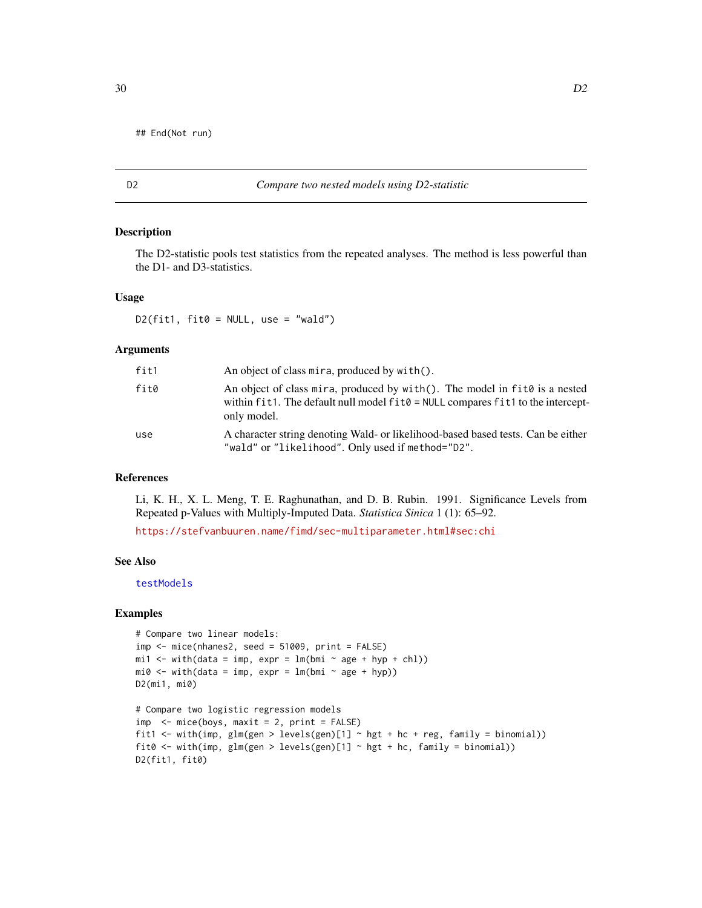<span id="page-29-0"></span>

# D2 *Compare two nested models using D2-statistic*

#### Description

The D2-statistic pools test statistics from the repeated analyses. The method is less powerful than the D1- and D3-statistics.

# Usage

D2(fit1, fit0 = NULL, use = "wald")

# Arguments

| fit1 | An object of class mira, produced by with().                                                                                                                                           |
|------|----------------------------------------------------------------------------------------------------------------------------------------------------------------------------------------|
| fit0 | An object of class mira, produced by with (). The model in $fit0$ is a nested<br>within $fit1$ . The default null model $fit0 = NULL$ compares $fit1$ to the intercept-<br>only model. |
| use  | A character string denoting Wald- or likelihood-based based tests. Can be either<br>"wald" or "likelihood". Only used if method="D2".                                                  |

#### References

Li, K. H., X. L. Meng, T. E. Raghunathan, and D. B. Rubin. 1991. Significance Levels from Repeated p-Values with Multiply-Imputed Data. *Statistica Sinica* 1 (1): 65–92.

<https://stefvanbuuren.name/fimd/sec-multiparameter.html#sec:chi>

# See Also

[testModels](#page-0-0)

```
# Compare two linear models:
imp \leftarrow mice(nhanes2, seed = 51009, print = FALSE)mi1 <- with(data = imp, expr = lm(bmi \sim age + hyp + chl))
mi0 \leq - with(data = imp, expr = lm(bmi \sim age + hyp))D2(mi1, mi0)
# Compare two logistic regression models
imp <- mice(boys, maxit = 2, print = FALSE)
fit1 <- with(imp, glm(gen > levels(gen)[1] \sim hgt + hc + reg, family = binomial))
fit0 <- with(imp, glm(gen > levels(gen)[1] \sim hgt + hc, family = binomial))
D2(fit1, fit0)
```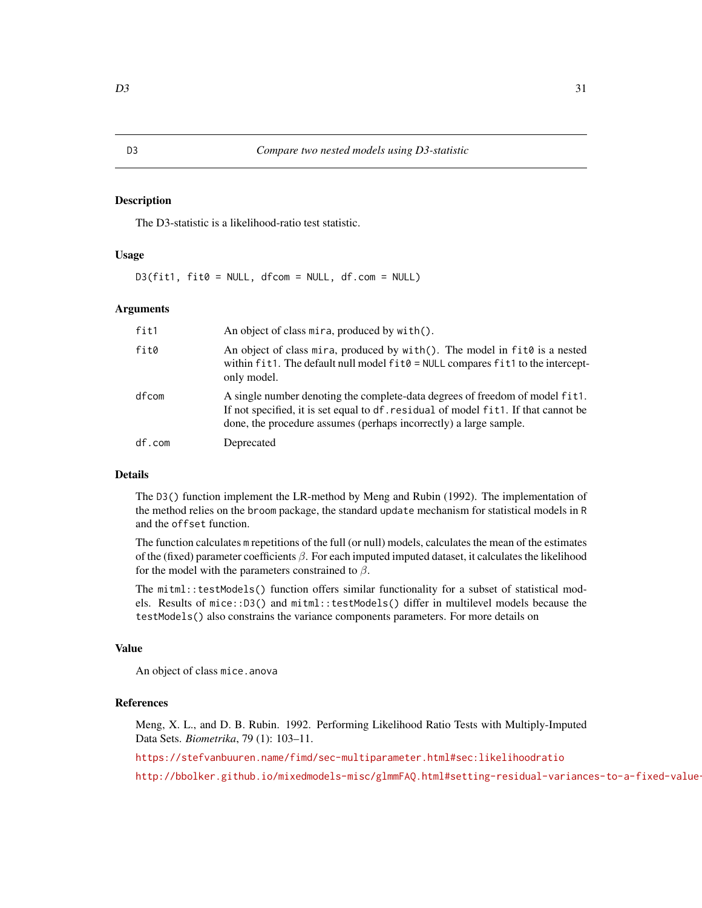# <span id="page-30-0"></span>Description

The D3-statistic is a likelihood-ratio test statistic.

#### Usage

D3(fit1, fit0 = NULL, dfcom = NULL, df.com = NULL)

# Arguments

| fit1   | An object of class mira, produced by with ().                                                                                                                                                                                           |
|--------|-----------------------------------------------------------------------------------------------------------------------------------------------------------------------------------------------------------------------------------------|
| fit0   | An object of class mira, produced by with (). The model in $fit0$ is a nested<br>within fit1. The default null model fit0 = NULL compares fit1 to the intercept-<br>only model.                                                         |
| dfcom  | A single number denoting the complete-data degrees of freedom of model fit1.<br>If not specified, it is set equal to df. residual of model fit1. If that cannot be<br>done, the procedure assumes (perhaps incorrectly) a large sample. |
| df.com | Deprecated                                                                                                                                                                                                                              |

#### Details

The D3() function implement the LR-method by Meng and Rubin (1992). The implementation of the method relies on the broom package, the standard update mechanism for statistical models in R and the offset function.

The function calculates m repetitions of the full (or null) models, calculates the mean of the estimates of the (fixed) parameter coefficients  $\beta$ . For each imputed imputed dataset, it calculates the likelihood for the model with the parameters constrained to  $\beta$ .

The mitml::testModels() function offers similar functionality for a subset of statistical models. Results of mice::D3() and mitml::testModels() differ in multilevel models because the testModels() also constrains the variance components parameters. For more details on

# Value

An object of class mice.anova

# References

Meng, X. L., and D. B. Rubin. 1992. Performing Likelihood Ratio Tests with Multiply-Imputed Data Sets. *Biometrika*, 79 (1): 103–11.

<https://stefvanbuuren.name/fimd/sec-multiparameter.html#sec:likelihoodratio>

http://bbolker.github.io/mixedmodels-misc/glmmFAQ.html#setting-residual-variances-to-a-fixed-value-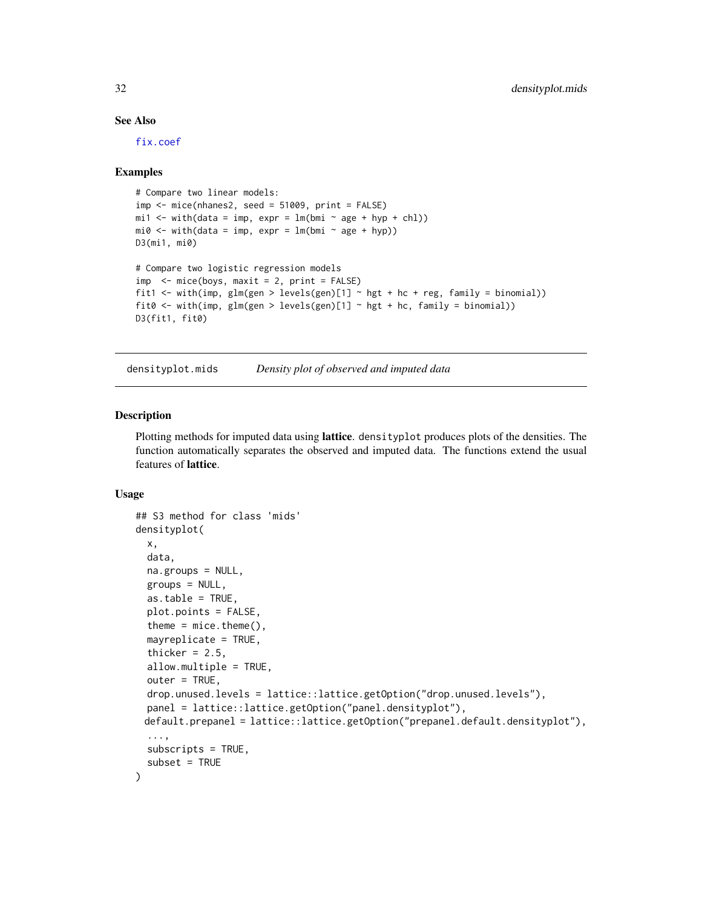# See Also

[fix.coef](#page-41-1)

#### Examples

```
# Compare two linear models:
imp \leq mice(nhanes2, seed = 51009, print = FALSE)min < - with(data = imp, expr = lm(bmi ~ age + hyp + chl))
mi0 \leq - with(data = imp, expr = lm(bmi \sim age + hyp))D3(mi1, mi0)
# Compare two logistic regression models
imp \leftarrow mice(boys, maxit = 2, print = FALSE)fit1 <- with(imp, glm(gen > levels(gen)[1] \sim hgt + hc + reg, family = binomial))
fit0 <- with(imp, glm(gen > levels(gen)[1] \sim hgt + hc, family = binomial))
D3(fit1, fit0)
```
densityplot.mids *Density plot of observed and imputed data*

# <span id="page-31-1"></span>Description

Plotting methods for imputed data using lattice. densityplot produces plots of the densities. The function automatically separates the observed and imputed data. The functions extend the usual features of lattice.

# Usage

```
## S3 method for class 'mids'
densityplot(
  x,
  data,
 na.groups = NULL,
 groups = NULL,
  as.table = TRUE,plot.points = FALSE,
  theme = mice.theme(),
  mayreplicate = TRUE,
  thicker = 2.5,
  allow.multiple = TRUE,
  outer = TRUE,
  drop.unused.levels = lattice::lattice.getOption("drop.unused.levels"),
  panel = lattice::lattice.getOption("panel.densityplot"),
 default.prepanel = lattice::lattice.getOption("prepanel.default.densityplot"),
  ...,
  subscripts = TRUE,
  subset = TRUE
)
```
<span id="page-31-0"></span>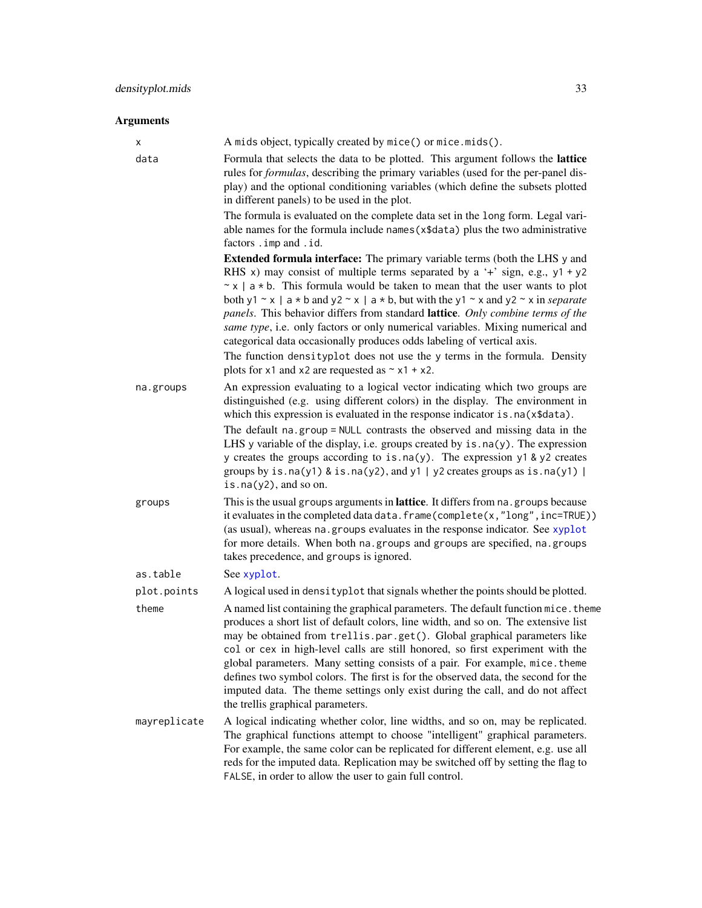# Arguments

| х            | A mids object, typically created by mice() or mice.mids().                                                                                                                                                                                                                                                                                                                                                                                                                                                                                                                                                                                                                                                                                     |
|--------------|------------------------------------------------------------------------------------------------------------------------------------------------------------------------------------------------------------------------------------------------------------------------------------------------------------------------------------------------------------------------------------------------------------------------------------------------------------------------------------------------------------------------------------------------------------------------------------------------------------------------------------------------------------------------------------------------------------------------------------------------|
| data         | Formula that selects the data to be plotted. This argument follows the lattice<br>rules for <i>formulas</i> , describing the primary variables (used for the per-panel dis-<br>play) and the optional conditioning variables (which define the subsets plotted<br>in different panels) to be used in the plot.                                                                                                                                                                                                                                                                                                                                                                                                                                 |
|              | The formula is evaluated on the complete data set in the long form. Legal vari-<br>able names for the formula include names (x\$data) plus the two administrative<br>factors . imp and . id.                                                                                                                                                                                                                                                                                                                                                                                                                                                                                                                                                   |
|              | <b>Extended formula interface:</b> The primary variable terms (both the LHS y and<br>RHS x) may consist of multiple terms separated by a '+' sign, e.g., $y1 + y2$<br>$\sim$ x   a $\star$ b. This formula would be taken to mean that the user wants to plot<br>both y1 ~ x   a * b and y2 ~ x   a * b, but with the y1 ~ x and y2 ~ x in <i>separate</i><br>panels. This behavior differs from standard lattice. Only combine terms of the<br>same type, i.e. only factors or only numerical variables. Mixing numerical and<br>categorical data occasionally produces odds labeling of vertical axis.<br>The function densityplot does not use the y terms in the formula. Density<br>plots for x1 and x2 are requested as $\sim x1 + x2$ . |
| na.groups    | An expression evaluating to a logical vector indicating which two groups are<br>distinguished (e.g. using different colors) in the display. The environment in<br>which this expression is evaluated in the response indicator is . na(x\$data).                                                                                                                                                                                                                                                                                                                                                                                                                                                                                               |
|              | The default na.group = NULL contrasts the observed and missing data in the<br>LHS y variable of the display, i.e. groups created by $is$ . $na(y)$ . The expression<br>y creates the groups according to is.na(y). The expression y1 & y2 creates<br>groups by is.na(y1) & is.na(y2), and y1   y2 creates groups as is.na(y1)  <br>is.na $(y2)$ , and so on.                                                                                                                                                                                                                                                                                                                                                                                   |
| groups       | This is the usual groups arguments in lattice. It differs from na. groups because<br>it evaluates in the completed data data. frame(complete(x,"long", inc=TRUE))<br>(as usual), whereas na. groups evaluates in the response indicator. See xyplot<br>for more details. When both na.groups and groups are specified, na.groups<br>takes precedence, and groups is ignored.                                                                                                                                                                                                                                                                                                                                                                   |
| as.table     | See xyplot.                                                                                                                                                                                                                                                                                                                                                                                                                                                                                                                                                                                                                                                                                                                                    |
| plot.points  | A logical used in densityplot that signals whether the points should be plotted.                                                                                                                                                                                                                                                                                                                                                                                                                                                                                                                                                                                                                                                               |
| theme        | A named list containing the graphical parameters. The default function mice. theme<br>produces a short list of default colors, line width, and so on. The extensive list<br>may be obtained from trellis.par.get(). Global graphical parameters like<br>col or cex in high-level calls are still honored, so first experiment with the<br>global parameters. Many setting consists of a pair. For example, mice. theme<br>defines two symbol colors. The first is for the observed data, the second for the<br>imputed data. The theme settings only exist during the call, and do not affect<br>the trellis graphical parameters.                                                                                                             |
| mayreplicate | A logical indicating whether color, line widths, and so on, may be replicated.<br>The graphical functions attempt to choose "intelligent" graphical parameters.<br>For example, the same color can be replicated for different element, e.g. use all<br>reds for the imputed data. Replication may be switched off by setting the flag to<br>FALSE, in order to allow the user to gain full control.                                                                                                                                                                                                                                                                                                                                           |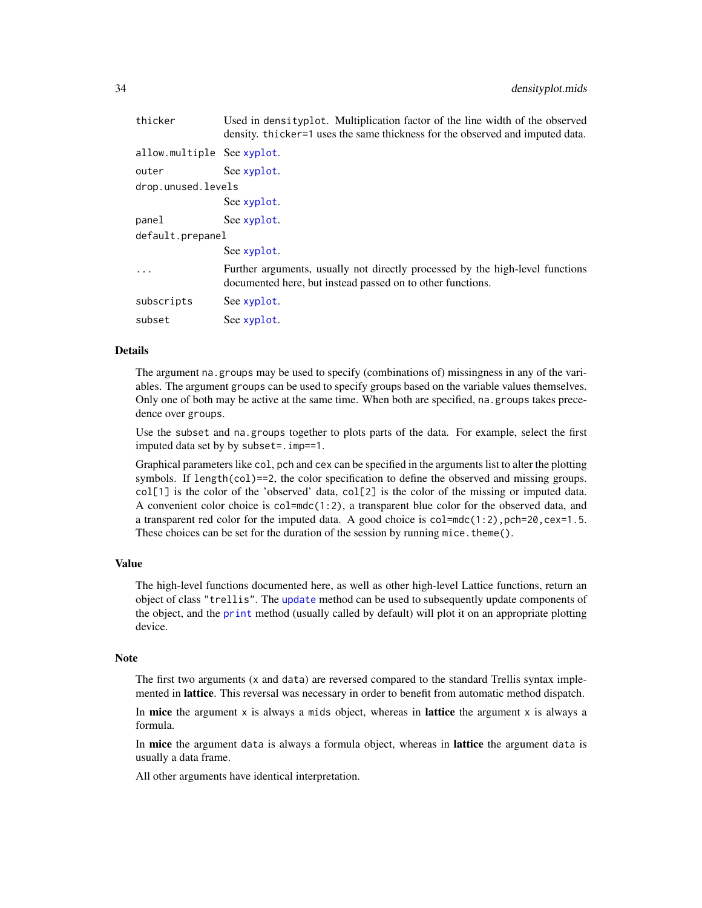| thicker                    | Used in densityplot. Multiplication factor of the line width of the observed<br>density. thicker=1 uses the same thickness for the observed and imputed data. |
|----------------------------|---------------------------------------------------------------------------------------------------------------------------------------------------------------|
| allow.multiple See xyplot. |                                                                                                                                                               |
| outer                      | See xyplot.                                                                                                                                                   |
| drop.unused.levels         |                                                                                                                                                               |
|                            | See xyplot.                                                                                                                                                   |
| panel                      | See xyplot.                                                                                                                                                   |
| default.prepanel           |                                                                                                                                                               |
|                            | See xyplot.                                                                                                                                                   |
|                            | Further arguments, usually not directly processed by the high-level functions<br>documented here, but instead passed on to other functions.                   |
| subscripts                 | See xyplot.                                                                                                                                                   |
| subset                     | See xyplot.                                                                                                                                                   |

#### Details

The argument na.groups may be used to specify (combinations of) missingness in any of the variables. The argument groups can be used to specify groups based on the variable values themselves. Only one of both may be active at the same time. When both are specified, na.groups takes precedence over groups.

Use the subset and na.groups together to plots parts of the data. For example, select the first imputed data set by by subset=.imp==1.

Graphical parameters like col, pch and cex can be specified in the arguments list to alter the plotting symbols. If length(col)==2, the color specification to define the observed and missing groups. col[1] is the color of the 'observed' data, col[2] is the color of the missing or imputed data. A convenient color choice is  $col=mdc(1:2)$ , a transparent blue color for the observed data, and a transparent red color for the imputed data. A good choice is  $col=mdc(1:2)$ ,  $pch=20$ ,  $cex=1.5$ . These choices can be set for the duration of the session by running mice. theme $()$ .

# Value

The high-level functions documented here, as well as other high-level Lattice functions, return an object of class "trellis". The [update](#page-0-0) method can be used to subsequently update components of the object, and the [print](#page-0-0) method (usually called by default) will plot it on an appropriate plotting device.

### Note

The first two arguments (x and data) are reversed compared to the standard Trellis syntax implemented in lattice. This reversal was necessary in order to benefit from automatic method dispatch.

In mice the argument  $x$  is always a mids object, whereas in lattice the argument  $x$  is always a formula.

In mice the argument data is always a formula object, whereas in lattice the argument data is usually a data frame.

All other arguments have identical interpretation.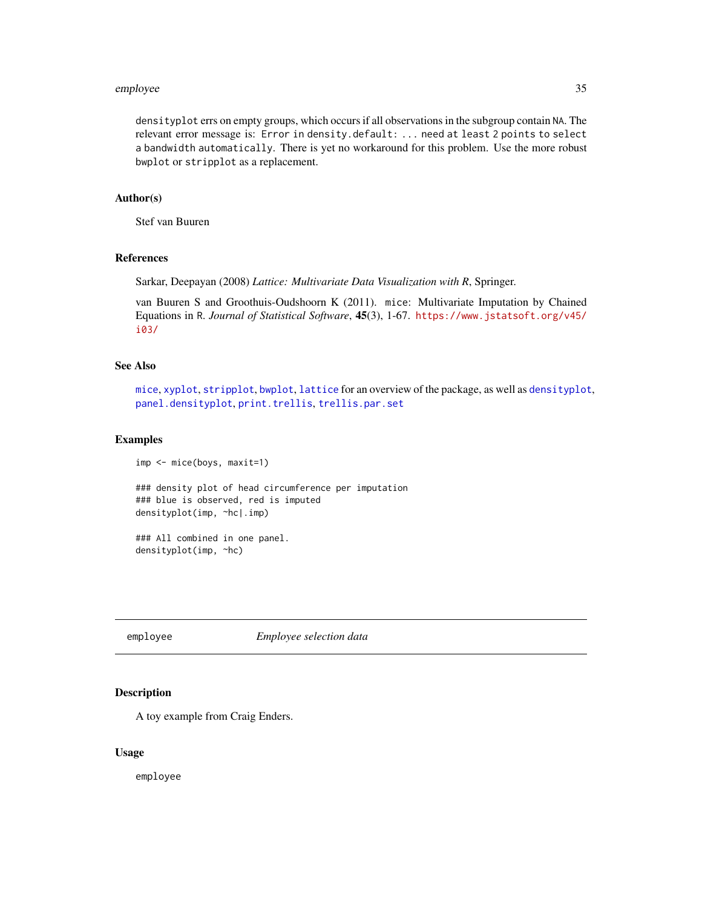#### <span id="page-34-0"></span>employee 35

densityplot errs on empty groups, which occurs if all observations in the subgroup contain NA. The relevant error message is: Error in density.default: ... need at least 2 points to select a bandwidth automatically. There is yet no workaround for this problem. Use the more robust bwplot or stripplot as a replacement.

#### Author(s)

Stef van Buuren

# References

Sarkar, Deepayan (2008) *Lattice: Multivariate Data Visualization with R*, Springer.

van Buuren S and Groothuis-Oudshoorn K (2011). mice: Multivariate Imputation by Chained Equations in R. *Journal of Statistical Software*, 45(3), 1-67. [https://www.jstatsoft.org/v45/](https://www.jstatsoft.org/v45/i03/) [i03/](https://www.jstatsoft.org/v45/i03/)

#### See Also

[mice](#page-68-1), [xyplot](#page-173-1), [stripplot](#page-159-1), [bwplot](#page-18-1), [lattice](#page-0-0) for an overview of the package, as well as [densityplot](#page-31-1), [panel.densityplot](#page-0-0), [print.trellis](#page-0-0), [trellis.par.set](#page-0-0)

#### Examples

```
imp <- mice(boys, maxit=1)
### density plot of head circumference per imputation
### blue is observed, red is imputed
densityplot(imp, ~hc|.imp)
### All combined in one panel.
densityplot(imp, ~hc)
```
employee *Employee selection data*

#### Description

A toy example from Craig Enders.

#### Usage

employee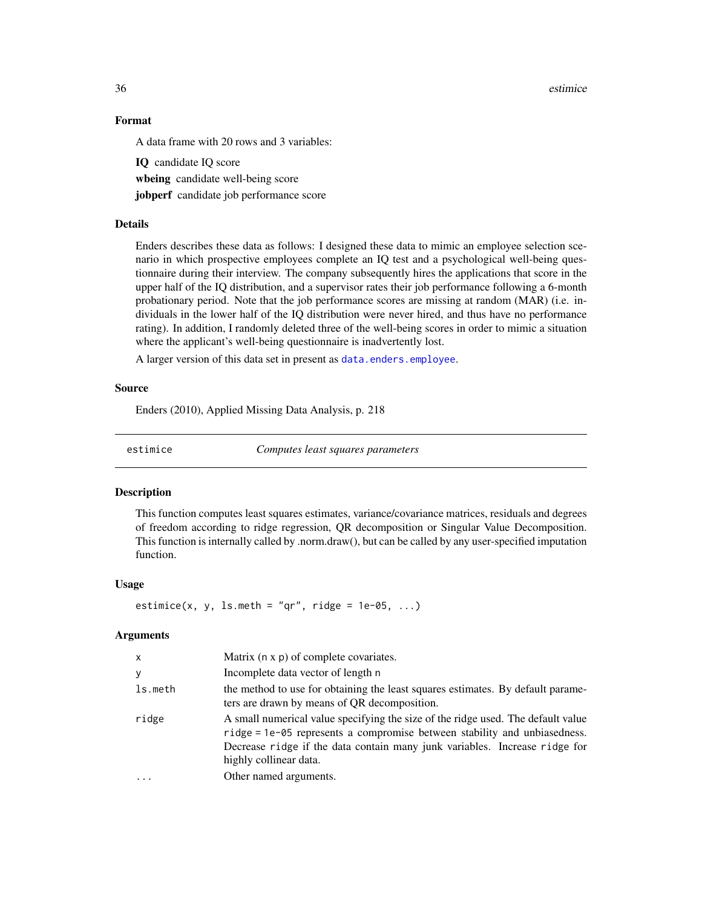36 estimice

# Format

A data frame with 20 rows and 3 variables:

IQ candidate IQ score wheing candidate well-being score jobperf candidate job performance score

# Details

Enders describes these data as follows: I designed these data to mimic an employee selection scenario in which prospective employees complete an IQ test and a psychological well-being questionnaire during their interview. The company subsequently hires the applications that score in the upper half of the IQ distribution, and a supervisor rates their job performance following a 6-month probationary period. Note that the job performance scores are missing at random (MAR) (i.e. individuals in the lower half of the IQ distribution were never hired, and thus have no performance rating). In addition, I randomly deleted three of the well-being scores in order to mimic a situation where the applicant's well-being questionnaire is inadvertently lost.

A larger version of this data set in present as [data.enders.employee](#page-0-0).

## Source

Enders (2010), Applied Missing Data Analysis, p. 218

estimice *Computes least squares parameters*

#### Description

This function computes least squares estimates, variance/covariance matrices, residuals and degrees of freedom according to ridge regression, QR decomposition or Singular Value Decomposition. This function is internally called by .norm.draw(), but can be called by any user-specified imputation function.

#### Usage

estimice(x, y, ls.meth = "qr", ridge =  $1e-05$ , ...)

# Arguments

| x       | Matrix $(n \times p)$ of complete covariates.                                                                                                                                                                                                                         |
|---------|-----------------------------------------------------------------------------------------------------------------------------------------------------------------------------------------------------------------------------------------------------------------------|
| y       | Incomplete data vector of length n                                                                                                                                                                                                                                    |
| ls.meth | the method to use for obtaining the least squares estimates. By default parame-<br>ters are drawn by means of QR decomposition.                                                                                                                                       |
| ridge   | A small numerical value specifying the size of the ridge used. The default value<br>ridge = 1e-05 represents a compromise between stability and unbiasedness.<br>Decrease ridge if the data contain many junk variables. Increase ridge for<br>highly collinear data. |
|         | Other named arguments.                                                                                                                                                                                                                                                |

<span id="page-35-0"></span>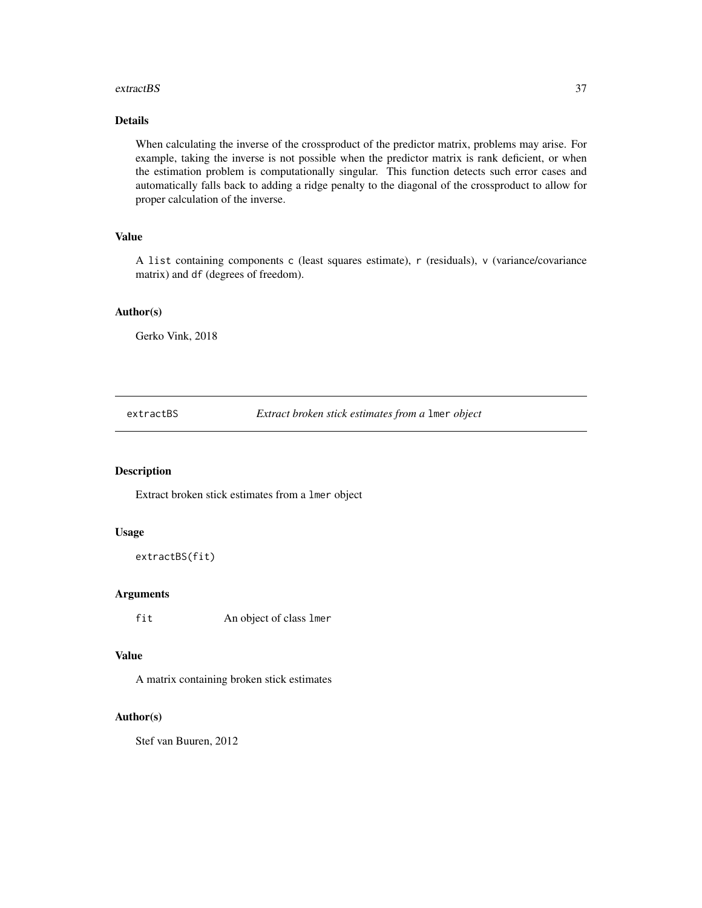#### extractBS 37

# Details

When calculating the inverse of the crossproduct of the predictor matrix, problems may arise. For example, taking the inverse is not possible when the predictor matrix is rank deficient, or when the estimation problem is computationally singular. This function detects such error cases and automatically falls back to adding a ridge penalty to the diagonal of the crossproduct to allow for proper calculation of the inverse.

# Value

A list containing components c (least squares estimate), r (residuals), v (variance/covariance matrix) and df (degrees of freedom).

#### Author(s)

Gerko Vink, 2018

extractBS *Extract broken stick estimates from a* lmer *object*

### Description

Extract broken stick estimates from a lmer object

## Usage

```
extractBS(fit)
```
# Arguments

fit An object of class lmer

# Value

A matrix containing broken stick estimates

## Author(s)

Stef van Buuren, 2012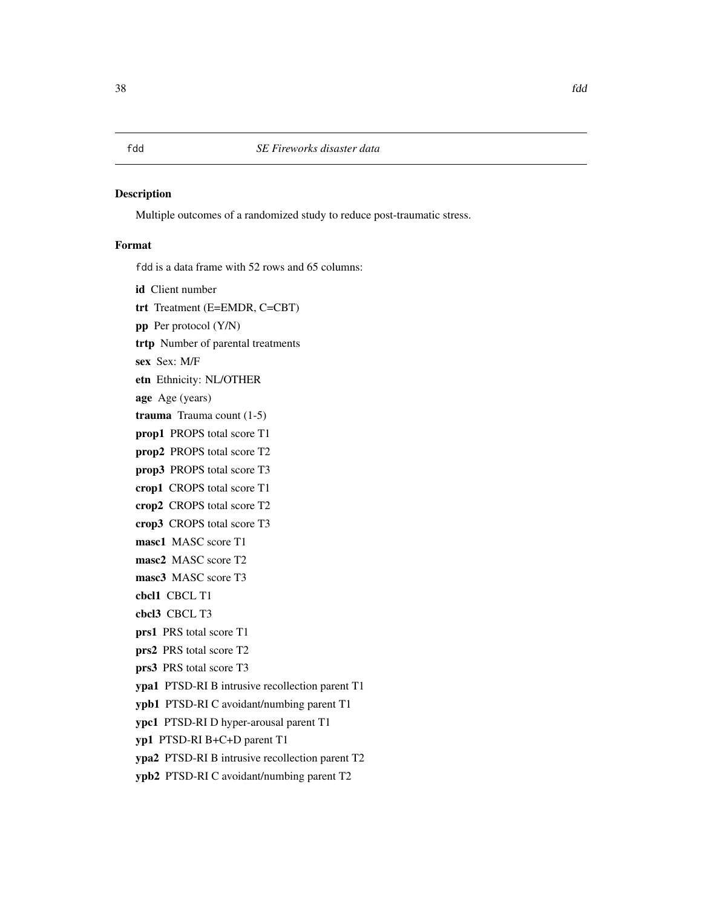Multiple outcomes of a randomized study to reduce post-traumatic stress.

## Format

fdd is a data frame with 52 rows and 65 columns:

id Client number

trt Treatment (E=EMDR, C=CBT)

pp Per protocol (Y/N)

trtp Number of parental treatments

sex Sex: M/F

etn Ethnicity: NL/OTHER

age Age (years)

trauma Trauma count (1-5)

prop1 PROPS total score T1

prop2 PROPS total score T2

prop3 PROPS total score T3

crop1 CROPS total score T1

crop2 CROPS total score T2

crop3 CROPS total score T3

masc1 MASC score T1

masc2 MASC score T2

masc3 MASC score T3

cbcl1 CBCL T1

cbcl3 CBCL T3

prs1 PRS total score T1

prs2 PRS total score T2

prs3 PRS total score T3

ypa1 PTSD-RI B intrusive recollection parent T1

ypb1 PTSD-RI C avoidant/numbing parent T1

ypc1 PTSD-RI D hyper-arousal parent T1

yp1 PTSD-RI B+C+D parent T1

ypa2 PTSD-RI B intrusive recollection parent T2

ypb2 PTSD-RI C avoidant/numbing parent T2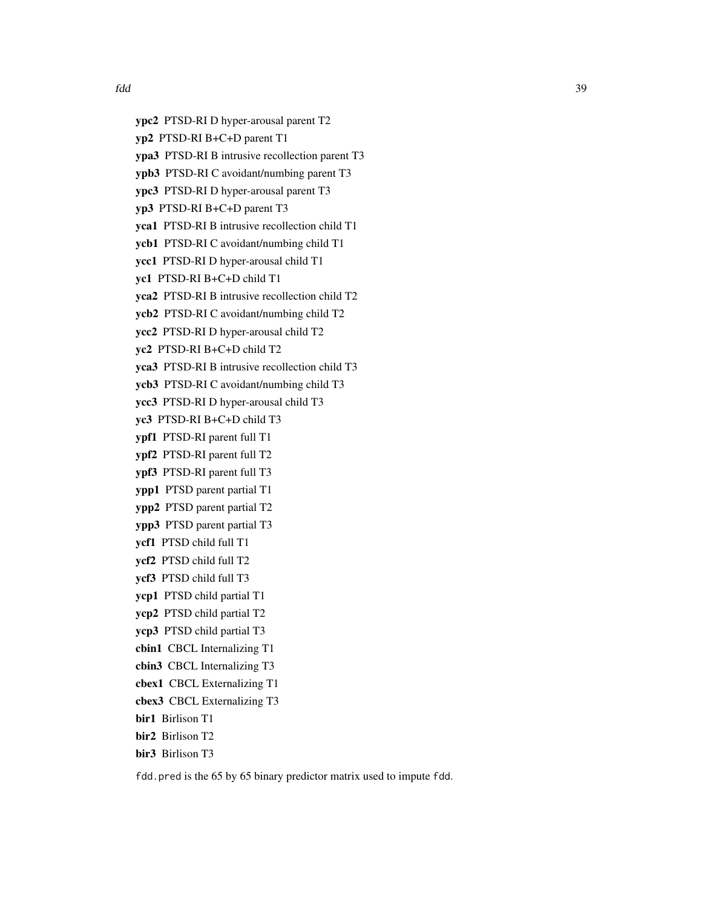ypc2 PTSD-RI D hyper-arousal parent T2 yp2 PTSD-RI B+C+D parent T1 ypa3 PTSD-RI B intrusive recollection parent T3 ypb3 PTSD-RI C avoidant/numbing parent T3 ypc3 PTSD-RI D hyper-arousal parent T3 yp3 PTSD-RI B+C+D parent T3 yca1 PTSD-RI B intrusive recollection child T1 ycb1 PTSD-RI C avoidant/numbing child T1 ycc1 PTSD-RI D hyper-arousal child T1 yc1 PTSD-RI B+C+D child T1 yca2 PTSD-RI B intrusive recollection child T2 ycb2 PTSD-RI C avoidant/numbing child T2 ycc2 PTSD-RI D hyper-arousal child T2 yc2 PTSD-RI B+C+D child T2 yca3 PTSD-RI B intrusive recollection child T3 ycb3 PTSD-RI C avoidant/numbing child T3 ycc3 PTSD-RI D hyper-arousal child T3 yc3 PTSD-RI B+C+D child T3 ypf1 PTSD-RI parent full T1 ypf2 PTSD-RI parent full T2 ypf3 PTSD-RI parent full T3 ypp1 PTSD parent partial T1 ypp2 PTSD parent partial T2 ypp3 PTSD parent partial T3 ycf1 PTSD child full T1 ycf2 PTSD child full T2 ycf3 PTSD child full T3 ycp1 PTSD child partial T1 ycp2 PTSD child partial T2 ycp3 PTSD child partial T3 cbin1 CBCL Internalizing T1 cbin3 CBCL Internalizing T3 cbex1 CBCL Externalizing T1 cbex3 CBCL Externalizing T3 bir1 Birlison T1 bir2 Birlison T2 bir3 Birlison T3

fdd.pred is the 65 by 65 binary predictor matrix used to impute fdd.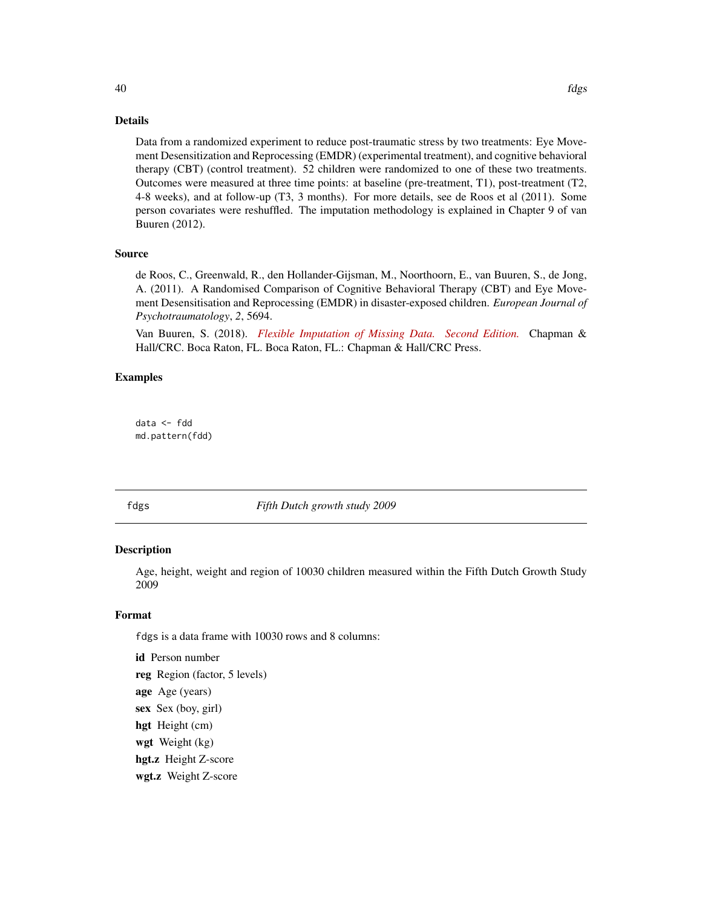Data from a randomized experiment to reduce post-traumatic stress by two treatments: Eye Movement Desensitization and Reprocessing (EMDR) (experimental treatment), and cognitive behavioral therapy (CBT) (control treatment). 52 children were randomized to one of these two treatments. Outcomes were measured at three time points: at baseline (pre-treatment, T1), post-treatment (T2, 4-8 weeks), and at follow-up (T3, 3 months). For more details, see de Roos et al (2011). Some person covariates were reshuffled. The imputation methodology is explained in Chapter 9 of van Buuren (2012).

## Source

de Roos, C., Greenwald, R., den Hollander-Gijsman, M., Noorthoorn, E., van Buuren, S., de Jong, A. (2011). A Randomised Comparison of Cognitive Behavioral Therapy (CBT) and Eye Movement Desensitisation and Reprocessing (EMDR) in disaster-exposed children. *European Journal of Psychotraumatology*, *2*, 5694.

Van Buuren, S. (2018). *[Flexible Imputation of Missing Data. Second Edition.](https://stefvanbuuren.name/fimd/sec-fdd.html)* Chapman & Hall/CRC. Boca Raton, FL. Boca Raton, FL.: Chapman & Hall/CRC Press.

## Examples

data <- fdd md.pattern(fdd)

fdgs *Fifth Dutch growth study 2009*

#### **Description**

Age, height, weight and region of 10030 children measured within the Fifth Dutch Growth Study 2009

#### Format

fdgs is a data frame with 10030 rows and 8 columns:

id Person number reg Region (factor, 5 levels) age Age (years) sex Sex (boy, girl) hgt Height (cm) wgt Weight (kg) hgt.z Height Z-score wgt.z Weight Z-score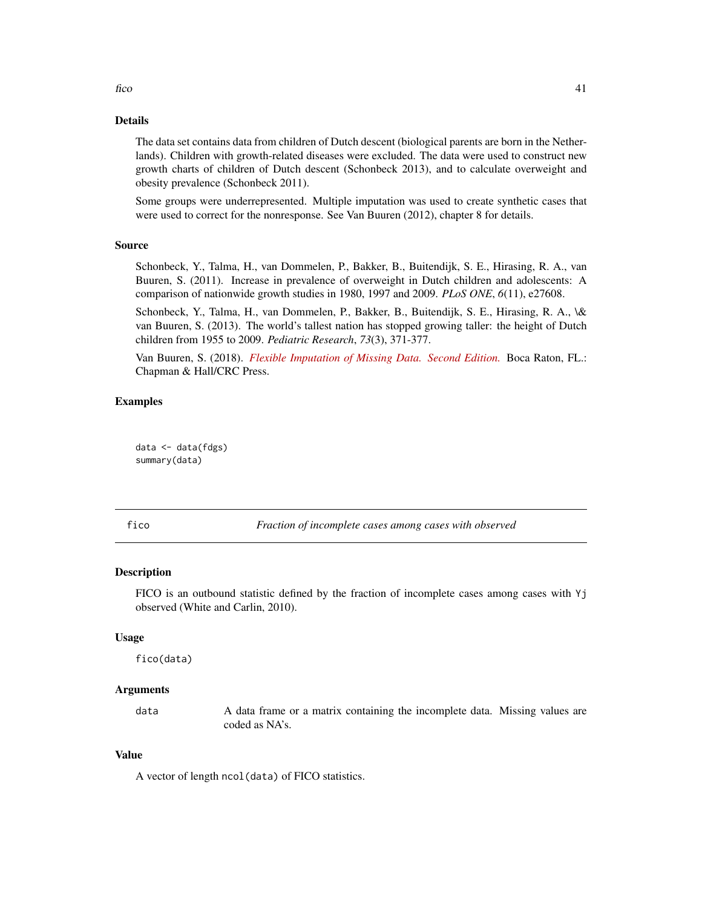#### Details

The data set contains data from children of Dutch descent (biological parents are born in the Netherlands). Children with growth-related diseases were excluded. The data were used to construct new growth charts of children of Dutch descent (Schonbeck 2013), and to calculate overweight and obesity prevalence (Schonbeck 2011).

Some groups were underrepresented. Multiple imputation was used to create synthetic cases that were used to correct for the nonresponse. See Van Buuren (2012), chapter 8 for details.

### Source

Schonbeck, Y., Talma, H., van Dommelen, P., Bakker, B., Buitendijk, S. E., Hirasing, R. A., van Buuren, S. (2011). Increase in prevalence of overweight in Dutch children and adolescents: A comparison of nationwide growth studies in 1980, 1997 and 2009. *PLoS ONE*, *6*(11), e27608.

Schonbeck, Y., Talma, H., van Dommelen, P., Bakker, B., Buitendijk, S. E., Hirasing, R. A., \& van Buuren, S. (2013). The world's tallest nation has stopped growing taller: the height of Dutch children from 1955 to 2009. *Pediatric Research*, *73*(3), 371-377.

Van Buuren, S. (2018). *[Flexible Imputation of Missing Data. Second Edition.](https://stefvanbuuren.name/fimd/sec-nonresponse.html#fifth-dutch-growth-study)* Boca Raton, FL.: Chapman & Hall/CRC Press.

## Examples

data <- data(fdgs) summary(data)

<span id="page-40-0"></span>

fico *Fraction of incomplete cases among cases with observed*

#### Description

FICO is an outbound statistic defined by the fraction of incomplete cases among cases with Yj observed (White and Carlin, 2010).

#### Usage

fico(data)

#### Arguments

data A data frame or a matrix containing the incomplete data. Missing values are coded as NA's.

### Value

A vector of length ncol(data) of FICO statistics.

 $f_{1}$  fico  $\frac{41}{100}$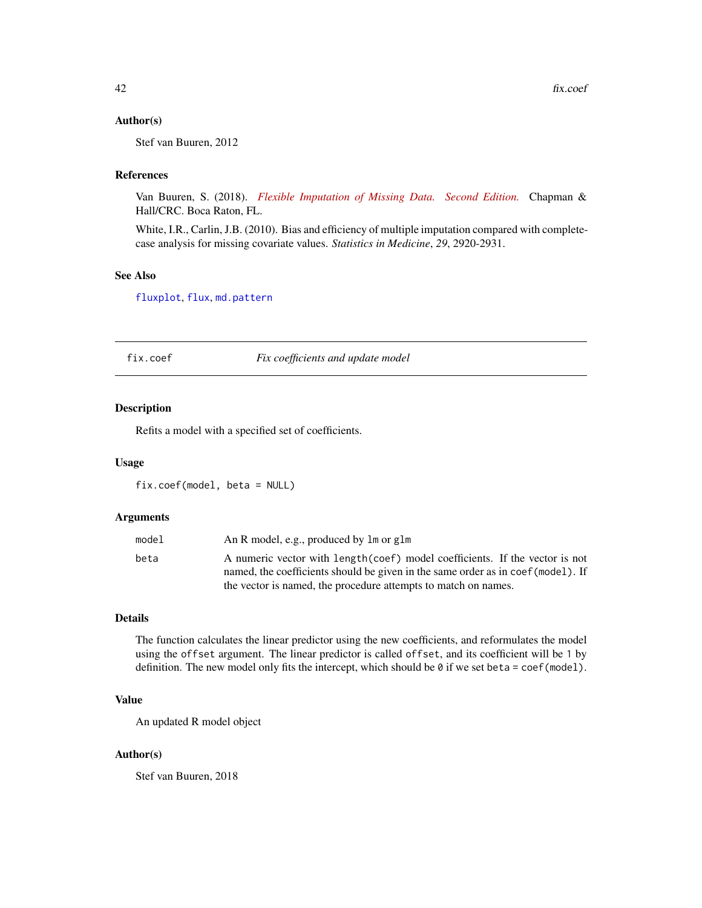### Author(s)

Stef van Buuren, 2012

#### References

Van Buuren, S. (2018). *[Flexible Imputation of Missing Data. Second Edition.](https://stefvanbuuren.name/fimd/missing-data-pattern.html#sec:flux)* Chapman & Hall/CRC. Boca Raton, FL.

White, I.R., Carlin, J.B. (2010). Bias and efficiency of multiple imputation compared with completecase analysis for missing covariate values. *Statistics in Medicine*, *29*, 2920-2931.

#### See Also

[fluxplot](#page-44-0), [flux](#page-42-0), [md.pattern](#page-65-0)

fix.coef *Fix coefficients and update model*

#### Description

Refits a model with a specified set of coefficients.

#### Usage

fix.coef(model, beta = NULL)

# Arguments

| model | An R model, e.g., produced by 1 m or g1 m                                        |
|-------|----------------------------------------------------------------------------------|
| beta  | A numeric vector with length (coef) model coefficients. If the vector is not     |
|       | named, the coefficients should be given in the same order as in coef (model). If |
|       | the vector is named, the procedure attempts to match on names.                   |

# Details

The function calculates the linear predictor using the new coefficients, and reformulates the model using the offset argument. The linear predictor is called offset, and its coefficient will be 1 by definition. The new model only fits the intercept, which should be 0 if we set beta = coef(model).

# Value

An updated R model object

#### Author(s)

Stef van Buuren, 2018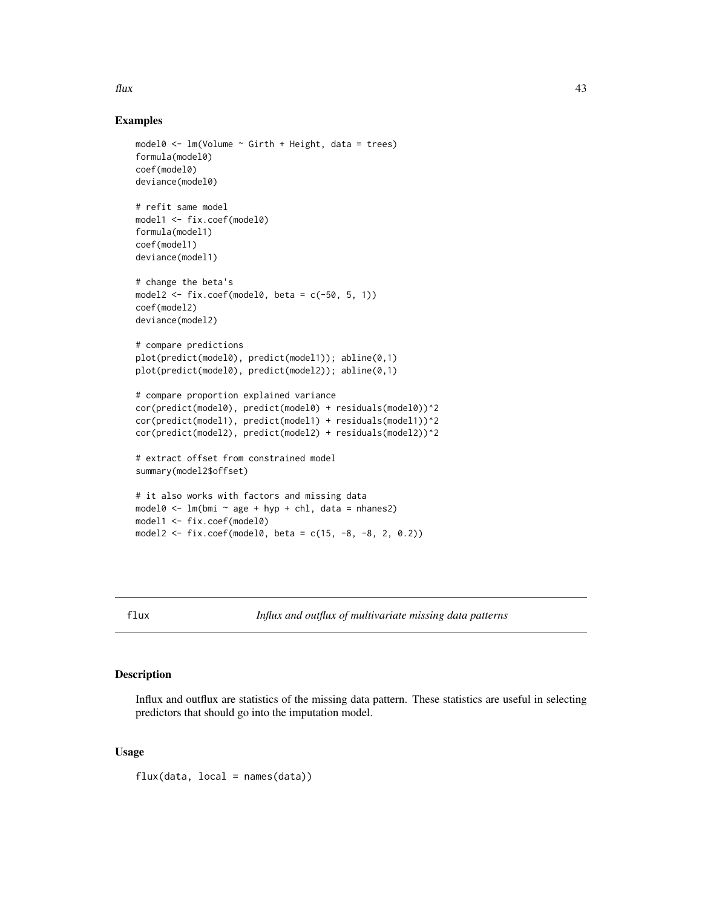#### $\frac{1}{3}$

## Examples

```
model0 \leq lm(Volume \sim Girth + Height, data = trees)
formula(model0)
coef(model0)
deviance(model0)
# refit same model
model1 <- fix.coef(model0)
formula(model1)
coef(model1)
deviance(model1)
# change the beta's
model2 \leftarrow fix.coef(model0, beta = c(-50, 5, 1))
coef(model2)
deviance(model2)
# compare predictions
plot(predict(model0), predict(model1)); abline(0,1)
plot(predict(model0), predict(model2)); abline(0,1)
# compare proportion explained variance
cor(predict(model0), predict(model0) + residuals(model0))^2
cor(predict(model1), predict(model1) + residuals(model1))^2
cor(predict(model2), predict(model2) + residuals(model2))^2
# extract offset from constrained model
summary(model2$offset)
# it also works with factors and missing data
model0 <- lm(bmi \sim age + hyp + chl, data = nhanes2)model1 <- fix.coef(model0)
model2 <- fix.coef(model0, beta = c(15, -8, -8, 2, 0.2))
```
<span id="page-42-0"></span>flux *Influx and outflux of multivariate missing data patterns*

## Description

Influx and outflux are statistics of the missing data pattern. These statistics are useful in selecting predictors that should go into the imputation model.

## Usage

 $flux(data, local = names(data))$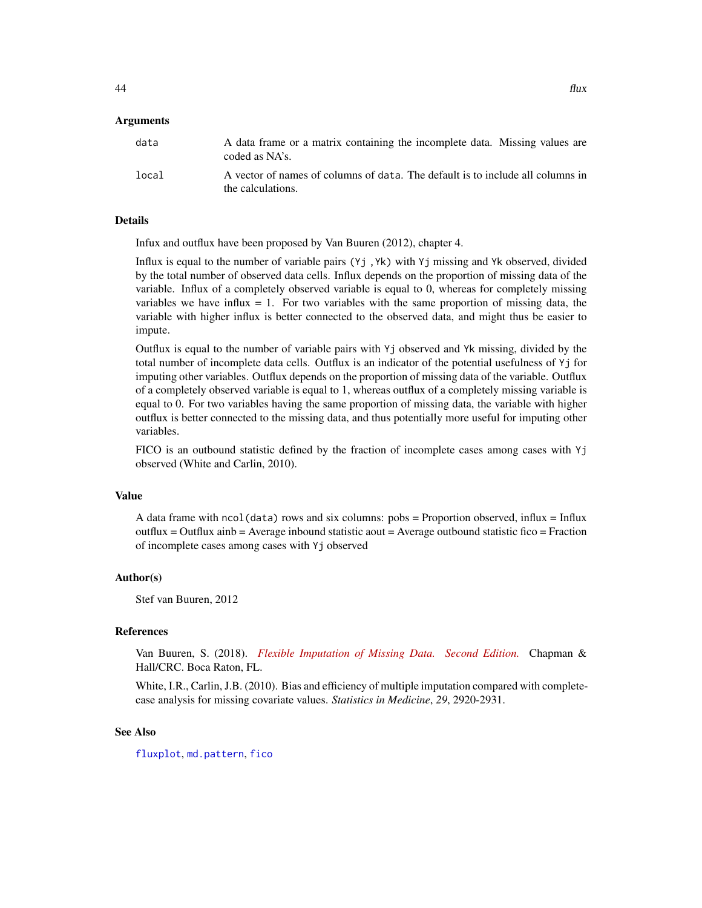| data  | A data frame or a matrix containing the incomplete data. Missing values are<br>coded as NA's.       |
|-------|-----------------------------------------------------------------------------------------------------|
| local | A vector of names of columns of data. The default is to include all columns in<br>the calculations. |

## Details

Infux and outflux have been proposed by Van Buuren (2012), chapter 4.

Influx is equal to the number of variable pairs (Yj ,Yk) with Yj missing and Yk observed, divided by the total number of observed data cells. Influx depends on the proportion of missing data of the variable. Influx of a completely observed variable is equal to 0, whereas for completely missing variables we have influx  $= 1$ . For two variables with the same proportion of missing data, the variable with higher influx is better connected to the observed data, and might thus be easier to impute.

Outflux is equal to the number of variable pairs with Yj observed and Yk missing, divided by the total number of incomplete data cells. Outflux is an indicator of the potential usefulness of Yj for imputing other variables. Outflux depends on the proportion of missing data of the variable. Outflux of a completely observed variable is equal to 1, whereas outflux of a completely missing variable is equal to 0. For two variables having the same proportion of missing data, the variable with higher outflux is better connected to the missing data, and thus potentially more useful for imputing other variables.

FICO is an outbound statistic defined by the fraction of incomplete cases among cases with Yj observed (White and Carlin, 2010).

#### Value

A data frame with  $ncol(data)$  rows and six columns:  $pobs =$  Proportion observed, influx = Influx outflux = Outflux ainb = Average inbound statistic aout = Average outbound statistic fico = Fraction of incomplete cases among cases with Yj observed

#### Author(s)

Stef van Buuren, 2012

## References

Van Buuren, S. (2018). *[Flexible Imputation of Missing Data. Second Edition.](https://stefvanbuuren.name/fimd/missing-data-pattern.html#sec:flux)* Chapman & Hall/CRC. Boca Raton, FL.

White, I.R., Carlin, J.B. (2010). Bias and efficiency of multiple imputation compared with completecase analysis for missing covariate values. *Statistics in Medicine*, *29*, 2920-2931.

## See Also

[fluxplot](#page-44-0), [md.pattern](#page-65-0), [fico](#page-40-0)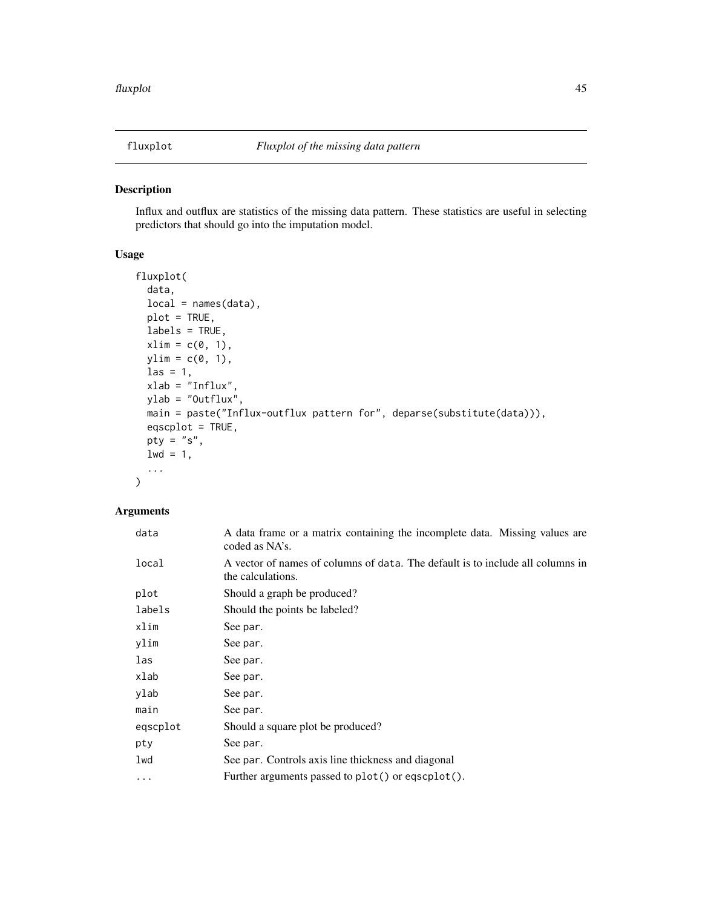<span id="page-44-0"></span>

Influx and outflux are statistics of the missing data pattern. These statistics are useful in selecting predictors that should go into the imputation model.

# Usage

```
fluxplot(
  data,
  local = names(data),
 plot = TRUE,
  labels = TRUE,
  xlim = c(0, 1),ylim = c(0, 1),\text{las} = 1,
  xlab = "Influx",
 ylab = "Outflux",
 main = paste("Influx-outflux pattern for", deparse(substitute(data))),
 eqscplot = TRUE,
 pty = "s",1wd = 1,...
)
```
# Arguments

| data     | A data frame or a matrix containing the incomplete data. Missing values are<br>coded as NA's.       |
|----------|-----------------------------------------------------------------------------------------------------|
| local    | A vector of names of columns of data. The default is to include all columns in<br>the calculations. |
| plot     | Should a graph be produced?                                                                         |
| labels   | Should the points be labeled?                                                                       |
| xlim     | See par.                                                                                            |
| ylim     | See par.                                                                                            |
| las      | See par.                                                                                            |
| xlab     | See par.                                                                                            |
| ylab     | See par.                                                                                            |
| main     | See par.                                                                                            |
| eqscplot | Should a square plot be produced?                                                                   |
| pty      | See par.                                                                                            |
| lwd      | See par. Controls axis line thickness and diagonal                                                  |
| $\cdots$ | Further arguments passed to plot() or eqscplot().                                                   |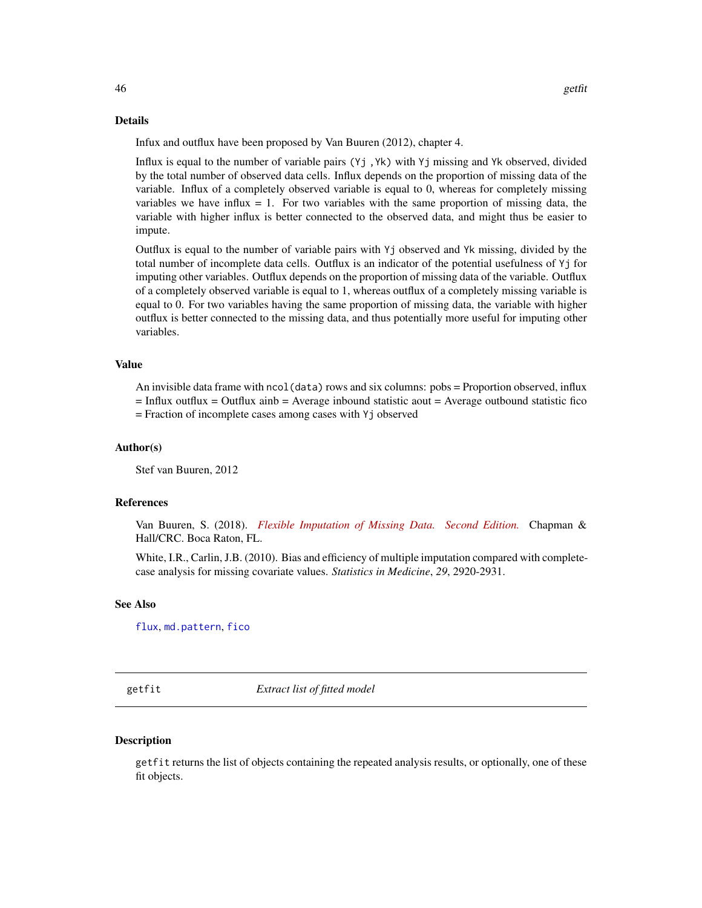#### Details

Infux and outflux have been proposed by Van Buuren (2012), chapter 4.

Influx is equal to the number of variable pairs (Yj ,Yk) with Yj missing and Yk observed, divided by the total number of observed data cells. Influx depends on the proportion of missing data of the variable. Influx of a completely observed variable is equal to 0, whereas for completely missing variables we have influx  $= 1$ . For two variables with the same proportion of missing data, the variable with higher influx is better connected to the observed data, and might thus be easier to impute.

Outflux is equal to the number of variable pairs with Yj observed and Yk missing, divided by the total number of incomplete data cells. Outflux is an indicator of the potential usefulness of Yj for imputing other variables. Outflux depends on the proportion of missing data of the variable. Outflux of a completely observed variable is equal to 1, whereas outflux of a completely missing variable is equal to 0. For two variables having the same proportion of missing data, the variable with higher outflux is better connected to the missing data, and thus potentially more useful for imputing other variables.

# Value

An invisible data frame with ncol(data) rows and six columns: pobs = Proportion observed, influx  $=$  Influx outflux  $=$  Outflux ainb  $=$  Average inbound statistic aout  $=$  Average outbound statistic fico = Fraction of incomplete cases among cases with Yj observed

#### Author(s)

Stef van Buuren, 2012

## References

Van Buuren, S. (2018). *[Flexible Imputation of Missing Data. Second Edition.](https://stefvanbuuren.name/fimd/missing-data-pattern.html#sec:flux)* Chapman & Hall/CRC. Boca Raton, FL.

White, I.R., Carlin, J.B. (2010). Bias and efficiency of multiple imputation compared with completecase analysis for missing covariate values. *Statistics in Medicine*, *29*, 2920-2931.

## See Also

[flux](#page-42-0), [md.pattern](#page-65-0), [fico](#page-40-0)

getfit *Extract list of fitted model*

#### **Description**

getfit returns the list of objects containing the repeated analysis results, or optionally, one of these fit objects.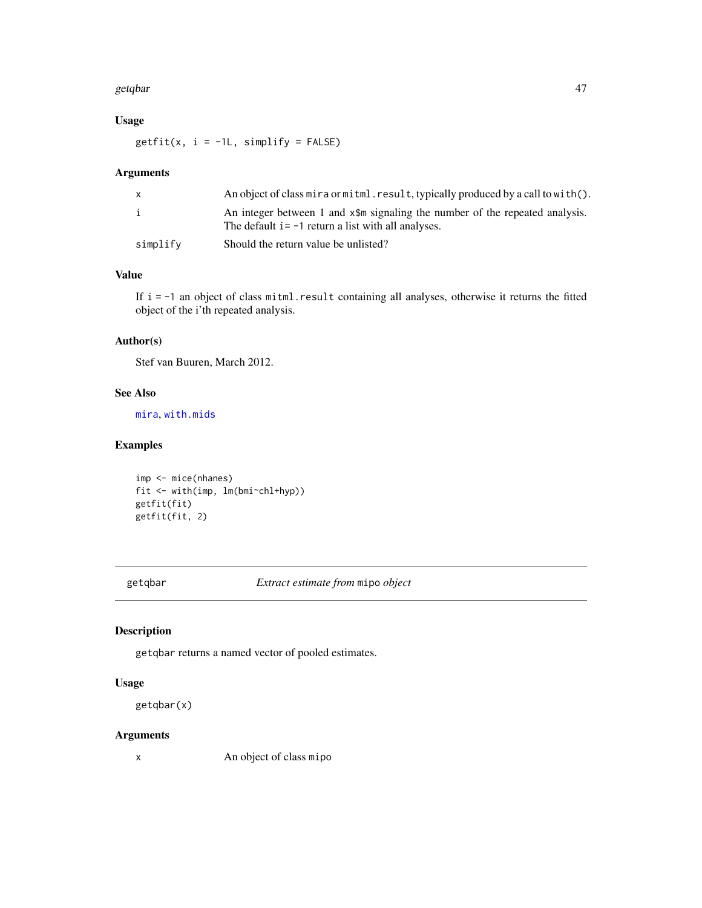#### getqbar **47**

# Usage

 $getfit(x, i = -1L, simplify = FALSE)$ 

# Arguments

|          | An object of class mira or mitml. result, typically produced by a call to with $()$ .                                                              |
|----------|----------------------------------------------------------------------------------------------------------------------------------------------------|
| i        | An integer between 1 and $x$ $\sin \theta$ signaling the number of the repeated analysis.<br>The default $i = -1$ return a list with all analyses. |
| simplify | Should the return value be unlisted?                                                                                                               |

# Value

If i = -1 an object of class mitml.result containing all analyses, otherwise it returns the fitted object of the i'th repeated analysis.

# Author(s)

Stef van Buuren, March 2012.

# See Also

[mira](#page-128-0), [with.mids](#page-171-0)

# Examples

```
imp <- mice(nhanes)
fit <- with(imp, lm(bmi~chl+hyp))
getfit(fit)
getfit(fit, 2)
```
getqbar *Extract estimate from* mipo *object*

# Description

getqbar returns a named vector of pooled estimates.

## Usage

getqbar(x)

#### Arguments

x An object of class mipo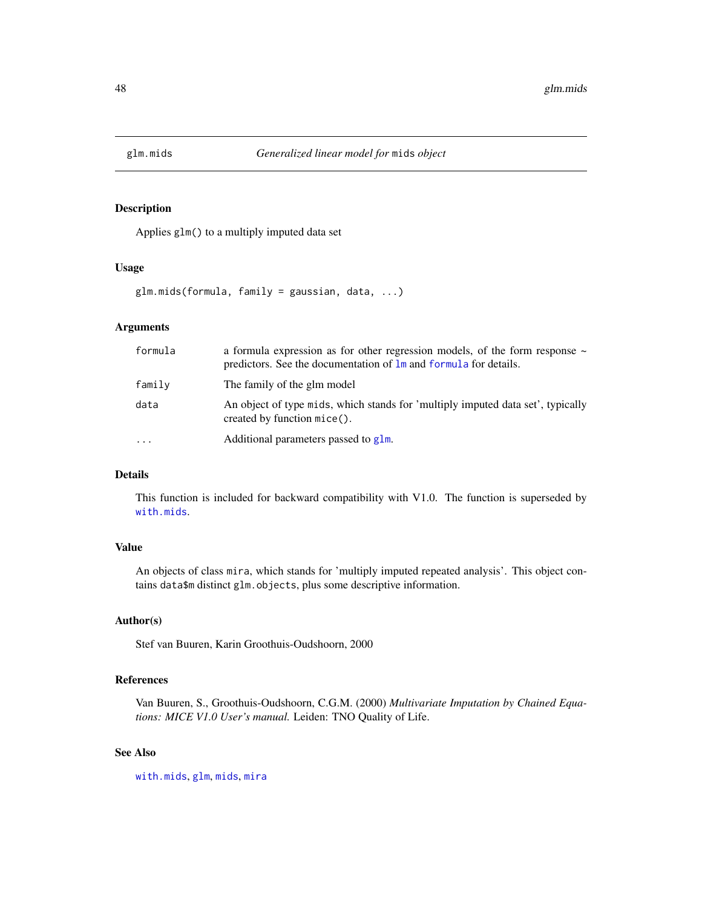Applies glm() to a multiply imputed data set

#### Usage

glm.mids(formula, family = gaussian, data, ...)

# Arguments

| formula  | a formula expression as for other regression models, of the form response $\sim$<br>predictors. See the documentation of $\text{Im}$ and formula for details. |
|----------|---------------------------------------------------------------------------------------------------------------------------------------------------------------|
| family   | The family of the glm model                                                                                                                                   |
| data     | An object of type mids, which stands for 'multiply imputed data set', typically<br>$created by function mice()$ .                                             |
| $\cdots$ | Additional parameters passed to glm.                                                                                                                          |

# Details

This function is included for backward compatibility with V1.0. The function is superseded by [with.mids](#page-171-0).

## Value

An objects of class mira, which stands for 'multiply imputed repeated analysis'. This object contains data\$m distinct glm.objects, plus some descriptive information.

#### Author(s)

Stef van Buuren, Karin Groothuis-Oudshoorn, 2000

# References

Van Buuren, S., Groothuis-Oudshoorn, C.G.M. (2000) *Multivariate Imputation by Chained Equations: MICE V1.0 User's manual.* Leiden: TNO Quality of Life.

# See Also

[with.mids](#page-171-0), [glm](#page-0-0), [mids](#page-123-0), [mira](#page-128-0)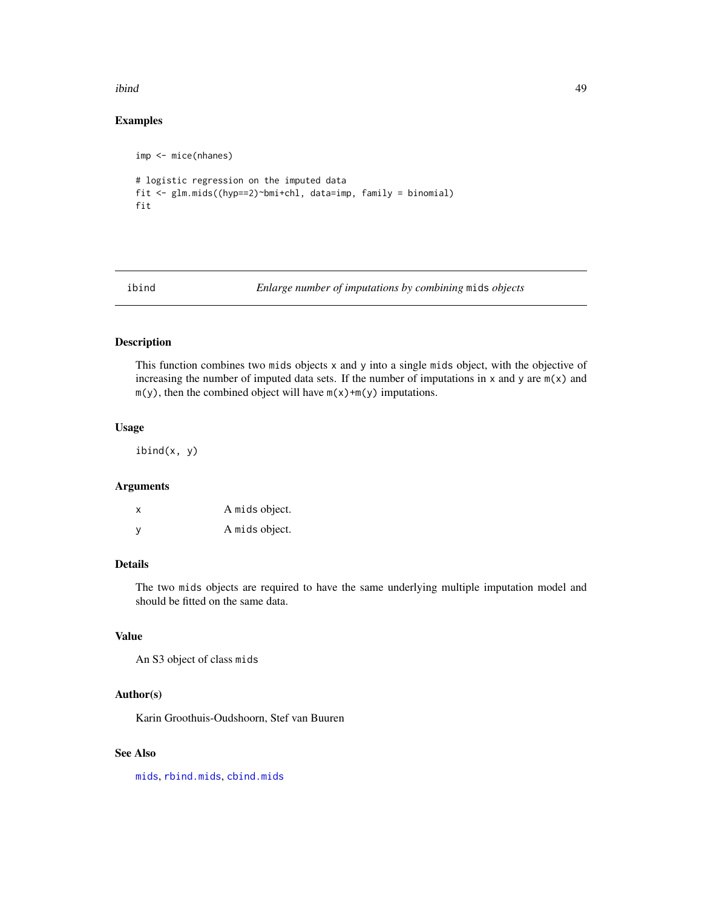#### ibind 49

# Examples

```
imp <- mice(nhanes)
# logistic regression on the imputed data
fit <- glm.mids((hyp==2)~bmi+chl, data=imp, family = binomial)
fit
```
ibind *Enlarge number of imputations by combining* mids *objects*

#### Description

This function combines two mids objects x and y into a single mids object, with the objective of increasing the number of imputed data sets. If the number of imputations in  $x$  and  $y$  are  $m(x)$  and  $m(y)$ , then the combined object will have  $m(x)+m(y)$  imputations.

## Usage

ibind(x, y)

## Arguments

x A mids object. y A mids object.

# Details

The two mids objects are required to have the same underlying multiple imputation model and should be fitted on the same data.

# Value

An S3 object of class mids

# Author(s)

Karin Groothuis-Oudshoorn, Stef van Buuren

#### See Also

[mids](#page-123-0), [rbind.mids](#page-155-0), [cbind.mids](#page-21-0)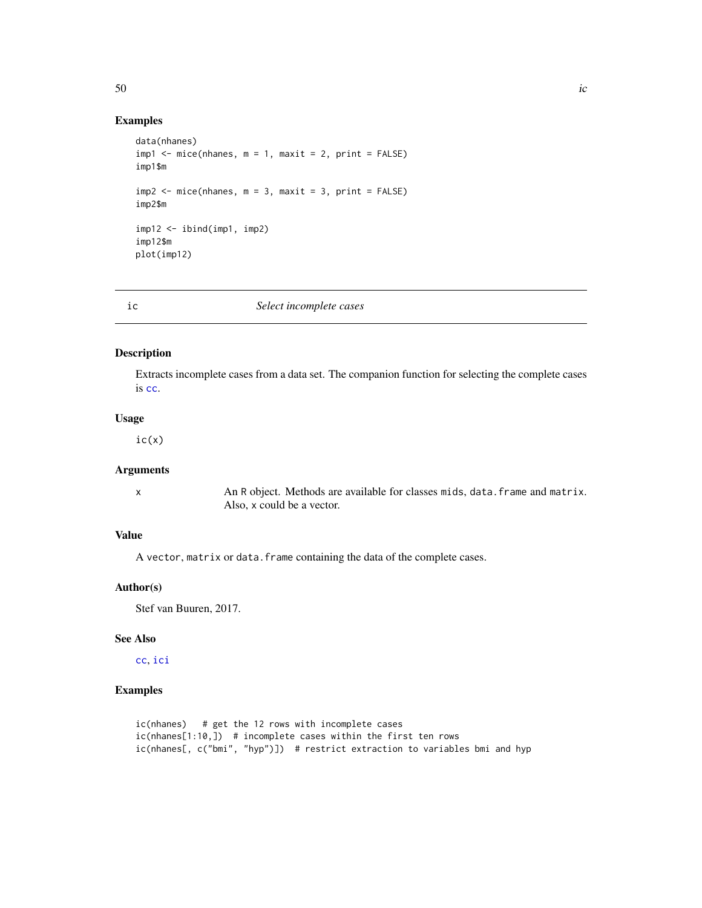#### $50$  ic

# Examples

```
data(nhanes)
imp1 < - mice(nhanes, m = 1, maxit = 2, print = FALSE)
imp1$m
imp2 \leq mice(nhanes, m = 3, maxit = 3, print = FALSE)imp2$m
imp12 \leq -ibind(imp1, imp2)imp12$m
plot(imp12)
```
#### <span id="page-49-0"></span>ic *Select incomplete cases*

# Description

Extracts incomplete cases from a data set. The companion function for selecting the complete cases is [cc](#page-23-0).

# Usage

 $ic(x)$ 

# Arguments

x An R object. Methods are available for classes mids, data.frame and matrix. Also, x could be a vector.

# Value

A vector, matrix or data. frame containing the data of the complete cases.

## Author(s)

Stef van Buuren, 2017.

# See Also

[cc](#page-23-0), [ici](#page-50-0)

## Examples

```
ic(nhanes) # get the 12 rows with incomplete cases
ic(nhanes[1:10,]) # incomplete cases within the first ten rows
ic(nhanes[, c("bmi", "hyp")]) # restrict extraction to variables bmi and hyp
```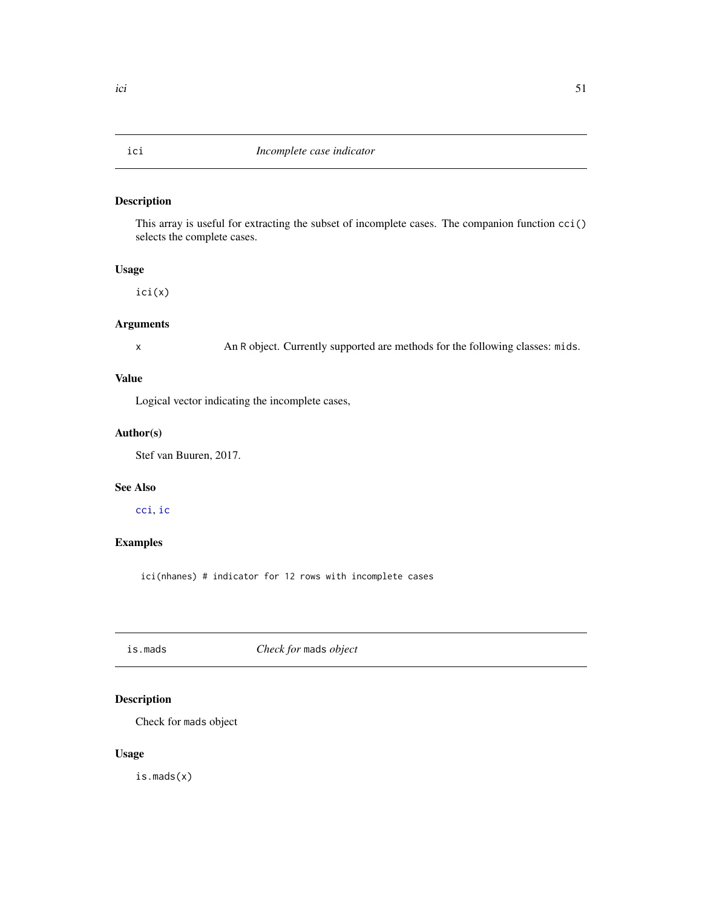<span id="page-50-0"></span>This array is useful for extracting the subset of incomplete cases. The companion function cci() selects the complete cases.

## Usage

ici(x)

## Arguments

x An R object. Currently supported are methods for the following classes: mids.

# Value

Logical vector indicating the incomplete cases,

# Author(s)

Stef van Buuren, 2017.

# See Also

[cci](#page-24-0), [ic](#page-49-0)

# Examples

ici(nhanes) # indicator for 12 rows with incomplete cases

is.mads *Check for* mads *object*

# Description

Check for mads object

## Usage

is.mads(x)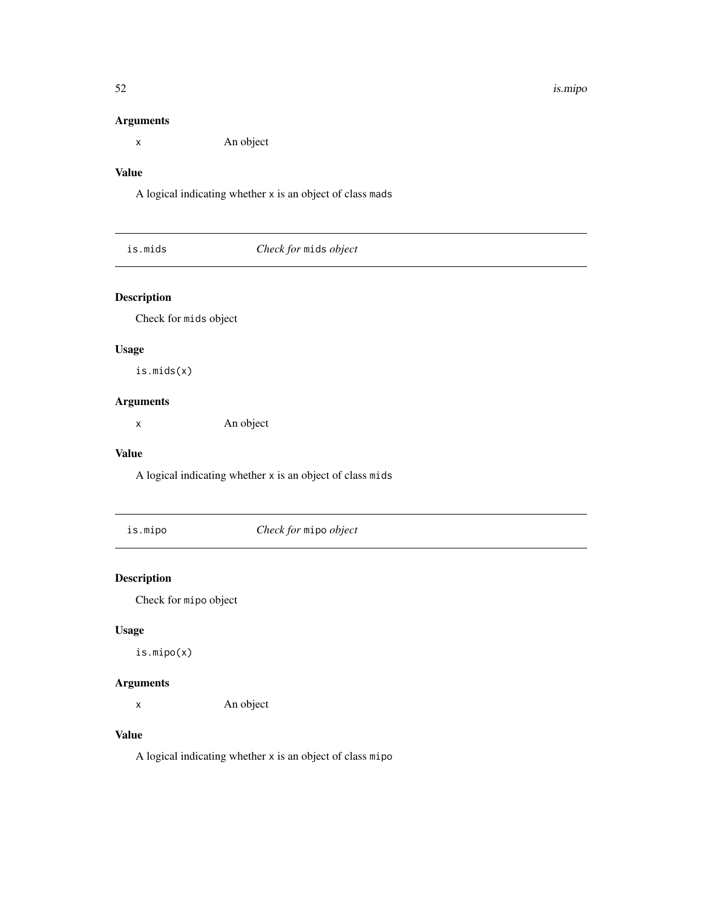# Arguments

x An object

# Value

A logical indicating whether x is an object of class mads

# Description

Check for mids object

# Usage

is.mids(x)

# Arguments

x An object

#### Value

A logical indicating whether x is an object of class mids

is.mipo *Check for* mipo *object*

# Description

Check for mipo object

# Usage

is.mipo(x)

# Arguments

x An object

# Value

A logical indicating whether x is an object of class mipo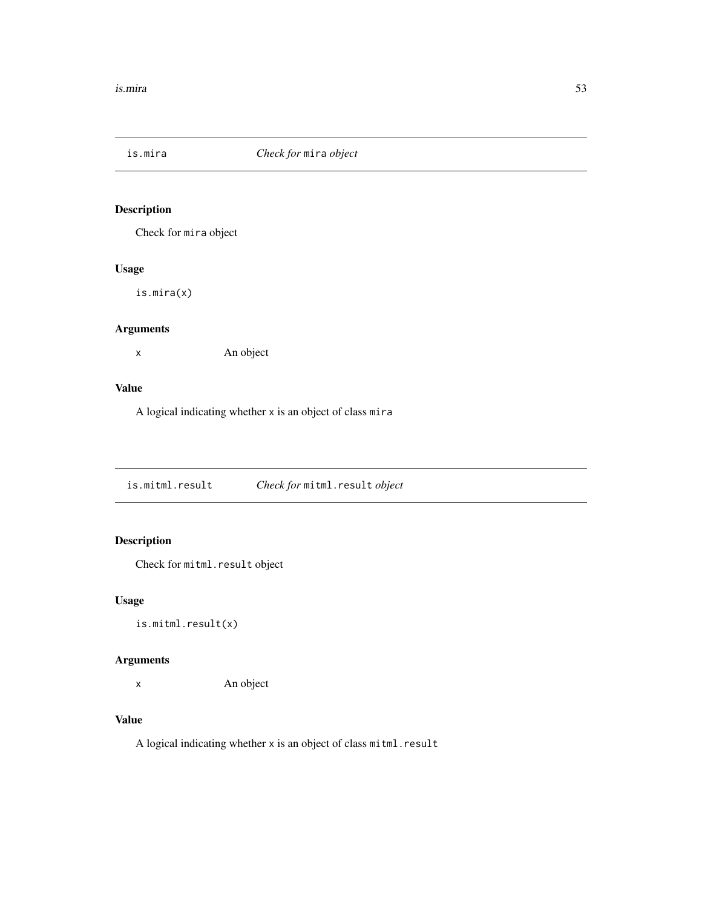Check for mira object

# Usage

is.mira(x)

# Arguments

x An object

## Value

A logical indicating whether x is an object of class mira

is.mitml.result *Check for* mitml.result *object*

# Description

Check for mitml.result object

## Usage

is.mitml.result(x)

# Arguments

x An object

## Value

A logical indicating whether x is an object of class mitml.result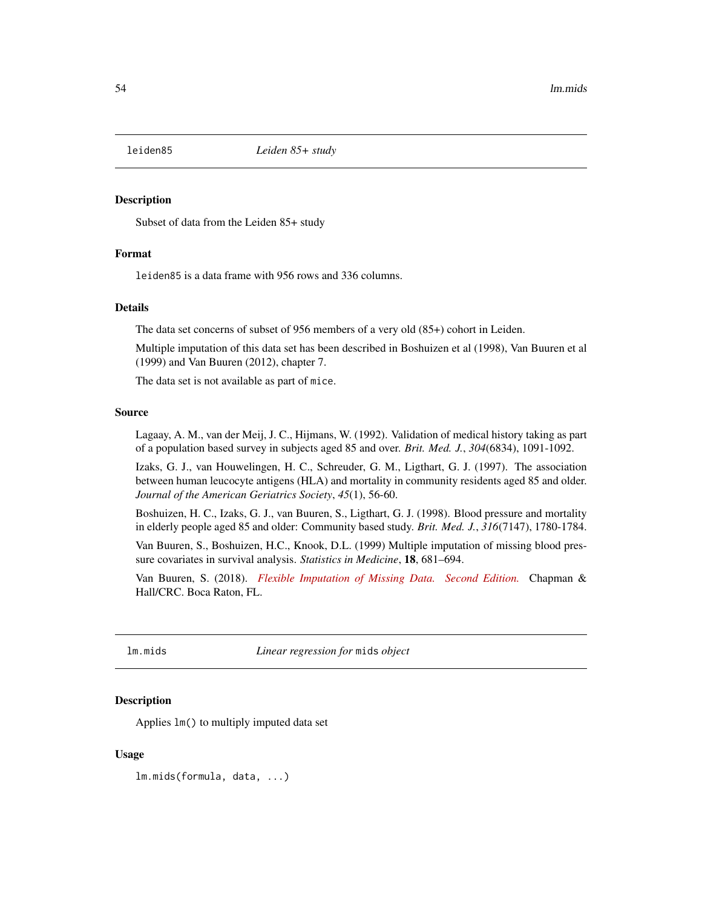Subset of data from the Leiden 85+ study

#### Format

leiden85 is a data frame with 956 rows and 336 columns.

#### Details

The data set concerns of subset of 956 members of a very old (85+) cohort in Leiden.

Multiple imputation of this data set has been described in Boshuizen et al (1998), Van Buuren et al (1999) and Van Buuren (2012), chapter 7.

The data set is not available as part of mice.

#### Source

Lagaay, A. M., van der Meij, J. C., Hijmans, W. (1992). Validation of medical history taking as part of a population based survey in subjects aged 85 and over. *Brit. Med. J.*, *304*(6834), 1091-1092.

Izaks, G. J., van Houwelingen, H. C., Schreuder, G. M., Ligthart, G. J. (1997). The association between human leucocyte antigens (HLA) and mortality in community residents aged 85 and older. *Journal of the American Geriatrics Society*, *45*(1), 56-60.

Boshuizen, H. C., Izaks, G. J., van Buuren, S., Ligthart, G. J. (1998). Blood pressure and mortality in elderly people aged 85 and older: Community based study. *Brit. Med. J.*, *316*(7147), 1780-1784.

Van Buuren, S., Boshuizen, H.C., Knook, D.L. (1999) Multiple imputation of missing blood pressure covariates in survival analysis. *Statistics in Medicine*, 18, 681–694.

Van Buuren, S. (2018). *[Flexible Imputation of Missing Data. Second Edition.](https://stefvanbuuren.name/fimd/sec-toomany.html#sec:leiden85cohort)* Chapman & Hall/CRC. Boca Raton, FL.

lm.mids *Linear regression for* mids *object*

## **Description**

Applies lm() to multiply imputed data set

### Usage

lm.mids(formula, data, ...)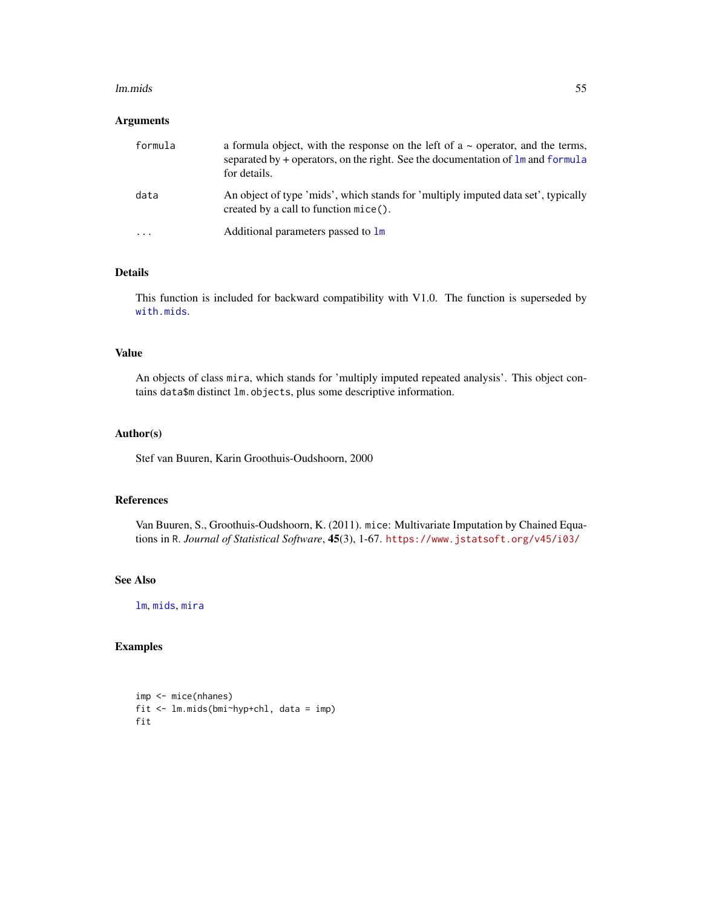#### lm.mids 55

# Arguments

| formula   | a formula object, with the response on the left of $a \sim$ operator, and the terms,<br>separated by $+$ operators, on the right. See the documentation of $\ln$ and formula<br>for details. |
|-----------|----------------------------------------------------------------------------------------------------------------------------------------------------------------------------------------------|
| data      | An object of type 'mids', which stands for 'multiply imputed data set', typically<br>created by a call to function mice().                                                                   |
| $\ddotsc$ | Additional parameters passed to 1m                                                                                                                                                           |

## Details

This function is included for backward compatibility with V1.0. The function is superseded by [with.mids](#page-171-0).

# Value

An objects of class mira, which stands for 'multiply imputed repeated analysis'. This object contains data\$m distinct lm.objects, plus some descriptive information.

#### Author(s)

Stef van Buuren, Karin Groothuis-Oudshoorn, 2000

## References

Van Buuren, S., Groothuis-Oudshoorn, K. (2011). mice: Multivariate Imputation by Chained Equations in R. *Journal of Statistical Software*, 45(3), 1-67. <https://www.jstatsoft.org/v45/i03/>

# See Also

[lm](#page-0-0), [mids](#page-123-0), [mira](#page-128-0)

# Examples

```
imp <- mice(nhanes)
fit <- lm.mids(bmi~hyp+chl, data = imp)
fit
```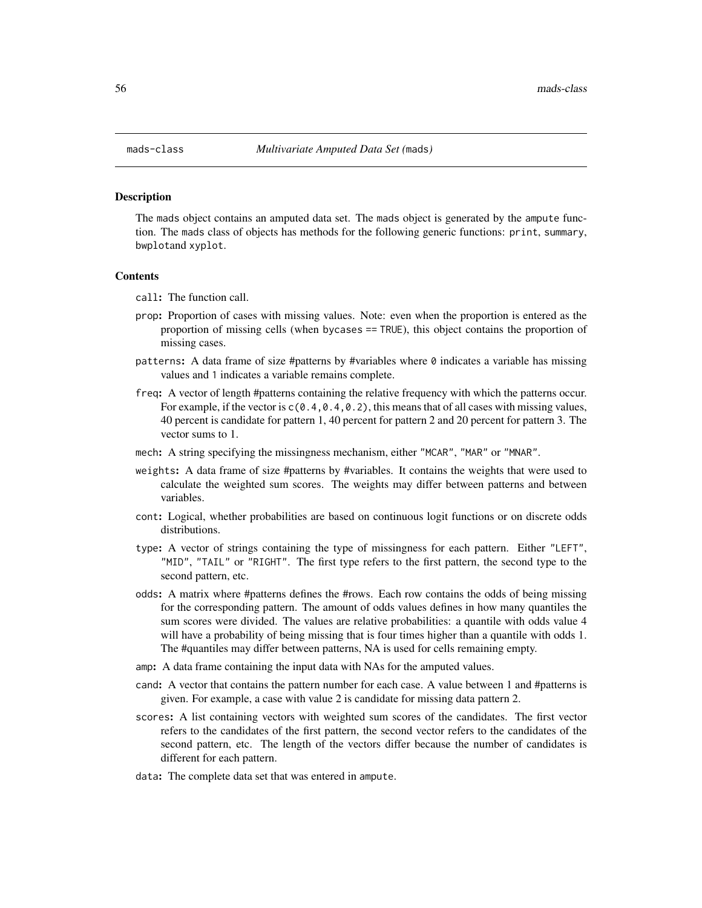The mads object contains an amputed data set. The mads object is generated by the ampute function. The mads class of objects has methods for the following generic functions: print, summary, bwplotand xyplot.

#### **Contents**

call: The function call.

- prop: Proportion of cases with missing values. Note: even when the proportion is entered as the proportion of missing cells (when bycases == TRUE), this object contains the proportion of missing cases.
- patterns: A data frame of size #patterns by #variables where  $\theta$  indicates a variable has missing values and 1 indicates a variable remains complete.
- freq: A vector of length #patterns containing the relative frequency with which the patterns occur. For example, if the vector is  $c(0.4, 0.4, 0.2)$ , this means that of all cases with missing values, 40 percent is candidate for pattern 1, 40 percent for pattern 2 and 20 percent for pattern 3. The vector sums to 1.
- mech: A string specifying the missingness mechanism, either "MCAR", "MAR" or "MNAR".
- weights: A data frame of size #patterns by #variables. It contains the weights that were used to calculate the weighted sum scores. The weights may differ between patterns and between variables.
- cont: Logical, whether probabilities are based on continuous logit functions or on discrete odds distributions.
- type: A vector of strings containing the type of missingness for each pattern. Either "LEFT", "MID", "TAIL" or "RIGHT". The first type refers to the first pattern, the second type to the second pattern, etc.
- odds: A matrix where #patterns defines the #rows. Each row contains the odds of being missing for the corresponding pattern. The amount of odds values defines in how many quantiles the sum scores were divided. The values are relative probabilities: a quantile with odds value 4 will have a probability of being missing that is four times higher than a quantile with odds 1. The #quantiles may differ between patterns, NA is used for cells remaining empty.
- amp: A data frame containing the input data with NAs for the amputed values.
- cand: A vector that contains the pattern number for each case. A value between 1 and #patterns is given. For example, a case with value 2 is candidate for missing data pattern 2.
- scores: A list containing vectors with weighted sum scores of the candidates. The first vector refers to the candidates of the first pattern, the second vector refers to the candidates of the second pattern, etc. The length of the vectors differ because the number of candidates is different for each pattern.
- data: The complete data set that was entered in ampute.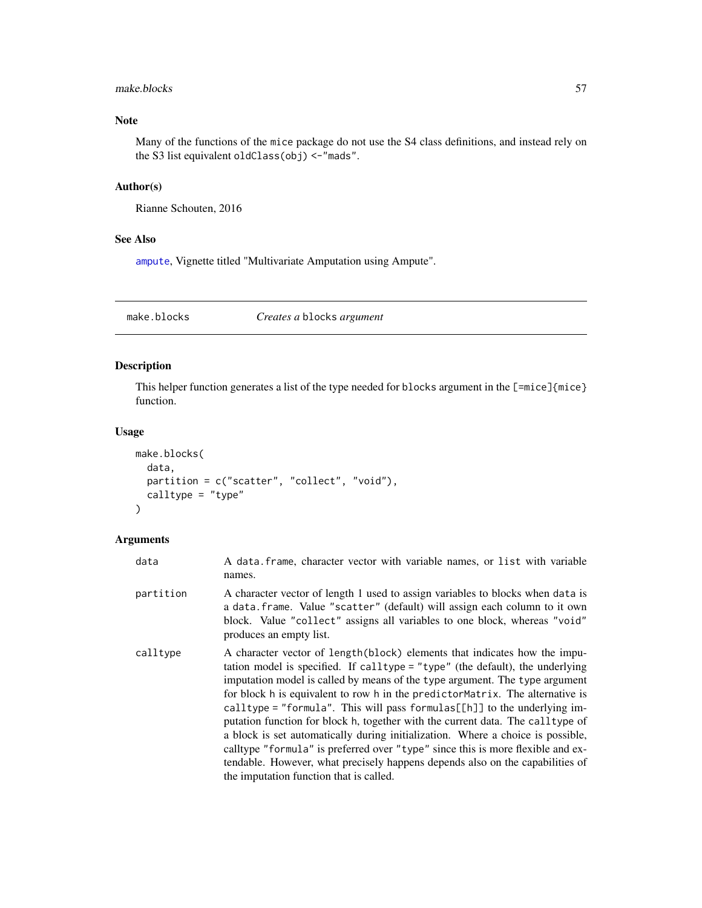## make.blocks 57

# Note

Many of the functions of the mice package do not use the S4 class definitions, and instead rely on the S3 list equivalent oldClass(obj) <-"mads".

## Author(s)

Rianne Schouten, 2016

## See Also

[ampute](#page-5-0), Vignette titled "Multivariate Amputation using Ampute".

<span id="page-56-0"></span>make.blocks *Creates a* blocks *argument*

# Description

This helper function generates a list of the type needed for blocks argument in the [=mice]{mice} function.

#### Usage

```
make.blocks(
 data,
 partition = c("scatter", "collect", "void"),
 calltype = "type"
)
```
# Arguments

| data      | A data frame, character vector with variable names, or list with variable<br>names.                                                                                                                                                                                                                                                                                                                                                                                                                                                                                                                                                                                                                                                                                                                |
|-----------|----------------------------------------------------------------------------------------------------------------------------------------------------------------------------------------------------------------------------------------------------------------------------------------------------------------------------------------------------------------------------------------------------------------------------------------------------------------------------------------------------------------------------------------------------------------------------------------------------------------------------------------------------------------------------------------------------------------------------------------------------------------------------------------------------|
| partition | A character vector of length 1 used to assign variables to blocks when data is<br>a data. frame. Value "scatter" (default) will assign each column to it own<br>block. Value "collect" assigns all variables to one block, whereas "void"<br>produces an empty list.                                                                                                                                                                                                                                                                                                                                                                                                                                                                                                                               |
| calltype  | A character vector of length (block) elements that indicates how the impu-<br>tation model is specified. If calltype = "type" (the default), the underlying<br>imputation model is called by means of the type argument. The type argument<br>for block h is equivalent to row h in the predictor Matrix. The alternative is<br>calltype = "formula". This will pass formulas [ $[h]$ ] to the underlying im-<br>putation function for block h, together with the current data. The call type of<br>a block is set automatically during initialization. Where a choice is possible,<br>calltype "formula" is preferred over "type" since this is more flexible and ex-<br>tendable. However, what precisely happens depends also on the capabilities of<br>the imputation function that is called. |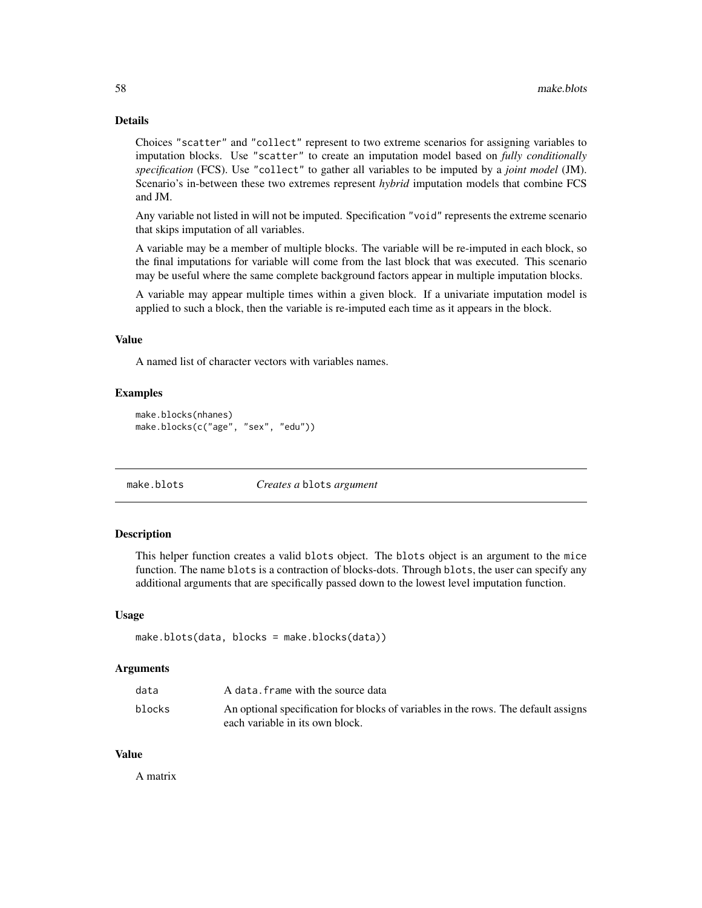# Details

Choices "scatter" and "collect" represent to two extreme scenarios for assigning variables to imputation blocks. Use "scatter" to create an imputation model based on *fully conditionally specification* (FCS). Use "collect" to gather all variables to be imputed by a *joint model* (JM). Scenario's in-between these two extremes represent *hybrid* imputation models that combine FCS and JM.

Any variable not listed in will not be imputed. Specification "void" represents the extreme scenario that skips imputation of all variables.

A variable may be a member of multiple blocks. The variable will be re-imputed in each block, so the final imputations for variable will come from the last block that was executed. This scenario may be useful where the same complete background factors appear in multiple imputation blocks.

A variable may appear multiple times within a given block. If a univariate imputation model is applied to such a block, then the variable is re-imputed each time as it appears in the block.

## Value

A named list of character vectors with variables names.

### Examples

```
make.blocks(nhanes)
make.blocks(c("age", "sex", "edu"))
```
make.blots *Creates a* blots *argument*

#### Description

This helper function creates a valid blots object. The blots object is an argument to the mice function. The name blots is a contraction of blocks-dots. Through blots, the user can specify any additional arguments that are specifically passed down to the lowest level imputation function.

#### Usage

```
make.blots(data, blocks = make.blocks(data))
```
#### Arguments

| data   | A data. frame with the source data                                                 |
|--------|------------------------------------------------------------------------------------|
| blocks | An optional specification for blocks of variables in the rows. The default assigns |
|        | each variable in its own block.                                                    |

### Value

A matrix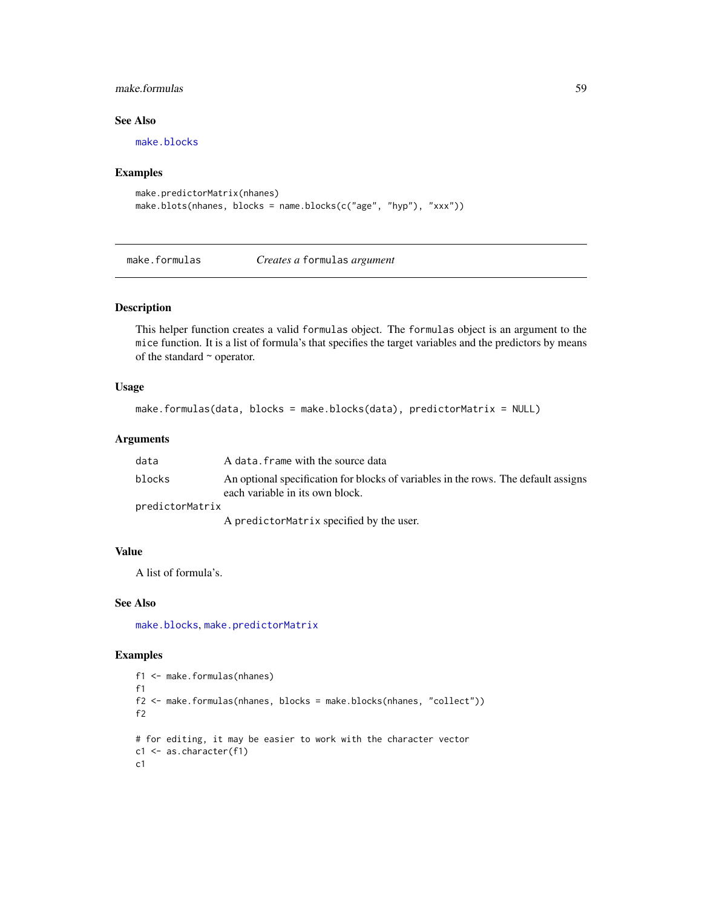# make.formulas 59

# See Also

[make.blocks](#page-56-0)

#### Examples

```
make.predictorMatrix(nhanes)
make.blots(nhanes, blocks = name.blocks(c("age", "hyp"), "xxx"))
```
make.formulas *Creates a* formulas *argument*

# Description

This helper function creates a valid formulas object. The formulas object is an argument to the mice function. It is a list of formula's that specifies the target variables and the predictors by means of the standard  $\sim$  operator.

#### Usage

```
make.formulas(data, blocks = make.blocks(data), predictorMatrix = NULL)
```
## Arguments

| data            | A data. frame with the source data                                                                                    |
|-----------------|-----------------------------------------------------------------------------------------------------------------------|
| blocks          | An optional specification for blocks of variables in the rows. The default assigns<br>each variable in its own block. |
| predictorMatrix |                                                                                                                       |
|                 | A predictorMatrix specified by the user.                                                                              |

#### Value

A list of formula's.

## See Also

[make.blocks](#page-56-0), [make.predictorMatrix](#page-61-0)

# Examples

```
f1 <- make.formulas(nhanes)
f1
f2 <- make.formulas(nhanes, blocks = make.blocks(nhanes, "collect"))
f2
# for editing, it may be easier to work with the character vector
c1 <- as.character(f1)
c1
```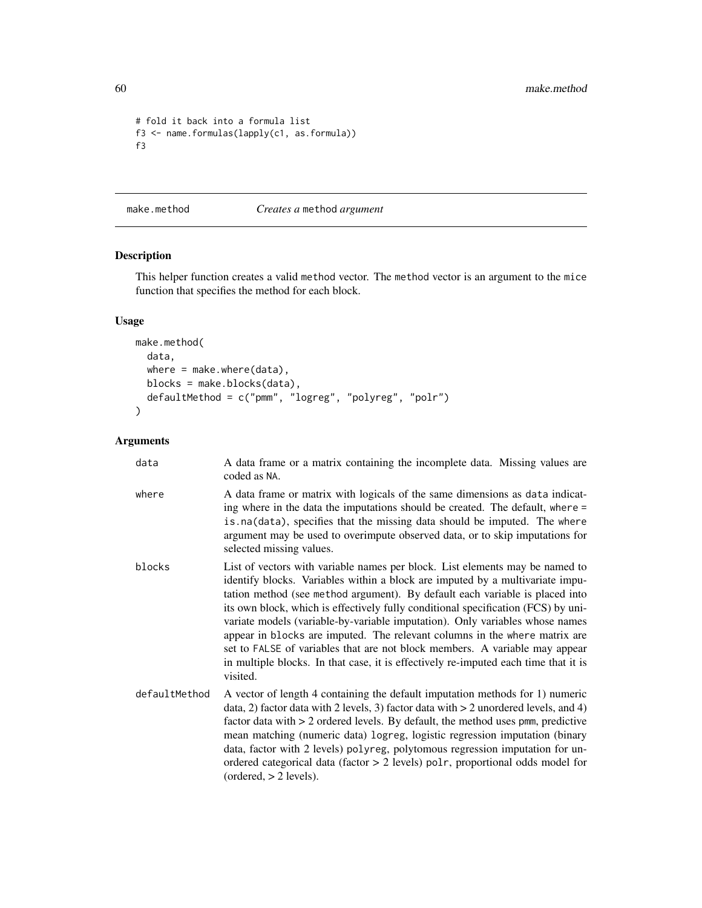```
# fold it back into a formula list
f3 <- name.formulas(lapply(c1, as.formula))
f3
```
make.method *Creates a* method *argument*

# Description

This helper function creates a valid method vector. The method vector is an argument to the mice function that specifies the method for each block.

# Usage

```
make.method(
  data,
 where = make.where(data),
 blocks = make.blocks(data),
 defaultMethod = c("pmm", "logreg", "polyreg", "polr")
\mathcal{L}
```
# Arguments

| data          | A data frame or a matrix containing the incomplete data. Missing values are<br>coded as NA.                                                                                                                                                                                                                                                                                                                                                                                                                                                                                                                                                                                        |
|---------------|------------------------------------------------------------------------------------------------------------------------------------------------------------------------------------------------------------------------------------------------------------------------------------------------------------------------------------------------------------------------------------------------------------------------------------------------------------------------------------------------------------------------------------------------------------------------------------------------------------------------------------------------------------------------------------|
| where         | A data frame or matrix with logicals of the same dimensions as data indicat-<br>ing where in the data the imputations should be created. The default, where =<br>is.na(data), specifies that the missing data should be imputed. The where<br>argument may be used to overimpute observed data, or to skip imputations for<br>selected missing values.                                                                                                                                                                                                                                                                                                                             |
| blocks        | List of vectors with variable names per block. List elements may be named to<br>identify blocks. Variables within a block are imputed by a multivariate impu-<br>tation method (see method argument). By default each variable is placed into<br>its own block, which is effectively fully conditional specification (FCS) by uni-<br>variate models (variable-by-variable imputation). Only variables whose names<br>appear in blocks are imputed. The relevant columns in the where matrix are<br>set to FALSE of variables that are not block members. A variable may appear<br>in multiple blocks. In that case, it is effectively re-imputed each time that it is<br>visited. |
| defaultMethod | A vector of length 4 containing the default imputation methods for 1) numeric<br>data, 2) factor data with 2 levels, 3) factor data with $>$ 2 unordered levels, and 4)<br>factor data with $> 2$ ordered levels. By default, the method uses pmm, predictive<br>mean matching (numeric data) logreg, logistic regression imputation (binary<br>data, factor with 2 levels) polyreg, polytomous regression imputation for un-<br>ordered categorical data (factor > 2 levels) polr, proportional odds model for<br>(ordered, > 2 levels).                                                                                                                                          |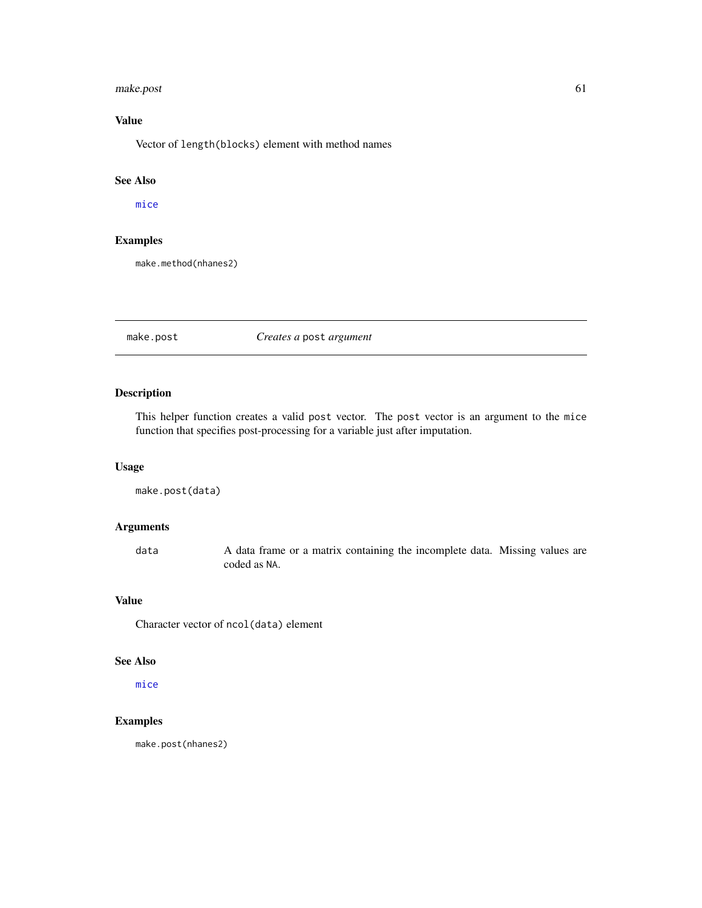#### make.post 61

# Value

Vector of length(blocks) element with method names

# See Also

[mice](#page-68-0)

# Examples

make.method(nhanes2)

## make.post *Creates a* post *argument*

# Description

This helper function creates a valid post vector. The post vector is an argument to the mice function that specifies post-processing for a variable just after imputation.

# Usage

make.post(data)

## Arguments

data A data frame or a matrix containing the incomplete data. Missing values are coded as NA.

# Value

Character vector of ncol(data) element

## See Also

[mice](#page-68-0)

# Examples

make.post(nhanes2)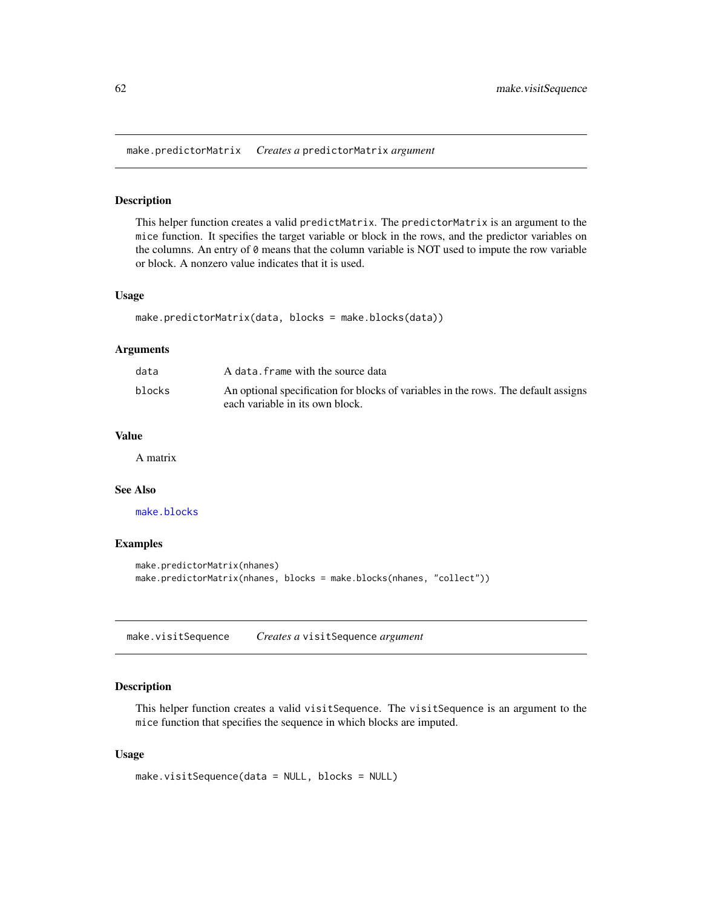<span id="page-61-0"></span>make.predictorMatrix *Creates a* predictorMatrix *argument*

## Description

This helper function creates a valid predictMatrix. The predictorMatrix is an argument to the mice function. It specifies the target variable or block in the rows, and the predictor variables on the columns. An entry of 0 means that the column variable is NOT used to impute the row variable or block. A nonzero value indicates that it is used.

## Usage

```
make.predictorMatrix(data, blocks = make.blocks(data))
```
#### Arguments

| data   | A data. frame with the source data                                                                                    |
|--------|-----------------------------------------------------------------------------------------------------------------------|
| blocks | An optional specification for blocks of variables in the rows. The default assigns<br>each variable in its own block. |

## Value

A matrix

## See Also

[make.blocks](#page-56-0)

#### Examples

```
make.predictorMatrix(nhanes)
make.predictorMatrix(nhanes, blocks = make.blocks(nhanes, "collect"))
```
make.visitSequence *Creates a* visitSequence *argument*

## Description

This helper function creates a valid visitSequence. The visitSequence is an argument to the mice function that specifies the sequence in which blocks are imputed.

### Usage

```
make.visitSequence(data = NULL, blocks = NULL)
```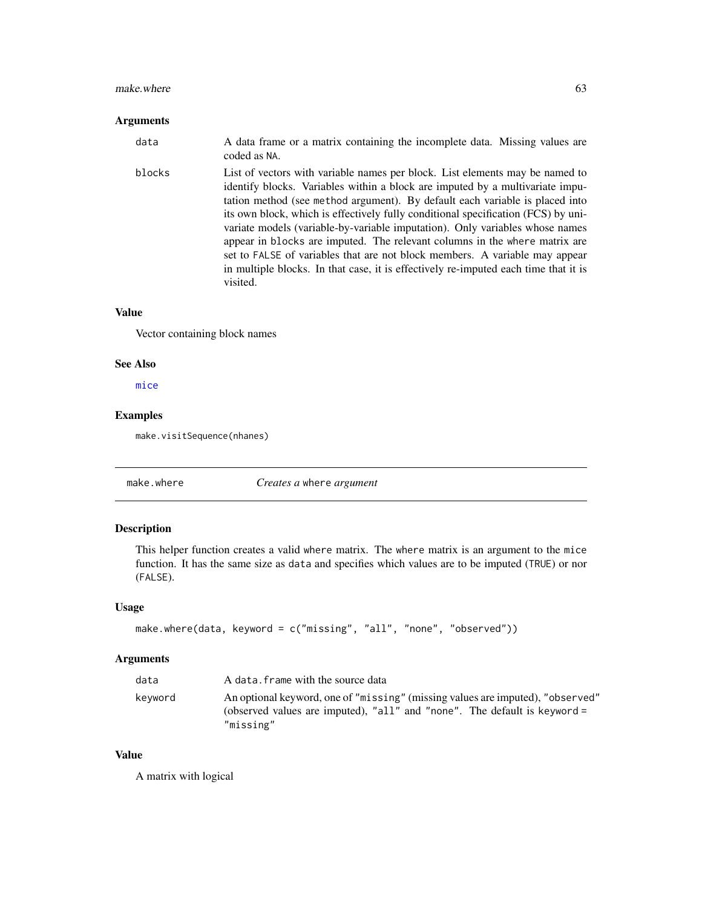#### $m$ ake.where 63

#### Arguments

data A data frame or a matrix containing the incomplete data. Missing values are coded as NA. blocks List of vectors with variable names per block. List elements may be named to identify blocks. Variables within a block are imputed by a multivariate imputation method (see method argument). By default each variable is placed into its own block, which is effectively fully conditional specification (FCS) by univariate models (variable-by-variable imputation). Only variables whose names appear in blocks are imputed. The relevant columns in the where matrix are set to FALSE of variables that are not block members. A variable may appear in multiple blocks. In that case, it is effectively re-imputed each time that it is

#### Value

Vector containing block names

visited.

#### See Also

[mice](#page-68-0)

# Examples

make.visitSequence(nhanes)

make.where *Creates a* where *argument*

## **Description**

This helper function creates a valid where matrix. The where matrix is an argument to the mice function. It has the same size as data and specifies which values are to be imputed (TRUE) or nor (FALSE).

#### Usage

```
make.where(data, keyword = c("missing", "all", "none", "observed"))
```
#### Arguments

| data    | A data. frame with the source data                                                                                                                                         |
|---------|----------------------------------------------------------------------------------------------------------------------------------------------------------------------------|
| kevword | An optional keyword, one of "missing" (missing values are imputed), "observed"<br>(observed values are imputed), "all" and "none". The default is keyword $=$<br>"missing" |

## Value

A matrix with logical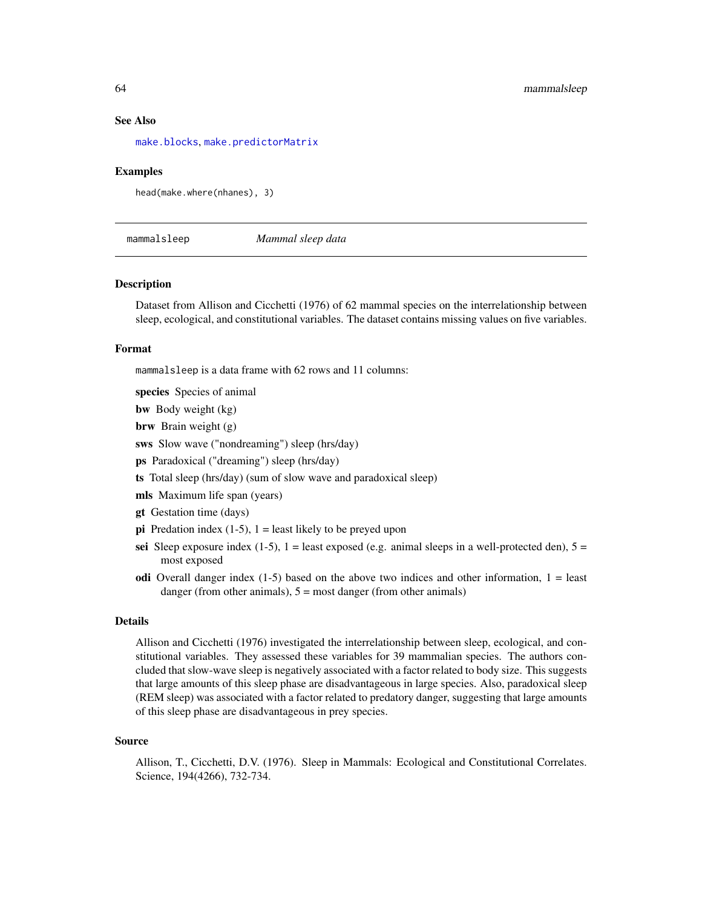#### See Also

[make.blocks](#page-56-0), [make.predictorMatrix](#page-61-0)

#### Examples

head(make.where(nhanes), 3)

mammalsleep *Mammal sleep data*

#### Description

Dataset from Allison and Cicchetti (1976) of 62 mammal species on the interrelationship between sleep, ecological, and constitutional variables. The dataset contains missing values on five variables.

## Format

mammalsleep is a data frame with 62 rows and 11 columns:

species Species of animal

bw Body weight (kg)

brw Brain weight (g)

sws Slow wave ("nondreaming") sleep (hrs/day)

ps Paradoxical ("dreaming") sleep (hrs/day)

ts Total sleep (hrs/day) (sum of slow wave and paradoxical sleep)

mls Maximum life span (years)

gt Gestation time (days)

- pi Predation index  $(1-5)$ ,  $1 =$  least likely to be preyed upon
- sei Sleep exposure index  $(1-5)$ ,  $1 =$  least exposed (e.g. animal sleeps in a well-protected den),  $5 =$ most exposed
- odi Overall danger index  $(1-5)$  based on the above two indices and other information,  $1 =$  least danger (from other animals),  $5 =$  most danger (from other animals)

#### Details

Allison and Cicchetti (1976) investigated the interrelationship between sleep, ecological, and constitutional variables. They assessed these variables for 39 mammalian species. The authors concluded that slow-wave sleep is negatively associated with a factor related to body size. This suggests that large amounts of this sleep phase are disadvantageous in large species. Also, paradoxical sleep (REM sleep) was associated with a factor related to predatory danger, suggesting that large amounts of this sleep phase are disadvantageous in prey species.

#### Source

Allison, T., Cicchetti, D.V. (1976). Sleep in Mammals: Ecological and Constitutional Correlates. Science, 194(4266), 732-734.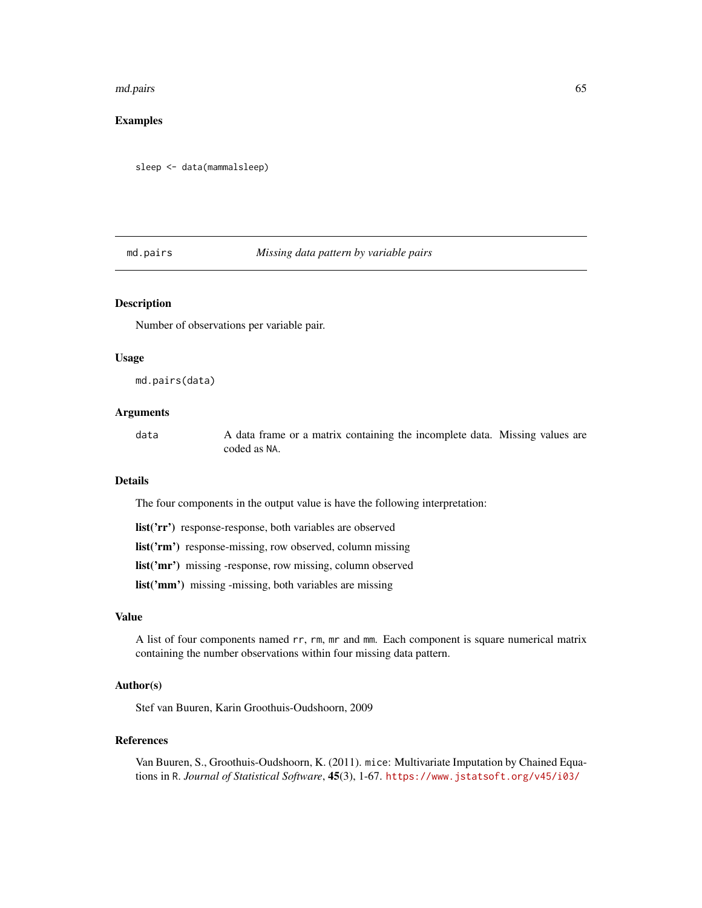#### md.pairs 65

# Examples

sleep <- data(mammalsleep)

# md.pairs *Missing data pattern by variable pairs*

# Description

Number of observations per variable pair.

## Usage

md.pairs(data)

## Arguments

data A data frame or a matrix containing the incomplete data. Missing values are coded as NA.

# Details

The four components in the output value is have the following interpretation:

list('rr') response-response, both variables are observed

list('rm') response-missing, row observed, column missing

list('mr') missing -response, row missing, column observed

list('mm') missing -missing, both variables are missing

## Value

A list of four components named rr, rm, mr and mm. Each component is square numerical matrix containing the number observations within four missing data pattern.

## Author(s)

Stef van Buuren, Karin Groothuis-Oudshoorn, 2009

## References

Van Buuren, S., Groothuis-Oudshoorn, K. (2011). mice: Multivariate Imputation by Chained Equations in R. *Journal of Statistical Software*, 45(3), 1-67. <https://www.jstatsoft.org/v45/i03/>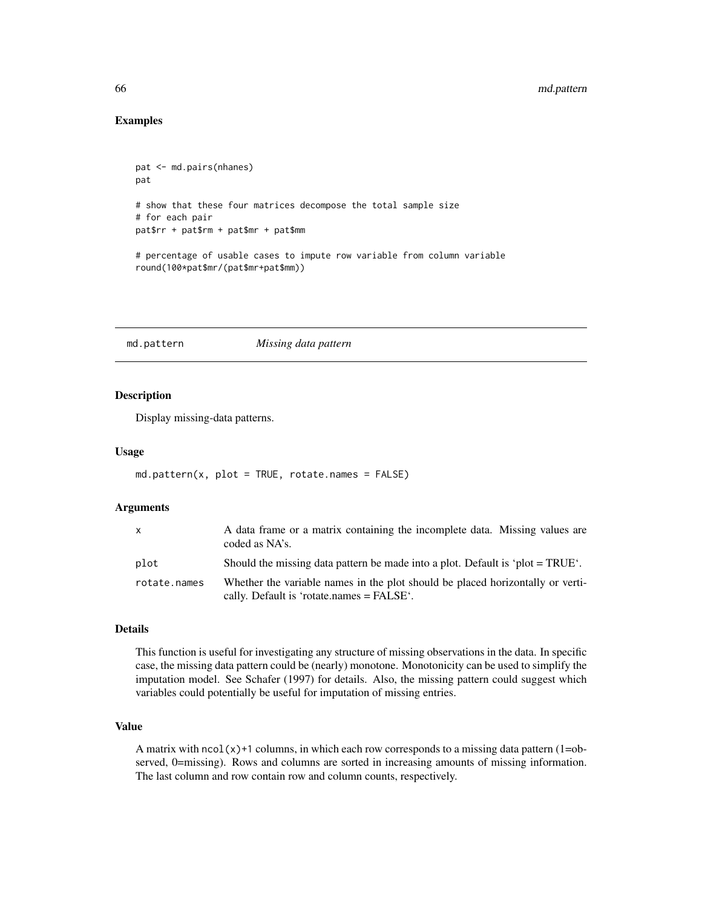## Examples

```
pat <- md.pairs(nhanes)
pat
# show that these four matrices decompose the total sample size
# for each pair
pat$rr + pat$rm + pat$mr + pat$mm
# percentage of usable cases to impute row variable from column variable
round(100*pat$mr/(pat$mr+pat$mm))
```
<span id="page-65-0"></span>md.pattern *Missing data pattern*

# Description

Display missing-data patterns.

#### Usage

```
md.pattern(x, plot = TRUE, rotate.names = FALSE)
```
#### **Arguments**

| $\mathsf{X}$ | A data frame or a matrix containing the incomplete data. Missing values are<br>coded as NA's.                                 |
|--------------|-------------------------------------------------------------------------------------------------------------------------------|
| plot         | Should the missing data pattern be made into a plot. Default is 'plot = $TRUE'$ .                                             |
| rotate.names | Whether the variable names in the plot should be placed horizontally or verti-<br>cally. Default is 'rotate.names $=$ FALSE'. |

#### Details

This function is useful for investigating any structure of missing observations in the data. In specific case, the missing data pattern could be (nearly) monotone. Monotonicity can be used to simplify the imputation model. See Schafer (1997) for details. Also, the missing pattern could suggest which variables could potentially be useful for imputation of missing entries.

## Value

A matrix with  $ncol(x)+1$  columns, in which each row corresponds to a missing data pattern  $(1=ob$ served, 0=missing). Rows and columns are sorted in increasing amounts of missing information. The last column and row contain row and column counts, respectively.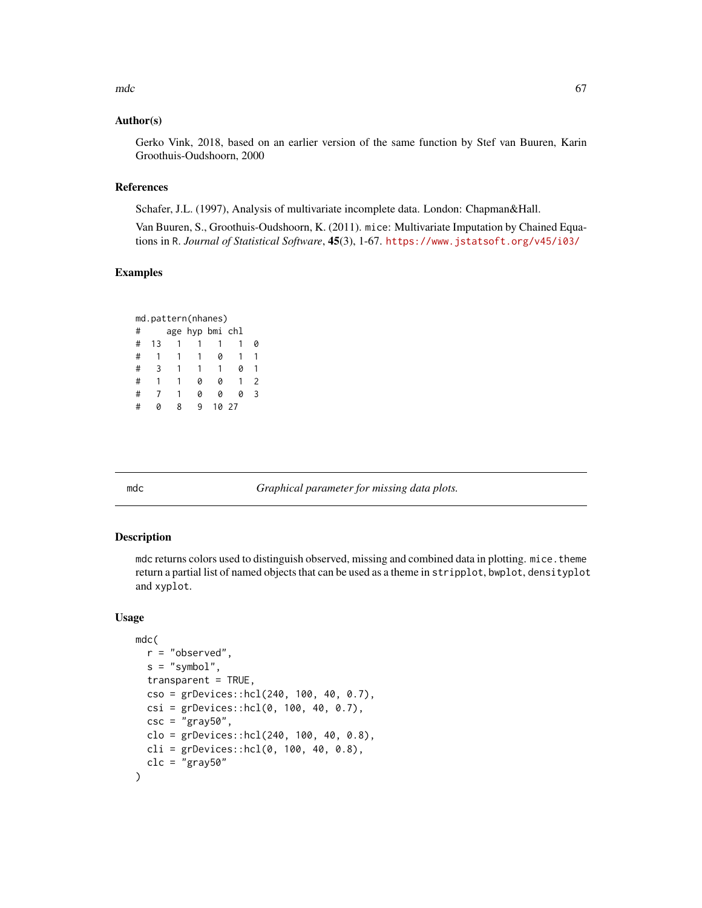$\mathsf{mdc}$  67

## Author(s)

Gerko Vink, 2018, based on an earlier version of the same function by Stef van Buuren, Karin Groothuis-Oudshoorn, 2000

### References

Schafer, J.L. (1997), Analysis of multivariate incomplete data. London: Chapman&Hall.

Van Buuren, S., Groothuis-Oudshoorn, K. (2011). mice: Multivariate Imputation by Chained Equations in R. *Journal of Statistical Software*, 45(3), 1-67. <https://www.jstatsoft.org/v45/i03/>

## Examples

| md.pattern(nhanes) |    |   |                 |    |    |   |
|--------------------|----|---|-----------------|----|----|---|
| #                  |    |   | age hyp bmi chl |    |    |   |
| #                  | 13 |   |                 |    |    |   |
| #                  | 1  |   |                 |    |    |   |
| #                  | 3  |   |                 |    |    |   |
| #                  | 1  |   | Ø               | 0  |    | 2 |
| #                  |    |   | Ø               | 0  |    | ς |
| H                  |    | ጸ | ۹               | 10 | 27 |   |

mdc *Graphical parameter for missing data plots.*

## Description

mdc returns colors used to distinguish observed, missing and combined data in plotting. mice.theme return a partial list of named objects that can be used as a theme in stripplot, bwplot, densityplot and xyplot.

#### Usage

```
mdc(
  r = "observed",s = "symbol",
  transparent = TRUE,
 cso = grDevices::hcl(240, 100, 40, 0.7),
  csi = grDevices::hcl(0, 100, 40, 0.7),\csc = "gray50",
  clo = grDevices::hcl(240, 100, 40, 0.8),
 cli = grDevices::hcl(0, 100, 40, 0.8),clc = "gray50")
```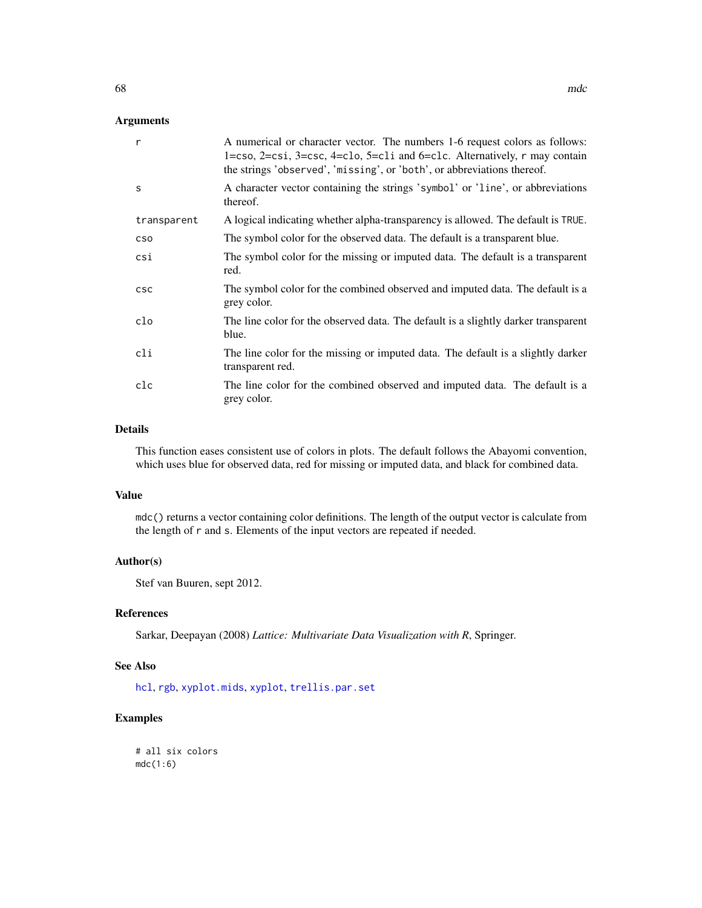# Arguments

| A numerical or character vector. The numbers 1-6 request colors as follows:<br>$1 = \csc 2 = \csc 3 = \csc 4 = \csc 5 = \csc 1$ and $6 = \csc 1$ . Alternatively, r may contain<br>the strings 'observed', 'missing', or 'both', or abbreviations thereof. |  |  |
|------------------------------------------------------------------------------------------------------------------------------------------------------------------------------------------------------------------------------------------------------------|--|--|
| A character vector containing the strings 'symbol' or 'line', or abbreviations<br>thereof.                                                                                                                                                                 |  |  |
| A logical indicating whether alpha-transparency is allowed. The default is TRUE.                                                                                                                                                                           |  |  |
| The symbol color for the observed data. The default is a transparent blue.                                                                                                                                                                                 |  |  |
| The symbol color for the missing or imputed data. The default is a transparent<br>red.                                                                                                                                                                     |  |  |
| The symbol color for the combined observed and imputed data. The default is a<br>grey color.                                                                                                                                                               |  |  |
| The line color for the observed data. The default is a slightly darker transparent<br>blue.                                                                                                                                                                |  |  |
| The line color for the missing or imputed data. The default is a slightly darker<br>transparent red.                                                                                                                                                       |  |  |
| The line color for the combined observed and imputed data. The default is a<br>grey color.                                                                                                                                                                 |  |  |
|                                                                                                                                                                                                                                                            |  |  |

## Details

This function eases consistent use of colors in plots. The default follows the Abayomi convention, which uses blue for observed data, red for missing or imputed data, and black for combined data.

## Value

mdc() returns a vector containing color definitions. The length of the output vector is calculate from the length of r and s. Elements of the input vectors are repeated if needed.

# Author(s)

Stef van Buuren, sept 2012.

# References

Sarkar, Deepayan (2008) *Lattice: Multivariate Data Visualization with R*, Springer.

## See Also

[hcl](#page-0-0), [rgb](#page-0-0), [xyplot.mids](#page-173-0), [xyplot](#page-173-1), [trellis.par.set](#page-0-0)

# Examples

# all six colors  $mdc(1:6)$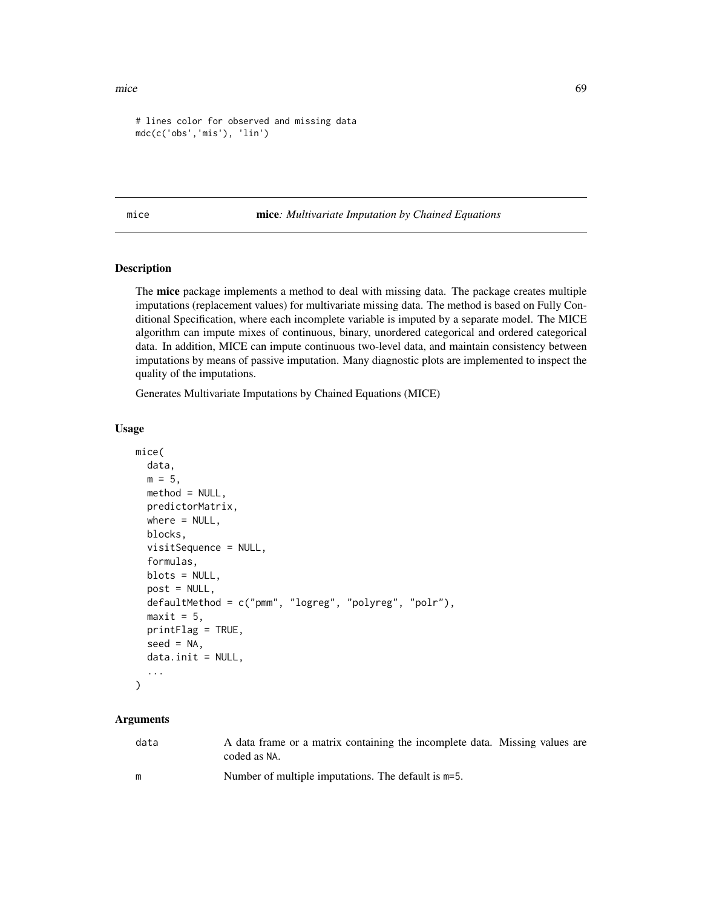```
# lines color for observed and missing data
mdc(c('obs','mis'), 'lin')
```
<span id="page-68-0"></span>mice mice*: Multivariate Imputation by Chained Equations*

# Description

The mice package implements a method to deal with missing data. The package creates multiple imputations (replacement values) for multivariate missing data. The method is based on Fully Conditional Specification, where each incomplete variable is imputed by a separate model. The MICE algorithm can impute mixes of continuous, binary, unordered categorical and ordered categorical data. In addition, MICE can impute continuous two-level data, and maintain consistency between imputations by means of passive imputation. Many diagnostic plots are implemented to inspect the quality of the imputations.

Generates Multivariate Imputations by Chained Equations (MICE)

#### Usage

```
mice(
  data,
  m = 5,
 method = NULL,
 predictorMatrix,
  where = NULL,
  blocks,
  visitSequence = NULL,
  formulas,
  blots = NULL,
  post = NULL,
  defaultMethod = c("pmm", "logreg", "polyreg", "polr"),
  maxit = 5,
  printFlag = TRUE,
  seed = NA,
  data.init = NULL,...
)
```
## Arguments

| data | A data frame or a matrix containing the incomplete data. Missing values are |
|------|-----------------------------------------------------------------------------|
|      | coded as NA.                                                                |
| m    | Number of multiple imputations. The default is m=5.                         |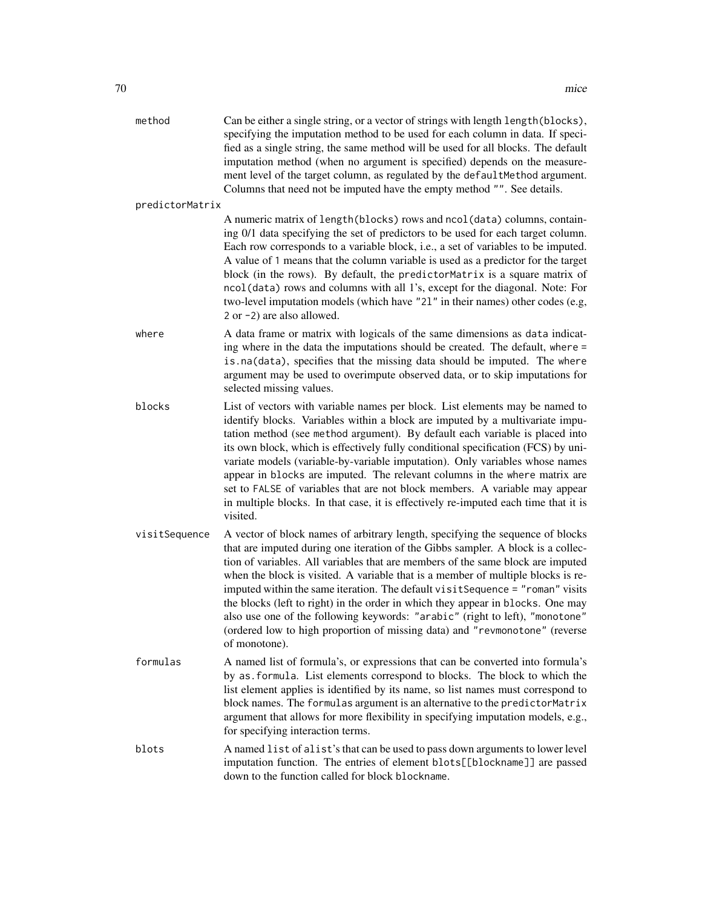| method          | Can be either a single string, or a vector of strings with length length (blocks),<br>specifying the imputation method to be used for each column in data. If speci-<br>fied as a single string, the same method will be used for all blocks. The default<br>imputation method (when no argument is specified) depends on the measure-<br>ment level of the target column, as regulated by the defaultMethod argument.<br>Columns that need not be imputed have the empty method "". See details.                                                                                                                                                                                             |
|-----------------|-----------------------------------------------------------------------------------------------------------------------------------------------------------------------------------------------------------------------------------------------------------------------------------------------------------------------------------------------------------------------------------------------------------------------------------------------------------------------------------------------------------------------------------------------------------------------------------------------------------------------------------------------------------------------------------------------|
| predictorMatrix |                                                                                                                                                                                                                                                                                                                                                                                                                                                                                                                                                                                                                                                                                               |
|                 | A numeric matrix of length(blocks) rows and ncol(data) columns, contain-<br>ing 0/1 data specifying the set of predictors to be used for each target column.<br>Each row corresponds to a variable block, i.e., a set of variables to be imputed.<br>A value of 1 means that the column variable is used as a predictor for the target<br>block (in the rows). By default, the predictorMatrix is a square matrix of<br>ncol(data) rows and columns with all 1's, except for the diagonal. Note: For<br>two-level imputation models (which have "21" in their names) other codes (e.g,<br>$2$ or $-2$ ) are also allowed.                                                                     |
| where           | A data frame or matrix with logicals of the same dimensions as data indicat-<br>ing where in the data the imputations should be created. The default, where =<br>is.na(data), specifies that the missing data should be imputed. The where<br>argument may be used to overimpute observed data, or to skip imputations for<br>selected missing values.                                                                                                                                                                                                                                                                                                                                        |
| blocks          | List of vectors with variable names per block. List elements may be named to<br>identify blocks. Variables within a block are imputed by a multivariate impu-<br>tation method (see method argument). By default each variable is placed into<br>its own block, which is effectively fully conditional specification (FCS) by uni-<br>variate models (variable-by-variable imputation). Only variables whose names<br>appear in blocks are imputed. The relevant columns in the where matrix are<br>set to FALSE of variables that are not block members. A variable may appear<br>in multiple blocks. In that case, it is effectively re-imputed each time that it is<br>visited.            |
| visitSequence   | A vector of block names of arbitrary length, specifying the sequence of blocks<br>that are imputed during one iteration of the Gibbs sampler. A block is a collec-<br>tion of variables. All variables that are members of the same block are imputed<br>when the block is visited. A variable that is a member of multiple blocks is re-<br>imputed within the same iteration. The default visitSequence = "roman" visits<br>the blocks (left to right) in the order in which they appear in blocks. One may<br>also use one of the following keywords: "arabic" (right to left), "monotone"<br>(ordered low to high proportion of missing data) and "revmonotone" (reverse<br>of monotone). |
| formulas        | A named list of formula's, or expressions that can be converted into formula's<br>by as formula. List elements correspond to blocks. The block to which the<br>list element applies is identified by its name, so list names must correspond to<br>block names. The formulas argument is an alternative to the predictorMatrix<br>argument that allows for more flexibility in specifying imputation models, e.g.,<br>for specifying interaction terms.                                                                                                                                                                                                                                       |
| blots           | A named list of alist's that can be used to pass down arguments to lower level<br>imputation function. The entries of element blots[[blockname]] are passed<br>down to the function called for block blockname.                                                                                                                                                                                                                                                                                                                                                                                                                                                                               |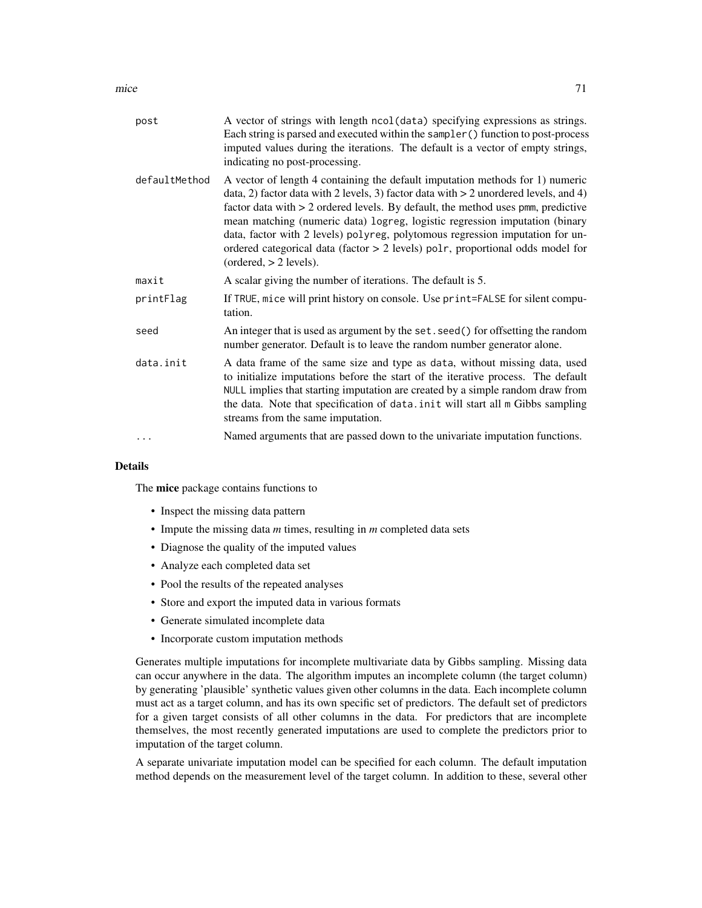mice 71

| post          | A vector of strings with length ncol (data) specifying expressions as strings.<br>Each string is parsed and executed within the sampler () function to post-process<br>imputed values during the iterations. The default is a vector of empty strings,<br>indicating no post-processing.                                                                                                                                                                                                                                                  |
|---------------|-------------------------------------------------------------------------------------------------------------------------------------------------------------------------------------------------------------------------------------------------------------------------------------------------------------------------------------------------------------------------------------------------------------------------------------------------------------------------------------------------------------------------------------------|
| defaultMethod | A vector of length 4 containing the default imputation methods for 1) numeric<br>data, 2) factor data with 2 levels, 3) factor data with $> 2$ unordered levels, and 4)<br>factor data with $> 2$ ordered levels. By default, the method uses pmm, predictive<br>mean matching (numeric data) logreg, logistic regression imputation (binary<br>data, factor with 2 levels) polyreg, polytomous regression imputation for un-<br>ordered categorical data (factor > 2 levels) polr, proportional odds model for<br>(ordered, > 2 levels). |
| maxit         | A scalar giving the number of iterations. The default is 5.                                                                                                                                                                                                                                                                                                                                                                                                                                                                               |
| printFlag     | If TRUE, mice will print history on console. Use print=FALSE for silent compu-<br>tation.                                                                                                                                                                                                                                                                                                                                                                                                                                                 |
| seed          | An integer that is used as argument by the set. seed() for offsetting the random<br>number generator. Default is to leave the random number generator alone.                                                                                                                                                                                                                                                                                                                                                                              |
| data.init     | A data frame of the same size and type as data, without missing data, used<br>to initialize imputations before the start of the iterative process. The default<br>NULL implies that starting imputation are created by a simple random draw from<br>the data. Note that specification of data. init will start all m Gibbs sampling<br>streams from the same imputation.                                                                                                                                                                  |
|               | Named arguments that are passed down to the univariate imputation functions.                                                                                                                                                                                                                                                                                                                                                                                                                                                              |
|               |                                                                                                                                                                                                                                                                                                                                                                                                                                                                                                                                           |

# Details

The mice package contains functions to

- Inspect the missing data pattern
- Impute the missing data *m* times, resulting in *m* completed data sets
- Diagnose the quality of the imputed values
- Analyze each completed data set
- Pool the results of the repeated analyses
- Store and export the imputed data in various formats
- Generate simulated incomplete data
- Incorporate custom imputation methods

Generates multiple imputations for incomplete multivariate data by Gibbs sampling. Missing data can occur anywhere in the data. The algorithm imputes an incomplete column (the target column) by generating 'plausible' synthetic values given other columns in the data. Each incomplete column must act as a target column, and has its own specific set of predictors. The default set of predictors for a given target consists of all other columns in the data. For predictors that are incomplete themselves, the most recently generated imputations are used to complete the predictors prior to imputation of the target column.

A separate univariate imputation model can be specified for each column. The default imputation method depends on the measurement level of the target column. In addition to these, several other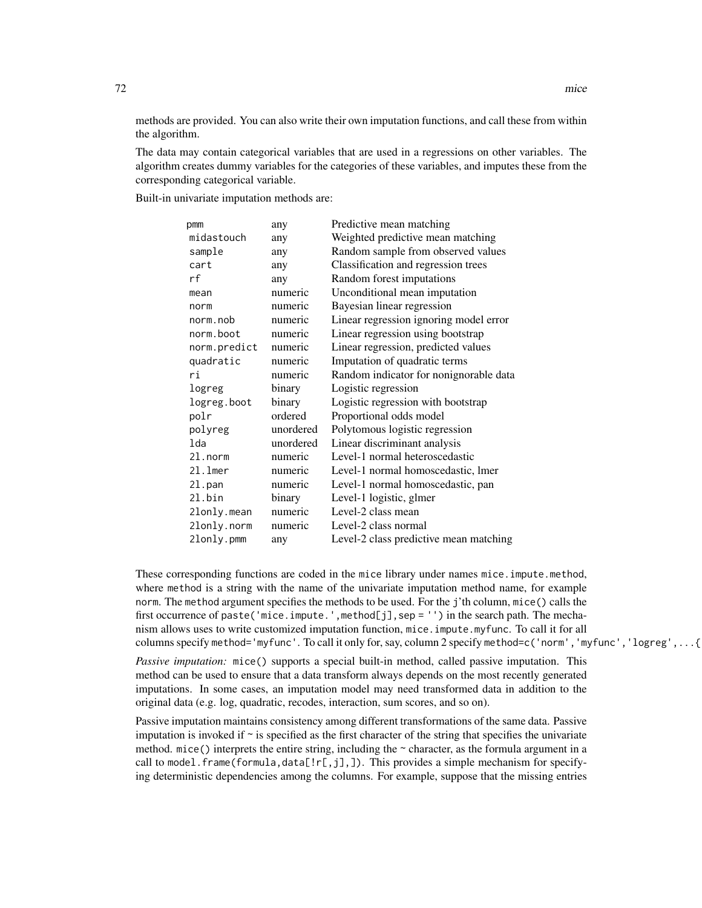methods are provided. You can also write their own imputation functions, and call these from within the algorithm.

The data may contain categorical variables that are used in a regressions on other variables. The algorithm creates dummy variables for the categories of these variables, and imputes these from the corresponding categorical variable.

Built-in univariate imputation methods are:

| pmm          | any       | Predictive mean matching               |
|--------------|-----------|----------------------------------------|
| midastouch   | any       | Weighted predictive mean matching      |
| sample       | any       | Random sample from observed values     |
| cart         | any       | Classification and regression trees    |
| rf           | any       | Random forest imputations              |
| mean         | numeric   | Unconditional mean imputation          |
| norm         | numeric   | Bayesian linear regression             |
| norm.nob     | numeric   | Linear regression ignoring model error |
| norm.boot    | numeric   | Linear regression using bootstrap      |
| norm.predict | numeric   | Linear regression, predicted values    |
| quadratic    | numeric   | Imputation of quadratic terms          |
| ri           | numeric   | Random indicator for nonignorable data |
| logreg       | binary    | Logistic regression                    |
| logreg.boot  | binary    | Logistic regression with bootstrap     |
| polr         | ordered   | Proportional odds model                |
| polyreg      | unordered | Polytomous logistic regression         |
| lda          | unordered | Linear discriminant analysis           |
| 21.norm      | numeric   | Level-1 normal heteroscedastic         |
| $21.1$ mer   | numeric   | Level-1 normal homoscedastic, lmer     |
| 21.pan       | numeric   | Level-1 normal homoscedastic, pan      |
| 21.bin       | binary    | Level-1 logistic, glmer                |
| 2lonly.mean  | numeric   | Level-2 class mean                     |
| 2lonly.norm  | numeric   | Level-2 class normal                   |
| 2lonly.pmm   | any       | Level-2 class predictive mean matching |
|              |           |                                        |

These corresponding functions are coded in the mice library under names mice.impute.method, where method is a string with the name of the univariate imputation method name, for example norm. The method argument specifies the methods to be used. For the j'th column, mice() calls the first occurrence of paste('mice.impute.',method[j],sep = '') in the search path. The mechanism allows uses to write customized imputation function, mice.impute.myfunc. To call it for all columns specify method='myfunc'. To call it only for, say, column 2 specify method=c('norm','myfunc','logreg',...{

*Passive imputation:* mice() supports a special built-in method, called passive imputation. This method can be used to ensure that a data transform always depends on the most recently generated imputations. In some cases, an imputation model may need transformed data in addition to the original data (e.g. log, quadratic, recodes, interaction, sum scores, and so on).

Passive imputation maintains consistency among different transformations of the same data. Passive imputation is invoked if  $\sim$  is specified as the first character of the string that specifies the univariate method. mice() interprets the entire string, including the  $\sim$  character, as the formula argument in a call to model. frame(formula,data[! $r$ [,j],]). This provides a simple mechanism for specifying deterministic dependencies among the columns. For example, suppose that the missing entries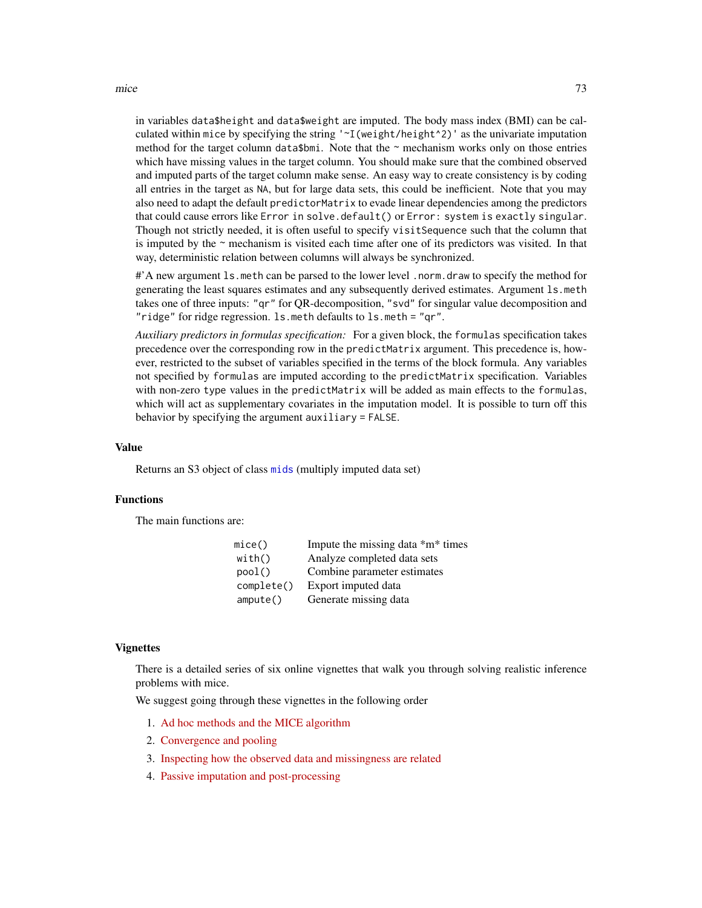mice 73

in variables data\$height and data\$weight are imputed. The body mass index (BMI) can be calculated within mice by specifying the string  $\lceil \sim I(\text{weight}/\text{height}^2) \rceil$  as the univariate imputation method for the target column data\$bmi. Note that the  $\sim$  mechanism works only on those entries which have missing values in the target column. You should make sure that the combined observed and imputed parts of the target column make sense. An easy way to create consistency is by coding all entries in the target as NA, but for large data sets, this could be inefficient. Note that you may also need to adapt the default predictorMatrix to evade linear dependencies among the predictors that could cause errors like Error in solve.default() or Error: system is exactly singular. Though not strictly needed, it is often useful to specify visitSequence such that the column that is imputed by the ~ mechanism is visited each time after one of its predictors was visited. In that way, deterministic relation between columns will always be synchronized.

#'A new argument ls.meth can be parsed to the lower level .norm.draw to specify the method for generating the least squares estimates and any subsequently derived estimates. Argument ls.meth takes one of three inputs: "qr" for QR-decomposition, "svd" for singular value decomposition and "ridge" for ridge regression. ls.meth defaults to ls.meth = "qr".

*Auxiliary predictors in formulas specification:* For a given block, the formulas specification takes precedence over the corresponding row in the predictMatrix argument. This precedence is, however, restricted to the subset of variables specified in the terms of the block formula. Any variables not specified by formulas are imputed according to the predictMatrix specification. Variables with non-zero type values in the predictMatrix will be added as main effects to the formulas, which will act as supplementary covariates in the imputation model. It is possible to turn off this behavior by specifying the argument auxiliary = FALSE.

#### Value

Returns an S3 object of class [mids](#page-123-0) (multiply imputed data set)

#### Functions

The main functions are:

| mice()     | Impute the missing data *m* times |
|------------|-----------------------------------|
| with()     | Analyze completed data sets       |
| pool()     | Combine parameter estimates       |
| complete() | Export imputed data               |
| ampute()   | Generate missing data             |

### Vignettes

There is a detailed series of six online vignettes that walk you through solving realistic inference problems with mice.

We suggest going through these vignettes in the following order

- 1. [Ad hoc methods and the MICE algorithm](https://gerkovink.github.io/miceVignettes/Ad_hoc_and_mice/Ad_hoc_methods.html)
- 2. [Convergence and pooling](https://gerkovink.github.io/miceVignettes/Convergence_pooling/Convergence_and_pooling.html)
- 3. [Inspecting how the observed data and missingness are related](https://gerkovink.github.io/miceVignettes/Missingness_inspection/Missingness_inspection.html)
- 4. [Passive imputation and post-processing](https://gerkovink.github.io/miceVignettes/Passive_Post_processing/Passive_imputation_post_processing.html)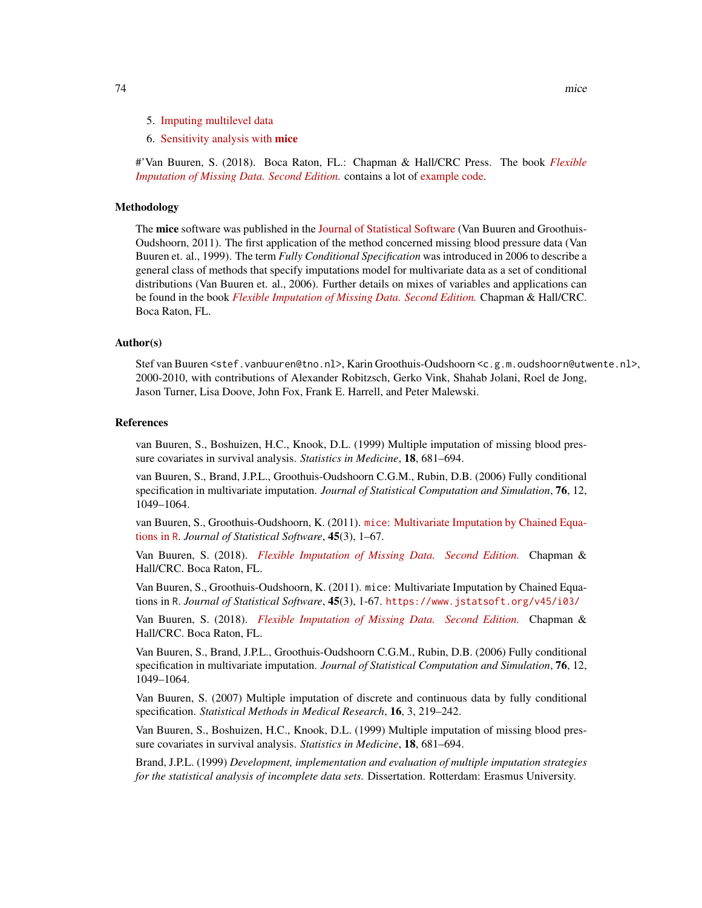- 5. [Imputing multilevel data](https://gerkovink.github.io/miceVignettes/Multi_level/Multi_level_data.html)
- 6. [Sensitivity analysis with](https://gerkovink.github.io/miceVignettes/Sensitivity_analysis/Sensitivity_analysis.html) mice

#'Van Buuren, S. (2018). Boca Raton, FL.: Chapman & Hall/CRC Press. The book *[Flexible](https://stefvanbuuren.name/fimd/) [Imputation of Missing Data. Second Edition.](https://stefvanbuuren.name/fimd/)* contains a lot of [example code.](https://github.com/stefvanbuuren/fimdbook/tree/master/R)

### Methodology

The mice software was published in the [Journal of Statistical Software](https://www.jstatsoft.org/article/view/v045i03) (Van Buuren and Groothuis-Oudshoorn, 2011). The first application of the method concerned missing blood pressure data (Van Buuren et. al., 1999). The term *Fully Conditional Specification* was introduced in 2006 to describe a general class of methods that specify imputations model for multivariate data as a set of conditional distributions (Van Buuren et. al., 2006). Further details on mixes of variables and applications can be found in the book *[Flexible Imputation of Missing Data. Second Edition.](https://stefvanbuuren.name/fimd/)* Chapman & Hall/CRC. Boca Raton, FL.

### Author(s)

Stef van Buuren <stef.vanbuuren@tno.nl>, Karin Groothuis-Oudshoorn <c.g.m.oudshoorn@utwente.nl>, 2000-2010, with contributions of Alexander Robitzsch, Gerko Vink, Shahab Jolani, Roel de Jong, Jason Turner, Lisa Doove, John Fox, Frank E. Harrell, and Peter Malewski.

#### References

van Buuren, S., Boshuizen, H.C., Knook, D.L. (1999) Multiple imputation of missing blood pressure covariates in survival analysis. *Statistics in Medicine*, 18, 681–694.

van Buuren, S., Brand, J.P.L., Groothuis-Oudshoorn C.G.M., Rubin, D.B. (2006) Fully conditional specification in multivariate imputation. *Journal of Statistical Computation and Simulation*, 76, 12, 1049–1064.

van Buuren, S., Groothuis-Oudshoorn, K. (2011). mice[: Multivariate Imputation by Chained Equa](https://www.jstatsoft.org/v45/i03/)[tions in](https://www.jstatsoft.org/v45/i03/) R. *Journal of Statistical Software*, 45(3), 1–67.

Van Buuren, S. (2018). *[Flexible Imputation of Missing Data. Second Edition.](https://stefvanbuuren.name/fimd/)* Chapman & Hall/CRC. Boca Raton, FL.

Van Buuren, S., Groothuis-Oudshoorn, K. (2011). mice: Multivariate Imputation by Chained Equations in R. *Journal of Statistical Software*, 45(3), 1-67. <https://www.jstatsoft.org/v45/i03/>

Van Buuren, S. (2018). *[Flexible Imputation of Missing Data. Second Edition.](https://stefvanbuuren.name/fimd/sec-FCS.html#sec:MICE)* Chapman & Hall/CRC. Boca Raton, FL.

Van Buuren, S., Brand, J.P.L., Groothuis-Oudshoorn C.G.M., Rubin, D.B. (2006) Fully conditional specification in multivariate imputation. *Journal of Statistical Computation and Simulation*, 76, 12, 1049–1064.

Van Buuren, S. (2007) Multiple imputation of discrete and continuous data by fully conditional specification. *Statistical Methods in Medical Research*, 16, 3, 219–242.

Van Buuren, S., Boshuizen, H.C., Knook, D.L. (1999) Multiple imputation of missing blood pressure covariates in survival analysis. *Statistics in Medicine*, 18, 681–694.

Brand, J.P.L. (1999) *Development, implementation and evaluation of multiple imputation strategies for the statistical analysis of incomplete data sets.* Dissertation. Rotterdam: Erasmus University.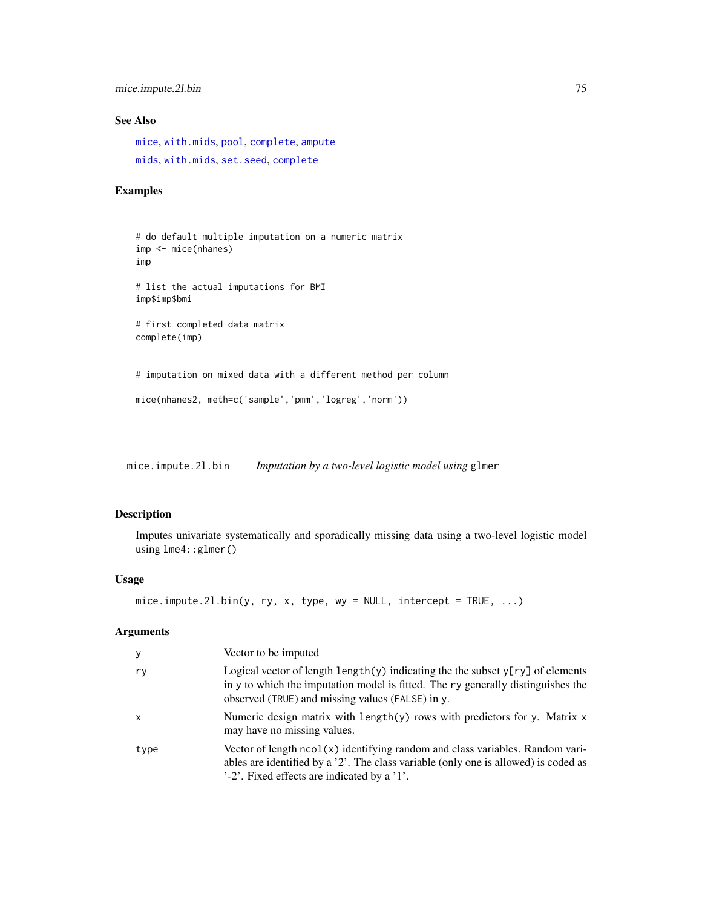mice.impute.2l.bin 75

# See Also

[mice](#page-68-0), [with.mids](#page-171-0), [pool](#page-142-0), [complete](#page-25-0), [ampute](#page-5-0) [mids](#page-123-0), [with.mids](#page-171-0), [set.seed](#page-0-0), [complete](#page-25-0)

# Examples

```
# do default multiple imputation on a numeric matrix
imp <- mice(nhanes)
imp
# list the actual imputations for BMI
imp$imp$bmi
# first completed data matrix
complete(imp)
# imputation on mixed data with a different method per column
mice(nhanes2, meth=c('sample','pmm','logreg','norm'))
```
<span id="page-74-0"></span>mice.impute.2l.bin *Imputation by a two-level logistic model using* glmer

### Description

Imputes univariate systematically and sporadically missing data using a two-level logistic model using lme4::glmer()

### Usage

```
mice.impute.2l.bin(y, ry, x, type, wy = NULL, intercept = TRUE, \dots)
```

| У            | Vector to be imputed                                                                                                                                                                                                              |
|--------------|-----------------------------------------------------------------------------------------------------------------------------------------------------------------------------------------------------------------------------------|
| ry           | Logical vector of length $\text{length}(y)$ indicating the the subset $y[ry]$ of elements<br>in y to which the imputation model is fitted. The ry generally distinguishes the<br>observed (TRUE) and missing values (FALSE) in y. |
| $\mathsf{x}$ | Numeric design matrix with length $(y)$ rows with predictors for y. Matrix x<br>may have no missing values.                                                                                                                       |
| type         | Vector of length ncol(x) identifying random and class variables. Random vari-<br>ables are identified by a '2'. The class variable (only one is allowed) is coded as<br>'-2'. Fixed effects are indicated by a '1'.               |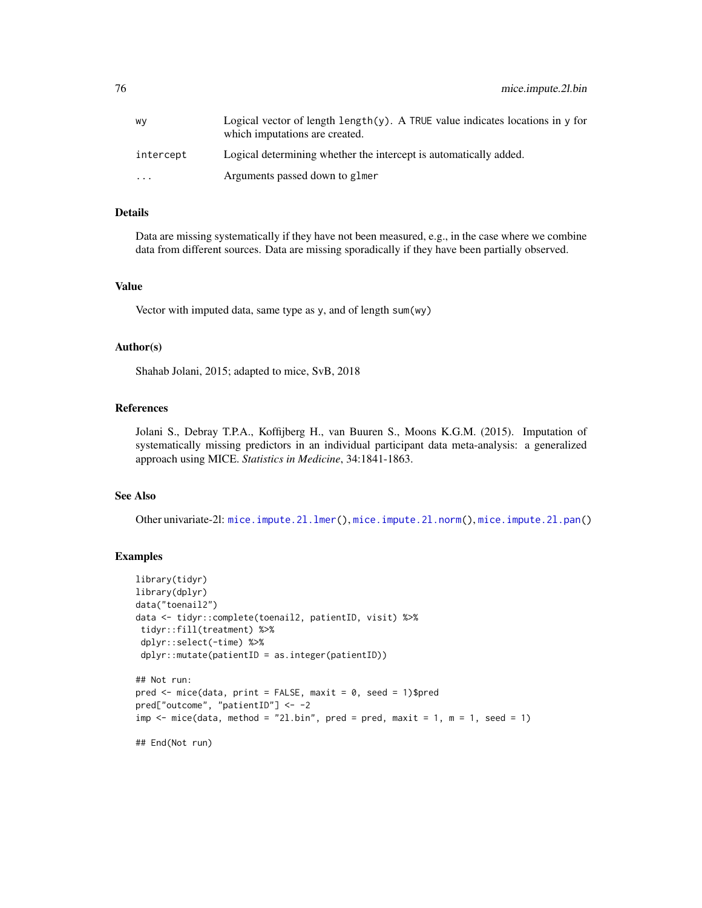| W٧                      | Logical vector of length length $(y)$ . A TRUE value indicates locations in y for<br>which imputations are created. |
|-------------------------|---------------------------------------------------------------------------------------------------------------------|
| intercept               | Logical determining whether the intercept is automatically added.                                                   |
| $\cdot$ $\cdot$ $\cdot$ | Arguments passed down to glmer                                                                                      |

### Details

Data are missing systematically if they have not been measured, e.g., in the case where we combine data from different sources. Data are missing sporadically if they have been partially observed.

#### Value

Vector with imputed data, same type as y, and of length sum(wy)

### Author(s)

Shahab Jolani, 2015; adapted to mice, SvB, 2018

### References

Jolani S., Debray T.P.A., Koffijberg H., van Buuren S., Moons K.G.M. (2015). Imputation of systematically missing predictors in an individual participant data meta-analysis: a generalized approach using MICE. *Statistics in Medicine*, 34:1841-1863.

### See Also

Other univariate-2l: [mice.impute.2l.lmer\(](#page-76-0)), [mice.impute.2l.norm\(](#page-77-0)), [mice.impute.2l.pan\(](#page-78-0))

#### Examples

```
library(tidyr)
library(dplyr)
data("toenail2")
data <- tidyr::complete(toenail2, patientID, visit) %>%
 tidyr::fill(treatment) %>%
 dplyr::select(-time) %>%
 dplyr::mutate(patientID = as.integer(patientID))
## Not run:
pred \leq mice(data, print = FALSE, maxit = 0, seed = 1)$pred
pred["outcome", "patientID"] <- -2
```

```
imp \le mice(data, method = "21.bin", pred = pred, maxit = 1, m = 1, seed = 1)
```

```
## End(Not run)
```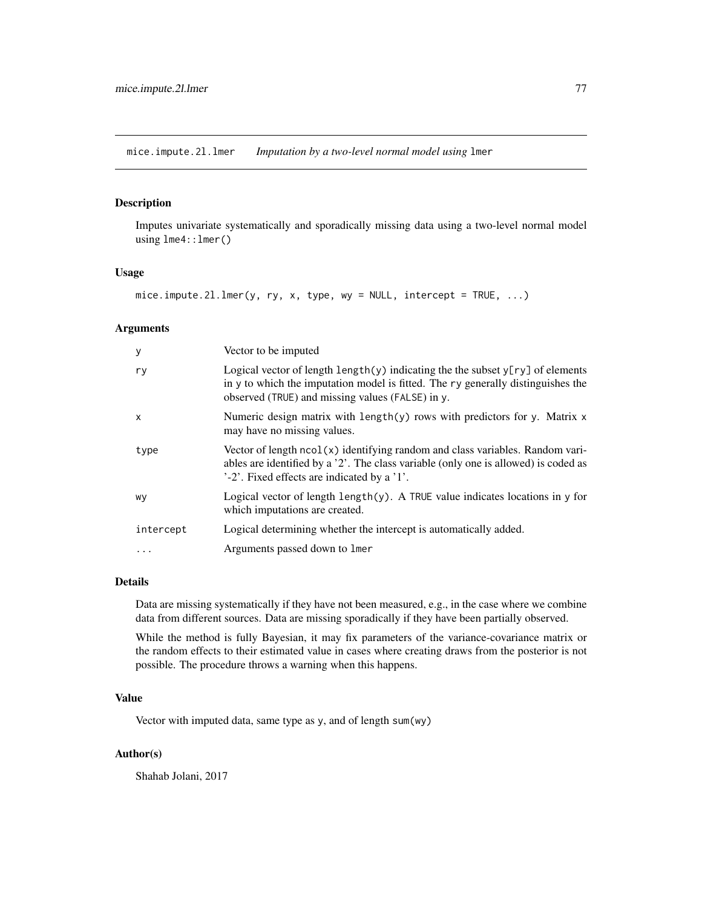<span id="page-76-0"></span>mice.impute.2l.lmer *Imputation by a two-level normal model using* lmer

# Description

Imputes univariate systematically and sporadically missing data using a two-level normal model using lme4::lmer()

### Usage

```
mice.impute.2l.lmer(y, ry, x, type, wy = NULL, intercept = TRUE, \ldots)
```
# Arguments

| Logical vector of length $\text{length}(y)$ indicating the the subset $y[ry]$ of elements<br>ry<br>in y to which the imputation model is fitted. The ry generally distinguishes the<br>observed (TRUE) and missing values (FALSE) in y.<br>Numeric design matrix with length(y) rows with predictors for y. Matrix x<br>X<br>may have no missing values.<br>Vector of length ncol(x) identifying random and class variables. Random vari-<br>type<br>ables are identified by a '2'. The class variable (only one is allowed) is coded as<br>'-2'. Fixed effects are indicated by a '1'.<br>Logical vector of length $l$ ength $(y)$ . A TRUE value indicates locations in y for<br>wy<br>which imputations are created.<br>Logical determining whether the intercept is automatically added.<br>intercept<br>Arguments passed down to lmer<br>. | У | Vector to be imputed |
|-------------------------------------------------------------------------------------------------------------------------------------------------------------------------------------------------------------------------------------------------------------------------------------------------------------------------------------------------------------------------------------------------------------------------------------------------------------------------------------------------------------------------------------------------------------------------------------------------------------------------------------------------------------------------------------------------------------------------------------------------------------------------------------------------------------------------------------------------|---|----------------------|
|                                                                                                                                                                                                                                                                                                                                                                                                                                                                                                                                                                                                                                                                                                                                                                                                                                                 |   |                      |
|                                                                                                                                                                                                                                                                                                                                                                                                                                                                                                                                                                                                                                                                                                                                                                                                                                                 |   |                      |
|                                                                                                                                                                                                                                                                                                                                                                                                                                                                                                                                                                                                                                                                                                                                                                                                                                                 |   |                      |
|                                                                                                                                                                                                                                                                                                                                                                                                                                                                                                                                                                                                                                                                                                                                                                                                                                                 |   |                      |
|                                                                                                                                                                                                                                                                                                                                                                                                                                                                                                                                                                                                                                                                                                                                                                                                                                                 |   |                      |
|                                                                                                                                                                                                                                                                                                                                                                                                                                                                                                                                                                                                                                                                                                                                                                                                                                                 |   |                      |

# Details

Data are missing systematically if they have not been measured, e.g., in the case where we combine data from different sources. Data are missing sporadically if they have been partially observed.

While the method is fully Bayesian, it may fix parameters of the variance-covariance matrix or the random effects to their estimated value in cases where creating draws from the posterior is not possible. The procedure throws a warning when this happens.

### Value

Vector with imputed data, same type as y, and of length sum(wy)

### Author(s)

Shahab Jolani, 2017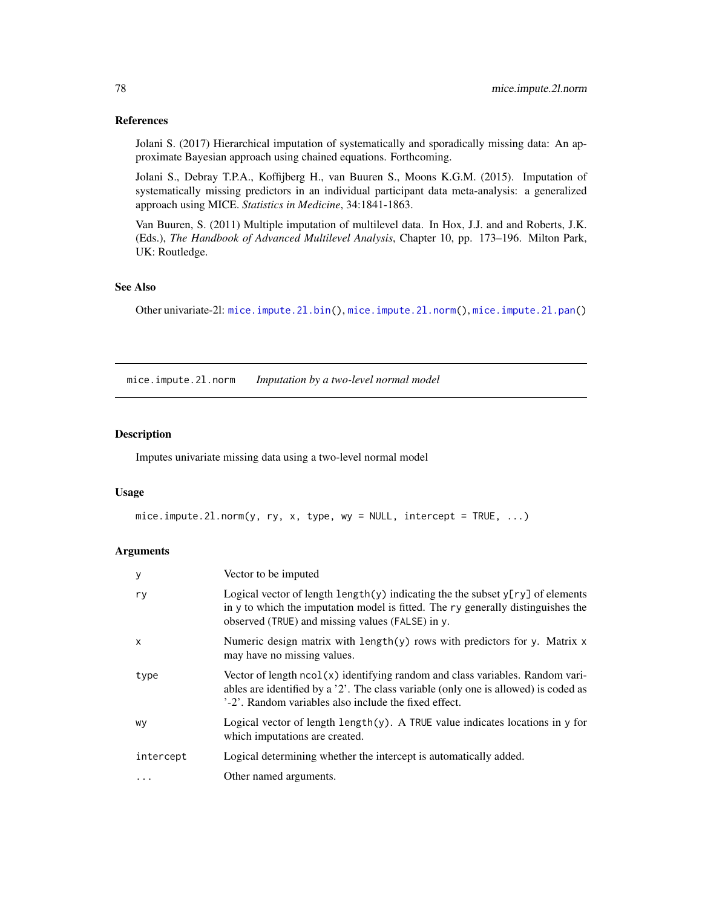### References

Jolani S. (2017) Hierarchical imputation of systematically and sporadically missing data: An approximate Bayesian approach using chained equations. Forthcoming.

Jolani S., Debray T.P.A., Koffijberg H., van Buuren S., Moons K.G.M. (2015). Imputation of systematically missing predictors in an individual participant data meta-analysis: a generalized approach using MICE. *Statistics in Medicine*, 34:1841-1863.

Van Buuren, S. (2011) Multiple imputation of multilevel data. In Hox, J.J. and and Roberts, J.K. (Eds.), *The Handbook of Advanced Multilevel Analysis*, Chapter 10, pp. 173–196. Milton Park, UK: Routledge.

#### See Also

Other univariate-2l: [mice.impute.2l.bin\(](#page-74-0)), [mice.impute.2l.norm\(](#page-77-0)), [mice.impute.2l.pan\(](#page-78-0))

<span id="page-77-0"></span>mice.impute.2l.norm *Imputation by a two-level normal model*

# Description

Imputes univariate missing data using a two-level normal model

### Usage

```
mice. impute.2l.norm(y, ry, x, type, wy = NULL, intercept = TRUE, \dots)
```

| У            | Vector to be imputed                                                                                                                                                                                                              |
|--------------|-----------------------------------------------------------------------------------------------------------------------------------------------------------------------------------------------------------------------------------|
| ry           | Logical vector of length $\text{length}(y)$ indicating the the subset $y[ry]$ of elements<br>in y to which the imputation model is fitted. The ry generally distinguishes the<br>observed (TRUE) and missing values (FALSE) in y. |
| $\mathsf{x}$ | Numeric design matrix with length $(y)$ rows with predictors for y. Matrix x<br>may have no missing values.                                                                                                                       |
| type         | Vector of length ncol(x) identifying random and class variables. Random vari-<br>ables are identified by a '2'. The class variable (only one is allowed) is coded as<br>'-2'. Random variables also include the fixed effect.     |
| wy           | Logical vector of length length $(y)$ . A TRUE value indicates locations in y for<br>which imputations are created.                                                                                                               |
| intercept    | Logical determining whether the intercept is automatically added.                                                                                                                                                                 |
| $\cdot$      | Other named arguments.                                                                                                                                                                                                            |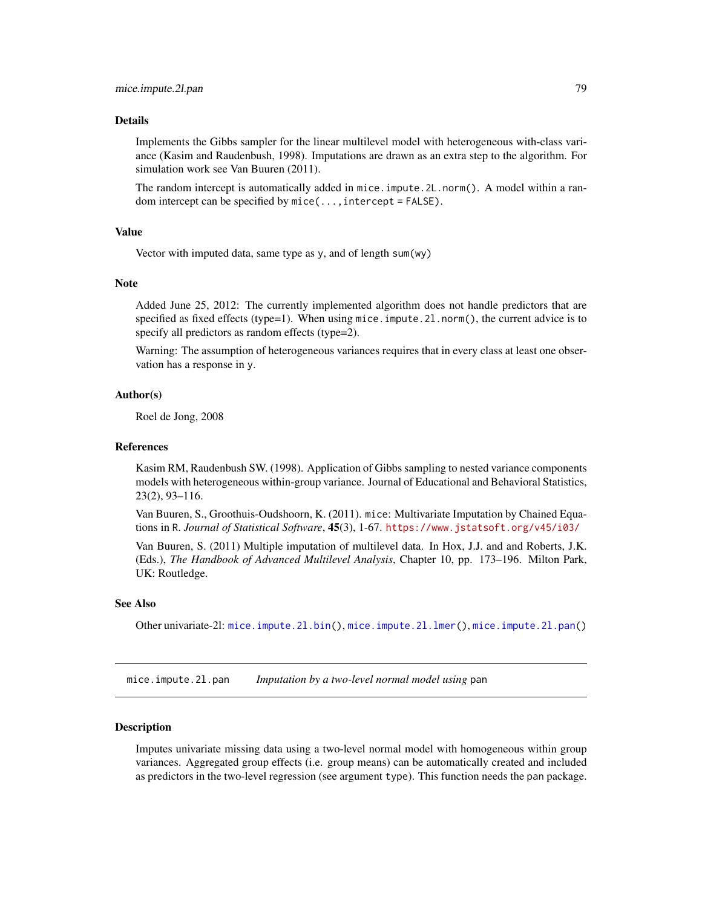#### Details

Implements the Gibbs sampler for the linear multilevel model with heterogeneous with-class variance (Kasim and Raudenbush, 1998). Imputations are drawn as an extra step to the algorithm. For simulation work see Van Buuren (2011).

The random intercept is automatically added in mice.impute.2L.norm(). A model within a random intercept can be specified by  $mice(\ldots,intercept = FALSE)$ .

### Value

Vector with imputed data, same type as y, and of length sum(wy)

#### Note

Added June 25, 2012: The currently implemented algorithm does not handle predictors that are specified as fixed effects (type=1). When using mice.impute.2l.norm(), the current advice is to specify all predictors as random effects (type=2).

Warning: The assumption of heterogeneous variances requires that in every class at least one observation has a response in y.

### Author(s)

Roel de Jong, 2008

#### References

Kasim RM, Raudenbush SW. (1998). Application of Gibbs sampling to nested variance components models with heterogeneous within-group variance. Journal of Educational and Behavioral Statistics, 23(2), 93–116.

Van Buuren, S., Groothuis-Oudshoorn, K. (2011). mice: Multivariate Imputation by Chained Equations in R. *Journal of Statistical Software*, 45(3), 1-67. <https://www.jstatsoft.org/v45/i03/>

Van Buuren, S. (2011) Multiple imputation of multilevel data. In Hox, J.J. and and Roberts, J.K. (Eds.), *The Handbook of Advanced Multilevel Analysis*, Chapter 10, pp. 173–196. Milton Park, UK: Routledge.

### See Also

Other univariate-2l: [mice.impute.2l.bin\(](#page-74-0)), [mice.impute.2l.lmer\(](#page-76-0)), [mice.impute.2l.pan\(](#page-78-0))

<span id="page-78-0"></span>mice.impute.2l.pan *Imputation by a two-level normal model using* pan

#### Description

Imputes univariate missing data using a two-level normal model with homogeneous within group variances. Aggregated group effects (i.e. group means) can be automatically created and included as predictors in the two-level regression (see argument type). This function needs the pan package.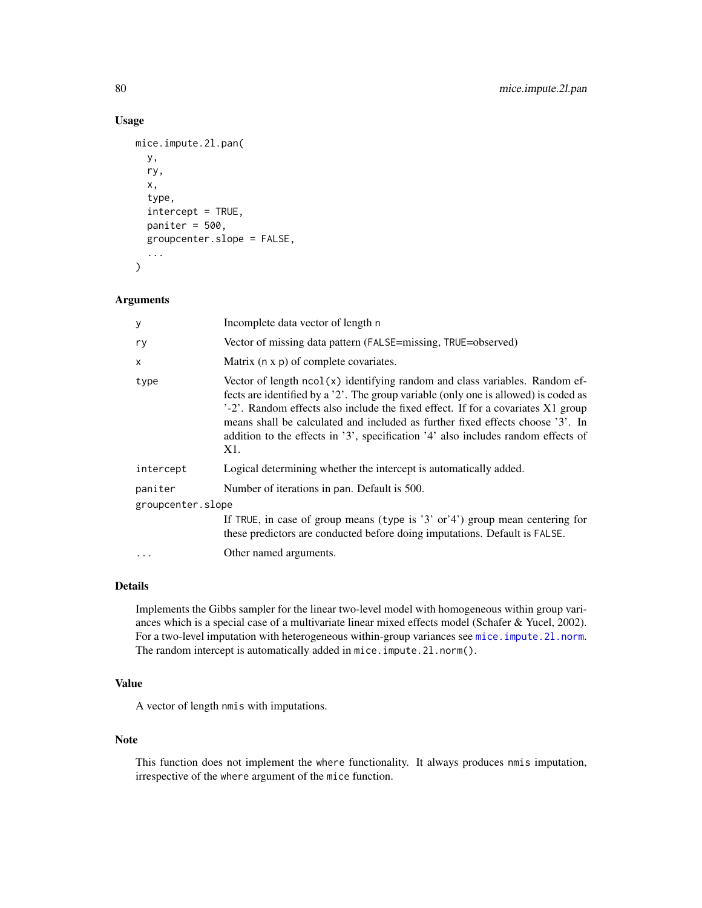# Usage

```
mice.impute.2l.pan(
  y,
  ry,
  x,
  type,
  intercept = TRUE,
  paniter = 500,
  groupcenter.slope = FALSE,
  ...
\mathcal{E}
```
### Arguments

| у                 | Incomplete data vector of length n                                                                                                                                                                                                                                                                                                                                                                                                     |
|-------------------|----------------------------------------------------------------------------------------------------------------------------------------------------------------------------------------------------------------------------------------------------------------------------------------------------------------------------------------------------------------------------------------------------------------------------------------|
| ry                | Vector of missing data pattern (FALSE=missing, TRUE=observed)                                                                                                                                                                                                                                                                                                                                                                          |
| x                 | Matrix (n x p) of complete covariates.                                                                                                                                                                                                                                                                                                                                                                                                 |
| type              | Vector of length $ncol(x)$ identifying random and class variables. Random ef-<br>fects are identified by a '2'. The group variable (only one is allowed) is coded as<br>'-2'. Random effects also include the fixed effect. If for a covariates X1 group<br>means shall be calculated and included as further fixed effects choose '3'. In<br>addition to the effects in '3', specification '4' also includes random effects of<br>X1. |
| intercept         | Logical determining whether the intercept is automatically added.                                                                                                                                                                                                                                                                                                                                                                      |
| paniter           | Number of iterations in pan. Default is 500.                                                                                                                                                                                                                                                                                                                                                                                           |
| groupcenter.slope |                                                                                                                                                                                                                                                                                                                                                                                                                                        |
|                   | If TRUE, in case of group means (type is '3' or'4') group mean centering for<br>these predictors are conducted before doing imputations. Default is FALSE.                                                                                                                                                                                                                                                                             |
| .                 | Other named arguments.                                                                                                                                                                                                                                                                                                                                                                                                                 |

# Details

Implements the Gibbs sampler for the linear two-level model with homogeneous within group variances which is a special case of a multivariate linear mixed effects model (Schafer & Yucel, 2002). For a two-level imputation with heterogeneous within-group variances see mice.impute.21.norm. The random intercept is automatically added in mice.impute.2l.norm().

# Value

A vector of length nmis with imputations.

# Note

This function does not implement the where functionality. It always produces nmis imputation, irrespective of the where argument of the mice function.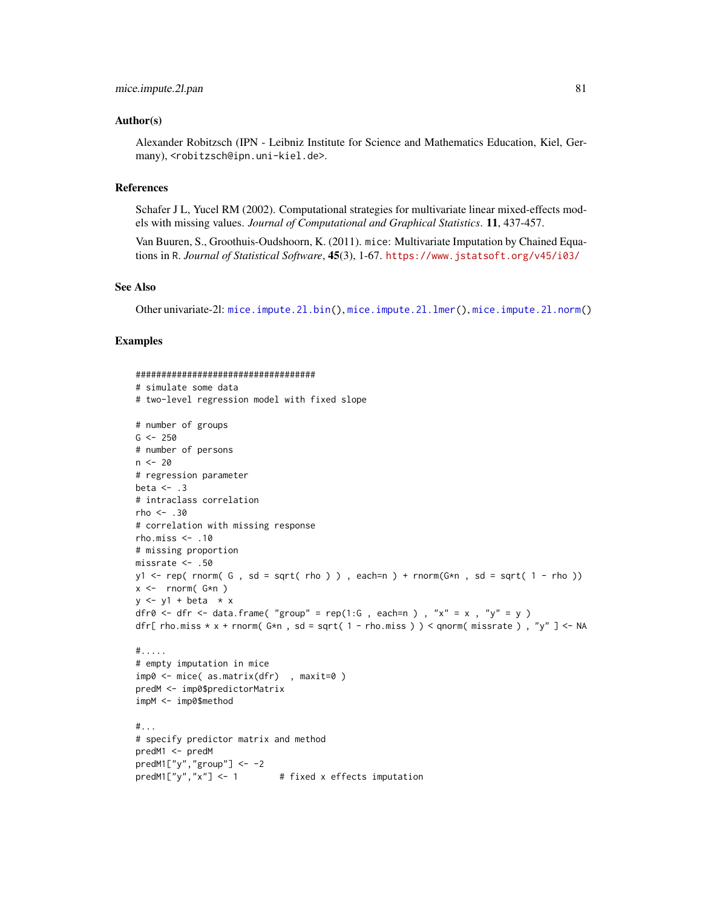### Author(s)

Alexander Robitzsch (IPN - Leibniz Institute for Science and Mathematics Education, Kiel, Germany), <robitzsch@ipn.uni-kiel.de>.

# References

Schafer J L, Yucel RM (2002). Computational strategies for multivariate linear mixed-effects models with missing values. *Journal of Computational and Graphical Statistics*. 11, 437-457.

Van Buuren, S., Groothuis-Oudshoorn, K. (2011). mice: Multivariate Imputation by Chained Equations in R. *Journal of Statistical Software*, 45(3), 1-67. <https://www.jstatsoft.org/v45/i03/>

### See Also

Other univariate-2l: [mice.impute.2l.bin\(](#page-74-0)), [mice.impute.2l.lmer\(](#page-76-0)), [mice.impute.2l.norm\(](#page-77-0))

### Examples

```
###################################
# simulate some data
# two-level regression model with fixed slope
# number of groups
G < -250# number of persons
n < -20# regression parameter
beta <-3# intraclass correlation
rho <- .30
# correlation with missing response
rho.miss \leq -10# missing proportion
missrate <- .50
y1 \leq rep(\text{rnorm}(\text{G}, sd = sqrt(\text{rho})), each=n) + rnorm(G*n, sd = sqrt( 1 - rho ))
x \le - rnorm(G*n)
y \le y1 + \text{beta} \times xdfr0 <- dfr <- data.frame( "group" = rep(1:G, each=n), "x" = x, "y" = y)
dfr[ rho.miss * x + rnorm( G* n , sd = sqrt( 1 - rho.miss ) ) < qnorm( missrate ) , "y" ] <- NA
#.....
# empty imputation in mice
imp0 <- mice( as.matrix(dfr) , maxit=0 )
predM <- imp0$predictorMatrix
impM <- imp0$method
#...
# specify predictor matrix and method
predM1 <- predM
predM1['y", "group"] < - -2predM1["y", "x"] \leftarrow 1 # fixed x effects imputation
```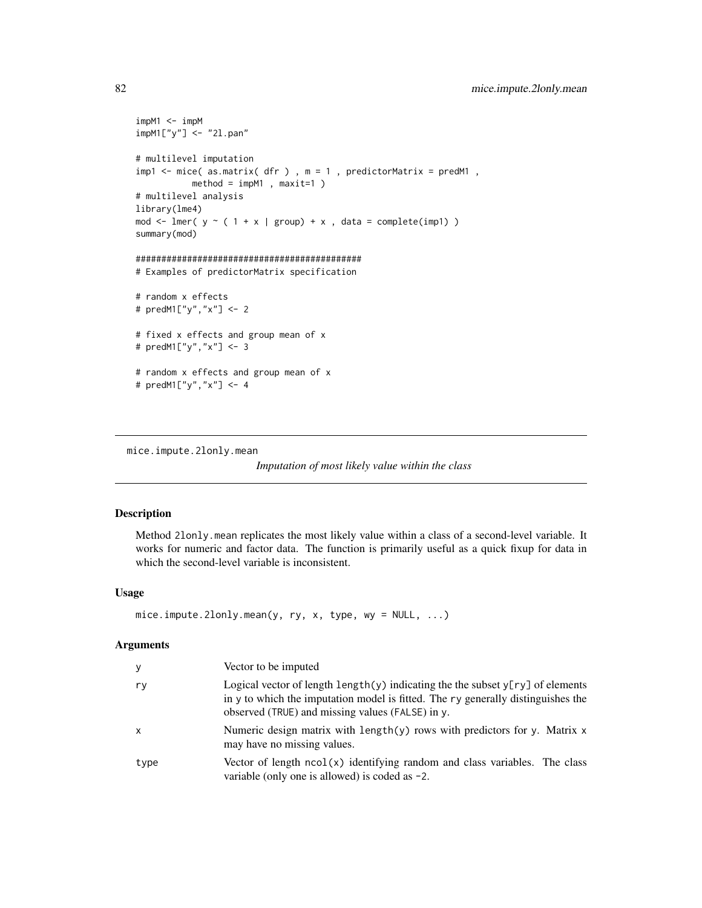```
impM1 < -impMimpM1["y"] <- "2l.pan"
# multilevel imputation
impl \leftarrow mice( as.matrix( dfr ), m = 1, predictorMatrix = predM1,
           method = impM1 , maxit=1 )
# multilevel analysis
library(lme4)
mod \le - lmer( y \sim ( 1 + x | group) + x, data = complete(imp1) )
summary(mod)
############################################
# Examples of predictorMatrix specification
# random x effects
# predM1["y","x"] <- 2
# fixed x effects and group mean of x
# predM1["y","x"] <- 3
# random x effects and group mean of x
# predM1["y","x"] <- 4
```
<span id="page-81-0"></span>mice.impute.2lonly.mean

*Imputation of most likely value within the class*

### Description

Method 2lonly.mean replicates the most likely value within a class of a second-level variable. It works for numeric and factor data. The function is primarily useful as a quick fixup for data in which the second-level variable is inconsistent.

### Usage

```
mice. impute.2lonly.mean(y, ry, x, type, wy = NULL, \ldots)
```

| y    | Vector to be imputed                                                                                                                                                                                                     |
|------|--------------------------------------------------------------------------------------------------------------------------------------------------------------------------------------------------------------------------|
| ry   | Logical vector of length length(y) indicating the the subset $y[ry]$ of elements<br>in y to which the imputation model is fitted. The ry generally distinguishes the<br>observed (TRUE) and missing values (FALSE) in y. |
| X    | Numeric design matrix with length(y) rows with predictors for y. Matrix $x$<br>may have no missing values.                                                                                                               |
| type | Vector of length $ncol(x)$ identifying random and class variables. The class<br>variable (only one is allowed) is coded as $-2$ .                                                                                        |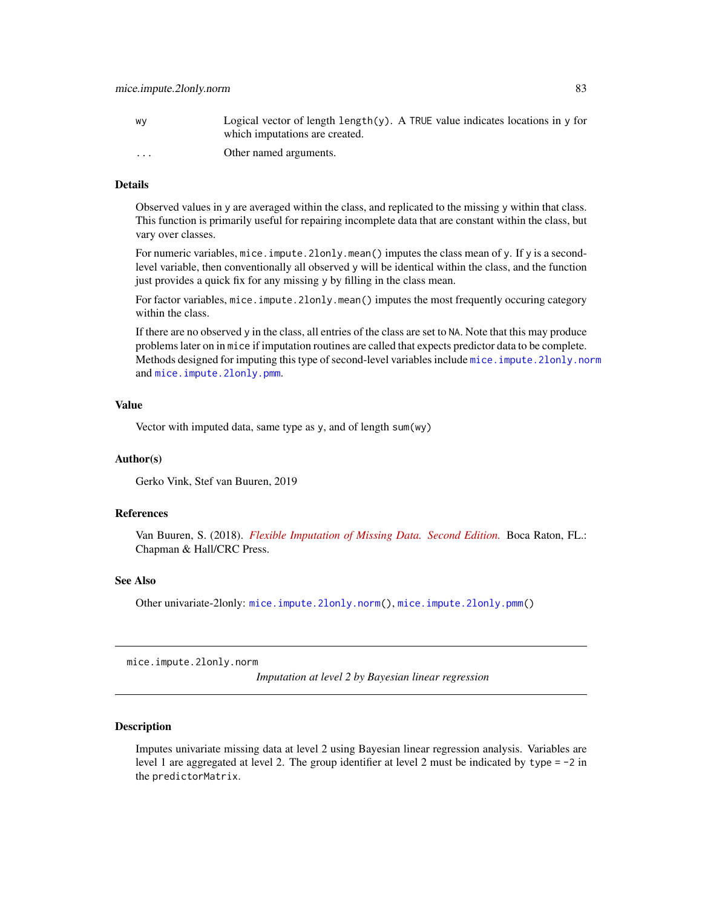| W٧                      | Logical vector of length length $(y)$ . A TRUE value indicates locations in y for<br>which imputations are created. |
|-------------------------|---------------------------------------------------------------------------------------------------------------------|
| $\cdot$ $\cdot$ $\cdot$ | Other named arguments.                                                                                              |

### Details

Observed values in y are averaged within the class, and replicated to the missing y within that class. This function is primarily useful for repairing incomplete data that are constant within the class, but vary over classes.

For numeric variables, mice. impute. 21 only. mean() imputes the class mean of y. If y is a secondlevel variable, then conventionally all observed y will be identical within the class, and the function just provides a quick fix for any missing y by filling in the class mean.

For factor variables, mice.impute.2lonly.mean() imputes the most frequently occuring category within the class.

If there are no observed y in the class, all entries of the class are set to NA. Note that this may produce problems later on in mice if imputation routines are called that expects predictor data to be complete. Methods designed for imputing this type of second-level variables include mice. impute. 2lonly.norm and [mice.impute.2lonly.pmm](#page-85-0).

#### Value

Vector with imputed data, same type as y, and of length sum(wy)

### Author(s)

Gerko Vink, Stef van Buuren, 2019

### References

Van Buuren, S. (2018). *[Flexible Imputation of Missing Data. Second Edition.](https://stefvanbuuren.name/fimd/sec-level2pred.html)* Boca Raton, FL.: Chapman & Hall/CRC Press.

### See Also

Other univariate-2lonly: [mice.impute.2lonly.norm\(](#page-82-0)), [mice.impute.2lonly.pmm\(](#page-85-0))

<span id="page-82-0"></span>mice.impute.2lonly.norm

*Imputation at level 2 by Bayesian linear regression*

# Description

Imputes univariate missing data at level 2 using Bayesian linear regression analysis. Variables are level 1 are aggregated at level 2. The group identifier at level 2 must be indicated by type = -2 in the predictorMatrix.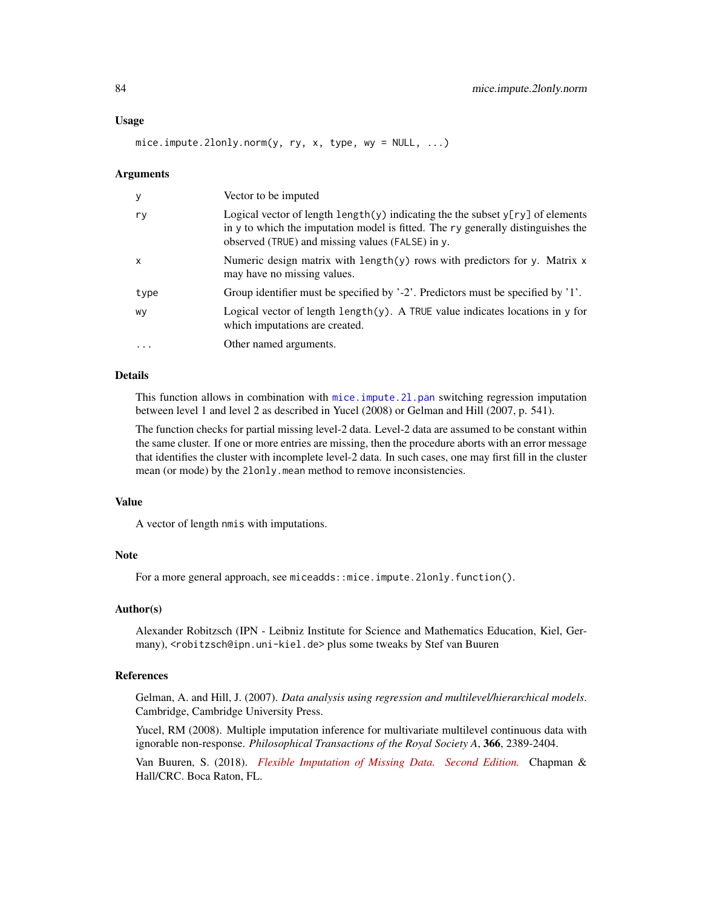mice.impute.2lonly.norm(y, ry, x, type, wy = NULL, ...)

#### Arguments

| y            | Vector to be imputed                                                                                                                                                                                                                             |
|--------------|--------------------------------------------------------------------------------------------------------------------------------------------------------------------------------------------------------------------------------------------------|
| ry           | Logical vector of length $\lceil \psi \rceil$ indicating the the subset $\lceil \psi \rceil$ of elements<br>in y to which the imputation model is fitted. The ry generally distinguishes the<br>observed (TRUE) and missing values (FALSE) in y. |
| $\mathsf{x}$ | Numeric design matrix with $length(y)$ rows with predictors for y. Matrix $x$<br>may have no missing values.                                                                                                                                     |
| type         | Group identifier must be specified by $2$ . Predictors must be specified by $1$ .                                                                                                                                                                |
| WV           | Logical vector of length $\text{length}(y)$ . A TRUE value indicates locations in y for<br>which imputations are created.                                                                                                                        |
| $\ddotsc$    | Other named arguments.                                                                                                                                                                                                                           |

### Details

This function allows in combination with mice.impute.21.pan switching regression imputation between level 1 and level 2 as described in Yucel (2008) or Gelman and Hill (2007, p. 541).

The function checks for partial missing level-2 data. Level-2 data are assumed to be constant within the same cluster. If one or more entries are missing, then the procedure aborts with an error message that identifies the cluster with incomplete level-2 data. In such cases, one may first fill in the cluster mean (or mode) by the 2lonly.mean method to remove inconsistencies.

#### Value

A vector of length nmis with imputations.

# Note

For a more general approach, see miceadds::mice.impute.2lonly.function().

### Author(s)

Alexander Robitzsch (IPN - Leibniz Institute for Science and Mathematics Education, Kiel, Germany), <robitzsch@ipn.uni-kiel.de> plus some tweaks by Stef van Buuren

# References

Gelman, A. and Hill, J. (2007). *Data analysis using regression and multilevel/hierarchical models*. Cambridge, Cambridge University Press.

Yucel, RM (2008). Multiple imputation inference for multivariate multilevel continuous data with ignorable non-response. *Philosophical Transactions of the Royal Society A*, 366, 2389-2404.

Van Buuren, S. (2018). *[Flexible Imputation of Missing Data. Second Edition.](https://stefvanbuuren.name/fimd/sec-level2pred.html)* Chapman & Hall/CRC. Boca Raton, FL.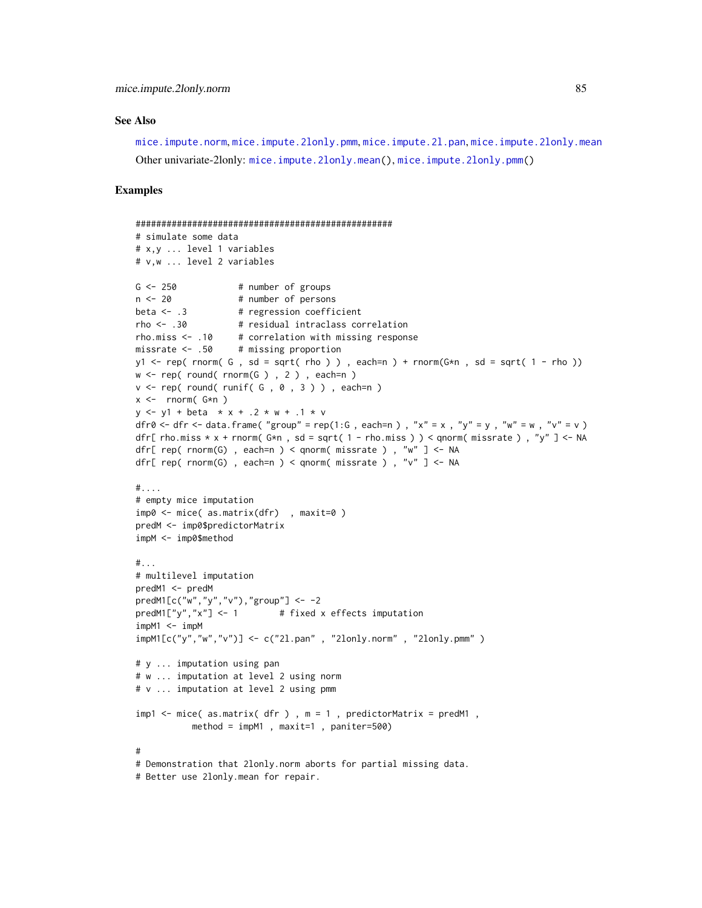#### See Also

[mice.impute.norm](#page-102-0), [mice.impute.2lonly.pmm](#page-85-0), [mice.impute.2l.pan](#page-78-0), [mice.impute.2lonly.mean](#page-81-0) Other univariate-2lonly: [mice.impute.2lonly.mean\(](#page-81-0)), [mice.impute.2lonly.pmm\(](#page-85-0))

#### Examples

```
##################################################
# simulate some data
# x,y ... level 1 variables
# v,w ... level 2 variables
G \le -250 # number of groups
n < -20 # number of persons
beta \leftarrow .3 \qquad # regression coefficient
rho <- .30 # residual intraclass correlation
rho.miss \leq -10 # correlation with missing response
missrate <- .50 # missing proportion
y1 <- rep( rnorm( G , sd = sqrt( rho ) ) , each=n ) + rnorm(G*n , sd = sqrt( 1 - rho ))
w \leq rep(\text{round}(\text{rnorm}(G), 2), \text{each=n})v \leq rep(\text{round}(\text{runif}(\mathsf{G}, \emptyset, 3)), each=n)
x \le - rnorm(G*n)
y \le -y1 + \text{beta} \times x + .2 \times w + .1 \times vdfr0 \lt- dfr \lt- data.frame( "group" = rep(1:G, each=n), "x" = x, "y" = y, "w" = w, "v" = v)
dfr[ rho.miss * x + rnorm( G* n, sd = sqrt( 1 - rho.miss ) ) < qnorm( missrate ), "y" ] <- NA
dfr[ rep( rnorm(G), each=n ) < qnorm( missrate ), "w" ] <- NA
dfr[ rep( rnorm(G) , each=n ) < qnorm( missrate ) , "v" ] <- NA
#....
# empty mice imputation
imp0 <- mice( as.matrix(dfr) , maxit=0 )
predM <- imp0$predictorMatrix
impM <- imp0$method
#...
# multilevel imputation
predM1 <- predM
predM1[c("w","y","v"),"group"] <- -2
predM1["y", "x"] \leftarrow 1 # fixed x effects imputation
impM1 < - impMimpM1[c("y","w","v")] <- c("2l.pan" , "2lonly.norm" , "2lonly.pmm" )
# y ... imputation using pan
# w ... imputation at level 2 using norm
# v ... imputation at level 2 using pmm
imp1 < - mice( as.matrix( dfr ), m = 1, predictorMatrix = predM1,
           method = impM1 , maxit=1 , paniter=500)
#
# Demonstration that 2lonly.norm aborts for partial missing data.
# Better use 2lonly.mean for repair.
```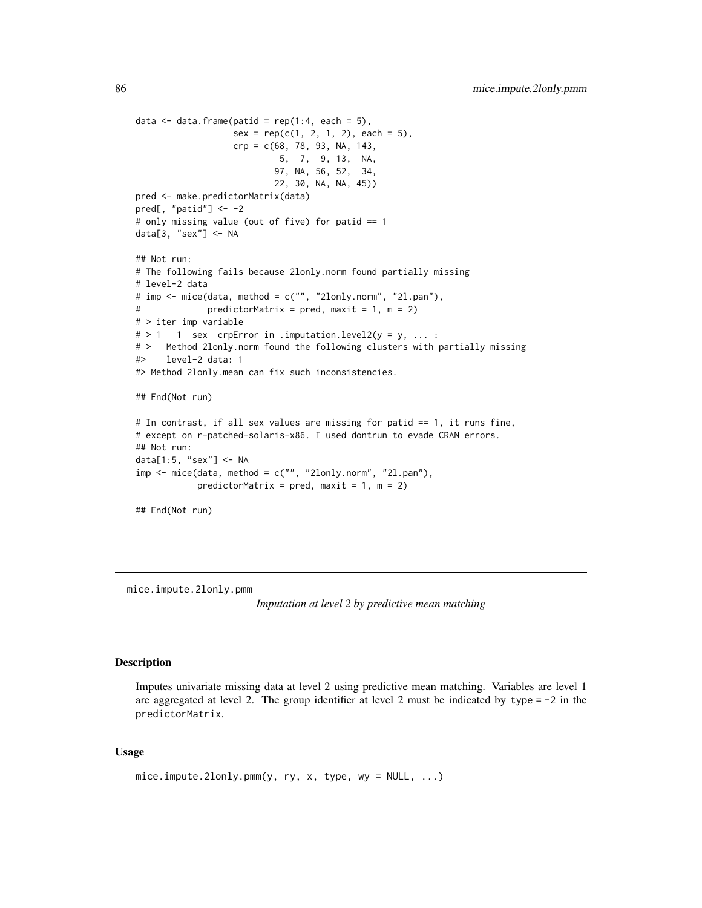```
data \leq data.frame(patid = rep(1:4, each = 5),
                  sex = rep(c(1, 2, 1, 2), each = 5),crp = c(68, 78, 93, NA, 143,
                           5, 7, 9, 13, NA,
                          97, NA, 56, 52, 34,
                          22, 30, NA, NA, 45))
pred <- make.predictorMatrix(data)
pred[, "patid"] <- -2
# only missing value (out of five) for patid == 1
data[3, "sex"] <- NA
## Not run:
# The following fails because 2lonly.norm found partially missing
# level-2 data
# imp <- mice(data, method = c("", "2lonly.norm", "2l.pan"),
# predictorMatrix = pred, maxit = 1, m = 2)
# > iter imp variable
# > 1 1 sex crpError in .imputation.level2(y = y, ... :# > Method 2lonly.norm found the following clusters with partially missing
#> level-2 data: 1
#> Method 2lonly.mean can fix such inconsistencies.
## End(Not run)
# In contrast, if all sex values are missing for patid == 1, it runs fine,
# except on r-patched-solaris-x86. I used dontrun to evade CRAN errors.
## Not run:
data[1:5, "sex"] <- NA
imp <- mice(data, method = c("", "2lonly.norm", "2l.pan"),
           predictorMatrix = pred, maxit = 1, m = 2)## End(Not run)
```
<span id="page-85-0"></span>mice.impute.2lonly.pmm

*Imputation at level 2 by predictive mean matching*

# Description

Imputes univariate missing data at level 2 using predictive mean matching. Variables are level 1 are aggregated at level 2. The group identifier at level 2 must be indicated by type  $= -2$  in the predictorMatrix.

### Usage

```
mice. impute.2lonly.pmm(y, ry, x, type, wy = NULL, \ldots)
```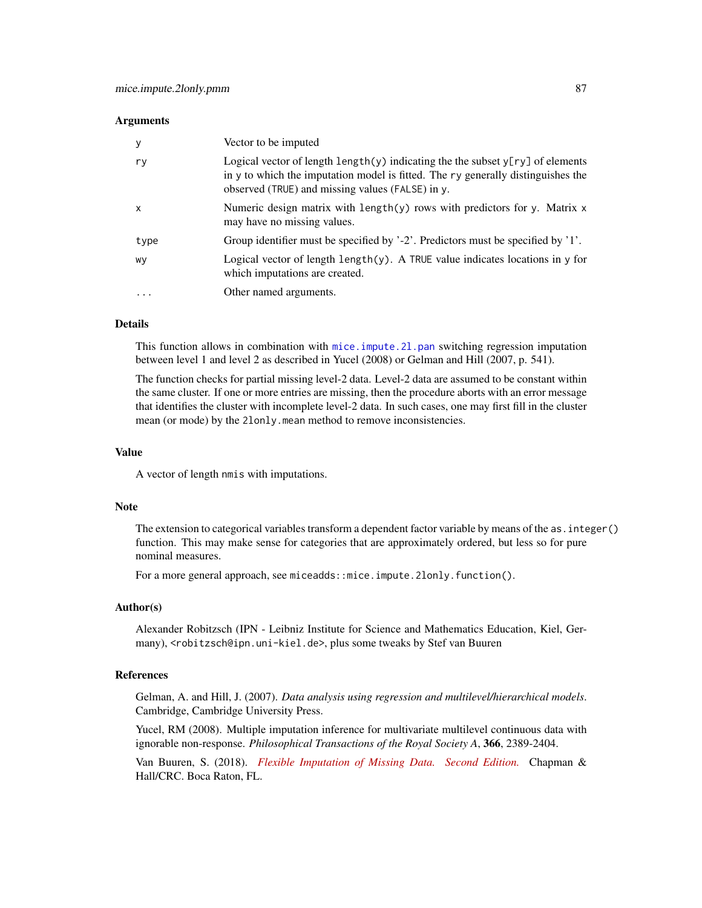#### **Arguments**

|           | Vector to be imputed                                                                                                                                                                                                              |
|-----------|-----------------------------------------------------------------------------------------------------------------------------------------------------------------------------------------------------------------------------------|
| ry        | Logical vector of length $\text{length}(y)$ indicating the the subset $y[ry]$ of elements<br>in y to which the imputation model is fitted. The ry generally distinguishes the<br>observed (TRUE) and missing values (FALSE) in y. |
| x         | Numeric design matrix with $length(y)$ rows with predictors for y. Matrix $x$<br>may have no missing values.                                                                                                                      |
| type      | Group identifier must be specified by $2$ . Predictors must be specified by $1$ .                                                                                                                                                 |
| wy        | Logical vector of length $length(y)$ . A TRUE value indicates locations in y for<br>which imputations are created.                                                                                                                |
| $\ddotsc$ | Other named arguments.                                                                                                                                                                                                            |

### Details

This function allows in combination with [mice.impute.2l.pan](#page-78-0) switching regression imputation between level 1 and level 2 as described in Yucel (2008) or Gelman and Hill (2007, p. 541).

The function checks for partial missing level-2 data. Level-2 data are assumed to be constant within the same cluster. If one or more entries are missing, then the procedure aborts with an error message that identifies the cluster with incomplete level-2 data. In such cases, one may first fill in the cluster mean (or mode) by the 2lonly.mean method to remove inconsistencies.

### Value

A vector of length nmis with imputations.

### Note

The extension to categorical variables transform a dependent factor variable by means of the as.integer() function. This may make sense for categories that are approximately ordered, but less so for pure nominal measures.

For a more general approach, see miceadds::mice.impute.2lonly.function().

#### Author(s)

Alexander Robitzsch (IPN - Leibniz Institute for Science and Mathematics Education, Kiel, Germany), <robitzsch@ipn.uni-kiel.de>, plus some tweaks by Stef van Buuren

# References

Gelman, A. and Hill, J. (2007). *Data analysis using regression and multilevel/hierarchical models*. Cambridge, Cambridge University Press.

Yucel, RM (2008). Multiple imputation inference for multivariate multilevel continuous data with ignorable non-response. *Philosophical Transactions of the Royal Society A*, 366, 2389-2404.

Van Buuren, S. (2018). *[Flexible Imputation of Missing Data. Second Edition.](https://stefvanbuuren.name/fimd/sec-level2pred.html)* Chapman & Hall/CRC. Boca Raton, FL.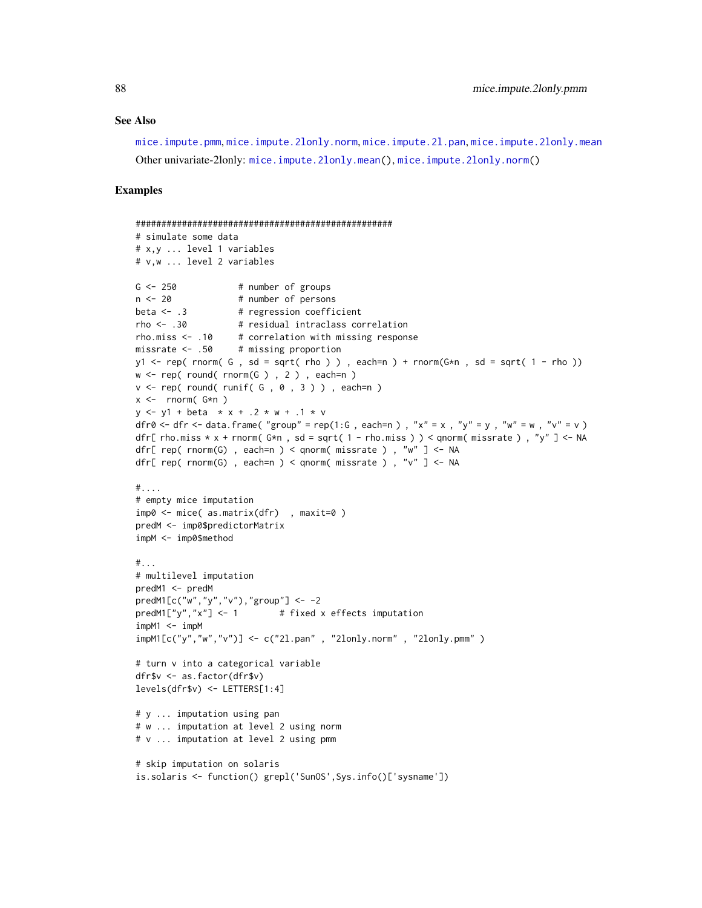#### See Also

[mice.impute.pmm](#page-109-0), [mice.impute.2lonly.norm](#page-82-0), [mice.impute.2l.pan](#page-78-0), [mice.impute.2lonly.mean](#page-81-0) Other univariate-2lonly: [mice.impute.2lonly.mean\(](#page-81-0)), [mice.impute.2lonly.norm\(](#page-82-0))

### Examples

```
##################################################
# simulate some data
# x,y ... level 1 variables
# v,w ... level 2 variables
G \le -250 # number of groups
n < -20 # number of persons
beta \leftarrow .3 \qquad # regression coefficient
rho <- .30 # residual intraclass correlation
rho.miss \leq -10 # correlation with missing response
missrate <- .50 # missing proportion
y1 <- rep( rnorm( G , sd = sqrt( rho ) ) , each=n ) + rnorm(G*n , sd = sqrt( 1 - rho ))
w \leq rep(\text{round}(\text{rnorm}(G), 2), \text{each=n})v \leq rep(\text{round}(\text{runif}(\mathsf{G}, \emptyset, 3)), each=n)
x \le - rnorm(G*n)
y \le -y1 + \text{beta} \times x + .2 \times w + .1 \times vdfr0 \lt- dfr \lt- data.frame( "group" = rep(1:G, each=n), "x" = x, "y" = y, "w" = w, "v" = v)
dfr[ rho.miss * x + rnorm( G* n, sd = sqrt( 1 - rho.miss ) ) < qnorm( missrate ), "y" ] <- NA
dfr[ rep( rnorm(G), each=n ) < qnorm( missrate ), "w" ] <- NA
dfr[ rep( rnorm(G) , each=n ) < qnorm( missrate ) , "v" ] <- NA
#....
# empty mice imputation
imp0 <- mice( as.matrix(dfr) , maxit=0 )
predM <- imp0$predictorMatrix
impM <- imp0$method
#...
# multilevel imputation
predM1 <- predM
predM1[c("w","y","v"),"group"] <- -2
predM1["y", "x"] \leftarrow 1 # fixed x effects imputation
impM1 < - impMimpM1[c("y","w","v")] <- c("2l.pan" , "2lonly.norm" , "2lonly.pmm" )
# turn v into a categorical variable
dfr$v <- as.factor(dfr$v)
levels(dfr$v) <- LETTERS[1:4]
# y ... imputation using pan
# w ... imputation at level 2 using norm
# v ... imputation at level 2 using pmm
# skip imputation on solaris
is.solaris <- function() grepl('SunOS',Sys.info()['sysname'])
```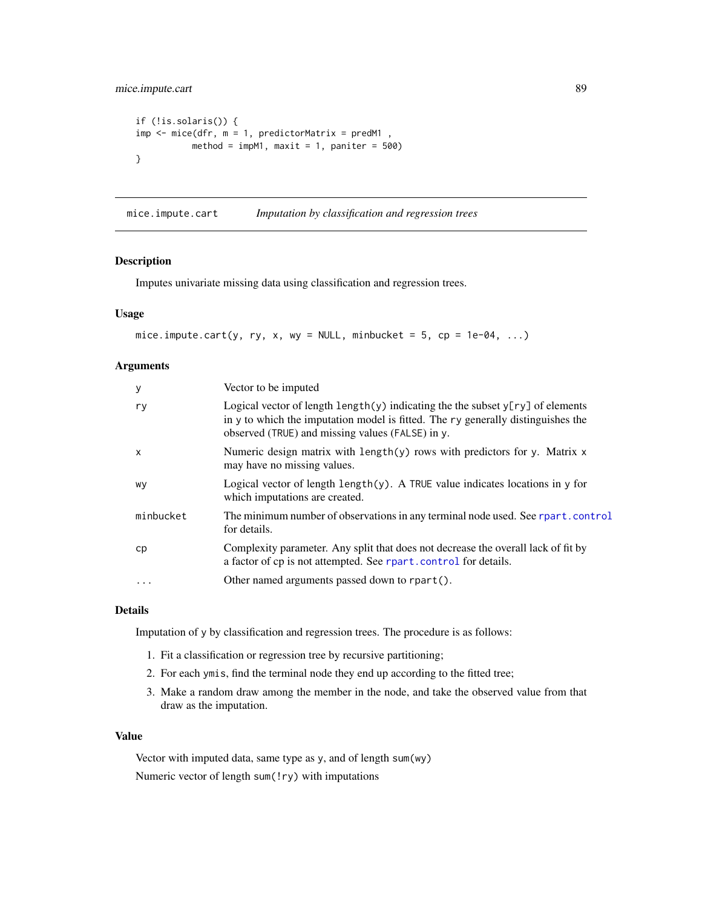# mice.impute.cart 89

```
if (!is.solaris()) {
imp \leftarrow mice(dfr, m = 1, predictorMatrix = predM1,method = impM1, maxit = 1, paniter = 500)
}
```
<span id="page-88-0"></span>mice.impute.cart *Imputation by classification and regression trees*

### Description

Imputes univariate missing data using classification and regression trees.

### Usage

```
mice.impute.cart(y, ry, x, wy = NULL, minbucket = 5, cp = 1e-04, \ldots)
```
# Arguments

| У            | Vector to be imputed                                                                                                                                                                                                     |
|--------------|--------------------------------------------------------------------------------------------------------------------------------------------------------------------------------------------------------------------------|
| ry           | Logical vector of length length(y) indicating the the subset $y[ry]$ of elements<br>in y to which the imputation model is fitted. The ry generally distinguishes the<br>observed (TRUE) and missing values (FALSE) in y. |
| $\mathsf{x}$ | Numeric design matrix with length(y) rows with predictors for y. Matrix x<br>may have no missing values.                                                                                                                 |
| WV           | Logical vector of length $\text{length}(y)$ . A TRUE value indicates locations in y for<br>which imputations are created.                                                                                                |
| minbucket    | The minimum number of observations in any terminal node used. See rpart.control<br>for details.                                                                                                                          |
| cp           | Complexity parameter. Any split that does not decrease the overall lack of fit by<br>a factor of cp is not attempted. See rpart.control for details.                                                                     |
| $\ddots$     | Other named arguments passed down to rpart().                                                                                                                                                                            |
|              |                                                                                                                                                                                                                          |

### Details

Imputation of y by classification and regression trees. The procedure is as follows:

- 1. Fit a classification or regression tree by recursive partitioning;
- 2. For each ymis, find the terminal node they end up according to the fitted tree;
- 3. Make a random draw among the member in the node, and take the observed value from that draw as the imputation.

# Value

Vector with imputed data, same type as y, and of length sum(wy) Numeric vector of length sum(!ry) with imputations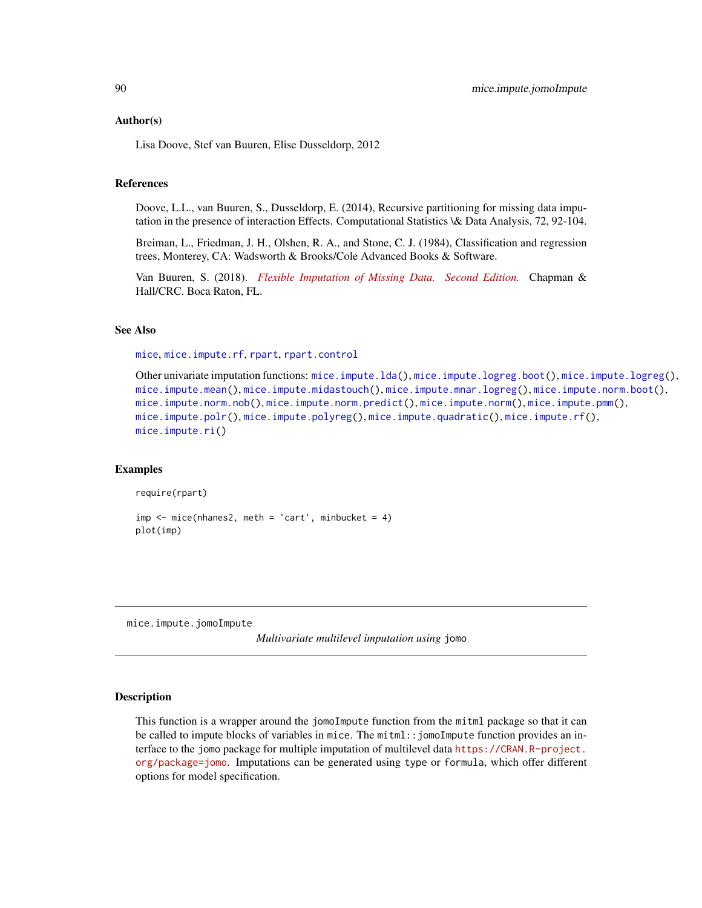#### Author(s)

Lisa Doove, Stef van Buuren, Elise Dusseldorp, 2012

### References

Doove, L.L., van Buuren, S., Dusseldorp, E. (2014), Recursive partitioning for missing data imputation in the presence of interaction Effects. Computational Statistics \& Data Analysis, 72, 92-104.

Breiman, L., Friedman, J. H., Olshen, R. A., and Stone, C. J. (1984), Classification and regression trees, Monterey, CA: Wadsworth & Brooks/Cole Advanced Books & Software.

Van Buuren, S. (2018). *[Flexible Imputation of Missing Data. Second Edition.](https://stefvanbuuren.name/fimd/sec-cart.html)* Chapman & Hall/CRC. Boca Raton, FL.

### See Also

[mice](#page-68-0), [mice.impute.rf](#page-118-0), [rpart](#page-0-0), [rpart.control](#page-0-0)

```
Other univariate imputation functions: mice.impute.lda(), mice.impute.logreg.boot(), mice.impute.logreg(),
mice.impute.mean(), mice.impute.midastouch(), mice.impute.mnar.logreg(), mice.impute.norm.boot(),
mice.impute.norm.nob(), mice.impute.norm.predict(), mice.impute.norm(), mice.impute.pmm(),
mice.impute.polr(), mice.impute.polyreg(), mice.impute.quadratic(), mice.impute.rf(),
mice.impute.ri()
```
#### Examples

require(rpart)

```
imp \leftarrow mice(nhanes2, meth = 'cart', minbucket = 4)plot(imp)
```
mice.impute.jomoImpute

*Multivariate multilevel imputation using* jomo

#### Description

This function is a wrapper around the jomoImpute function from the mitml package so that it can be called to impute blocks of variables in mice. The mitml::jomoImpute function provides an interface to the jomo package for multiple imputation of multilevel data [https://CRAN.R-project.](https://CRAN.R-project.org/package=jomo) [org/package=jomo](https://CRAN.R-project.org/package=jomo). Imputations can be generated using type or formula, which offer different options for model specification.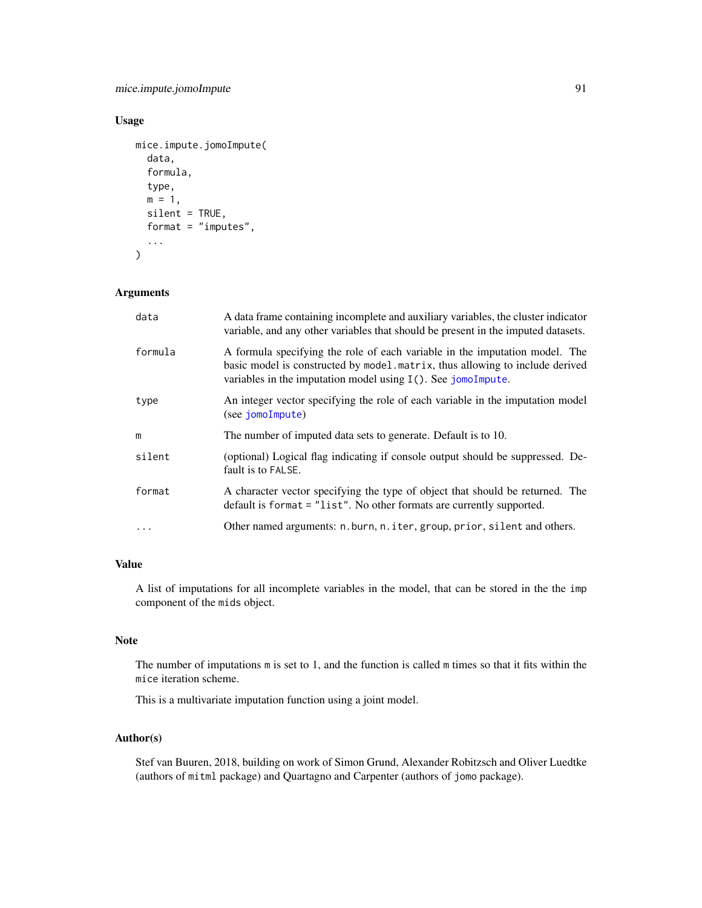mice.impute.jomoImpute 91

# Usage

```
mice.impute.jomoImpute(
  data,
  formula,
  type,
 m = 1,
  silent = TRUE,
  format = "imputes",...
)
```
# Arguments

| data    | A data frame containing incomplete and auxiliary variables, the cluster indicator<br>variable, and any other variables that should be present in the imputed datasets.                                                          |
|---------|---------------------------------------------------------------------------------------------------------------------------------------------------------------------------------------------------------------------------------|
| formula | A formula specifying the role of each variable in the imputation model. The<br>basic model is constructed by model matrix, thus allowing to include derived<br>variables in the imputation model using $I(.)$ . See jomoImpute. |
| type    | An integer vector specifying the role of each variable in the imputation model<br>(see jomoImpute)                                                                                                                              |
| m       | The number of imputed data sets to generate. Default is to 10.                                                                                                                                                                  |
| silent  | (optional) Logical flag indicating if console output should be suppressed. De-<br>fault is to FALSE.                                                                                                                            |
| format  | A character vector specifying the type of object that should be returned. The<br>default is format = "list". No other formats are currently supported.                                                                          |
|         | Other named arguments: n.burn, n.iter, group, prior, silent and others.                                                                                                                                                         |

# Value

A list of imputations for all incomplete variables in the model, that can be stored in the the imp component of the mids object.

### Note

The number of imputations m is set to 1, and the function is called m times so that it fits within the mice iteration scheme.

This is a multivariate imputation function using a joint model.

# Author(s)

Stef van Buuren, 2018, building on work of Simon Grund, Alexander Robitzsch and Oliver Luedtke (authors of mitml package) and Quartagno and Carpenter (authors of jomo package).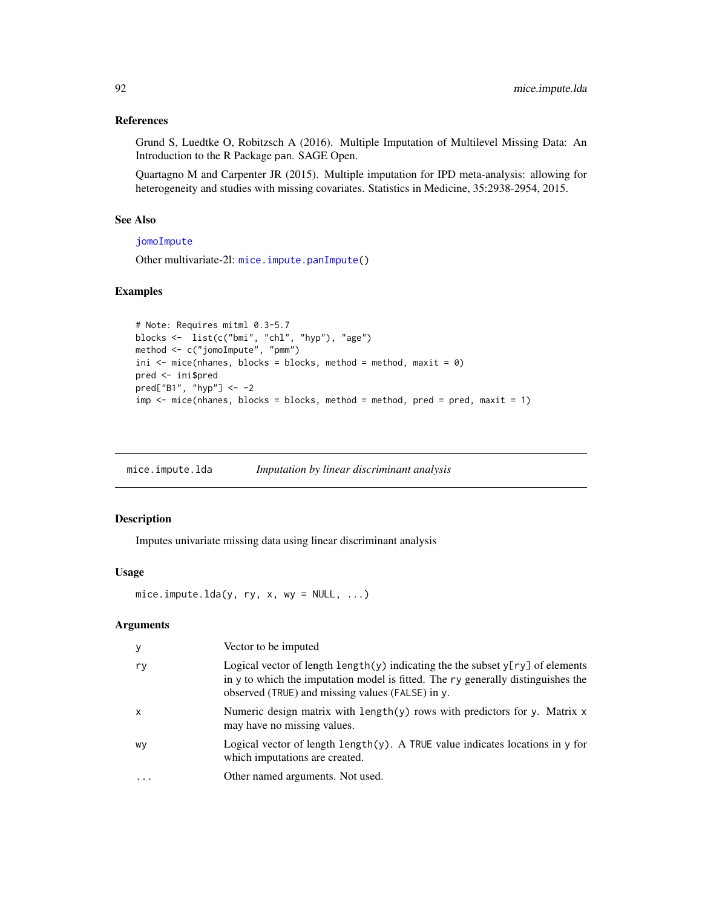### References

Grund S, Luedtke O, Robitzsch A (2016). Multiple Imputation of Multilevel Missing Data: An Introduction to the R Package pan. SAGE Open.

Quartagno M and Carpenter JR (2015). Multiple imputation for IPD meta-analysis: allowing for heterogeneity and studies with missing covariates. Statistics in Medicine, 35:2938-2954, 2015.

# See Also

# [jomoImpute](#page-0-0)

Other multivariate-2l: [mice.impute.panImpute\(](#page-107-0))

# Examples

```
# Note: Requires mitml 0.3-5.7
blocks <- list(c("bmi", "chl", "hyp"), "age")
method <- c("jomoImpute", "pmm")
ini \leq mice(nhanes, blocks = blocks, method = method, maxit = 0)
pred <- ini$pred
pred["B1", "hyp"] <- -2
imp \leq mice(nhanes, blocks = blocks, method = method, pred = pred, maxit = 1)
```
<span id="page-91-0"></span>mice.impute.lda *Imputation by linear discriminant analysis*

# Description

Imputes univariate missing data using linear discriminant analysis

## Usage

```
mice.impute.lda(y, ry, x, wy = NULL, ...)
```

| У         | Vector to be imputed                                                                                                                                                                                                     |
|-----------|--------------------------------------------------------------------------------------------------------------------------------------------------------------------------------------------------------------------------|
| ry        | Logical vector of length length(y) indicating the the subset $y[ry]$ of elements<br>in y to which the imputation model is fitted. The ry generally distinguishes the<br>observed (TRUE) and missing values (FALSE) in y. |
| $\times$  | Numeric design matrix with length(y) rows with predictors for y. Matrix x<br>may have no missing values.                                                                                                                 |
| WV        | Logical vector of length $l$ ength $(y)$ . A TRUE value indicates locations in y for<br>which imputations are created.                                                                                                   |
| $\ddotsc$ | Other named arguments. Not used.                                                                                                                                                                                         |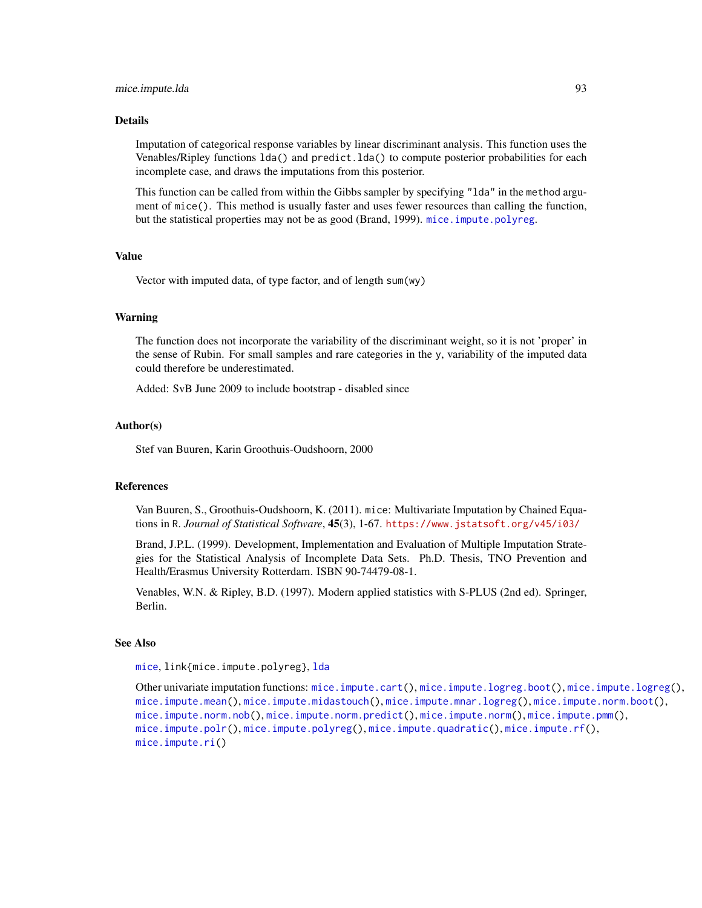#### Details

Imputation of categorical response variables by linear discriminant analysis. This function uses the Venables/Ripley functions lda() and predict.lda() to compute posterior probabilities for each incomplete case, and draws the imputations from this posterior.

This function can be called from within the Gibbs sampler by specifying "lda" in the method argument of mice(). This method is usually faster and uses fewer resources than calling the function, but the statistical properties may not be as good (Brand, 1999). mice. impute.polyreg.

### Value

Vector with imputed data, of type factor, and of length sum(wy)

#### Warning

The function does not incorporate the variability of the discriminant weight, so it is not 'proper' in the sense of Rubin. For small samples and rare categories in the y, variability of the imputed data could therefore be underestimated.

Added: SvB June 2009 to include bootstrap - disabled since

#### Author(s)

Stef van Buuren, Karin Groothuis-Oudshoorn, 2000

### References

Van Buuren, S., Groothuis-Oudshoorn, K. (2011). mice: Multivariate Imputation by Chained Equations in R. *Journal of Statistical Software*, 45(3), 1-67. <https://www.jstatsoft.org/v45/i03/>

Brand, J.P.L. (1999). Development, Implementation and Evaluation of Multiple Imputation Strategies for the Statistical Analysis of Incomplete Data Sets. Ph.D. Thesis, TNO Prevention and Health/Erasmus University Rotterdam. ISBN 90-74479-08-1.

Venables, W.N. & Ripley, B.D. (1997). Modern applied statistics with S-PLUS (2nd ed). Springer, Berlin.

#### See Also

[mice](#page-68-0), link{mice.impute.polyreg}, [lda](#page-0-0)

Other univariate imputation functions: [mice.impute.cart\(](#page-88-0)), [mice.impute.logreg.boot\(](#page-94-0)), [mice.impute.logreg\(](#page-93-0)), [mice.impute.mean\(](#page-95-0)), [mice.impute.midastouch\(](#page-96-0)), [mice.impute.mnar.logreg\(](#page-99-0)), [mice.impute.norm.boot\(](#page-103-0)), [mice.impute.norm.nob\(](#page-104-0)), [mice.impute.norm.predict\(](#page-105-0)), [mice.impute.norm\(](#page-102-0)), [mice.impute.pmm\(](#page-109-0)), [mice.impute.polr\(](#page-112-0)), [mice.impute.polyreg\(](#page-114-0)), [mice.impute.quadratic\(](#page-116-0)), [mice.impute.rf\(](#page-118-0)), [mice.impute.ri\(](#page-119-0))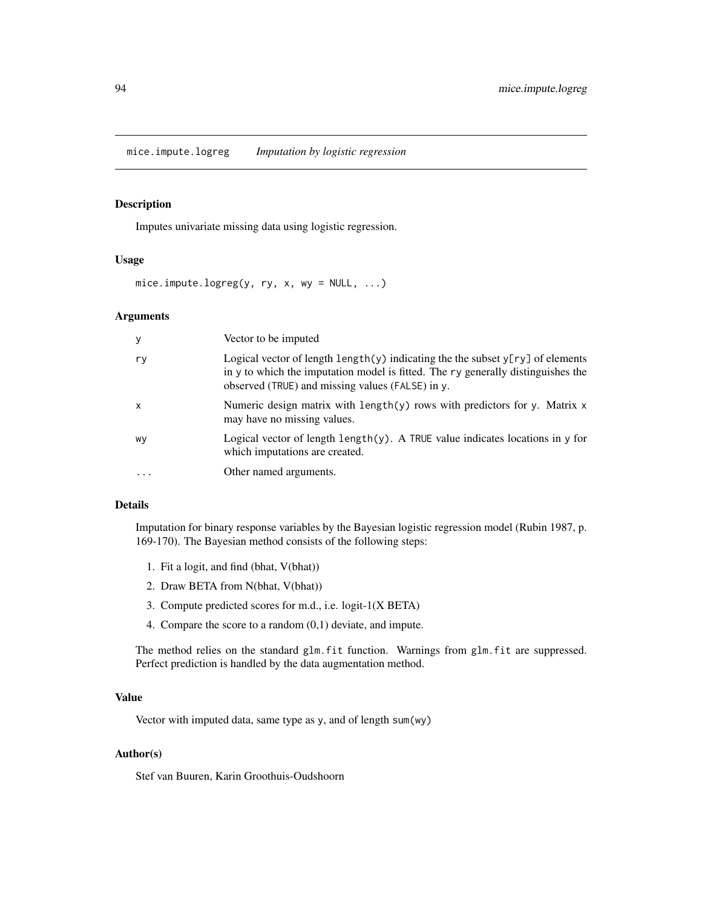<span id="page-93-0"></span>mice.impute.logreg *Imputation by logistic regression*

### Description

Imputes univariate missing data using logistic regression.

### Usage

 $mice.$  impute.logreg(y, ry, x, wy = NULL, ...)

### Arguments

| У         | Vector to be imputed                                                                                                                                                                                                              |
|-----------|-----------------------------------------------------------------------------------------------------------------------------------------------------------------------------------------------------------------------------------|
| r y       | Logical vector of length $\text{length}(y)$ indicating the the subset $y[ry]$ of elements<br>in y to which the imputation model is fitted. The ry generally distinguishes the<br>observed (TRUE) and missing values (FALSE) in y. |
| $\times$  | Numeric design matrix with length(y) rows with predictors for y. Matrix $x$<br>may have no missing values.                                                                                                                        |
| wy        | Logical vector of length length $(y)$ . A TRUE value indicates locations in y for<br>which imputations are created.                                                                                                               |
| $\ddotsc$ | Other named arguments.                                                                                                                                                                                                            |

### Details

Imputation for binary response variables by the Bayesian logistic regression model (Rubin 1987, p. 169-170). The Bayesian method consists of the following steps:

- 1. Fit a logit, and find (bhat, V(bhat))
- 2. Draw BETA from N(bhat, V(bhat))
- 3. Compute predicted scores for m.d., i.e. logit-1(X BETA)
- 4. Compare the score to a random (0,1) deviate, and impute.

The method relies on the standard glm.fit function. Warnings from glm.fit are suppressed. Perfect prediction is handled by the data augmentation method.

### Value

Vector with imputed data, same type as y, and of length sum(wy)

### Author(s)

Stef van Buuren, Karin Groothuis-Oudshoorn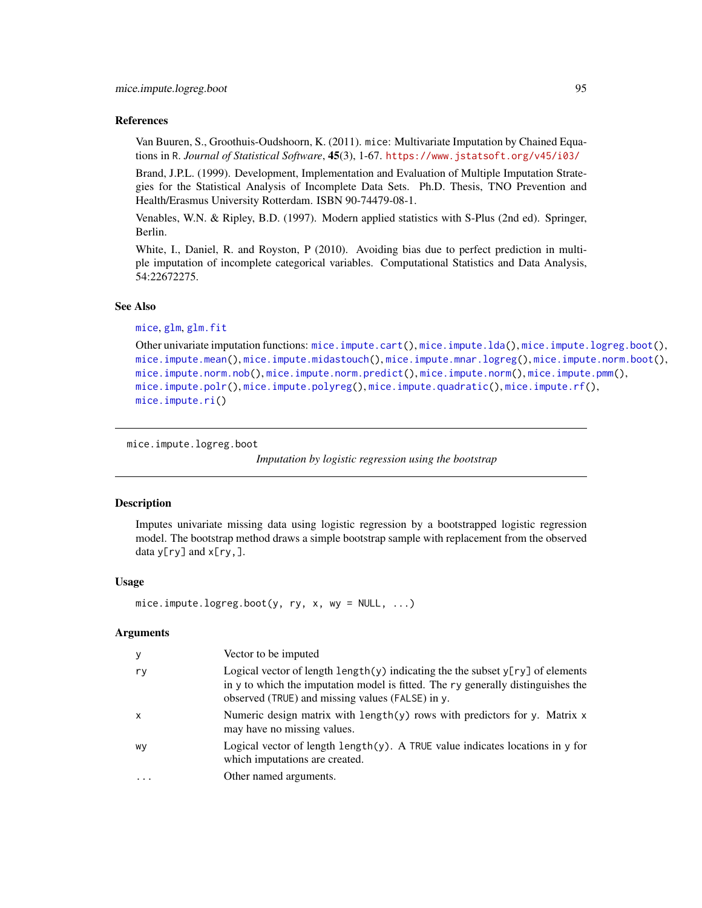### References

Van Buuren, S., Groothuis-Oudshoorn, K. (2011). mice: Multivariate Imputation by Chained Equations in R. *Journal of Statistical Software*, 45(3), 1-67. <https://www.jstatsoft.org/v45/i03/>

Brand, J.P.L. (1999). Development, Implementation and Evaluation of Multiple Imputation Strategies for the Statistical Analysis of Incomplete Data Sets. Ph.D. Thesis, TNO Prevention and Health/Erasmus University Rotterdam. ISBN 90-74479-08-1.

Venables, W.N. & Ripley, B.D. (1997). Modern applied statistics with S-Plus (2nd ed). Springer, Berlin.

White, I., Daniel, R. and Royston, P (2010). Avoiding bias due to perfect prediction in multiple imputation of incomplete categorical variables. Computational Statistics and Data Analysis, 54:22672275.

### See Also

```
mice, glm, glm.fit
```

```
Other univariate imputation functions: mice.impute.cart(), mice.impute.lda(), mice.impute.logreg.boot(),
mice.impute.mean(), mice.impute.midastouch(), mice.impute.mnar.logreg(), mice.impute.norm.boot(),
mice.impute.norm.nob(), mice.impute.norm.predict(), mice.impute.norm(), mice.impute.pmm(),
mice.impute.polr(), mice.impute.polyreg(), mice.impute.quadratic(), mice.impute.rf(),
mice.impute.ri()
```
<span id="page-94-0"></span>mice.impute.logreg.boot

*Imputation by logistic regression using the bootstrap*

### **Description**

Imputes univariate missing data using logistic regression by a bootstrapped logistic regression model. The bootstrap method draws a simple bootstrap sample with replacement from the observed data  $y[ry]$  and  $x[ry]$ .

### Usage

```
mice.impute.logreg.boot(y, ry, x, wy = NULL, ...)
```

| У                         | Vector to be imputed                                                                                                                                                                                                                      |
|---------------------------|-------------------------------------------------------------------------------------------------------------------------------------------------------------------------------------------------------------------------------------------|
| ry                        | Logical vector of length $\lceil \psi \rceil$ indicating the the subset $\gamma$ [ry] of elements<br>in y to which the imputation model is fitted. The ry generally distinguishes the<br>observed (TRUE) and missing values (FALSE) in y. |
| $\boldsymbol{\mathsf{x}}$ | Numeric design matrix with length $(y)$ rows with predictors for y. Matrix x<br>may have no missing values.                                                                                                                               |
| wy                        | Logical vector of length $\text{length}(y)$ . A TRUE value indicates locations in y for<br>which imputations are created.                                                                                                                 |
| $\cdot$                   | Other named arguments.                                                                                                                                                                                                                    |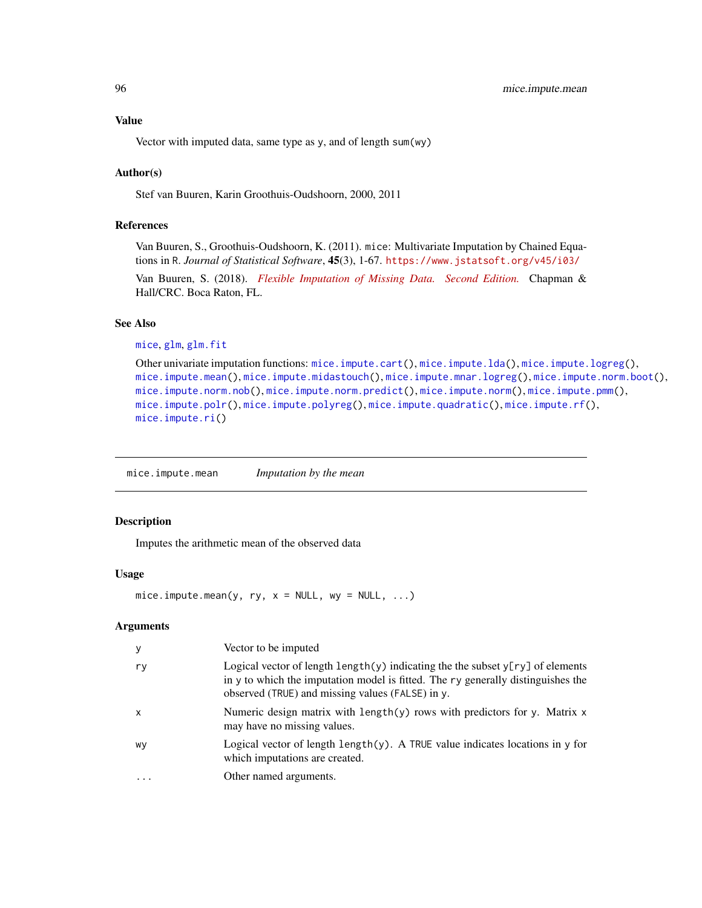# Value

Vector with imputed data, same type as y, and of length sum(wy)

### Author(s)

Stef van Buuren, Karin Groothuis-Oudshoorn, 2000, 2011

### References

Van Buuren, S., Groothuis-Oudshoorn, K. (2011). mice: Multivariate Imputation by Chained Equations in R. *Journal of Statistical Software*, 45(3), 1-67. <https://www.jstatsoft.org/v45/i03/>

Van Buuren, S. (2018). *[Flexible Imputation of Missing Data. Second Edition.](https://stefvanbuuren.name/fimd/sec-categorical.html)* Chapman & Hall/CRC. Boca Raton, FL.

# See Also

```
mice, glm, glm.fit
```

```
Other univariate imputation functions: mice.impute.cart(), mice.impute.lda(), mice.impute.logreg(),
mice.impute.mean(), mice.impute.midastouch(), mice.impute.mnar.logreg(), mice.impute.norm.boot(),
mice.impute.norm.nob(), mice.impute.norm.predict(), mice.impute.norm(), mice.impute.pmm(),
mice.impute.polr(), mice.impute.polyreg(), mice.impute.quadratic(), mice.impute.rf(),
mice.impute.ri()
```
<span id="page-95-0"></span>mice.impute.mean *Imputation by the mean*

### Description

Imputes the arithmetic mean of the observed data

### Usage

mice.impute.mean(y, ry,  $x = NULL$ , wy = NULL, ...)

| у         | Vector to be imputed                                                                                                                                                                                                              |
|-----------|-----------------------------------------------------------------------------------------------------------------------------------------------------------------------------------------------------------------------------------|
| ry        | Logical vector of length $\text{length}(y)$ indicating the the subset $y[ry]$ of elements<br>in y to which the imputation model is fitted. The ry generally distinguishes the<br>observed (TRUE) and missing values (FALSE) in y. |
| $\times$  | Numeric design matrix with length $(y)$ rows with predictors for y. Matrix x<br>may have no missing values.                                                                                                                       |
| wy        | Logical vector of length $\text{length}(y)$ . A TRUE value indicates locations in y for<br>which imputations are created.                                                                                                         |
| $\ddotsc$ | Other named arguments.                                                                                                                                                                                                            |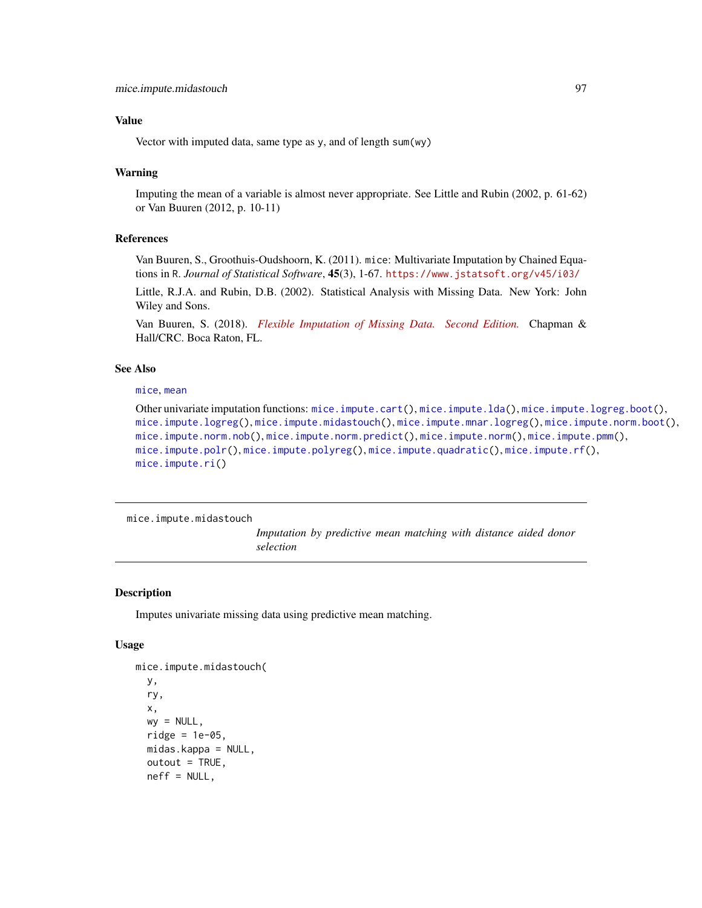# Value

Vector with imputed data, same type as y, and of length sum(wy)

### Warning

Imputing the mean of a variable is almost never appropriate. See Little and Rubin (2002, p. 61-62) or Van Buuren (2012, p. 10-11)

### References

Van Buuren, S., Groothuis-Oudshoorn, K. (2011). mice: Multivariate Imputation by Chained Equations in R. *Journal of Statistical Software*, 45(3), 1-67. <https://www.jstatsoft.org/v45/i03/>

Little, R.J.A. and Rubin, D.B. (2002). Statistical Analysis with Missing Data. New York: John Wiley and Sons.

Van Buuren, S. (2018). *[Flexible Imputation of Missing Data. Second Edition.](https://stefvanbuuren.name/fimd/sec-simplesolutions.html#sec:meanimp)* Chapman & Hall/CRC. Boca Raton, FL.

### See Also

### [mice](#page-68-0), [mean](#page-0-0)

Other univariate imputation functions: [mice.impute.cart\(](#page-88-0)), [mice.impute.lda\(](#page-91-0)), [mice.impute.logreg.boot\(](#page-94-0)), [mice.impute.logreg\(](#page-93-0)), [mice.impute.midastouch\(](#page-96-0)), [mice.impute.mnar.logreg\(](#page-99-0)), [mice.impute.norm.boot\(](#page-103-0)), [mice.impute.norm.nob\(](#page-104-0)), [mice.impute.norm.predict\(](#page-105-0)), [mice.impute.norm\(](#page-102-0)), [mice.impute.pmm\(](#page-109-0)), [mice.impute.polr\(](#page-112-0)), [mice.impute.polyreg\(](#page-114-0)), [mice.impute.quadratic\(](#page-116-0)), [mice.impute.rf\(](#page-118-0)), [mice.impute.ri\(](#page-119-0))

<span id="page-96-0"></span>mice.impute.midastouch

*Imputation by predictive mean matching with distance aided donor selection*

### Description

Imputes univariate missing data using predictive mean matching.

### Usage

```
mice.impute.midastouch(
  y,
  ry,
  x,
  wy = NULL,ridge = 1e-05,
  midas.kappa = NULL,
  outout = TRUE,neff = NULL,
```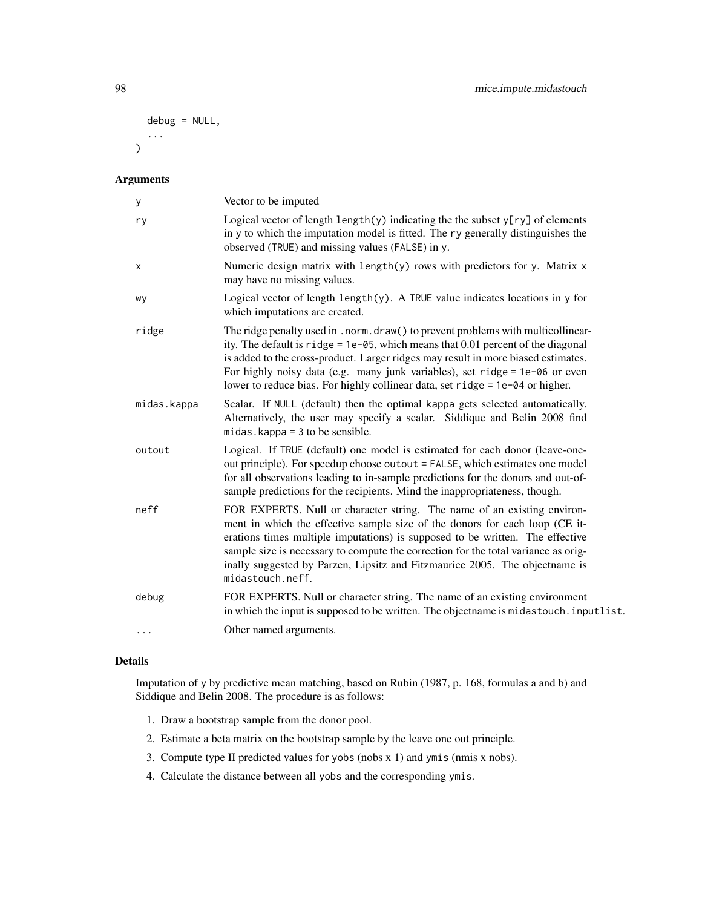```
debug = NULL,
   ...
\mathcal{L}
```
# Arguments

| у           | Vector to be imputed                                                                                                                                                                                                                                                                                                                                                                                                             |
|-------------|----------------------------------------------------------------------------------------------------------------------------------------------------------------------------------------------------------------------------------------------------------------------------------------------------------------------------------------------------------------------------------------------------------------------------------|
| ry          | Logical vector of length $l$ ength $(y)$ indicating the the subset $y[ry]$ of elements<br>in y to which the imputation model is fitted. The ry generally distinguishes the<br>observed (TRUE) and missing values (FALSE) in y.                                                                                                                                                                                                   |
| х           | Numeric design matrix with length(y) rows with predictors for y. Matrix x<br>may have no missing values.                                                                                                                                                                                                                                                                                                                         |
| wy          | Logical vector of length $\text{length}(y)$ . A TRUE value indicates locations in y for<br>which imputations are created.                                                                                                                                                                                                                                                                                                        |
| ridge       | The ridge penalty used in . norm. draw() to prevent problems with multicollinear-<br>ity. The default is $right = 1e-05$ , which means that 0.01 percent of the diagonal<br>is added to the cross-product. Larger ridges may result in more biased estimates.<br>For highly noisy data (e.g. many junk variables), set ridge = $1e$ -06 or even<br>lower to reduce bias. For highly collinear data, set ridge = 1e-04 or higher. |
| midas.kappa | Scalar. If NULL (default) then the optimal kappa gets selected automatically.<br>Alternatively, the user may specify a scalar. Siddique and Belin 2008 find<br>midas.kappa = $3$ to be sensible.                                                                                                                                                                                                                                 |
| outout      | Logical. If TRUE (default) one model is estimated for each donor (leave-one-<br>out principle). For speedup choose outout = FALSE, which estimates one model<br>for all observations leading to in-sample predictions for the donors and out-of-<br>sample predictions for the recipients. Mind the inappropriateness, though.                                                                                                   |
| neff        | FOR EXPERTS. Null or character string. The name of an existing environ-<br>ment in which the effective sample size of the donors for each loop (CE it-<br>erations times multiple imputations) is supposed to be written. The effective<br>sample size is necessary to compute the correction for the total variance as orig-<br>inally suggested by Parzen, Lipsitz and Fitzmaurice 2005. The objectname is<br>midastouch.neff. |
| debug       | FOR EXPERTS. Null or character string. The name of an existing environment<br>in which the input is supposed to be written. The objectname is midastouch. inputlist.                                                                                                                                                                                                                                                             |
|             | Other named arguments.                                                                                                                                                                                                                                                                                                                                                                                                           |

# Details

Imputation of y by predictive mean matching, based on Rubin (1987, p. 168, formulas a and b) and Siddique and Belin 2008. The procedure is as follows:

- 1. Draw a bootstrap sample from the donor pool.
- 2. Estimate a beta matrix on the bootstrap sample by the leave one out principle.
- 3. Compute type II predicted values for yobs (nobs x 1) and ymis (nmis x nobs).
- 4. Calculate the distance between all yobs and the corresponding ymis.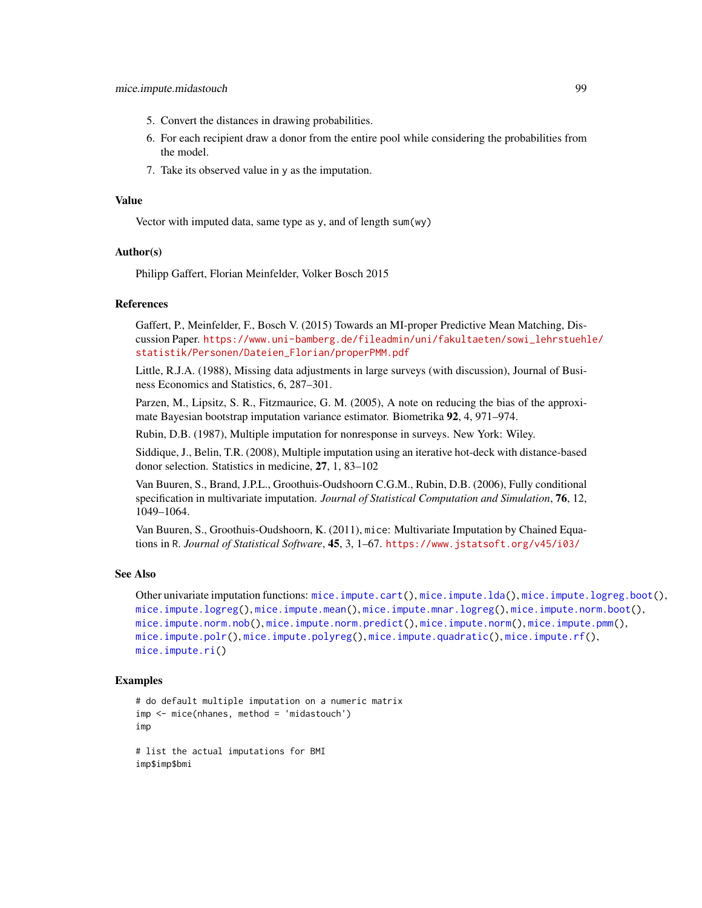- 5. Convert the distances in drawing probabilities.
- 6. For each recipient draw a donor from the entire pool while considering the probabilities from the model.
- 7. Take its observed value in y as the imputation.

#### Value

Vector with imputed data, same type as y, and of length sum(wy)

# Author(s)

Philipp Gaffert, Florian Meinfelder, Volker Bosch 2015

# References

Gaffert, P., Meinfelder, F., Bosch V. (2015) Towards an MI-proper Predictive Mean Matching, Discussion Paper. [https://www.uni-bamberg.de/fileadmin/uni/fakultaeten/sowi\\_lehrstuehl](https://www.uni-bamberg.de/fileadmin/uni/fakultaeten/sowi_lehrstuehle/statistik/Personen/Dateien_Florian/properPMM.pdf)e/ [statistik/Personen/Dateien\\_Florian/properPMM.pdf](https://www.uni-bamberg.de/fileadmin/uni/fakultaeten/sowi_lehrstuehle/statistik/Personen/Dateien_Florian/properPMM.pdf)

Little, R.J.A. (1988), Missing data adjustments in large surveys (with discussion), Journal of Business Economics and Statistics, 6, 287–301.

Parzen, M., Lipsitz, S. R., Fitzmaurice, G. M. (2005), A note on reducing the bias of the approximate Bayesian bootstrap imputation variance estimator. Biometrika 92, 4, 971–974.

Rubin, D.B. (1987), Multiple imputation for nonresponse in surveys. New York: Wiley.

Siddique, J., Belin, T.R. (2008), Multiple imputation using an iterative hot-deck with distance-based donor selection. Statistics in medicine, 27, 1, 83–102

Van Buuren, S., Brand, J.P.L., Groothuis-Oudshoorn C.G.M., Rubin, D.B. (2006), Fully conditional specification in multivariate imputation. *Journal of Statistical Computation and Simulation*, 76, 12, 1049–1064.

Van Buuren, S., Groothuis-Oudshoorn, K. (2011), mice: Multivariate Imputation by Chained Equations in R. *Journal of Statistical Software*, 45, 3, 1–67. <https://www.jstatsoft.org/v45/i03/>

### See Also

Other univariate imputation functions: [mice.impute.cart\(](#page-88-0)), [mice.impute.lda\(](#page-91-0)), [mice.impute.logreg.boot\(](#page-94-0)), [mice.impute.logreg\(](#page-93-0)), [mice.impute.mean\(](#page-95-0)), [mice.impute.mnar.logreg\(](#page-99-0)), [mice.impute.norm.boot\(](#page-103-0)), [mice.impute.norm.nob\(](#page-104-0)), [mice.impute.norm.predict\(](#page-105-0)), [mice.impute.norm\(](#page-102-0)), [mice.impute.pmm\(](#page-109-0)), [mice.impute.polr\(](#page-112-0)), [mice.impute.polyreg\(](#page-114-0)), [mice.impute.quadratic\(](#page-116-0)), [mice.impute.rf\(](#page-118-0)), [mice.impute.ri\(](#page-119-0))

### Examples

```
# do default multiple imputation on a numeric matrix
imp <- mice(nhanes, method = 'midastouch')
imp
```

```
# list the actual imputations for BMI
imp$imp$bmi
```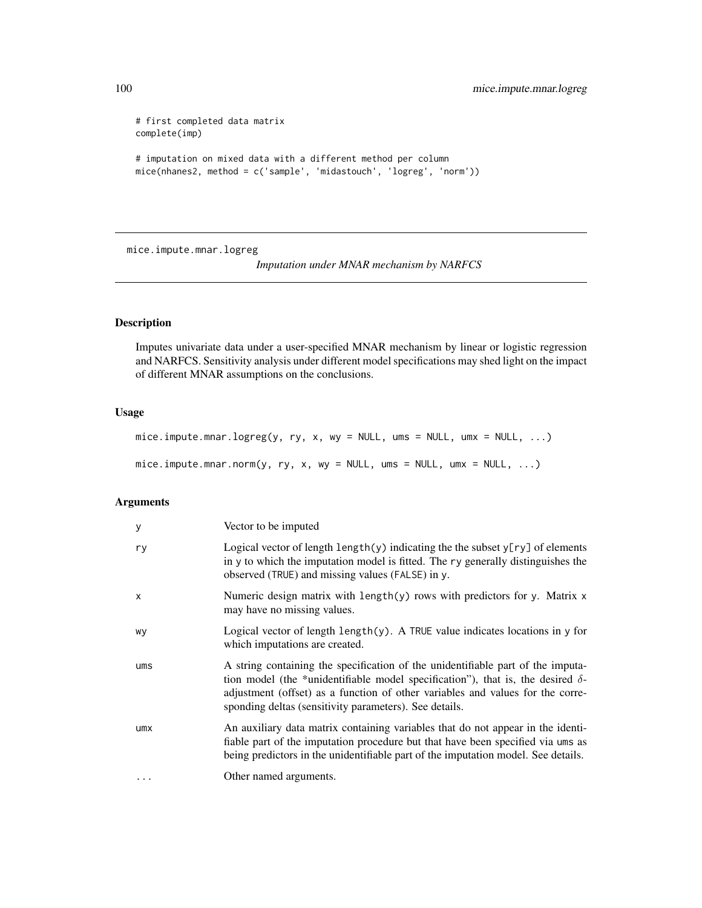```
# first completed data matrix
complete(imp)
# imputation on mixed data with a different method per column
mice(nhanes2, method = c('sample', 'midastouch', 'logreg', 'norm'))
```
<span id="page-99-0"></span>mice.impute.mnar.logreg

*Imputation under MNAR mechanism by NARFCS*

# Description

Imputes univariate data under a user-specified MNAR mechanism by linear or logistic regression and NARFCS. Sensitivity analysis under different model specifications may shed light on the impact of different MNAR assumptions on the conclusions.

# Usage

```
mice. impute.mnar.logreg(y, ry, x, wy = NULL, ums = NULL, umx = NULL, ...)
mice.impute.mnar.norm(y, ry, x, wy = NULL, ums = NULL, umx = NULL, ...)
```

| У            | Vector to be imputed                                                                                                                                                                                                                                                                                                  |
|--------------|-----------------------------------------------------------------------------------------------------------------------------------------------------------------------------------------------------------------------------------------------------------------------------------------------------------------------|
| ry           | Logical vector of length $\text{length}(y)$ indicating the the subset $y[ry]$ of elements<br>in y to which the imputation model is fitted. The ry generally distinguishes the<br>observed (TRUE) and missing values (FALSE) in y.                                                                                     |
| $\mathsf{x}$ | Numeric design matrix with length(y) rows with predictors for y. Matrix x<br>may have no missing values.                                                                                                                                                                                                              |
| wy           | Logical vector of length $length(y)$ . A TRUE value indicates locations in y for<br>which imputations are created.                                                                                                                                                                                                    |
| ums          | A string containing the specification of the unidentifiable part of the imputa-<br>tion model (the *unidentifiable model specification"), that is, the desired $\delta$ -<br>adjustment (offset) as a function of other variables and values for the corre-<br>sponding deltas (sensitivity parameters). See details. |
| umx          | An auxiliary data matrix containing variables that do not appear in the identi-<br>fiable part of the imputation procedure but that have been specified via ums as<br>being predictors in the unidentifiable part of the imputation model. See details.                                                               |
| $\cdots$     | Other named arguments.                                                                                                                                                                                                                                                                                                |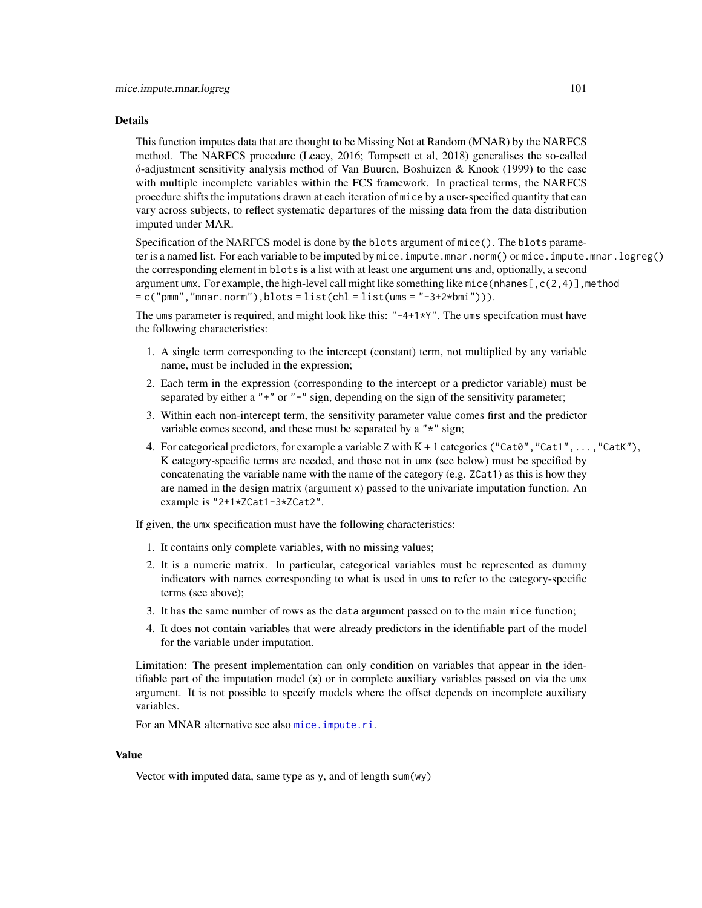### Details

This function imputes data that are thought to be Missing Not at Random (MNAR) by the NARFCS method. The NARFCS procedure (Leacy, 2016; Tompsett et al, 2018) generalises the so-called δ-adjustment sensitivity analysis method of Van Buuren, Boshuizen & Knook (1999) to the case with multiple incomplete variables within the FCS framework. In practical terms, the NARFCS procedure shifts the imputations drawn at each iteration of mice by a user-specified quantity that can vary across subjects, to reflect systematic departures of the missing data from the data distribution imputed under MAR.

Specification of the NARFCS model is done by the blots argument of mice(). The blots parameter is a named list. For each variable to be imputed by mice.impute.mnar.norm() or mice.impute.mnar.logreg() the corresponding element in blots is a list with at least one argument ums and, optionally, a second argument umx. For example, the high-level call might like something like mice (nhanes  $[0, c(2, 4)]$ , method  $= c("pmm", "mnar.norm"), blots = list(chl = list(ums = "-3+2*bmi"))$ .

The ums parameter is required, and might look like this:  $" -4+1*Y"$ . The ums specification must have the following characteristics:

- 1. A single term corresponding to the intercept (constant) term, not multiplied by any variable name, must be included in the expression;
- 2. Each term in the expression (corresponding to the intercept or a predictor variable) must be separated by either a "+" or "-" sign, depending on the sign of the sensitivity parameter;
- 3. Within each non-intercept term, the sensitivity parameter value comes first and the predictor variable comes second, and these must be separated by a "\*" sign;
- 4. For categorical predictors, for example a variable Z with  $K + 1$  categories ("Cat0", "Cat1",...,"CatK"), K category-specific terms are needed, and those not in umx (see below) must be specified by concatenating the variable name with the name of the category (e.g. ZCat1) as this is how they are named in the design matrix (argument x) passed to the univariate imputation function. An example is "2+1\*ZCat1-3\*ZCat2".

If given, the umx specification must have the following characteristics:

- 1. It contains only complete variables, with no missing values;
- 2. It is a numeric matrix. In particular, categorical variables must be represented as dummy indicators with names corresponding to what is used in ums to refer to the category-specific terms (see above);
- 3. It has the same number of rows as the data argument passed on to the main mice function;
- 4. It does not contain variables that were already predictors in the identifiable part of the model for the variable under imputation.

Limitation: The present implementation can only condition on variables that appear in the identifiable part of the imputation model (x) or in complete auxiliary variables passed on via the umx argument. It is not possible to specify models where the offset depends on incomplete auxiliary variables.

For an MNAR alternative see also [mice.impute.ri](#page-119-0).

### Value

Vector with imputed data, same type as y, and of length sum(wy)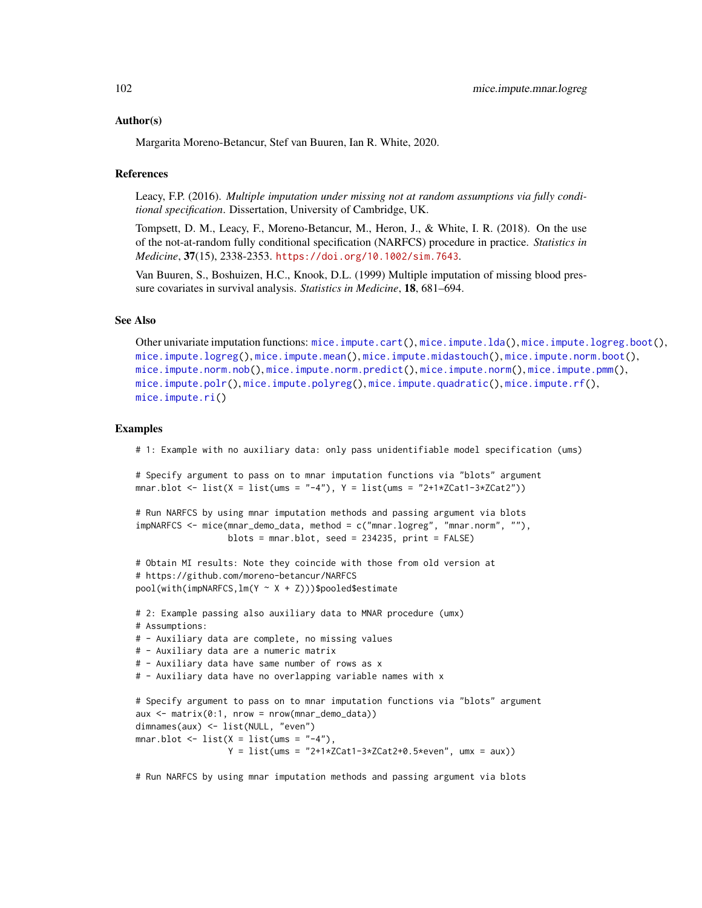#### Author(s)

Margarita Moreno-Betancur, Stef van Buuren, Ian R. White, 2020.

#### References

Leacy, F.P. (2016). *Multiple imputation under missing not at random assumptions via fully conditional specification*. Dissertation, University of Cambridge, UK.

Tompsett, D. M., Leacy, F., Moreno-Betancur, M., Heron, J., & White, I. R. (2018). On the use of the not-at-random fully conditional specification (NARFCS) procedure in practice. *Statistics in Medicine*, 37(15), 2338-2353. <https://doi.org/10.1002/sim.7643>.

Van Buuren, S., Boshuizen, H.C., Knook, D.L. (1999) Multiple imputation of missing blood pressure covariates in survival analysis. *Statistics in Medicine*, 18, 681–694.

### See Also

Other univariate imputation functions: [mice.impute.cart\(](#page-88-0)), [mice.impute.lda\(](#page-91-0)), [mice.impute.logreg.boot\(](#page-94-0)), [mice.impute.logreg\(](#page-93-0)), [mice.impute.mean\(](#page-95-0)), [mice.impute.midastouch\(](#page-96-0)), [mice.impute.norm.boot\(](#page-103-0)), [mice.impute.norm.nob\(](#page-104-0)), [mice.impute.norm.predict\(](#page-105-0)), [mice.impute.norm\(](#page-102-0)), [mice.impute.pmm\(](#page-109-0)), [mice.impute.polr\(](#page-112-0)), [mice.impute.polyreg\(](#page-114-0)), [mice.impute.quadratic\(](#page-116-0)), [mice.impute.rf\(](#page-118-0)), [mice.impute.ri\(](#page-119-0))

#### Examples

# 1: Example with no auxiliary data: only pass unidentifiable model specification (ums)

# Specify argument to pass on to mnar imputation functions via "blots" argument mnar.blot  $\leq$  list(X = list(ums = "-4"), Y = list(ums = "2+1\*ZCat1-3\*ZCat2"))

```
# Run NARFCS by using mnar imputation methods and passing argument via blots
impNARFCS <- mice(mnar_demo_data, method = c("mnar.logreg", "mnar.norm", ""),
                 blots = mnar.blot, seed = 234235, print = FALSE)
```

```
# Obtain MI results: Note they coincide with those from old version at
# https://github.com/moreno-betancur/NARFCS
pool(with(impNARFCS,lm(Y ~ X + Z)))$pooled$estimate
```

```
# 2: Example passing also auxiliary data to MNAR procedure (umx)
# Assumptions:
# - Auxiliary data are complete, no missing values
# - Auxiliary data are a numeric matrix
# - Auxiliary data have same number of rows as x
# - Auxiliary data have no overlapping variable names with x
# Specify argument to pass on to mnar imputation functions via "blots" argument
aux <- matrix(0:1, nrow = nrow(mnar_demo_data))
dimnames(aux) <- list(NULL, "even")
mnar.blot \le list(X = list(ums = "-4"),
                  Y = list(ums = "2+1*ZCat1-3*ZCat2+0.5*even", umx = aux))
```
# Run NARFCS by using mnar imputation methods and passing argument via blots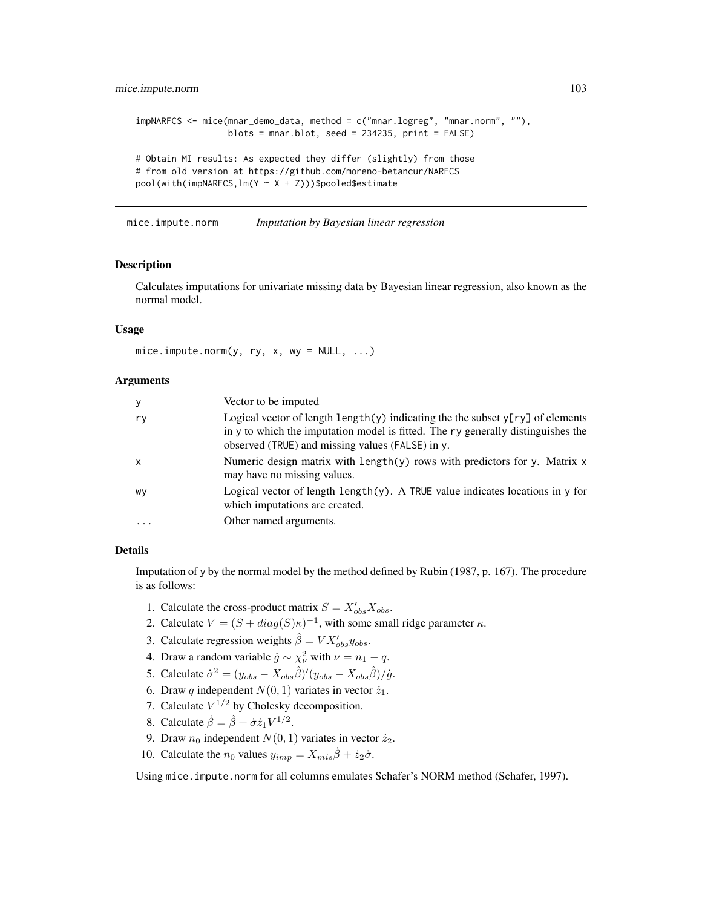```
impNARFCS <- mice(mnar_demo_data, method = c("mnar.logreg", "mnar.norm", ""),
                  blots = mnar.blot, seed = 234235, print = FALSE)
# Obtain MI results: As expected they differ (slightly) from those
# from old version at https://github.com/moreno-betancur/NARFCS
pool(with(impNARFCS,lm(Y ~ X + Z)))$pooled$estimate
```
<span id="page-102-0"></span>mice.impute.norm *Imputation by Bayesian linear regression*

### Description

Calculates imputations for univariate missing data by Bayesian linear regression, also known as the normal model.

### Usage

 $mice.$  impute.norm(y, ry, x, wy = NULL,  $\dots$ )

#### Arguments

| У            | Vector to be imputed                                                                                                                                                                                                              |
|--------------|-----------------------------------------------------------------------------------------------------------------------------------------------------------------------------------------------------------------------------------|
| ry           | Logical vector of length $\text{length}(y)$ indicating the the subset $y[ry]$ of elements<br>in y to which the imputation model is fitted. The ry generally distinguishes the<br>observed (TRUE) and missing values (FALSE) in y. |
| $\mathsf{x}$ | Numeric design matrix with length(y) rows with predictors for y. Matrix $x$<br>may have no missing values.                                                                                                                        |
| WV           | Logical vector of length length $(y)$ . A TRUE value indicates locations in y for<br>which imputations are created.                                                                                                               |
| $\cdots$     | Other named arguments.                                                                                                                                                                                                            |

### Details

Imputation of y by the normal model by the method defined by Rubin (1987, p. 167). The procedure is as follows:

- 1. Calculate the cross-product matrix  $S = X'_{obs} X_{obs}$ .
- 2. Calculate  $V = (S + diag(S)\kappa)^{-1}$ , with some small ridge parameter  $\kappa$ .
- 3. Calculate regression weights  $\hat{\beta} = V X_{obs}' y_{obs}$ .
- 4. Draw a random variable  $\dot{g} \sim \chi^2_{\nu}$  with  $\nu = n_1 q$ .
- 5. Calculate  $\dot{\sigma}^2 = (y_{obs} X_{obs}\hat{\beta})'(y_{obs} X_{obs}\hat{\beta})/\dot{g}$ .
- 6. Draw q independent  $N(0, 1)$  variates in vector  $\dot{z}_1$ .
- 7. Calculate  $V^{1/2}$  by Cholesky decomposition.
- 8. Calculate  $\dot{\beta} = \hat{\beta} + \dot{\sigma} \dot{z}_1 V^{1/2}$ .
- 9. Draw  $n_0$  independent  $N(0, 1)$  variates in vector  $\dot{z}_2$ .
- 10. Calculate the  $n_0$  values  $y_{imp} = X_{mis}\dot{\beta} + \dot{z}_2\dot{\sigma}$ .

Using mice.impute.norm for all columns emulates Schafer's NORM method (Schafer, 1997).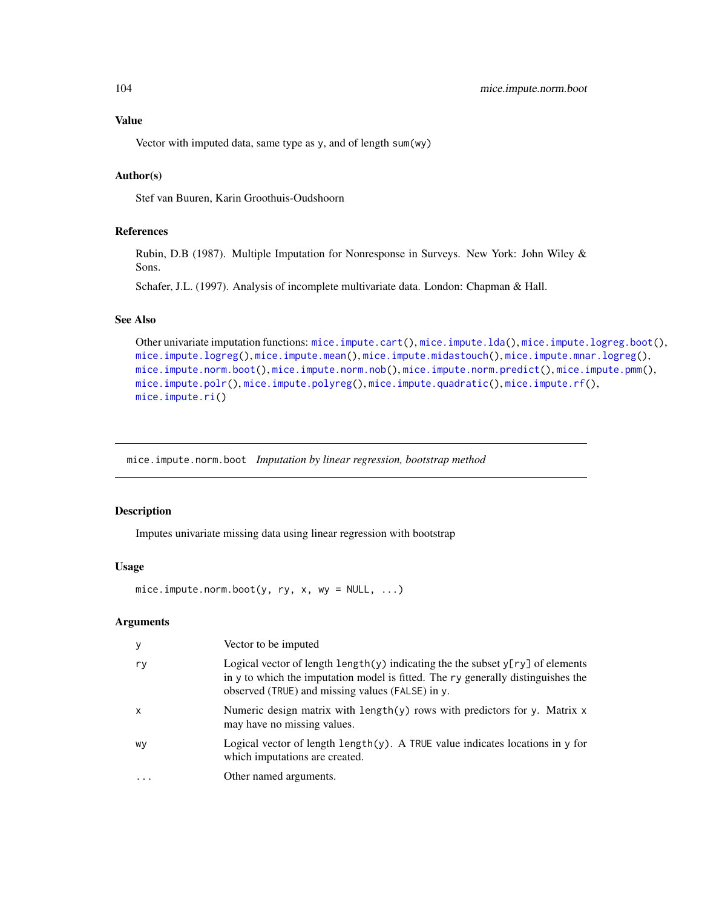Vector with imputed data, same type as y, and of length sum(wy)

# Author(s)

Stef van Buuren, Karin Groothuis-Oudshoorn

# References

Rubin, D.B (1987). Multiple Imputation for Nonresponse in Surveys. New York: John Wiley & Sons.

Schafer, J.L. (1997). Analysis of incomplete multivariate data. London: Chapman & Hall.

# See Also

```
Other univariate imputation functions: mice.impute.cart(), mice.impute.lda(), mice.impute.logreg.boot(),
mice.impute.logreg(), mice.impute.mean(), mice.impute.midastouch(), mice.impute.mnar.logreg(),
mice.impute.norm.boot(), mice.impute.norm.nob(), mice.impute.norm.predict(), mice.impute.pmm(),
mice.impute.polr(), mice.impute.polyreg(), mice.impute.quadratic(), mice.impute.rf(),
mice.impute.ri()
```
<span id="page-103-0"></span>mice.impute.norm.boot *Imputation by linear regression, bootstrap method*

### Description

Imputes univariate missing data using linear regression with bootstrap

# Usage

```
mice. impute.norm.boot(y, ry, x, wy = NULL, \ldots)
```

| у         | Vector to be imputed                                                                                                                                                                                                     |
|-----------|--------------------------------------------------------------------------------------------------------------------------------------------------------------------------------------------------------------------------|
| ry        | Logical vector of length length(y) indicating the the subset $y[ry]$ of elements<br>in y to which the imputation model is fitted. The ry generally distinguishes the<br>observed (TRUE) and missing values (FALSE) in y. |
| $\times$  | Numeric design matrix with length(y) rows with predictors for y. Matrix x<br>may have no missing values.                                                                                                                 |
| wy        | Logical vector of length length $(y)$ . A TRUE value indicates locations in y for<br>which imputations are created.                                                                                                      |
| $\ddotsc$ | Other named arguments.                                                                                                                                                                                                   |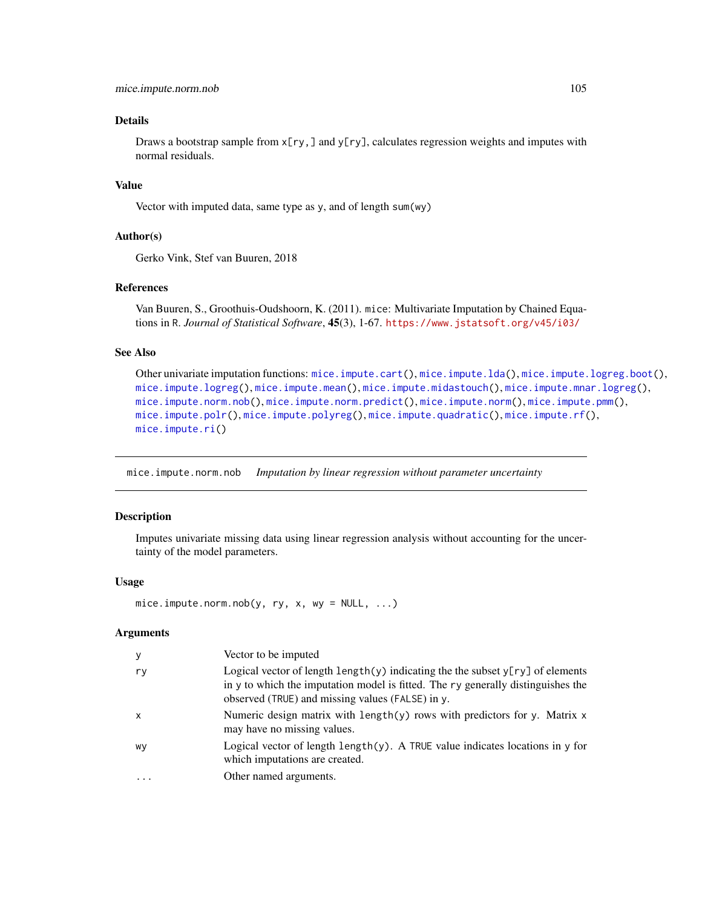# Details

Draws a bootstrap sample from  $x[ry]$ , and  $y[ry]$ , calculates regression weights and imputes with normal residuals.

# Value

Vector with imputed data, same type as y, and of length sum(wy)

### Author(s)

Gerko Vink, Stef van Buuren, 2018

### References

Van Buuren, S., Groothuis-Oudshoorn, K. (2011). mice: Multivariate Imputation by Chained Equations in R. *Journal of Statistical Software*, 45(3), 1-67. <https://www.jstatsoft.org/v45/i03/>

# See Also

```
Other univariate imputation functions: mice.impute.cart(), mice.impute.lda(), mice.impute.logreg.boot(),
mice.impute.logreg(), mice.impute.mean(), mice.impute.midastouch(), mice.impute.mnar.logreg(),
mice.impute.norm.nob(), mice.impute.norm.predict(), mice.impute.norm(), mice.impute.pmm(),
mice.impute.polr(), mice.impute.polyreg(), mice.impute.quadratic(), mice.impute.rf(),
mice.impute.ri()
```
<span id="page-104-0"></span>mice.impute.norm.nob *Imputation by linear regression without parameter uncertainty*

## Description

Imputes univariate missing data using linear regression analysis without accounting for the uncertainty of the model parameters.

### Usage

```
mice.impute.norm.nob(y, ry, x, wy = NULL, ...)
```

| y                         | Vector to be imputed                                                                                                                                                                                                                      |
|---------------------------|-------------------------------------------------------------------------------------------------------------------------------------------------------------------------------------------------------------------------------------------|
| ry                        | Logical vector of length $\lceil \psi \rceil$ indicating the the subset $\gamma$ [ry] of elements<br>in y to which the imputation model is fitted. The ry generally distinguishes the<br>observed (TRUE) and missing values (FALSE) in y. |
| $\boldsymbol{\mathsf{x}}$ | Numeric design matrix with length $(y)$ rows with predictors for y. Matrix x<br>may have no missing values.                                                                                                                               |
| wy                        | Logical vector of length $\text{length}(y)$ . A TRUE value indicates locations in y for<br>which imputations are created.                                                                                                                 |
| $\cdot$                   | Other named arguments.                                                                                                                                                                                                                    |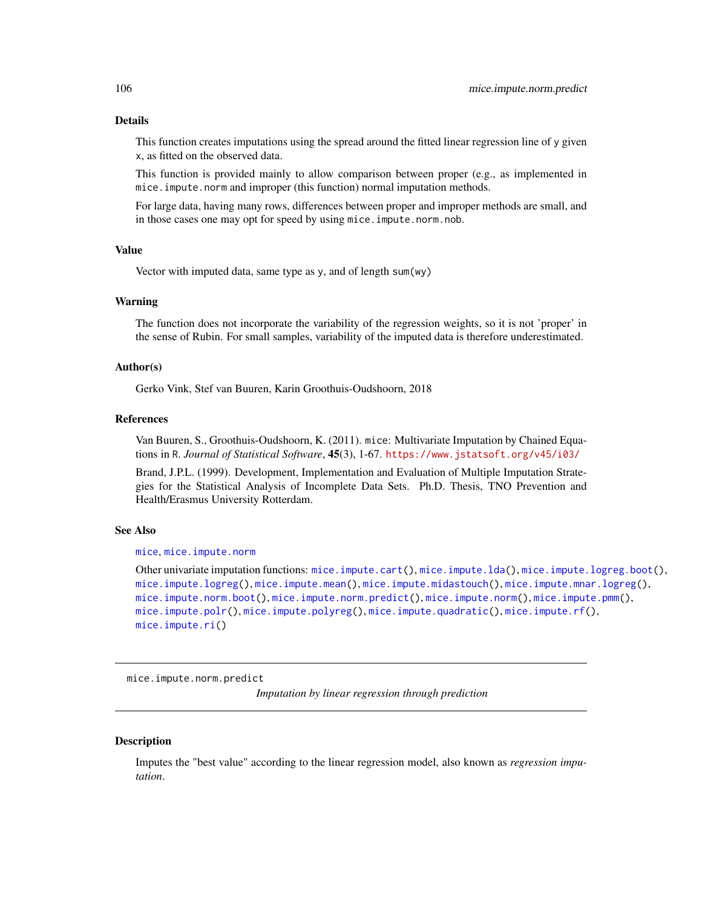# Details

This function creates imputations using the spread around the fitted linear regression line of  $\nu$  given x, as fitted on the observed data.

This function is provided mainly to allow comparison between proper (e.g., as implemented in mice.impute.norm and improper (this function) normal imputation methods.

For large data, having many rows, differences between proper and improper methods are small, and in those cases one may opt for speed by using mice.impute.norm.nob.

### Value

Vector with imputed data, same type as y, and of length sum(wy)

### Warning

The function does not incorporate the variability of the regression weights, so it is not 'proper' in the sense of Rubin. For small samples, variability of the imputed data is therefore underestimated.

### Author(s)

Gerko Vink, Stef van Buuren, Karin Groothuis-Oudshoorn, 2018

#### References

Van Buuren, S., Groothuis-Oudshoorn, K. (2011). mice: Multivariate Imputation by Chained Equations in R. *Journal of Statistical Software*, 45(3), 1-67. <https://www.jstatsoft.org/v45/i03/>

Brand, J.P.L. (1999). Development, Implementation and Evaluation of Multiple Imputation Strategies for the Statistical Analysis of Incomplete Data Sets. Ph.D. Thesis, TNO Prevention and Health/Erasmus University Rotterdam.

## See Also

[mice](#page-68-0), [mice.impute.norm](#page-102-0)

Other univariate imputation functions: [mice.impute.cart\(](#page-88-0)), [mice.impute.lda\(](#page-91-0)), [mice.impute.logreg.boot\(](#page-94-0)), [mice.impute.logreg\(](#page-93-0)), [mice.impute.mean\(](#page-95-0)), [mice.impute.midastouch\(](#page-96-0)), [mice.impute.mnar.logreg\(](#page-99-0)), [mice.impute.norm.boot\(](#page-103-0)), [mice.impute.norm.predict\(](#page-105-0)), [mice.impute.norm\(](#page-102-0)), [mice.impute.pmm\(](#page-109-0)), [mice.impute.polr\(](#page-112-0)), [mice.impute.polyreg\(](#page-114-0)), [mice.impute.quadratic\(](#page-116-0)), [mice.impute.rf\(](#page-118-0)), [mice.impute.ri\(](#page-119-0))

<span id="page-105-0"></span>mice.impute.norm.predict

*Imputation by linear regression through prediction*

#### **Description**

Imputes the "best value" according to the linear regression model, also known as *regression imputation*.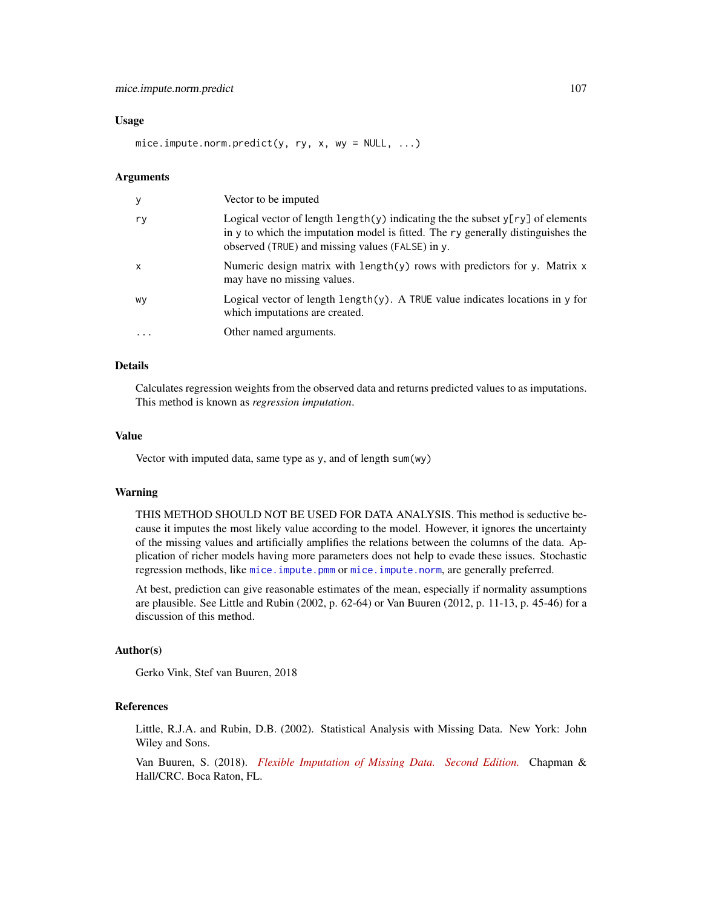#### Usage

mice.impute.norm.predict(y, ry, x, wy = NULL, ...)

#### Arguments

| У                         | Vector to be imputed                                                                                                                                                                                                              |
|---------------------------|-----------------------------------------------------------------------------------------------------------------------------------------------------------------------------------------------------------------------------------|
| ry                        | Logical vector of length $\text{length}(y)$ indicating the the subset $y[ry]$ of elements<br>in y to which the imputation model is fitted. The ry generally distinguishes the<br>observed (TRUE) and missing values (FALSE) in y. |
| $\boldsymbol{\mathsf{x}}$ | Numeric design matrix with $length(y)$ rows with predictors for y. Matrix $x$<br>may have no missing values.                                                                                                                      |
| WV                        | Logical vector of length $length(y)$ . A TRUE value indicates locations in y for<br>which imputations are created.                                                                                                                |
| .                         | Other named arguments.                                                                                                                                                                                                            |

### Details

Calculates regression weights from the observed data and returns predicted values to as imputations. This method is known as *regression imputation*.

#### Value

Vector with imputed data, same type as y, and of length sum(wy)

### Warning

THIS METHOD SHOULD NOT BE USED FOR DATA ANALYSIS. This method is seductive because it imputes the most likely value according to the model. However, it ignores the uncertainty of the missing values and artificially amplifies the relations between the columns of the data. Application of richer models having more parameters does not help to evade these issues. Stochastic regression methods, like [mice.impute.pmm](#page-109-0) or [mice.impute.norm](#page-102-0), are generally preferred.

At best, prediction can give reasonable estimates of the mean, especially if normality assumptions are plausible. See Little and Rubin (2002, p. 62-64) or Van Buuren (2012, p. 11-13, p. 45-46) for a discussion of this method.

#### Author(s)

Gerko Vink, Stef van Buuren, 2018

# References

Little, R.J.A. and Rubin, D.B. (2002). Statistical Analysis with Missing Data. New York: John Wiley and Sons.

Van Buuren, S. (2018). *[Flexible Imputation of Missing Data. Second Edition.](https://stefvanbuuren.name/fimd/sec-linearnormal.html)* Chapman & Hall/CRC. Boca Raton, FL.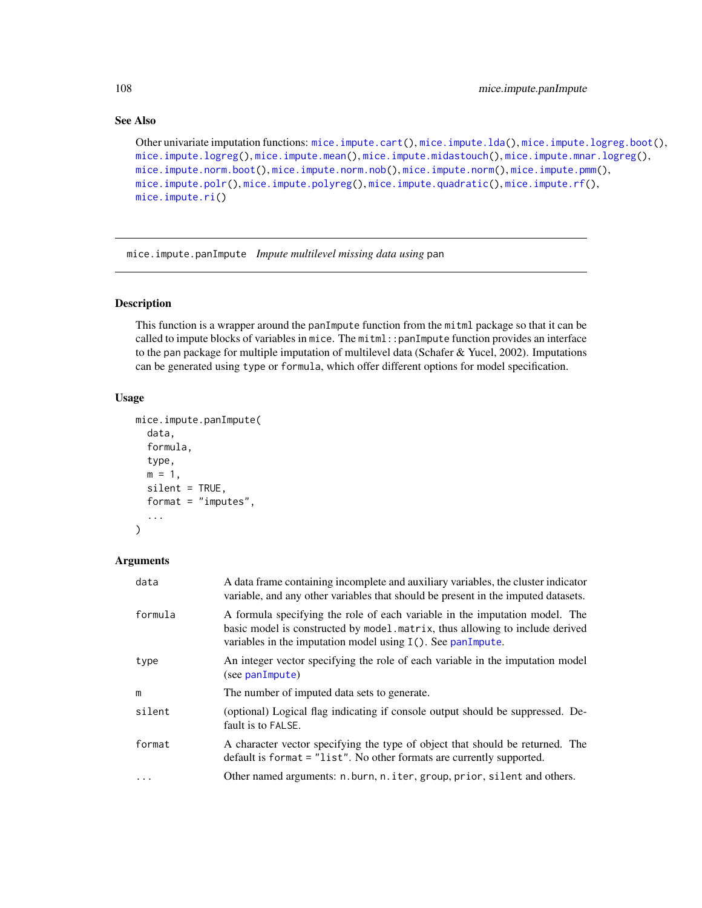# See Also

```
Other univariate imputation functions: mice.impute.cart(), mice.impute.lda(), mice.impute.logreg.boot(),
mice.impute.logreg(), mice.impute.mean(), mice.impute.midastouch(), mice.impute.mnar.logreg(),
mice.impute.norm.boot(), mice.impute.norm.nob(), mice.impute.norm(), mice.impute.pmm(),
mice.impute.polr(), mice.impute.polyreg(), mice.impute.quadratic(), mice.impute.rf(),
mice.impute.ri()
```
<span id="page-107-0"></span>mice.impute.panImpute *Impute multilevel missing data using* pan

# Description

This function is a wrapper around the panImpute function from the mitml package so that it can be called to impute blocks of variables in mice. The mitml::panImpute function provides an interface to the pan package for multiple imputation of multilevel data (Schafer & Yucel, 2002). Imputations can be generated using type or formula, which offer different options for model specification.

# Usage

```
mice.impute.panImpute(
  data,
  formula,
  type,
  m = 1,
  silent = TRUE,
  format = "imputes",
  ...
)
```

| data     | A data frame containing incomplete and auxiliary variables, the cluster indicator<br>variable, and any other variables that should be present in the imputed datasets.                                                         |
|----------|--------------------------------------------------------------------------------------------------------------------------------------------------------------------------------------------------------------------------------|
| formula  | A formula specifying the role of each variable in the imputation model. The<br>basic model is constructed by model matrix, thus allowing to include derived<br>variables in the imputation model using $I(.)$ . See panImpute. |
| type     | An integer vector specifying the role of each variable in the imputation model<br>(see panImpute)                                                                                                                              |
| m        | The number of imputed data sets to generate.                                                                                                                                                                                   |
| silent   | (optional) Logical flag indicating if console output should be suppressed. De-<br>fault is to FALSE.                                                                                                                           |
| format   | A character vector specifying the type of object that should be returned. The<br>default is format = "list". No other formats are currently supported.                                                                         |
| $\cdots$ | Other named arguments: n.burn, n.iter, group, prior, silent and others.                                                                                                                                                        |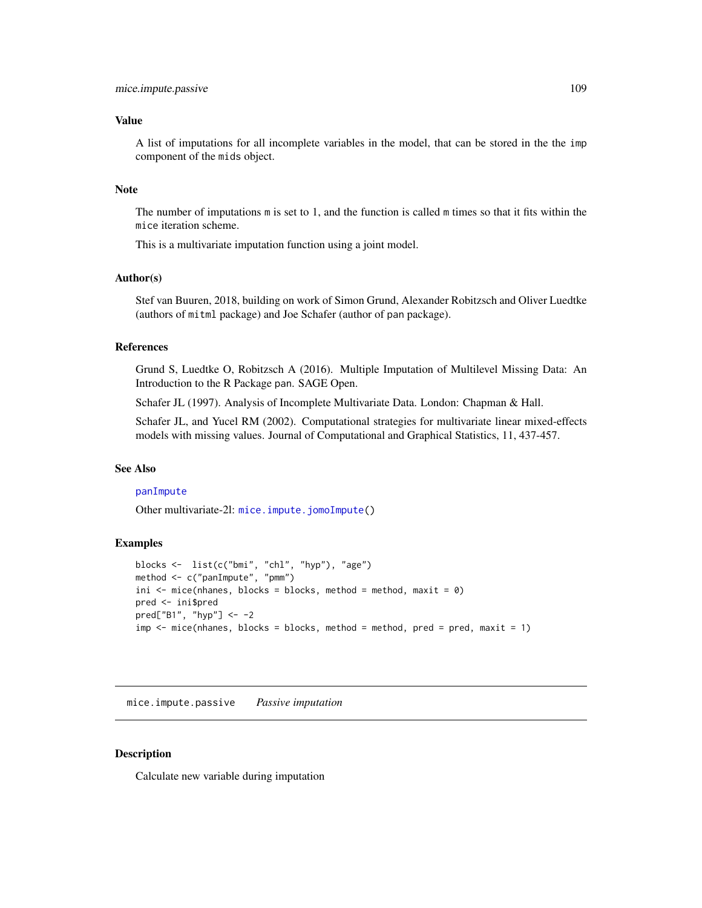#### Value

A list of imputations for all incomplete variables in the model, that can be stored in the the imp component of the mids object.

## Note

The number of imputations m is set to 1, and the function is called m times so that it fits within the mice iteration scheme.

This is a multivariate imputation function using a joint model.

#### Author(s)

Stef van Buuren, 2018, building on work of Simon Grund, Alexander Robitzsch and Oliver Luedtke (authors of mitml package) and Joe Schafer (author of pan package).

## References

Grund S, Luedtke O, Robitzsch A (2016). Multiple Imputation of Multilevel Missing Data: An Introduction to the R Package pan. SAGE Open.

Schafer JL (1997). Analysis of Incomplete Multivariate Data. London: Chapman & Hall.

Schafer JL, and Yucel RM (2002). Computational strategies for multivariate linear mixed-effects models with missing values. Journal of Computational and Graphical Statistics, 11, 437-457.

## See Also

#### [panImpute](#page-0-0)

Other multivariate-2l: [mice.impute.jomoImpute\(](#page-89-0))

# Examples

```
blocks <- list(c("bmi", "chl", "hyp"), "age")
method <- c("panImpute", "pmm")
ini \leq mice(nhanes, blocks = blocks, method = method, maxit = 0)
pred <- ini$pred
pred["B1", "hyp"] <- -2
imp \leq mice(\nhanes, blocks = blocks, method = method, pred = pred, maxit = 1)
```
mice.impute.passive *Passive imputation*

## **Description**

Calculate new variable during imputation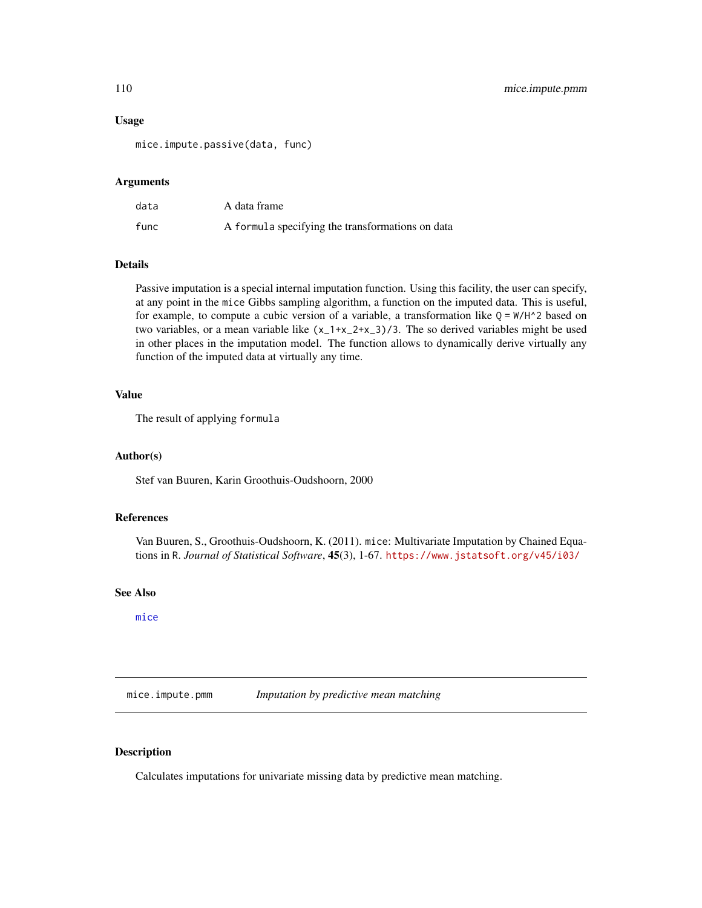#### Usage

mice.impute.passive(data, func)

## Arguments

| data | A data frame                                     |
|------|--------------------------------------------------|
| func | A formula specifying the transformations on data |

# Details

Passive imputation is a special internal imputation function. Using this facility, the user can specify, at any point in the mice Gibbs sampling algorithm, a function on the imputed data. This is useful, for example, to compute a cubic version of a variable, a transformation like  $Q = W/H^2$  based on two variables, or a mean variable like  $(x_1+x_2+x_3)/3$ . The so derived variables might be used in other places in the imputation model. The function allows to dynamically derive virtually any function of the imputed data at virtually any time.

# Value

The result of applying formula

#### Author(s)

Stef van Buuren, Karin Groothuis-Oudshoorn, 2000

# References

Van Buuren, S., Groothuis-Oudshoorn, K. (2011). mice: Multivariate Imputation by Chained Equations in R. *Journal of Statistical Software*, 45(3), 1-67. <https://www.jstatsoft.org/v45/i03/>

#### See Also

[mice](#page-68-0)

<span id="page-109-0"></span>mice.impute.pmm *Imputation by predictive mean matching*

# Description

Calculates imputations for univariate missing data by predictive mean matching.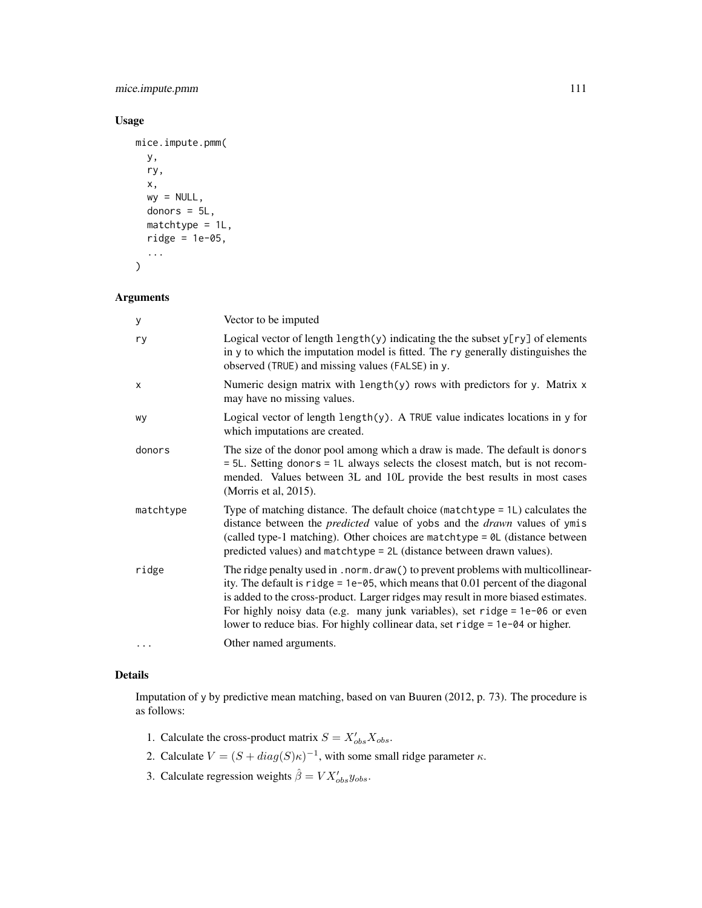mice.impute.pmm 111

# Usage

```
mice.impute.pmm(
  y,
  ry,
  x,
  wy = NULL,donors = 5L,
  matchtype = 1L,
  ridge = 1e-05,
  ...
\mathcal{L}
```
# Arguments

| у         | Vector to be imputed                                                                                                                                                                                                                                                                                                                                                                                                             |
|-----------|----------------------------------------------------------------------------------------------------------------------------------------------------------------------------------------------------------------------------------------------------------------------------------------------------------------------------------------------------------------------------------------------------------------------------------|
| ry        | Logical vector of length $\text{length}(y)$ indicating the the subset $y[ry]$ of elements<br>in y to which the imputation model is fitted. The ry generally distinguishes the<br>observed (TRUE) and missing values (FALSE) in y.                                                                                                                                                                                                |
| X         | Numeric design matrix with $length(y)$ rows with predictors for y. Matrix $x$<br>may have no missing values.                                                                                                                                                                                                                                                                                                                     |
| wy        | Logical vector of length $\text{length}(y)$ . A TRUE value indicates locations in y for<br>which imputations are created.                                                                                                                                                                                                                                                                                                        |
| donors    | The size of the donor pool among which a draw is made. The default is donors<br>= 5L. Setting donors = 1L always selects the closest match, but is not recom-<br>mended. Values between 3L and 10L provide the best results in most cases<br>(Morris et al, 2015).                                                                                                                                                               |
| matchtype | Type of matching distance. The default choice (matchtype = 1L) calculates the<br>distance between the <i>predicted</i> value of yobs and the <i>drawn</i> values of ymis<br>(called type-1 matching). Other choices are matchtype = $\theta$ L (distance between<br>predicted values) and matchtype = 2L (distance between drawn values).                                                                                        |
| ridge     | The ridge penalty used in . norm. draw() to prevent problems with multicollinear-<br>ity. The default is $right = 1e-05$ , which means that 0.01 percent of the diagonal<br>is added to the cross-product. Larger ridges may result in more biased estimates.<br>For highly noisy data (e.g. many junk variables), set ridge = $1e$ -06 or even<br>lower to reduce bias. For highly collinear data, set ridge = 1e-04 or higher. |
| $\cdots$  | Other named arguments.                                                                                                                                                                                                                                                                                                                                                                                                           |

# Details

Imputation of y by predictive mean matching, based on van Buuren (2012, p. 73). The procedure is as follows:

- 1. Calculate the cross-product matrix  $S = X'_{obs} X_{obs}$ .
- 2. Calculate  $V = (S + diag(S)\kappa)^{-1}$ , with some small ridge parameter  $\kappa$ .
- 3. Calculate regression weights  $\hat{\beta} = V X_{obs}' y_{obs}$ .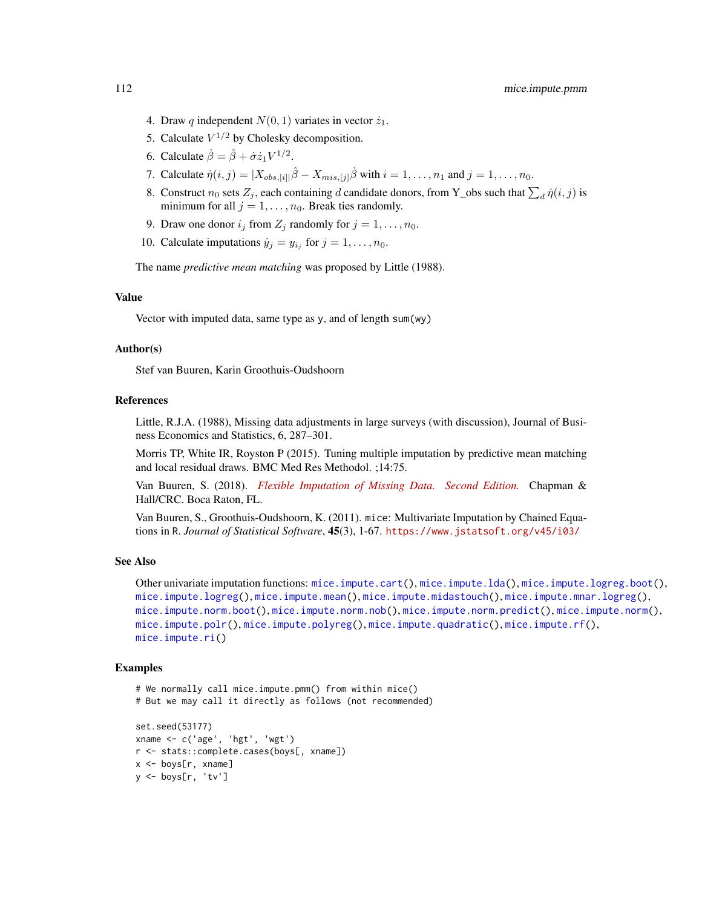- 4. Draw q independent  $N(0, 1)$  variates in vector  $\dot{z}_1$ .
- 5. Calculate  $V^{1/2}$  by Cholesky decomposition.
- 6. Calculate  $\dot{\beta} = \hat{\beta} + \dot{\sigma} \dot{z}_1 V^{1/2}$ .
- 7. Calculate  $\dot{\eta}(i, j) = |X_{obs, [i]}|\hat{\beta} X_{mis, [j]}\dot{\beta}$  with  $i = 1, ..., n_1$  and  $j = 1, ..., n_0$ .
- 8. Construct  $n_0$  sets  $Z_j$ , each containing d candidate donors, from Y\_obs such that  $\sum_d \dot{\eta}(i, j)$  is minimum for all  $j = 1, \ldots, n_0$ . Break ties randomly.
- 9. Draw one donor  $i_j$  from  $Z_j$  randomly for  $j = 1, \ldots, n_0$ .
- 10. Calculate imputations  $\dot{y}_j = y_{i_j}$  for  $j = 1, \ldots, n_0$ .

The name *predictive mean matching* was proposed by Little (1988).

# Value

Vector with imputed data, same type as y, and of length sum(wy)

#### Author(s)

Stef van Buuren, Karin Groothuis-Oudshoorn

## References

Little, R.J.A. (1988), Missing data adjustments in large surveys (with discussion), Journal of Business Economics and Statistics, 6, 287–301.

Morris TP, White IR, Royston P (2015). Tuning multiple imputation by predictive mean matching and local residual draws. BMC Med Res Methodol. ;14:75.

Van Buuren, S. (2018). *[Flexible Imputation of Missing Data. Second Edition.](https://stefvanbuuren.name/fimd/sec-pmm.html)* Chapman & Hall/CRC. Boca Raton, FL.

Van Buuren, S., Groothuis-Oudshoorn, K. (2011). mice: Multivariate Imputation by Chained Equations in R. *Journal of Statistical Software*, 45(3), 1-67. <https://www.jstatsoft.org/v45/i03/>

# See Also

```
Other univariate imputation functions: mice.impute.cart(), mice.impute.lda(), mice.impute.logreg.boot(),
mice.impute.logreg(), mice.impute.mean(), mice.impute.midastouch(), mice.impute.mnar.logreg(),
mice.impute.norm.boot(), mice.impute.norm.nob(), mice.impute.norm.predict(), mice.impute.norm(),
mice.impute.polr(), mice.impute.polyreg(), mice.impute.quadratic(), mice.impute.rf(),
mice.impute.ri()
```
## Examples

```
# We normally call mice.impute.pmm() from within mice()
# But we may call it directly as follows (not recommended)
set.seed(53177)
xname <- c('age', 'hgt', 'wgt')
r <- stats::complete.cases(boys[, xname])
x <- boys[r, xname]
y <- boys[r, 'tv']
```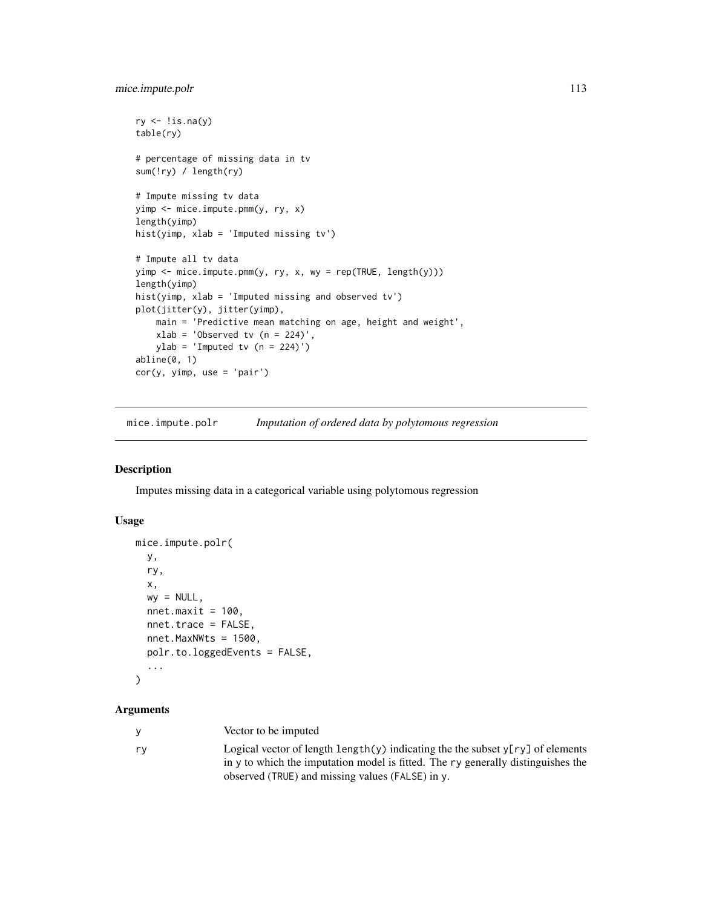```
ry \leftarrow !is.na(y)table(ry)
# percentage of missing data in tv
sum(!ry) / length(ry)
# Impute missing tv data
yimp <- mice.impute.pmm(y, ry, x)
length(yimp)
hist(yimp, xlab = 'Imputed missing tv')
# Impute all tv data
yimp \leq mice.impute.pmm(y, ry, x, wy = rep(TRUE, length(y)))
length(yimp)
hist(yimp, xlab = 'Imputed missing and observed tv')
plot(jitter(y), jitter(yimp),
    main = 'Predictive mean matching on age, height and weight',
   xlab = 'Observed tv (n = 224)',ylab = 'Imputed tv (n = 224)')abline(0, 1)
cor(y, yimp, use = 'pair')
```
<span id="page-112-0"></span>mice.impute.polr *Imputation of ordered data by polytomous regression*

#### Description

Imputes missing data in a categorical variable using polytomous regression

#### Usage

```
mice.impute.polr(
 y,
 ry,
  x,
 wy = NULL,nnet.maxit = 100,
 nnet.trace = FALSE,
  nnet.MaxNWts = 1500,
 polr.to.loggedEvents = FALSE,
  ...
```

```
)
```
#### Arguments

|      | Vector to be imputed                                         |
|------|--------------------------------------------------------------|
| — rv | Logical vector of length $\text{length}(y)$ indicating the t |

the subset  $y[ry]$  of elements in y to which the imputation model is fitted. The ry generally distinguishes the observed (TRUE) and missing values (FALSE) in y.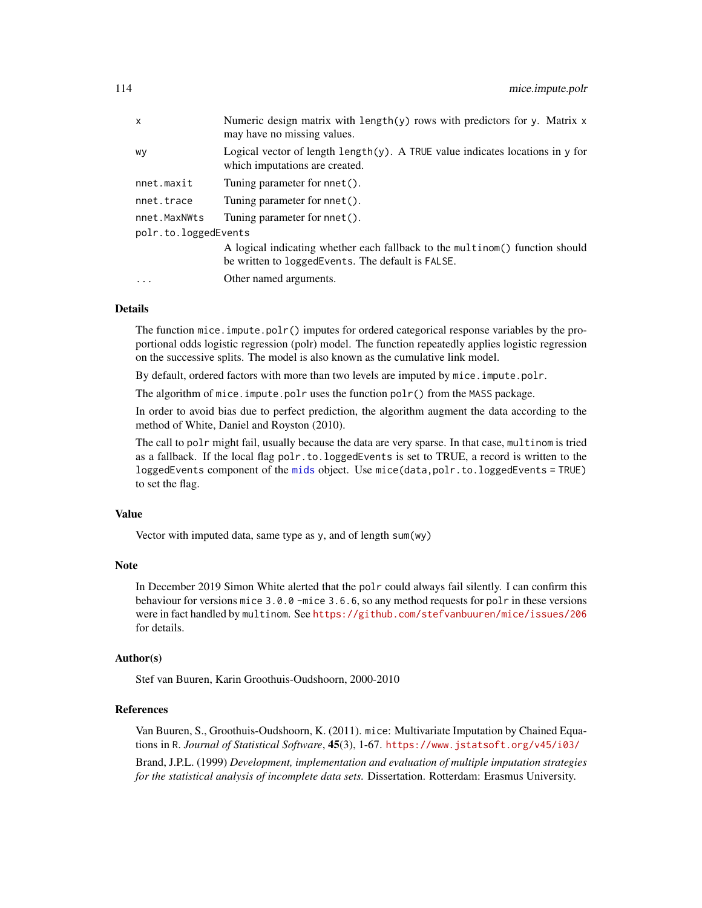| $\mathsf{x}$         | Numeric design matrix with length $(y)$ rows with predictors for y. Matrix x<br>may have no missing values.         |
|----------------------|---------------------------------------------------------------------------------------------------------------------|
| wy                   | Logical vector of length length $(y)$ . A TRUE value indicates locations in y for<br>which imputations are created. |
| nnet.maxit           | Tuning parameter for nnet().                                                                                        |
| nnet.trace           | Tuning parameter for nnet().                                                                                        |
| nnet.MaxNWts         | Tuning parameter for nnet().                                                                                        |
| polr.to.loggedEvents |                                                                                                                     |
|                      | A logical indicating whether each fallback to the multinom() function should                                        |
|                      | be written to loggedEvents. The default is FALSE.                                                                   |
| $\ddotsc$            | Other named arguments.                                                                                              |

## Details

The function mice. impute.polr() imputes for ordered categorical response variables by the proportional odds logistic regression (polr) model. The function repeatedly applies logistic regression on the successive splits. The model is also known as the cumulative link model.

By default, ordered factors with more than two levels are imputed by mice.impute.polr.

The algorithm of mice.impute.polr uses the function  $\text{pol}_r$  () from the MASS package.

In order to avoid bias due to perfect prediction, the algorithm augment the data according to the method of White, Daniel and Royston (2010).

The call to polr might fail, usually because the data are very sparse. In that case, multinom is tried as a fallback. If the local flag polr.to.loggedEvents is set to TRUE, a record is written to the loggedEvents component of the [mids](#page-123-0) object. Use mice(data,polr.to.loggedEvents = TRUE) to set the flag.

## Value

Vector with imputed data, same type as y, and of length sum(wy)

#### Note

In December 2019 Simon White alerted that the polr could always fail silently. I can confirm this behaviour for versions mice 3.0.0 -mice 3.6.6, so any method requests for polr in these versions were in fact handled by multinom. See <https://github.com/stefvanbuuren/mice/issues/206> for details.

#### Author(s)

Stef van Buuren, Karin Groothuis-Oudshoorn, 2000-2010

## References

Van Buuren, S., Groothuis-Oudshoorn, K. (2011). mice: Multivariate Imputation by Chained Equations in R. *Journal of Statistical Software*, 45(3), 1-67. <https://www.jstatsoft.org/v45/i03/>

Brand, J.P.L. (1999) *Development, implementation and evaluation of multiple imputation strategies for the statistical analysis of incomplete data sets.* Dissertation. Rotterdam: Erasmus University.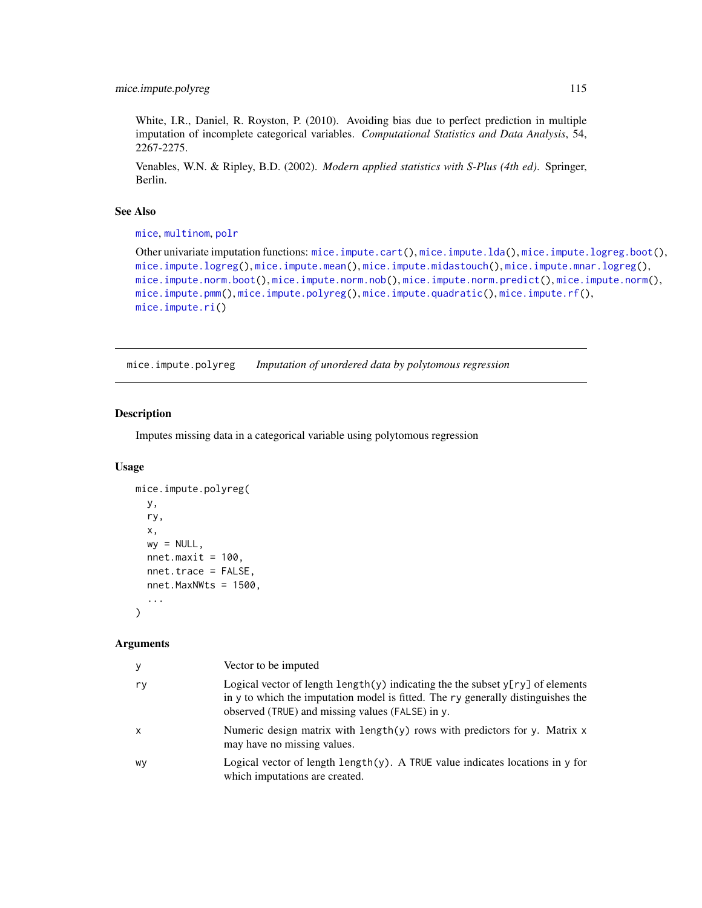White, I.R., Daniel, R. Royston, P. (2010). Avoiding bias due to perfect prediction in multiple imputation of incomplete categorical variables. *Computational Statistics and Data Analysis*, 54, 2267-2275.

Venables, W.N. & Ripley, B.D. (2002). *Modern applied statistics with S-Plus (4th ed)*. Springer, Berlin.

## See Also

[mice](#page-68-0), [multinom](#page-0-0), [polr](#page-0-0)

```
Other univariate imputation functions: mice.impute.cart(), mice.impute.lda(), mice.impute.logreg.boot(),
mice.impute.logreg(), mice.impute.mean(), mice.impute.midastouch(), mice.impute.mnar.logreg(),
mice.impute.norm.boot(), mice.impute.norm.nob(), mice.impute.norm.predict(), mice.impute.norm(),
mice.impute.pmm(), mice.impute.polyreg(), mice.impute.quadratic(), mice.impute.rf(),
mice.impute.ri()
```
<span id="page-114-0"></span>mice.impute.polyreg *Imputation of unordered data by polytomous regression*

### Description

Imputes missing data in a categorical variable using polytomous regression

# Usage

```
mice.impute.polyreg(
 y,
 ry,
 x,
 wy = NULL,nnnet.maxit = 100,
 nnet.trace = FALSE,
 nnet.MaxNWts = 1500,
  ...
)
```
## Arguments

| y            | Vector to be imputed                                                                                                                                                                                                             |
|--------------|----------------------------------------------------------------------------------------------------------------------------------------------------------------------------------------------------------------------------------|
| ry           | Logical vector of length length(y) indicating the the subset $y[ry]$ of elements<br>in y to which the imputation model is fitted. The ry generally distinguishes the<br>observed (TRUE) and missing values (FALSE) in $\gamma$ . |
| $\mathsf{x}$ | Numeric design matrix with length(y) rows with predictors for y. Matrix $x$<br>may have no missing values.                                                                                                                       |
| wy           | Logical vector of length length $(y)$ . A TRUE value indicates locations in y for<br>which imputations are created.                                                                                                              |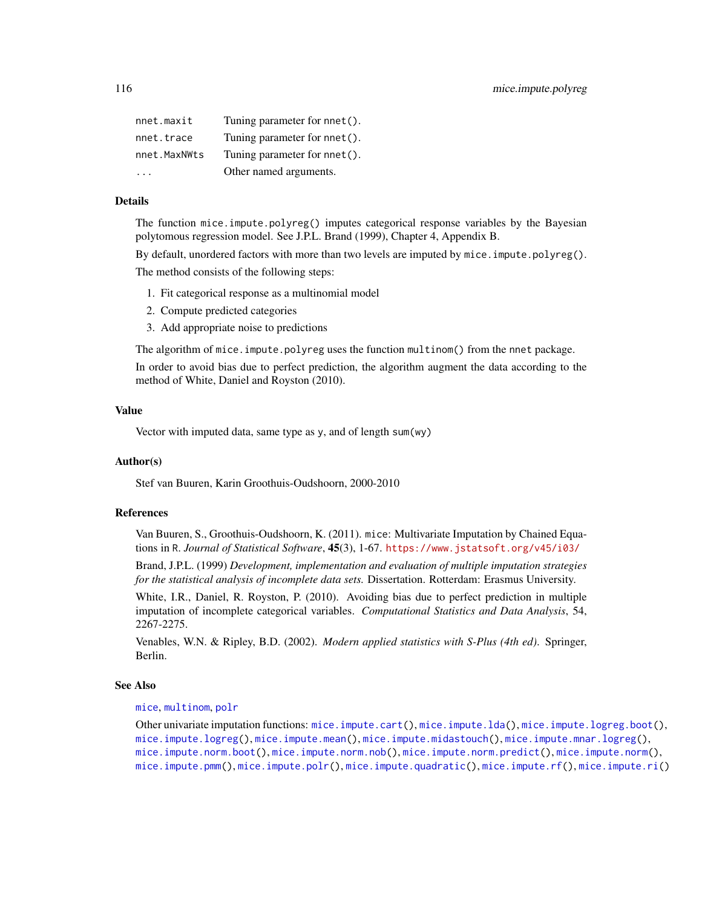| nnet.maxit   | Tuning parameter for nnet(). |
|--------------|------------------------------|
| nnet.trace   | Tuning parameter for nnet(). |
| nnet.MaxNWts | Tuning parameter for nnet(). |
|              | Other named arguments.       |

# Details

The function mice.impute.polyreg() imputes categorical response variables by the Bayesian polytomous regression model. See J.P.L. Brand (1999), Chapter 4, Appendix B.

By default, unordered factors with more than two levels are imputed by mice.impute.polyreg().

The method consists of the following steps:

- 1. Fit categorical response as a multinomial model
- 2. Compute predicted categories
- 3. Add appropriate noise to predictions

The algorithm of mice.impute.polyreg uses the function multinom() from the nnet package.

In order to avoid bias due to perfect prediction, the algorithm augment the data according to the method of White, Daniel and Royston (2010).

## Value

Vector with imputed data, same type as y, and of length sum(wy)

## Author(s)

Stef van Buuren, Karin Groothuis-Oudshoorn, 2000-2010

#### References

Van Buuren, S., Groothuis-Oudshoorn, K. (2011). mice: Multivariate Imputation by Chained Equations in R. *Journal of Statistical Software*, 45(3), 1-67. <https://www.jstatsoft.org/v45/i03/>

Brand, J.P.L. (1999) *Development, implementation and evaluation of multiple imputation strategies for the statistical analysis of incomplete data sets.* Dissertation. Rotterdam: Erasmus University.

White, I.R., Daniel, R. Royston, P. (2010). Avoiding bias due to perfect prediction in multiple imputation of incomplete categorical variables. *Computational Statistics and Data Analysis*, 54, 2267-2275.

Venables, W.N. & Ripley, B.D. (2002). *Modern applied statistics with S-Plus (4th ed)*. Springer, Berlin.

#### See Also

#### [mice](#page-68-0), [multinom](#page-0-0), [polr](#page-0-0)

Other univariate imputation functions: [mice.impute.cart\(](#page-88-0)), [mice.impute.lda\(](#page-91-0)), [mice.impute.logreg.boot\(](#page-94-0)), [mice.impute.logreg\(](#page-93-0)), [mice.impute.mean\(](#page-95-0)), [mice.impute.midastouch\(](#page-96-0)), [mice.impute.mnar.logreg\(](#page-99-0)), [mice.impute.norm.boot\(](#page-103-0)), [mice.impute.norm.nob\(](#page-104-0)), [mice.impute.norm.predict\(](#page-105-0)), [mice.impute.norm\(](#page-102-0)), [mice.impute.pmm\(](#page-109-0)), [mice.impute.polr\(](#page-112-0)), [mice.impute.quadratic\(](#page-116-0)), [mice.impute.rf\(](#page-118-0)), [mice.impute.ri\(](#page-119-0))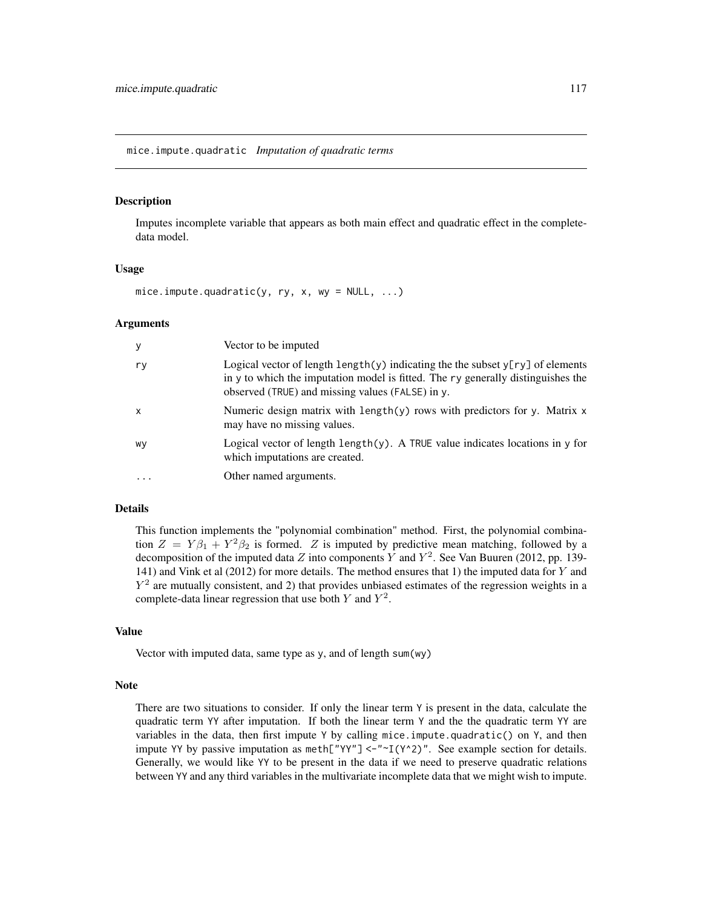<span id="page-116-0"></span>Imputes incomplete variable that appears as both main effect and quadratic effect in the completedata model.

#### Usage

mice.impute.quadratic(y, ry, x, wy =  $NULL, ...)$ 

#### Arguments

| У                         | Vector to be imputed                                                                                                                                                                                                                    |
|---------------------------|-----------------------------------------------------------------------------------------------------------------------------------------------------------------------------------------------------------------------------------------|
| ry                        | Logical vector of length $\lceil \psi \rceil$ indicating the the subset $\chi$ [ry] of elements<br>in y to which the imputation model is fitted. The ry generally distinguishes the<br>observed (TRUE) and missing values (FALSE) in y. |
| $\boldsymbol{\mathsf{x}}$ | Numeric design matrix with length(y) rows with predictors for y. Matrix $x$<br>may have no missing values.                                                                                                                              |
| wy                        | Logical vector of length $l$ ength $(y)$ . A TRUE value indicates locations in y for<br>which imputations are created.                                                                                                                  |
| $\ddotsc$                 | Other named arguments.                                                                                                                                                                                                                  |

## Details

This function implements the "polynomial combination" method. First, the polynomial combination  $Z = Y\beta_1 + Y^2\beta_2$  is formed. Z is imputed by predictive mean matching, followed by a decomposition of the imputed data Z into components Y and  $Y^2$ . See Van Buuren (2012, pp. 139-141) and Vink et al (2012) for more details. The method ensures that 1) the imputed data for Y and  $Y<sup>2</sup>$  are mutually consistent, and 2) that provides unbiased estimates of the regression weights in a complete-data linear regression that use both Y and  $Y^2$ .

## Value

Vector with imputed data, same type as y, and of length sum(wy)

#### Note

There are two situations to consider. If only the linear term  $\gamma$  is present in the data, calculate the quadratic term YY after imputation. If both the linear term Y and the the quadratic term YY are variables in the data, then first impute Y by calling mice.impute.quadratic() on Y, and then impute YY by passive imputation as  $meth["YY"] < -"~I(Y^2)$ ". See example section for details. Generally, we would like YY to be present in the data if we need to preserve quadratic relations between YY and any third variables in the multivariate incomplete data that we might wish to impute.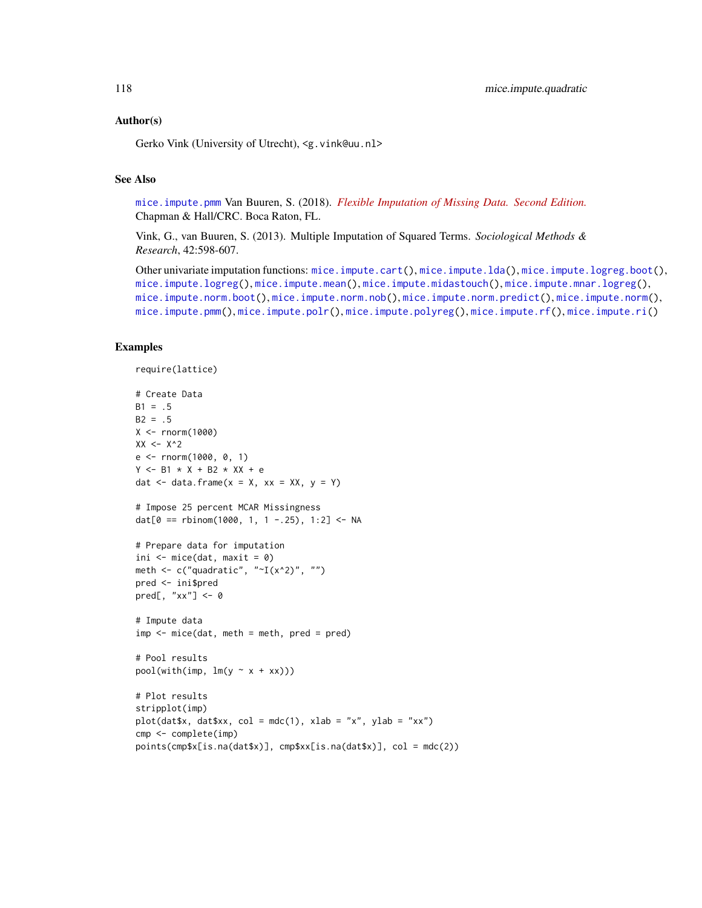## Author(s)

Gerko Vink (University of Utrecht), <g.vink@uu.nl>

# See Also

[mice.impute.pmm](#page-109-0) Van Buuren, S. (2018). *[Flexible Imputation of Missing Data. Second Edition.](https://stefvanbuuren.name/fimd/sec-knowledge.html#sec:quadratic)* Chapman & Hall/CRC. Boca Raton, FL.

Vink, G., van Buuren, S. (2013). Multiple Imputation of Squared Terms. *Sociological Methods & Research*, 42:598-607.

Other univariate imputation functions: [mice.impute.cart\(](#page-88-0)), [mice.impute.lda\(](#page-91-0)), [mice.impute.logreg.boot\(](#page-94-0)), [mice.impute.logreg\(](#page-93-0)), [mice.impute.mean\(](#page-95-0)), [mice.impute.midastouch\(](#page-96-0)), [mice.impute.mnar.logreg\(](#page-99-0)), [mice.impute.norm.boot\(](#page-103-0)), [mice.impute.norm.nob\(](#page-104-0)), [mice.impute.norm.predict\(](#page-105-0)), [mice.impute.norm\(](#page-102-0)), [mice.impute.pmm\(](#page-109-0)), [mice.impute.polr\(](#page-112-0)), [mice.impute.polyreg\(](#page-114-0)), [mice.impute.rf\(](#page-118-0)), [mice.impute.ri\(](#page-119-0))

## Examples

```
require(lattice)
# Create Data
B1 = .5B2 = .5X < - rnorm(1000)
XX < - X^2e <- rnorm(1000, 0, 1)
Y <- B1 * X + B2 * XX + e
dat \le data.frame(x = X, xx = XX, y = Y)
# Impose 25 percent MCAR Missingness
dat[0 == rbinom(1000, 1, 1 -.25), 1:2] <- NA
# Prepare data for imputation
ini \leq mice(dat, maxit = 0)
meth \leq c("quadratic", "\simI(x^2)", "")
pred <- ini$pred
pred[, "xx"] <- 0
# Impute data
imp \leftarrow mice(data, meth = meth, pred = pred)# Pool results
pool(with(imp, lm(y < x + xx)))# Plot results
stripplot(imp)
plot(data x, data xx, col = mdc(1), xlab = "x", ylab = "xx")cmp <- complete(imp)
points(cmp$x[is.na(dat$x)], cmp$xx[is.na(dat$x)], col = mdc(2))
```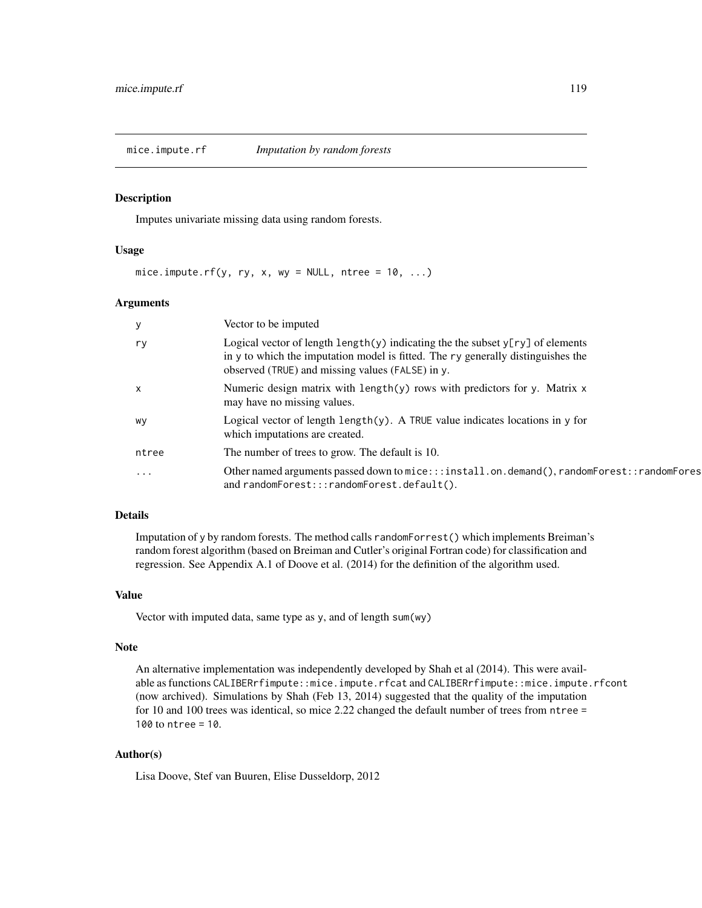<span id="page-118-0"></span>mice.impute.rf *Imputation by random forests*

#### Description

Imputes univariate missing data using random forests.

#### Usage

mice.impute.rf(y, ry, x, wy = NULL, ntree =  $10, ...$ )

## Arguments

| У            | Vector to be imputed                                                                                                                                                                                                     |
|--------------|--------------------------------------------------------------------------------------------------------------------------------------------------------------------------------------------------------------------------|
| ry           | Logical vector of length length(y) indicating the the subset $y[ry]$ of elements<br>in y to which the imputation model is fitted. The ry generally distinguishes the<br>observed (TRUE) and missing values (FALSE) in y. |
| $\mathsf{x}$ | Numeric design matrix with length(y) rows with predictors for y. Matrix $x$<br>may have no missing values.                                                                                                               |
| wy           | Logical vector of length $\text{length}(y)$ . A TRUE value indicates locations in y for<br>which imputations are created.                                                                                                |
| ntree        | The number of trees to grow. The default is 10.                                                                                                                                                                          |
| $\cdots$     | Other named arguments passed down to mice:::install.on.demand(), randomForest::randomFores<br>and randomForest:::randomForest.default().                                                                                 |

# Details

Imputation of y by random forests. The method calls randomForrest() which implements Breiman's random forest algorithm (based on Breiman and Cutler's original Fortran code) for classification and regression. See Appendix A.1 of Doove et al. (2014) for the definition of the algorithm used.

#### Value

Vector with imputed data, same type as y, and of length sum(wy)

#### Note

An alternative implementation was independently developed by Shah et al (2014). This were available as functions CALIBERrfimpute::mice.impute.rfcat and CALIBERrfimpute::mice.impute.rfcont (now archived). Simulations by Shah (Feb 13, 2014) suggested that the quality of the imputation for 10 and 100 trees was identical, so mice 2.22 changed the default number of trees from ntree = 100 to ntree = 10.

# Author(s)

Lisa Doove, Stef van Buuren, Elise Dusseldorp, 2012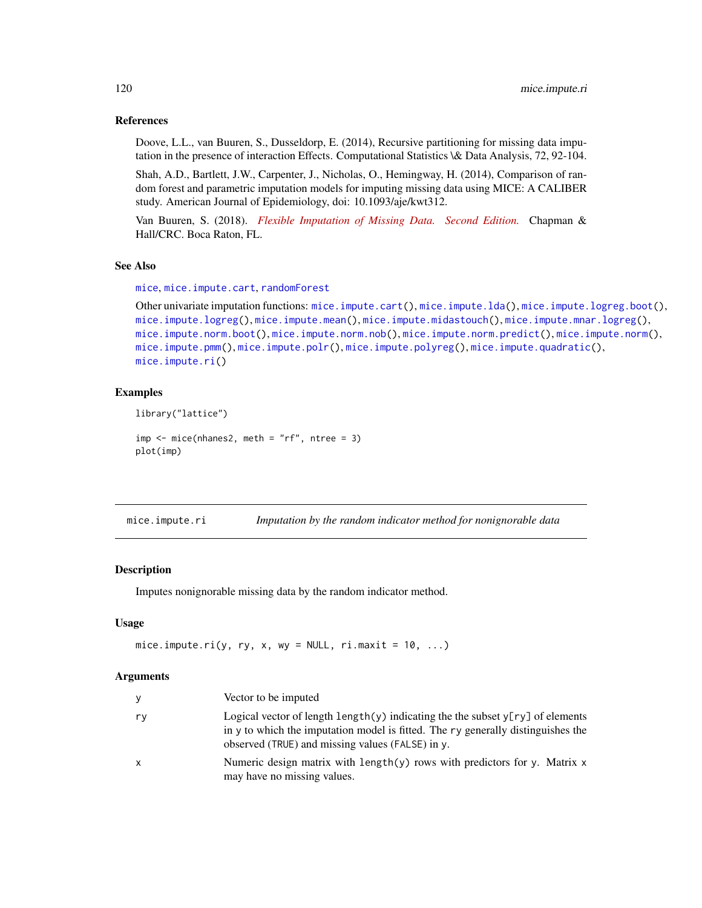## References

Doove, L.L., van Buuren, S., Dusseldorp, E. (2014), Recursive partitioning for missing data imputation in the presence of interaction Effects. Computational Statistics \& Data Analysis, 72, 92-104.

Shah, A.D., Bartlett, J.W., Carpenter, J., Nicholas, O., Hemingway, H. (2014), Comparison of random forest and parametric imputation models for imputing missing data using MICE: A CALIBER study. American Journal of Epidemiology, doi: 10.1093/aje/kwt312.

Van Buuren, S. (2018). *[Flexible Imputation of Missing Data. Second Edition.](https://stefvanbuuren.name/fimd/sec-cart.html)* Chapman & Hall/CRC. Boca Raton, FL.

## See Also

[mice](#page-68-0), [mice.impute.cart](#page-88-0), [randomForest](#page-0-0)

```
Other univariate imputation functions: mice.impute.cart(), mice.impute.lda(), mice.impute.logreg.boot(),
mice.impute.logreg(), mice.impute.mean(), mice.impute.midastouch(), mice.impute.mnar.logreg(),
mice.impute.norm.boot(), mice.impute.norm.nob(), mice.impute.norm.predict(), mice.impute.norm(),
mice.impute.pmm(), mice.impute.polr(), mice.impute.polyreg(), mice.impute.quadratic(),
mice.impute.ri()
```
## Examples

```
library("lattice")
```

```
imp \leq mice(nhanes2, meth = "rf", ntree = 3)
plot(imp)
```
<span id="page-119-0"></span>mice.impute.ri *Imputation by the random indicator method for nonignorable data*

#### **Description**

Imputes nonignorable missing data by the random indicator method.

#### Usage

```
mice.impute.ri(y, ry, x, wy = NULL, ri.maxit = 10, ...)
```
#### Arguments

|    | Vector to be imputed                                                                                                                                                                                                            |
|----|---------------------------------------------------------------------------------------------------------------------------------------------------------------------------------------------------------------------------------|
| ry | Logical vector of length length(y) indicating the the subset $y[ry]$ of elements<br>in $\nu$ to which the imputation model is fitted. The $\nu$ generally distinguishes the<br>observed (TRUE) and missing values (FALSE) in y. |
| x  | Numeric design matrix with length(y) rows with predictors for y. Matrix $x$<br>may have no missing values.                                                                                                                      |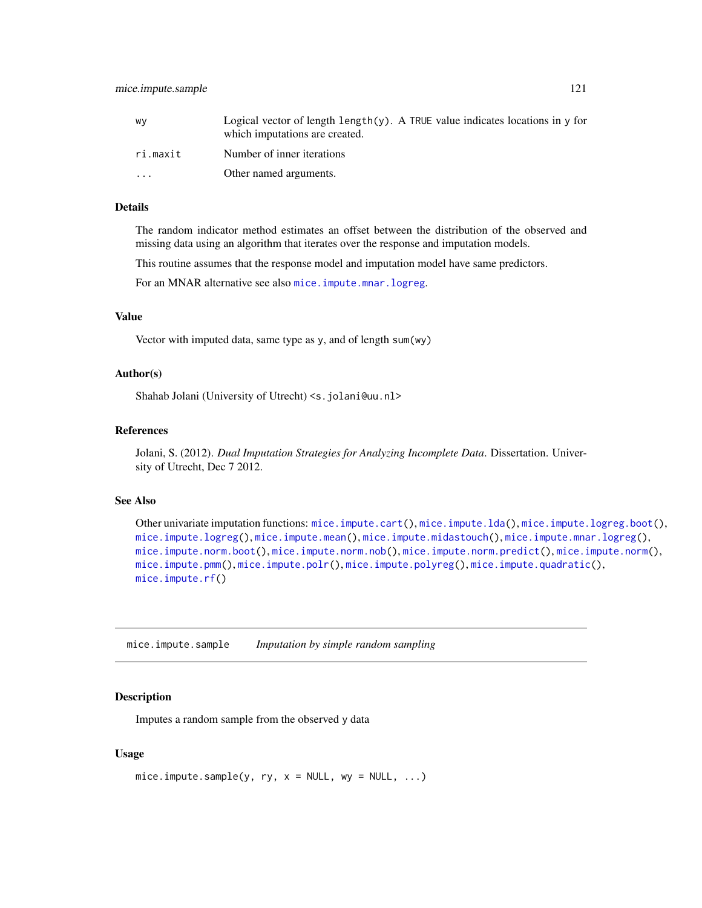| W٧       | Logical vector of length $\text{length}(y)$ . A TRUE value indicates locations in $y$ for<br>which imputations are created. |
|----------|-----------------------------------------------------------------------------------------------------------------------------|
| ri.maxit | Number of inner iterations                                                                                                  |
| $\cdots$ | Other named arguments.                                                                                                      |

## Details

The random indicator method estimates an offset between the distribution of the observed and missing data using an algorithm that iterates over the response and imputation models.

This routine assumes that the response model and imputation model have same predictors.

For an MNAR alternative see also [mice.impute.mnar.logreg](#page-99-0).

#### Value

Vector with imputed data, same type as y, and of length sum(wy)

# Author(s)

Shahab Jolani (University of Utrecht) <s.jolani@uu.nl>

## References

Jolani, S. (2012). *Dual Imputation Strategies for Analyzing Incomplete Data*. Dissertation. University of Utrecht, Dec 7 2012.

#### See Also

```
Other univariate imputation functions: mice.impute.cart(), mice.impute.lda(), mice.impute.logreg.boot(),
mice.impute.logreg(), mice.impute.mean(), mice.impute.midastouch(), mice.impute.mnar.logreg(),
mice.impute.norm.boot(), mice.impute.norm.nob(), mice.impute.norm.predict(), mice.impute.norm(),
mice.impute.pmm(), mice.impute.polr(), mice.impute.polyreg(), mice.impute.quadratic(),
mice.impute.rf()
```
mice.impute.sample *Imputation by simple random sampling*

## Description

Imputes a random sample from the observed y data

#### Usage

```
mice. impute.sample(y, ry, x = NULL, w = NULL, ...)
```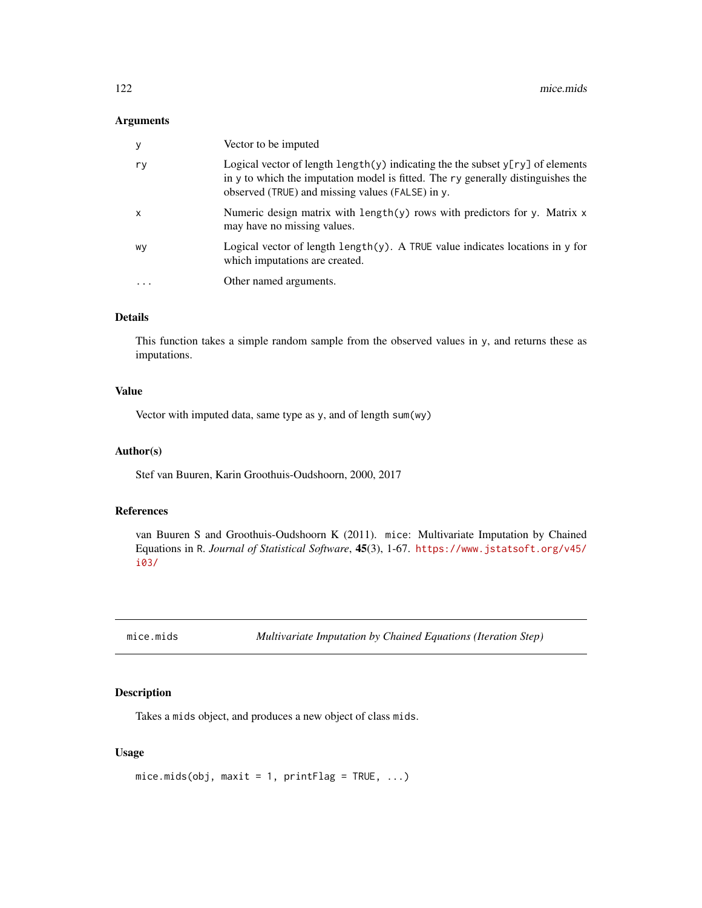## Arguments

| у  | Vector to be imputed                                                                                                                                                                                                              |
|----|-----------------------------------------------------------------------------------------------------------------------------------------------------------------------------------------------------------------------------------|
| ry | Logical vector of length $\text{length}(y)$ indicating the the subset $y[ry]$ of elements<br>in y to which the imputation model is fitted. The ry generally distinguishes the<br>observed (TRUE) and missing values (FALSE) in y. |
| X  | Numeric design matrix with length(y) rows with predictors for y. Matrix $x$<br>may have no missing values.                                                                                                                        |
| wy | Logical vector of length length $(y)$ . A TRUE value indicates locations in y for<br>which imputations are created.                                                                                                               |
| .  | Other named arguments.                                                                                                                                                                                                            |
|    |                                                                                                                                                                                                                                   |

# Details

This function takes a simple random sample from the observed values in y, and returns these as imputations.

# Value

Vector with imputed data, same type as y, and of length sum(wy)

#### Author(s)

Stef van Buuren, Karin Groothuis-Oudshoorn, 2000, 2017

# References

van Buuren S and Groothuis-Oudshoorn K (2011). mice: Multivariate Imputation by Chained Equations in R. *Journal of Statistical Software*, 45(3), 1-67. [https://www.jstatsoft.org/v45/](https://www.jstatsoft.org/v45/i03/) [i03/](https://www.jstatsoft.org/v45/i03/)

mice.mids *Multivariate Imputation by Chained Equations (Iteration Step)*

# Description

Takes a mids object, and produces a new object of class mids.

#### Usage

```
mice.mids(obj, maxit = 1, printFlag = TRUE, \ldots)
```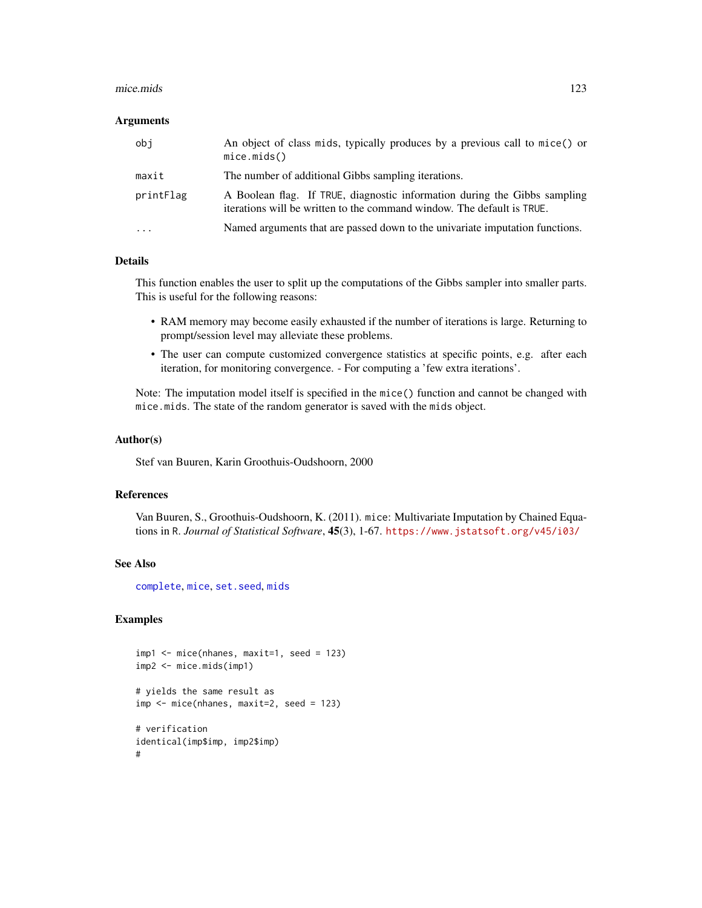#### mice.mids 123

#### Arguments

| obi       | An object of class mids, typically produces by a previous call to mice() or<br>mice.mids()                                                          |
|-----------|-----------------------------------------------------------------------------------------------------------------------------------------------------|
| maxit     | The number of additional Gibbs sampling iterations.                                                                                                 |
| printFlag | A Boolean flag. If TRUE, diagnostic information during the Gibbs sampling<br>iterations will be written to the command window. The default is TRUE. |
| $\cdots$  | Named arguments that are passed down to the univariate imputation functions.                                                                        |

## Details

This function enables the user to split up the computations of the Gibbs sampler into smaller parts. This is useful for the following reasons:

- RAM memory may become easily exhausted if the number of iterations is large. Returning to prompt/session level may alleviate these problems.
- The user can compute customized convergence statistics at specific points, e.g. after each iteration, for monitoring convergence. - For computing a 'few extra iterations'.

Note: The imputation model itself is specified in the mice() function and cannot be changed with mice.mids. The state of the random generator is saved with the mids object.

## Author(s)

Stef van Buuren, Karin Groothuis-Oudshoorn, 2000

## References

Van Buuren, S., Groothuis-Oudshoorn, K. (2011). mice: Multivariate Imputation by Chained Equations in R. *Journal of Statistical Software*, 45(3), 1-67. <https://www.jstatsoft.org/v45/i03/>

# See Also

[complete](#page-25-0), [mice](#page-68-0), [set.seed](#page-0-0), [mids](#page-123-1)

#### Examples

```
imp1 <- mice(nhanes, maxit=1, seed = 123)
imp2 <- mice.mids(imp1)
# yields the same result as
imp <- mice(nhanes, maxit=2, seed = 123)
# verification
identical(imp$imp, imp2$imp)
#
```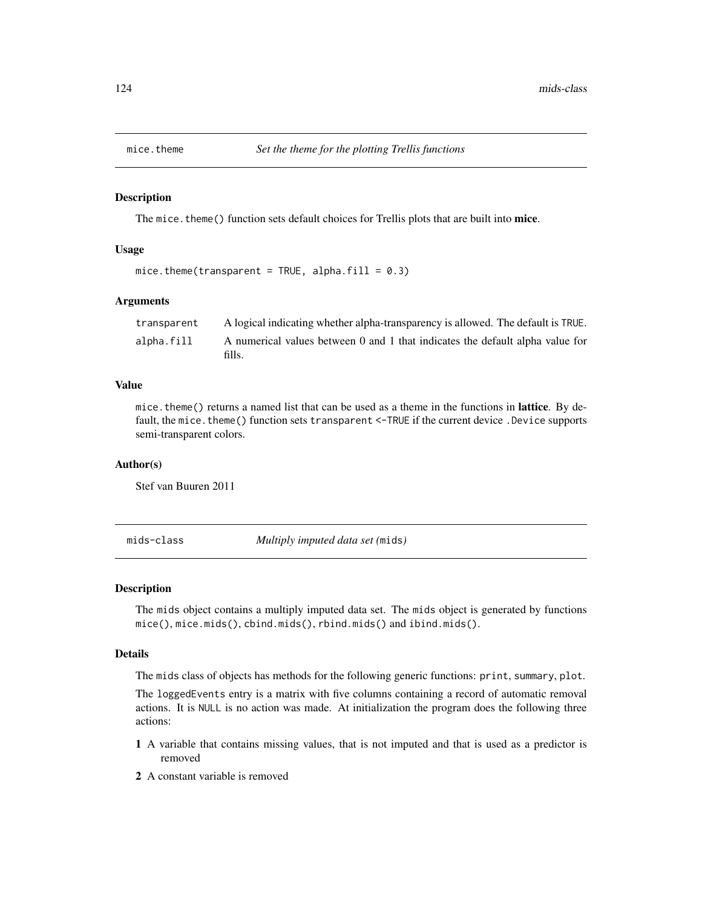The mice. theme() function sets default choices for Trellis plots that are built into mice.

#### Usage

```
mice.theme(transparent = TRUE, alpha.fill = 0.3)
```
# Arguments

| transparent | A logical indicating whether alpha-transparency is allowed. The default is TRUE.        |
|-------------|-----------------------------------------------------------------------------------------|
| alpha.fill  | A numerical values between 0 and 1 that indicates the default alpha value for<br>fills. |

# Value

mice. theme() returns a named list that can be used as a theme in the functions in **lattice**. By default, the mice. theme() function sets transparent <-TRUE if the current device . Device supports semi-transparent colors.

#### Author(s)

Stef van Buuren 2011

<span id="page-123-1"></span>mids-class *Multiply imputed data set (*mids*)*

## <span id="page-123-0"></span>Description

The mids object contains a multiply imputed data set. The mids object is generated by functions mice(), mice.mids(), cbind.mids(), rbind.mids() and ibind.mids().

#### Details

The mids class of objects has methods for the following generic functions: print, summary, plot.

The loggedEvents entry is a matrix with five columns containing a record of automatic removal actions. It is NULL is no action was made. At initialization the program does the following three actions:

- 1 A variable that contains missing values, that is not imputed and that is used as a predictor is removed
- 2 A constant variable is removed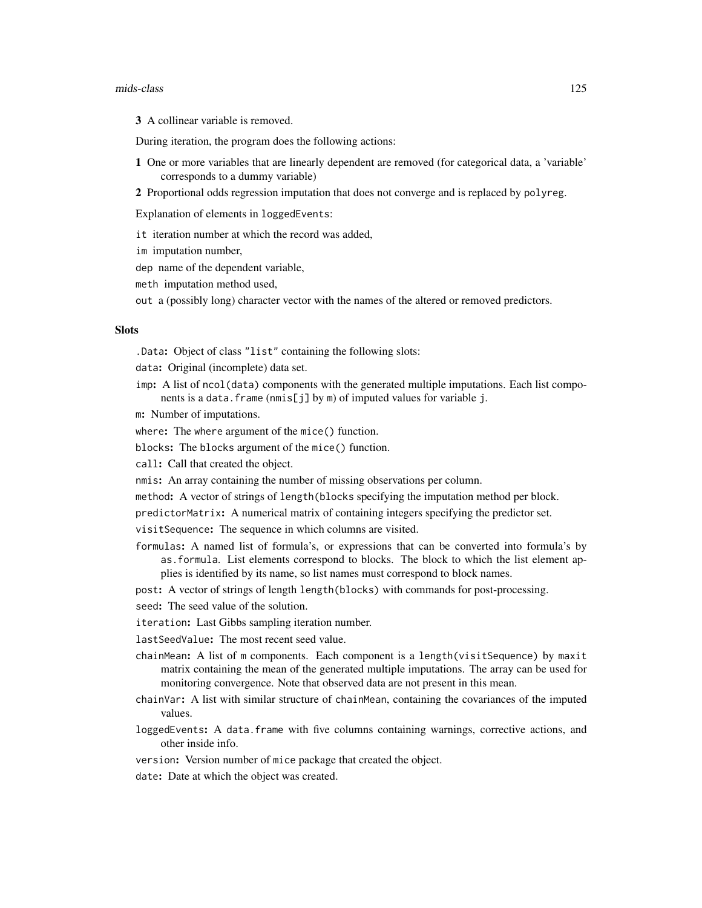#### mids-class 125

3 A collinear variable is removed.

During iteration, the program does the following actions:

- 1 One or more variables that are linearly dependent are removed (for categorical data, a 'variable' corresponds to a dummy variable)
- 2 Proportional odds regression imputation that does not converge and is replaced by polyreg.

Explanation of elements in loggedEvents:

- it iteration number at which the record was added,
- im imputation number,
- dep name of the dependent variable,
- meth imputation method used,
- out a (possibly long) character vector with the names of the altered or removed predictors.

#### **Slots**

.Data: Object of class "list" containing the following slots:

data: Original (incomplete) data set.

imp: A list of ncol(data) components with the generated multiple imputations. Each list components is a data.frame (nmis[j] by m) of imputed values for variable j.

m: Number of imputations.

where: The where argument of the mice() function.

blocks: The blocks argument of the mice() function.

call: Call that created the object.

nmis: An array containing the number of missing observations per column.

method: A vector of strings of length(blocks specifying the imputation method per block.

predictorMatrix: A numerical matrix of containing integers specifying the predictor set.

visitSequence: The sequence in which columns are visited.

formulas: A named list of formula's, or expressions that can be converted into formula's by as.formula. List elements correspond to blocks. The block to which the list element applies is identified by its name, so list names must correspond to block names.

post: A vector of strings of length length(blocks) with commands for post-processing.

- seed: The seed value of the solution.
- iteration: Last Gibbs sampling iteration number.

lastSeedValue: The most recent seed value.

- chainMean: A list of m components. Each component is a length(visitSequence) by maxit matrix containing the mean of the generated multiple imputations. The array can be used for monitoring convergence. Note that observed data are not present in this mean.
- chainVar: A list with similar structure of chainMean, containing the covariances of the imputed values.
- loggedEvents: A data.frame with five columns containing warnings, corrective actions, and other inside info.
- version: Version number of mice package that created the object.
- date: Date at which the object was created.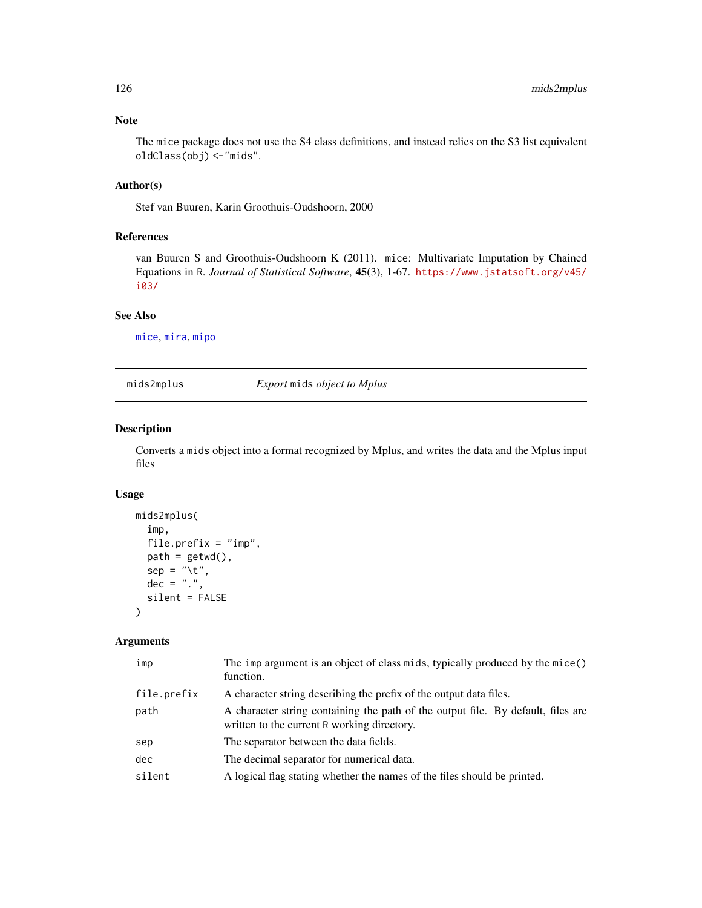The mice package does not use the S4 class definitions, and instead relies on the S3 list equivalent oldClass(obj) <-"mids".

# Author(s)

Stef van Buuren, Karin Groothuis-Oudshoorn, 2000

# References

van Buuren S and Groothuis-Oudshoorn K (2011). mice: Multivariate Imputation by Chained Equations in R. *Journal of Statistical Software*, 45(3), 1-67. [https://www.jstatsoft.org/v45/](https://www.jstatsoft.org/v45/i03/) [i03/](https://www.jstatsoft.org/v45/i03/)

#### See Also

[mice](#page-68-0), [mira](#page-128-0), [mipo](#page-0-0)

mids2mplus *Export* mids *object to Mplus*

## Description

Converts a mids object into a format recognized by Mplus, and writes the data and the Mplus input files

## Usage

```
mids2mplus(
  imp,
  file.prefix = "imp",
 path = getwd(),sep = "\t",
 dec = "."silent = FALSE
)
```
### Arguments

| imp         | The imp argument is an object of class mids, typically produced by the mice()<br>function.                                      |
|-------------|---------------------------------------------------------------------------------------------------------------------------------|
| file.prefix | A character string describing the prefix of the output data files.                                                              |
| path        | A character string containing the path of the output file. By default, files are<br>written to the current R working directory. |
| sep         | The separator between the data fields.                                                                                          |
| dec         | The decimal separator for numerical data.                                                                                       |
| silent      | A logical flag stating whether the names of the files should be printed.                                                        |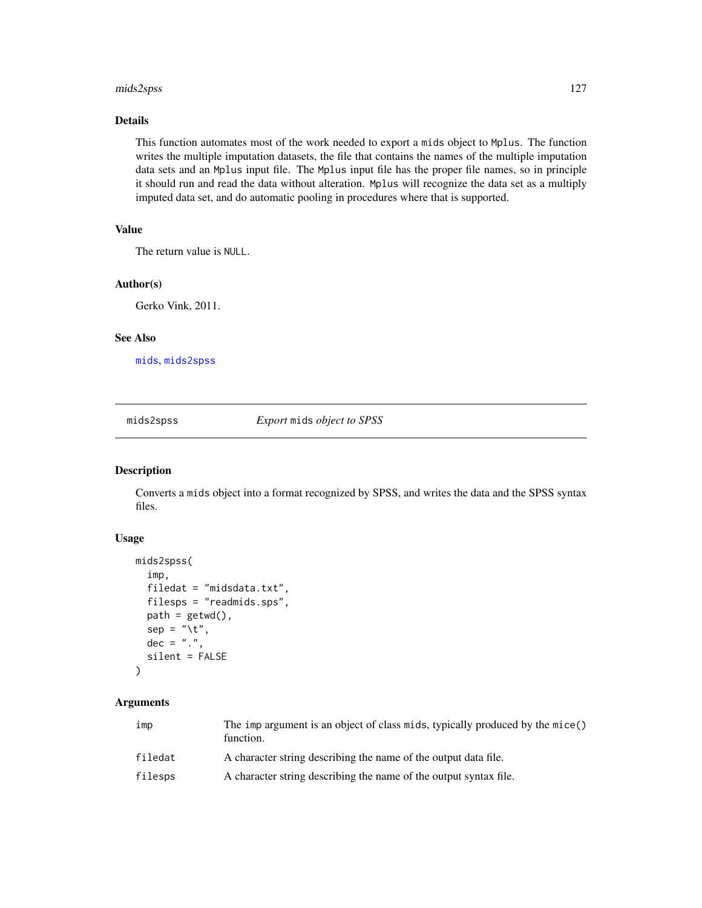#### mids2spss 127

## Details

This function automates most of the work needed to export a mids object to Mplus. The function writes the multiple imputation datasets, the file that contains the names of the multiple imputation data sets and an Mplus input file. The Mplus input file has the proper file names, so in principle it should run and read the data without alteration. Mplus will recognize the data set as a multiply imputed data set, and do automatic pooling in procedures where that is supported.

# Value

The return value is NULL.

#### Author(s)

Gerko Vink, 2011.

#### See Also

[mids](#page-123-1), [mids2spss](#page-126-0)

<span id="page-126-0"></span>mids2spss *Export* mids *object to SPSS*

# Description

Converts a mids object into a format recognized by SPSS, and writes the data and the SPSS syntax files.

#### Usage

```
mids2spss(
  imp,
  filedat = "midsdata.txt",
  filesps = "readmids.sps",
  path = getwd(),
  sep = "\t",
  dec = ".".silent = FALSE
\mathcal{E}
```
#### Arguments

| imp     | The imp argument is an object of class mids, typically produced by the mice()<br>function. |
|---------|--------------------------------------------------------------------------------------------|
| filedat | A character string describing the name of the output data file.                            |
| filesps | A character string describing the name of the output syntax file.                          |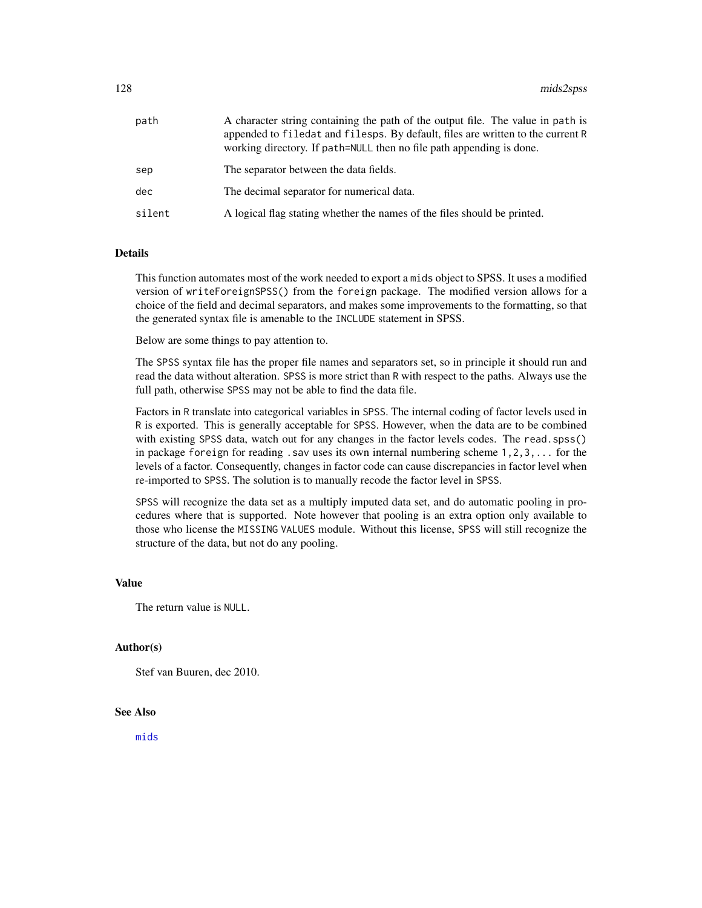| path   | A character string containing the path of the output file. The value in path is<br>appended to filed at and filesps. By default, files are written to the current R<br>working directory. If path=NULL then no file path appending is done. |
|--------|---------------------------------------------------------------------------------------------------------------------------------------------------------------------------------------------------------------------------------------------|
| sep    | The separator between the data fields.                                                                                                                                                                                                      |
| dec    | The decimal separator for numerical data.                                                                                                                                                                                                   |
| silent | A logical flag stating whether the names of the files should be printed.                                                                                                                                                                    |

# Details

This function automates most of the work needed to export a mids object to SPSS. It uses a modified version of writeForeignSPSS() from the foreign package. The modified version allows for a choice of the field and decimal separators, and makes some improvements to the formatting, so that the generated syntax file is amenable to the INCLUDE statement in SPSS.

Below are some things to pay attention to.

The SPSS syntax file has the proper file names and separators set, so in principle it should run and read the data without alteration. SPSS is more strict than R with respect to the paths. Always use the full path, otherwise SPSS may not be able to find the data file.

Factors in R translate into categorical variables in SPSS. The internal coding of factor levels used in R is exported. This is generally acceptable for SPSS. However, when the data are to be combined with existing SPSS data, watch out for any changes in the factor levels codes. The read.spss() in package foreign for reading . sav uses its own internal numbering scheme  $1, 2, 3, \ldots$  for the levels of a factor. Consequently, changes in factor code can cause discrepancies in factor level when re-imported to SPSS. The solution is to manually recode the factor level in SPSS.

SPSS will recognize the data set as a multiply imputed data set, and do automatic pooling in procedures where that is supported. Note however that pooling is an extra option only available to those who license the MISSING VALUES module. Without this license, SPSS will still recognize the structure of the data, but not do any pooling.

## Value

The return value is NULL.

#### Author(s)

Stef van Buuren, dec 2010.

# See Also

[mids](#page-123-1)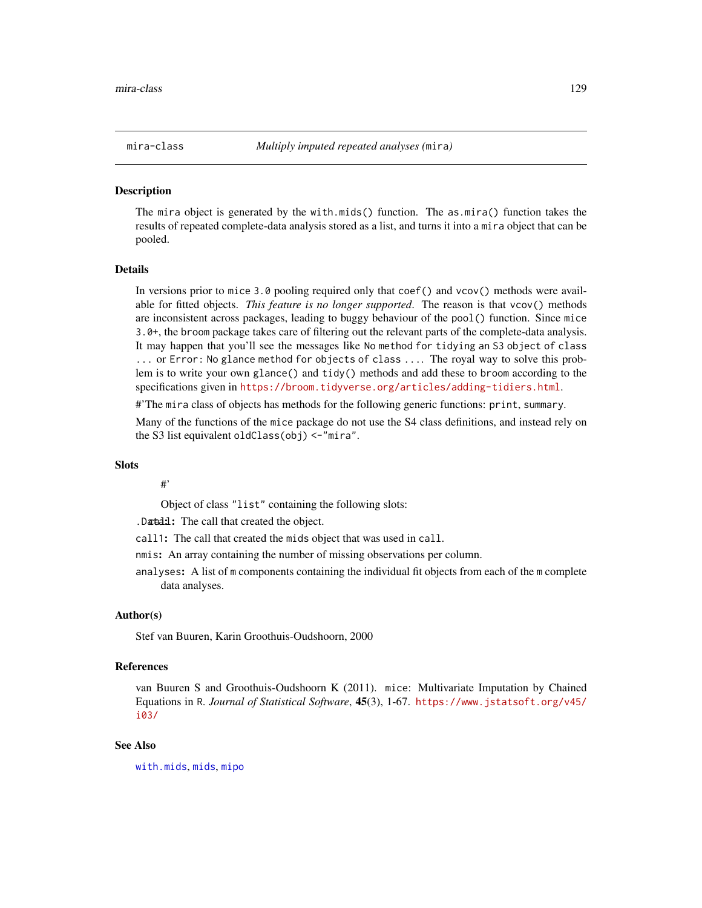<span id="page-128-0"></span>

The mira object is generated by the with.mids() function. The as.mira() function takes the results of repeated complete-data analysis stored as a list, and turns it into a mira object that can be pooled.

#### Details

In versions prior to mice 3.0 pooling required only that coef() and vcov() methods were available for fitted objects. *This feature is no longer supported*. The reason is that vcov() methods are inconsistent across packages, leading to buggy behaviour of the pool() function. Since mice 3.0+, the broom package takes care of filtering out the relevant parts of the complete-data analysis. It may happen that you'll see the messages like No method for tidying an S3 object of class ... or Error: No glance method for objects of class .... The royal way to solve this problem is to write your own glance() and tidy() methods and add these to broom according to the specifications given in <https://broom.tidyverse.org/articles/adding-tidiers.html>.

#'The mira class of objects has methods for the following generic functions: print, summary.

Many of the functions of the mice package do not use the S4 class definitions, and instead rely on the S3 list equivalent oldClass(obj) <-"mira".

## Slots

#'

Object of class "list" containing the following slots:

.Data:l: The call that created the object.

call1: The call that created the mids object that was used in call.

- nmis: An array containing the number of missing observations per column.
- analyses: A list of m components containing the individual fit objects from each of the m complete data analyses.

## Author(s)

Stef van Buuren, Karin Groothuis-Oudshoorn, 2000

# References

van Buuren S and Groothuis-Oudshoorn K (2011). mice: Multivariate Imputation by Chained Equations in R. *Journal of Statistical Software*, 45(3), 1-67. [https://www.jstatsoft.org/v45/](https://www.jstatsoft.org/v45/i03/) [i03/](https://www.jstatsoft.org/v45/i03/)

## See Also

[with.mids](#page-171-0), [mids](#page-123-1), [mipo](#page-0-0)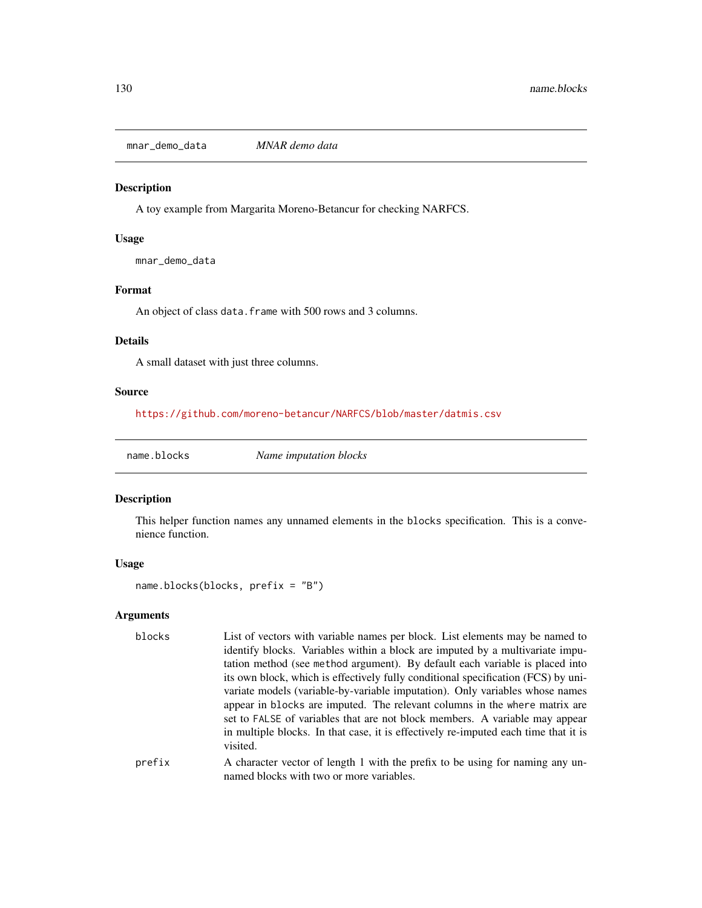mnar\_demo\_data *MNAR demo data*

## Description

A toy example from Margarita Moreno-Betancur for checking NARFCS.

# Usage

mnar\_demo\_data

## Format

An object of class data. frame with 500 rows and 3 columns.

# Details

A small dataset with just three columns.

# Source

<https://github.com/moreno-betancur/NARFCS/blob/master/datmis.csv>

name.blocks *Name imputation blocks*

# Description

This helper function names any unnamed elements in the blocks specification. This is a convenience function.

# Usage

```
name.blocks(blocks, prefix = "B")
```
# Arguments

| blocks | List of vectors with variable names per block. List elements may be named to                                              |
|--------|---------------------------------------------------------------------------------------------------------------------------|
|        | identify blocks. Variables within a block are imputed by a multivariate impu-                                             |
|        | tation method (see method argument). By default each variable is placed into                                              |
|        | its own block, which is effectively fully conditional specification (FCS) by uni-                                         |
|        | variate models (variable-by-variable imputation). Only variables whose names                                              |
|        | appear in blocks are imputed. The relevant columns in the where matrix are                                                |
|        | set to FALSE of variables that are not block members. A variable may appear                                               |
|        | in multiple blocks. In that case, it is effectively re-imputed each time that it is<br>visited.                           |
| prefix | A character vector of length 1 with the prefix to be using for naming any un-<br>named blocks with two or more variables. |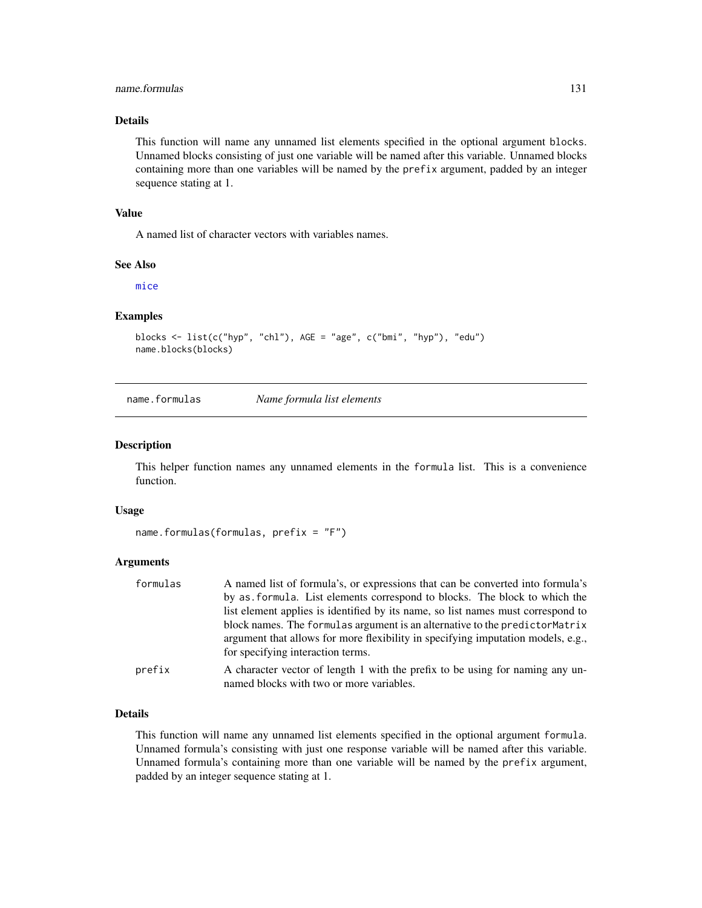## name.formulas 131

## Details

This function will name any unnamed list elements specified in the optional argument blocks. Unnamed blocks consisting of just one variable will be named after this variable. Unnamed blocks containing more than one variables will be named by the prefix argument, padded by an integer sequence stating at 1.

#### Value

A named list of character vectors with variables names.

## See Also

[mice](#page-68-0)

## Examples

```
blocks <- list(c("hyp", "chl"), AGE = "age", c("bmi", "hyp"), "edu")
name.blocks(blocks)
```
name.formulas *Name formula list elements*

#### Description

This helper function names any unnamed elements in the formula list. This is a convenience function.

#### Usage

```
name.formulas(formulas, prefix = "F")
```
#### Arguments

| formulas | A named list of formula's, or expressions that can be converted into formula's                                        |
|----------|-----------------------------------------------------------------------------------------------------------------------|
|          | by as formula. List elements correspond to blocks. The block to which the                                             |
|          | list element applies is identified by its name, so list names must correspond to                                      |
|          | block names. The formulas argument is an alternative to the predictor Matrix                                          |
|          | argument that allows for more flexibility in specifying imputation models, e.g.,<br>for specifying interaction terms. |
| prefix   | A character vector of length 1 with the prefix to be using for naming any un-                                         |
|          | named blocks with two or more variables.                                                                              |

## Details

This function will name any unnamed list elements specified in the optional argument formula. Unnamed formula's consisting with just one response variable will be named after this variable. Unnamed formula's containing more than one variable will be named by the prefix argument, padded by an integer sequence stating at 1.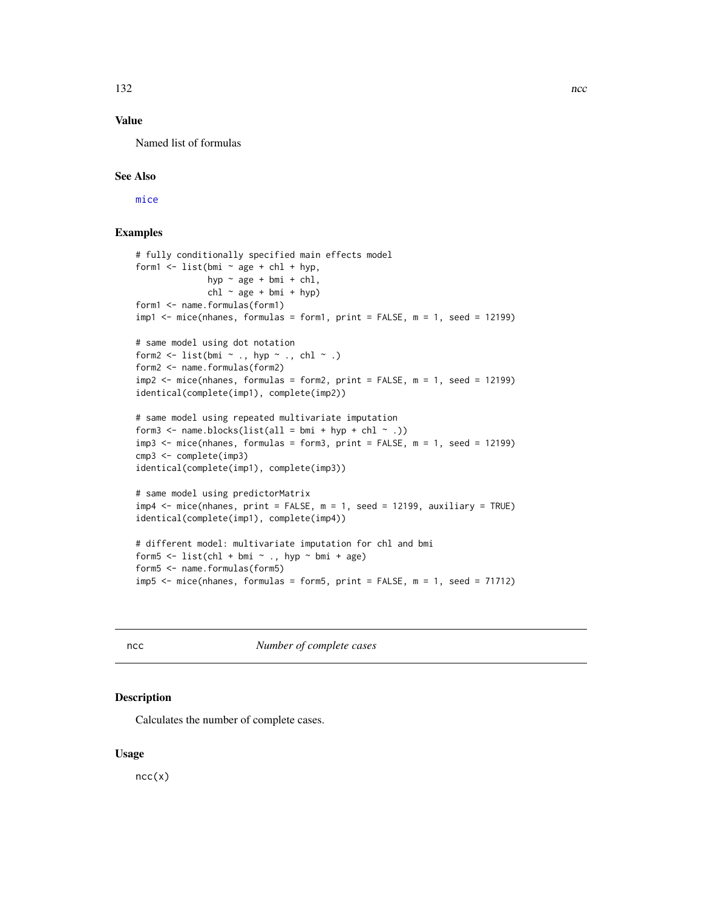# Value

Named list of formulas

# See Also

[mice](#page-68-0)

# Examples

```
# fully conditionally specified main effects model
form1 \le list(bmi \sim age + chl + hyp,
              hyp ~ age + bmi + chl,
              chl \sim age + bmi + hyp)form1 <- name.formulas(form1)
impl < - mice(nhanes, formulas = form1, print = FALSE, m = 1, seed = 12199)
# same model using dot notation
form2 <- list(bmi \sim ., hyp \sim ., chl \sim .)
form2 <- name.formulas(form2)
imp2 <- mice(nhanes, formulas = form2, print = FALSE, m = 1, seed = 12199)
identical(complete(imp1), complete(imp2))
# same model using repeated multivariate imputation
form3 \leq name.blocks(list(all = bmi + hyp + chl \leq .))
imp3 <- mice(nhanes, formulas = form3, print = FALSE, m = 1, seed = 12199)
cmp3 <- complete(imp3)
identical(complete(imp1), complete(imp3))
# same model using predictorMatrix
imp4 < - mice(nhanes, print = FALSE, m = 1, seed = 12199, auxiliary = TRUE)
identical(complete(imp1), complete(imp4))
# different model: multivariate imputation for chl and bmi
form5 \le list(chl + bmi \sim ., hyp \sim bmi + age)
form5 <- name.formulas(form5)
imp5 < - mice(nhanes, formulas = form5, print = FALSE, m = 1, seed = 71712)
```
<span id="page-131-0"></span>ncc *Number of complete cases*

### Description

Calculates the number of complete cases.

## Usage

 $ncc(x)$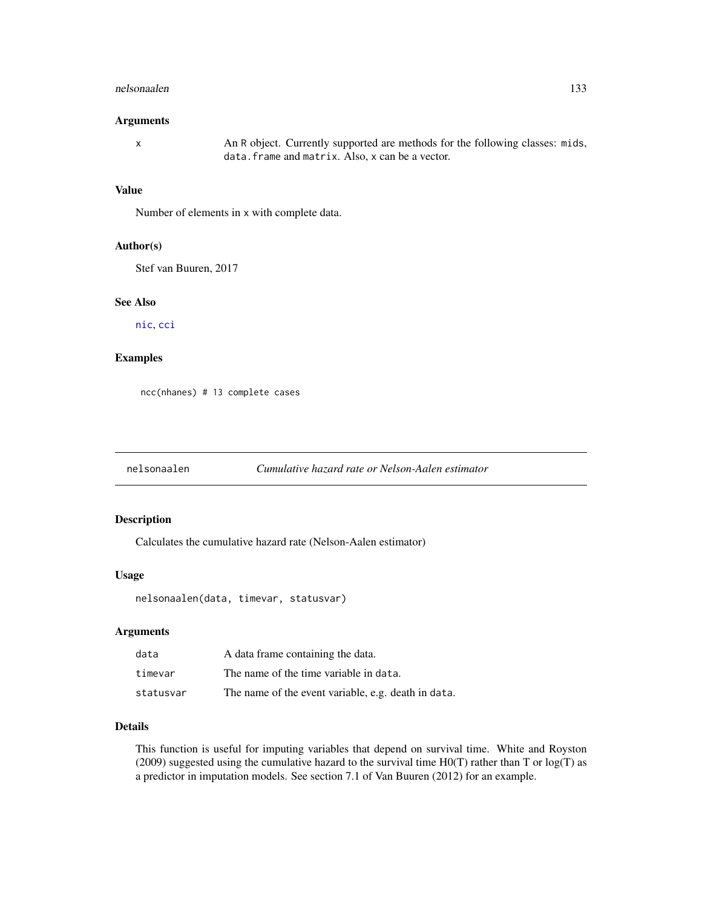#### nelsonaalen 133

#### Arguments

x An R object. Currently supported are methods for the following classes: mids, data.frame and matrix. Also, x can be a vector.

## Value

Number of elements in x with complete data.

## Author(s)

Stef van Buuren, 2017

## See Also

[nic](#page-135-0), [cci](#page-24-0)

# Examples

ncc(nhanes) # 13 complete cases

#### nelsonaalen *Cumulative hazard rate or Nelson-Aalen estimator*

#### Description

Calculates the cumulative hazard rate (Nelson-Aalen estimator)

#### Usage

nelsonaalen(data, timevar, statusvar)

#### Arguments

| data      | A data frame containing the data.                   |  |
|-----------|-----------------------------------------------------|--|
| timevar   | The name of the time variable in data.              |  |
| statusvar | The name of the event variable, e.g. death in data. |  |

# Details

This function is useful for imputing variables that depend on survival time. White and Royston (2009) suggested using the cumulative hazard to the survival time H0(T) rather than T or log(T) as a predictor in imputation models. See section 7.1 of Van Buuren (2012) for an example.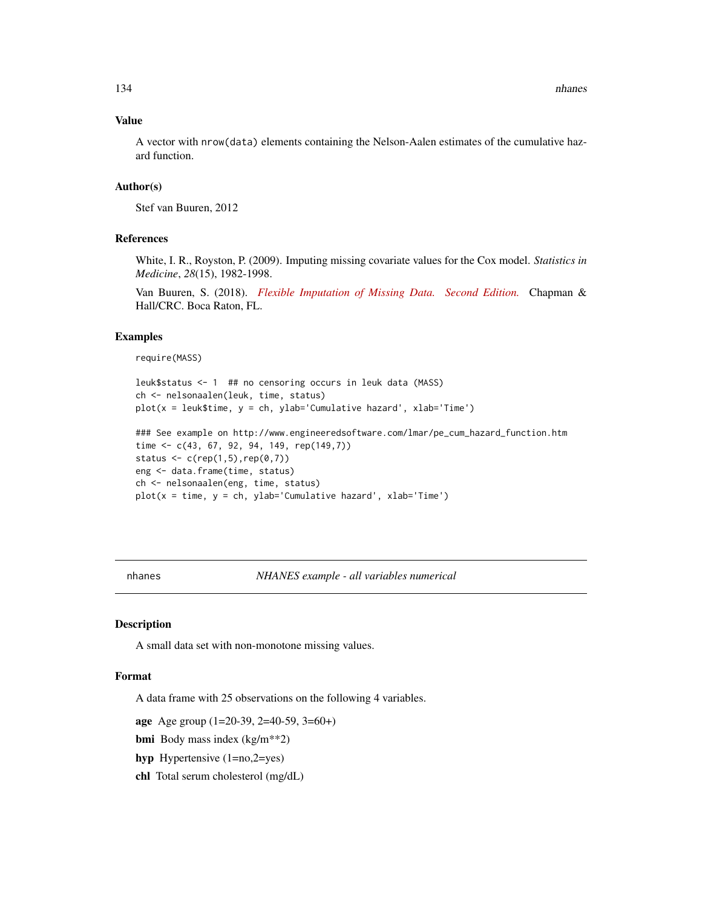# Value

A vector with nrow(data) elements containing the Nelson-Aalen estimates of the cumulative hazard function.

## Author(s)

Stef van Buuren, 2012

## References

White, I. R., Royston, P. (2009). Imputing missing covariate values for the Cox model. *Statistics in Medicine*, *28*(15), 1982-1998.

Van Buuren, S. (2018). *[Flexible Imputation of Missing Data. Second Edition.](https://stefvanbuuren.name/fimd/sec-toomany.html#a-further-improvement-survival-as-predictor-variable)* Chapman & Hall/CRC. Boca Raton, FL.

## Examples

require(MASS)

```
leuk$status <- 1 ## no censoring occurs in leuk data (MASS)
ch <- nelsonaalen(leuk, time, status)
plot(x = leuk$time, y = ch, ylab='Cumulative hazard', xlab='Time')
```

```
### See example on http://www.engineeredsoftware.com/lmar/pe_cum_hazard_function.htm
time <- c(43, 67, 92, 94, 149, rep(149,7))
status \leq c(rep(1,5),rep(0,7))
eng <- data.frame(time, status)
ch <- nelsonaalen(eng, time, status)
plot(x = time, y = ch, ylab='Cumulative hazard', xlab='Time')
```
<span id="page-133-0"></span>nhanes *NHANES example - all variables numerical*

# Description

A small data set with non-monotone missing values.

## Format

A data frame with 25 observations on the following 4 variables.

age Age group (1=20-39, 2=40-59, 3=60+)

bmi Body mass index (kg/m\*\*2)

hyp Hypertensive (1=no,2=yes)

chl Total serum cholesterol (mg/dL)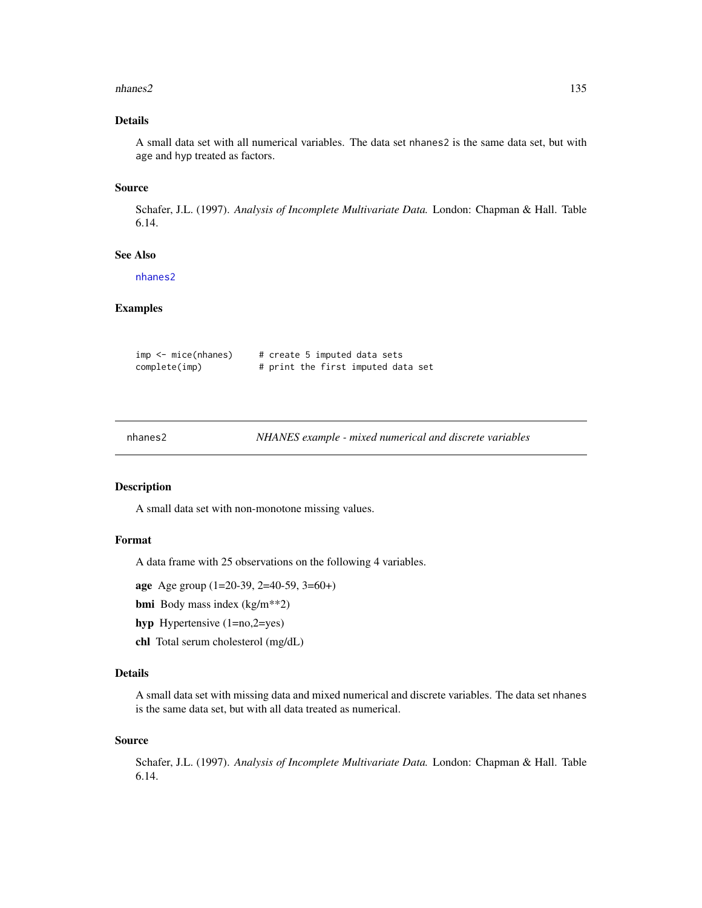#### nhanes2 135

# Details

A small data set with all numerical variables. The data set nhanes2 is the same data set, but with age and hyp treated as factors.

## Source

Schafer, J.L. (1997). *Analysis of Incomplete Multivariate Data.* London: Chapman & Hall. Table 6.14.

# See Also

[nhanes2](#page-134-0)

# Examples

| $imp < -$ mice(nhanes) |  |  | # create 5 imputed data sets       |  |
|------------------------|--|--|------------------------------------|--|
| complete(imp)          |  |  | # print the first imputed data set |  |

<span id="page-134-0"></span>

| nhanes2 | NHANES example - mixed numerical and discrete variables |
|---------|---------------------------------------------------------|
|---------|---------------------------------------------------------|

# Description

A small data set with non-monotone missing values.

## Format

A data frame with 25 observations on the following 4 variables.

age Age group (1=20-39, 2=40-59, 3=60+)

- bmi Body mass index (kg/m\*\*2)
- hyp Hypertensive (1=no,2=yes)
- chl Total serum cholesterol (mg/dL)

## Details

A small data set with missing data and mixed numerical and discrete variables. The data set nhanes is the same data set, but with all data treated as numerical.

#### Source

Schafer, J.L. (1997). *Analysis of Incomplete Multivariate Data.* London: Chapman & Hall. Table 6.14.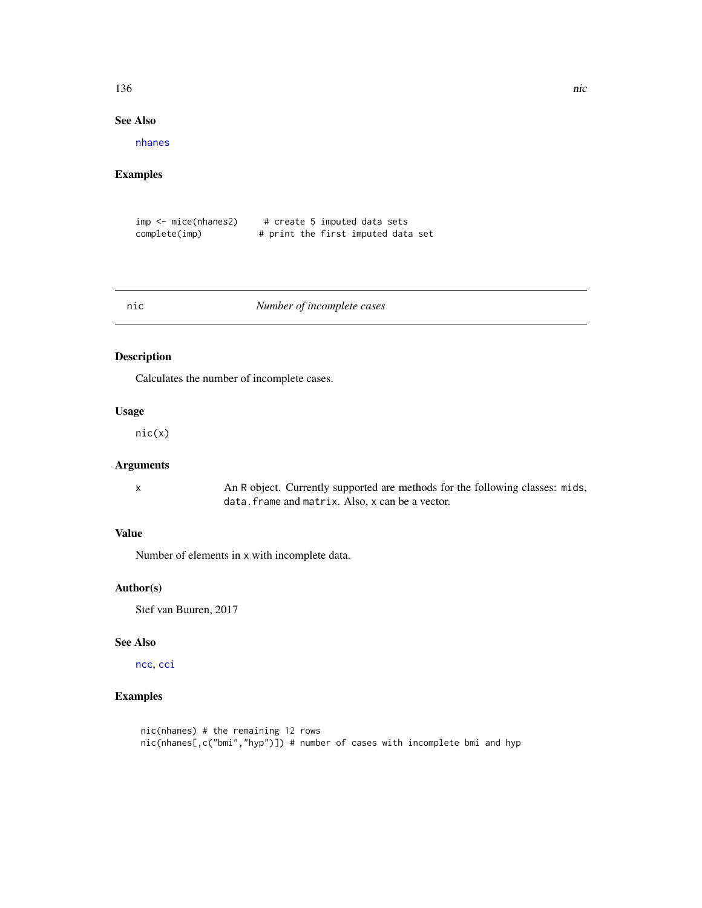#### 136 nic

# See Also

[nhanes](#page-133-0)

## Examples

| $imp < -$ mice(nhanes2) | # create 5 imputed data sets       |  |
|-------------------------|------------------------------------|--|
| complete(imp)           | # print the first imputed data set |  |

## <span id="page-135-0"></span>nic *Number of incomplete cases*

# Description

Calculates the number of incomplete cases.

# Usage

nic(x)

# Arguments

x An R object. Currently supported are methods for the following classes: mids, data.frame and matrix. Also, x can be a vector.

# Value

Number of elements in x with incomplete data.

## Author(s)

Stef van Buuren, 2017

## See Also

[ncc](#page-131-0), [cci](#page-24-0)

# Examples

```
nic(nhanes) # the remaining 12 rows
nic(nhanes[,c("bmi","hyp")]) # number of cases with incomplete bmi and hyp
```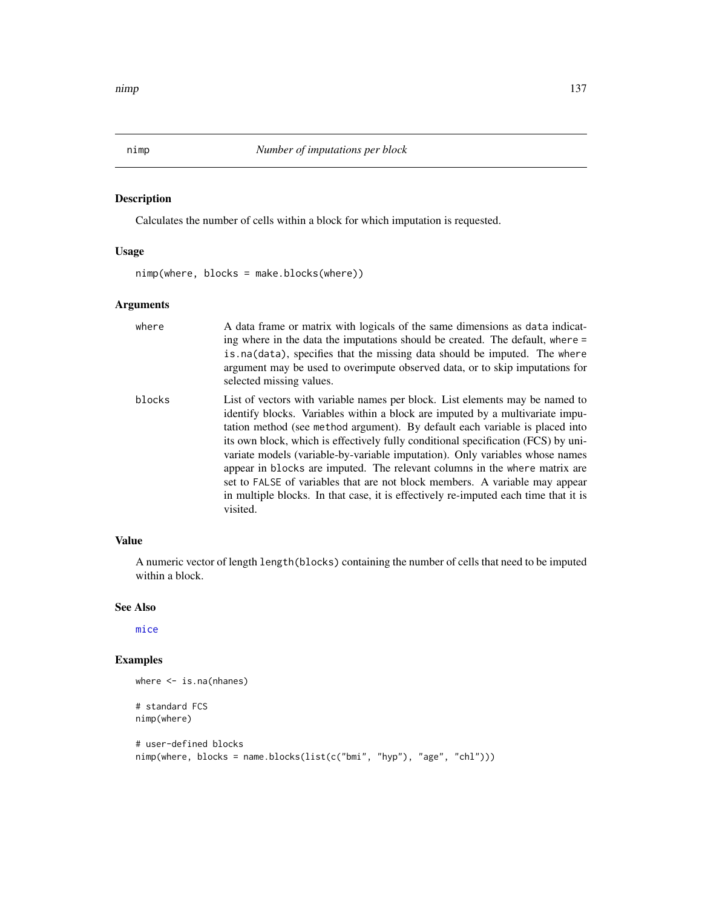Calculates the number of cells within a block for which imputation is requested.

# Usage

nimp(where, blocks = make.blocks(where))

visited.

## Arguments

| where  | A data frame or matrix with logicals of the same dimensions as data indicat-<br>ing where in the data the imputations should be created. The default, where =<br>is na(data), specifies that the missing data should be imputed. The where<br>argument may be used to overimpute observed data, or to skip imputations for<br>selected missing values.                                                                                                                                                                                                                          |
|--------|---------------------------------------------------------------------------------------------------------------------------------------------------------------------------------------------------------------------------------------------------------------------------------------------------------------------------------------------------------------------------------------------------------------------------------------------------------------------------------------------------------------------------------------------------------------------------------|
| blocks | List of vectors with variable names per block. List elements may be named to<br>identify blocks. Variables within a block are imputed by a multivariate impu-<br>tation method (see method argument). By default each variable is placed into<br>its own block, which is effectively fully conditional specification (FCS) by uni-<br>variate models (variable-by-variable imputation). Only variables whose names<br>appear in blocks are imputed. The relevant columns in the where matrix are<br>set to FALSE of variables that are not block members. A variable may appear |

#### Value

A numeric vector of length length(blocks) containing the number of cells that need to be imputed within a block.

in multiple blocks. In that case, it is effectively re-imputed each time that it is

# See Also

[mice](#page-68-0)

# Examples

```
where <- is.na(nhanes)
# standard FCS
nimp(where)
# user-defined blocks
nimp(where, blocks = name.blocks(list(c("bmi", "hyp"), "age", "chl")))
```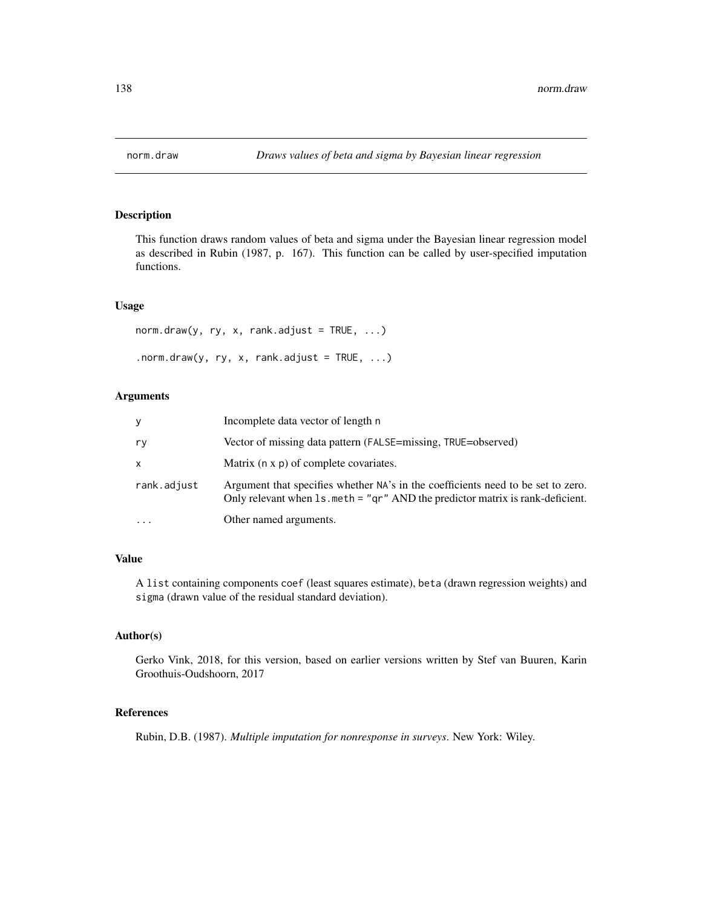This function draws random values of beta and sigma under the Bayesian linear regression model as described in Rubin (1987, p. 167). This function can be called by user-specified imputation functions.

#### Usage

```
norm.draw(y, ry, x, rank.addjust = TRUE, ...).norm.draw(y, ry, x, rank.adjust = TRUE, ...)
```
# Arguments

| V           | Incomplete data vector of length n                                                                                                                                  |
|-------------|---------------------------------------------------------------------------------------------------------------------------------------------------------------------|
| ry          | Vector of missing data pattern (FALSE=missing, TRUE=observed)                                                                                                       |
| X           | Matrix (n x p) of complete covariates.                                                                                                                              |
| rank.adjust | Argument that specifies whether NA's in the coefficients need to be set to zero.<br>Only relevant when $ls$ meth = "qr" AND the predictor matrix is rank-deficient. |
| $\ddotsc$   | Other named arguments.                                                                                                                                              |

# Value

A list containing components coef (least squares estimate), beta (drawn regression weights) and sigma (drawn value of the residual standard deviation).

# Author(s)

Gerko Vink, 2018, for this version, based on earlier versions written by Stef van Buuren, Karin Groothuis-Oudshoorn, 2017

# References

Rubin, D.B. (1987). *Multiple imputation for nonresponse in surveys*. New York: Wiley.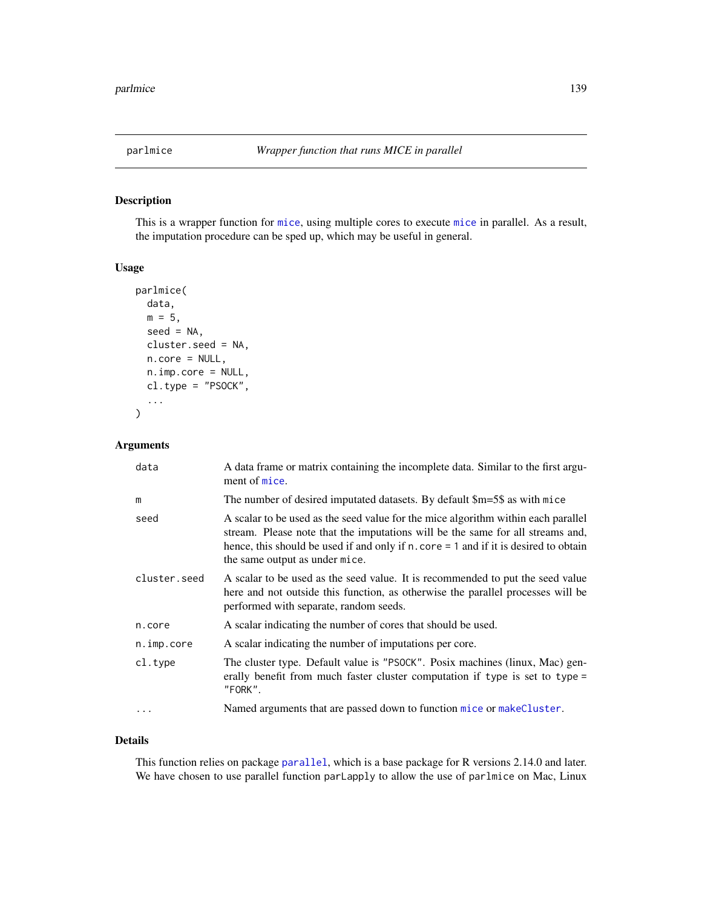This is a wrapper function for [mice](#page-68-0), using multiple cores to execute [mice](#page-68-0) in parallel. As a result, the imputation procedure can be sped up, which may be useful in general.

#### Usage

```
parlmice(
  data,
  m = 5,
  seed = NA,
  cluster.seed = NA,
  n.core = NULL,
  n.imp.core = NULL,
  cl.type = "PSOCK",
  ...
\mathcal{E}
```
# Arguments

| data         | A data frame or matrix containing the incomplete data. Similar to the first argu-<br>ment of mice.                                                                                                                                                                                               |
|--------------|--------------------------------------------------------------------------------------------------------------------------------------------------------------------------------------------------------------------------------------------------------------------------------------------------|
| m            | The number of desired imputated datasets. By default \$m=5\$ as with mice                                                                                                                                                                                                                        |
| seed         | A scalar to be used as the seed value for the mice algorithm within each parallel<br>stream. Please note that the imputations will be the same for all streams and,<br>hence, this should be used if and only if $n$ . core = 1 and if it is desired to obtain<br>the same output as under mice. |
| cluster.seed | A scalar to be used as the seed value. It is recommended to put the seed value<br>here and not outside this function, as otherwise the parallel processes will be<br>performed with separate, random seeds.                                                                                      |
| n.core       | A scalar indicating the number of cores that should be used.                                                                                                                                                                                                                                     |
| n.imp.core   | A scalar indicating the number of imputations per core.                                                                                                                                                                                                                                          |
| $cl.$ type   | The cluster type. Default value is "PSOCK". Posix machines (linux, Mac) gen-<br>erally benefit from much faster cluster computation if type is set to type =<br>"FORK".                                                                                                                          |
| .            | Named arguments that are passed down to function mice or makeCluster.                                                                                                                                                                                                                            |

## Details

This function relies on package [parallel](#page-0-0), which is a base package for R versions 2.14.0 and later. We have chosen to use parallel function parLapply to allow the use of parlmice on Mac, Linux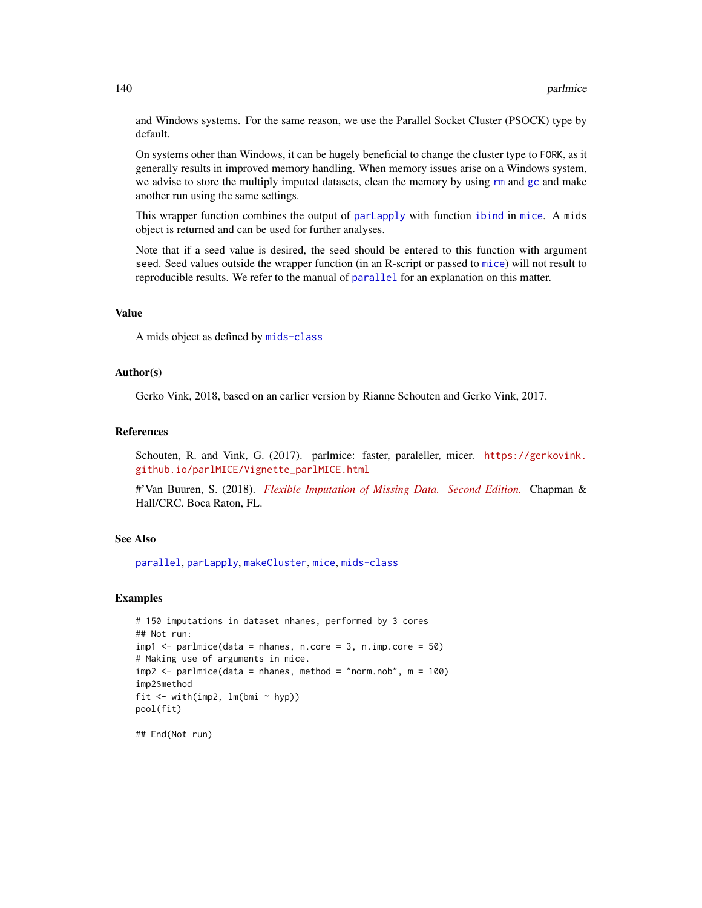and Windows systems. For the same reason, we use the Parallel Socket Cluster (PSOCK) type by default.

On systems other than Windows, it can be hugely beneficial to change the cluster type to FORK, as it generally results in improved memory handling. When memory issues arise on a Windows system, we advise to store the multiply imputed datasets, clean the memory by using  $rm$  and  $gc$  and make another run using the same settings.

This wrapper function combines the output of [parLapply](#page-0-0) with function [ibind](#page-48-0) in [mice](#page-68-0). A mids object is returned and can be used for further analyses.

Note that if a seed value is desired, the seed should be entered to this function with argument seed. Seed values outside the wrapper function (in an R-script or passed to [mice](#page-68-0)) will not result to reproducible results. We refer to the manual of [parallel](#page-0-0) for an explanation on this matter.

#### Value

A mids object as defined by [mids-class](#page-123-1)

# Author(s)

Gerko Vink, 2018, based on an earlier version by Rianne Schouten and Gerko Vink, 2017.

#### References

Schouten, R. and Vink, G. (2017). parlmice: faster, paraleller, micer. [https://gerkovink.](https://gerkovink.github.io/parlMICE/Vignette_parlMICE.html) [github.io/parlMICE/Vignette\\_parlMICE.html](https://gerkovink.github.io/parlMICE/Vignette_parlMICE.html)

#'Van Buuren, S. (2018). *[Flexible Imputation of Missing Data. Second Edition.](https://stefvanbuuren.name/fimd/parallel-computation.html)* Chapman & Hall/CRC. Boca Raton, FL.

#### See Also

[parallel](#page-0-0), [parLapply](#page-0-0), [makeCluster](#page-0-0), [mice](#page-68-0), [mids-class](#page-123-1)

#### Examples

```
# 150 imputations in dataset nhanes, performed by 3 cores
## Not run:
impl \leftarrow parlmice(data = nhanes, n.core = 3, n.imp.core = 50)
# Making use of arguments in mice.
imp2 \leq -\text{parlinice}(data = \text{nhanes}, \text{method} = \text{"norm.nob", m = 100})imp2$method
fit \le with(imp2, lm(bmi \sim hyp))
pool(fit)
```
## End(Not run)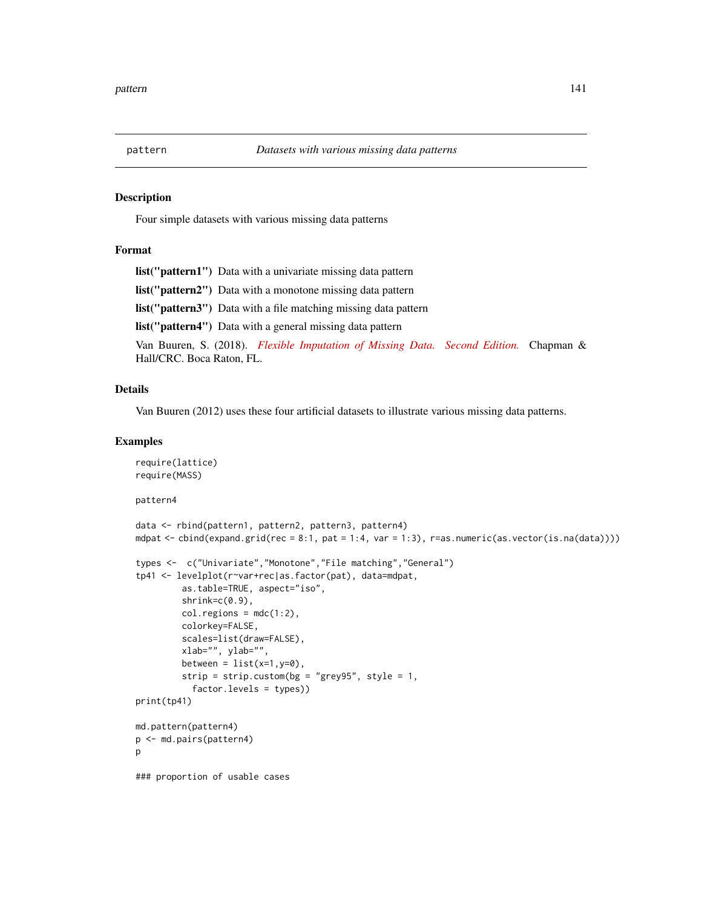Four simple datasets with various missing data patterns

## Format

list("pattern1") Data with a univariate missing data pattern

list("pattern2") Data with a monotone missing data pattern

list("pattern3") Data with a file matching missing data pattern

list("pattern4") Data with a general missing data pattern

Van Buuren, S. (2018). *[Flexible Imputation of Missing Data. Second Edition.](https://stefvanbuuren.name/fimd/missing-data-pattern.html)* Chapman & Hall/CRC. Boca Raton, FL.

#### Details

Van Buuren (2012) uses these four artificial datasets to illustrate various missing data patterns.

## Examples

```
require(lattice)
require(MASS)
pattern4
data <- rbind(pattern1, pattern2, pattern3, pattern4)
mdpat \le - cbind(expand.grid(rec = 8:1, pat = 1:4, var = 1:3), r=as.numeric(as.vector(is.na(data))))
types <- c("Univariate","Monotone","File matching","General")
tp41 <- levelplot(r~var+rec|as.factor(pat), data=mdpat,
         as.table=TRUE, aspect="iso",
         shrink=c(0.9),
         col.regions = mdc(1:2),
         colorkey=FALSE,
         scales=list(draw=FALSE),
         xlab="", ylab="",
         between = list(x=1, y=0),
         strip = strip.custom(bg = "grey95", style = 1,
           factor.levels = types))
print(tp41)
md.pattern(pattern4)
p <- md.pairs(pattern4)
p
### proportion of usable cases
```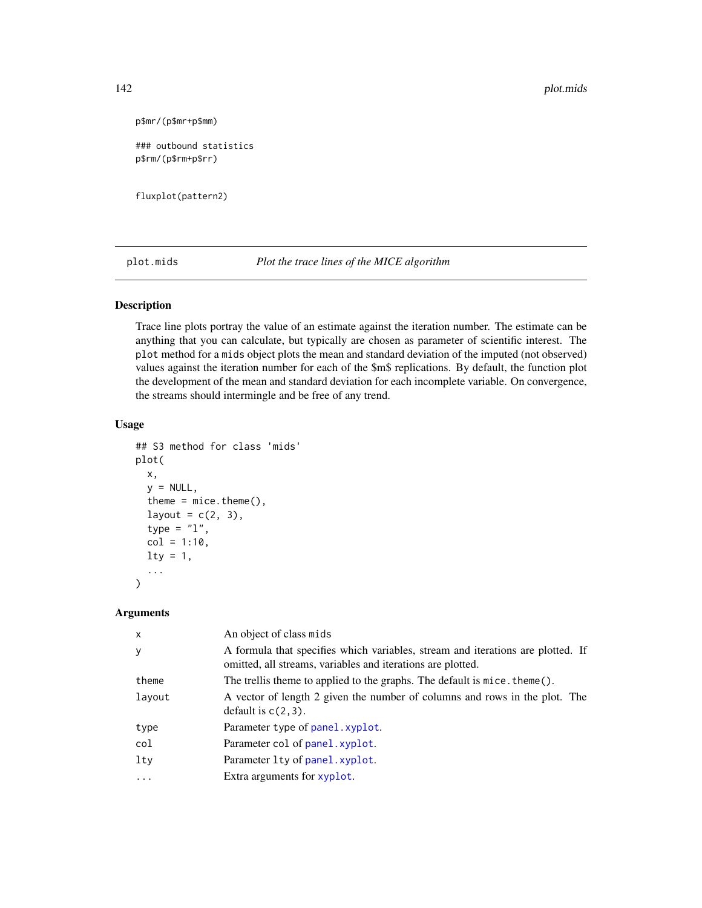```
p$mr/(p$mr+p$mm)
```
### outbound statistics p\$rm/(p\$rm+p\$rr)

fluxplot(pattern2)

plot.mids *Plot the trace lines of the MICE algorithm*

#### Description

Trace line plots portray the value of an estimate against the iteration number. The estimate can be anything that you can calculate, but typically are chosen as parameter of scientific interest. The plot method for a mids object plots the mean and standard deviation of the imputed (not observed) values against the iteration number for each of the \$m\$ replications. By default, the function plot the development of the mean and standard deviation for each incomplete variable. On convergence, the streams should intermingle and be free of any trend.

## Usage

```
## S3 method for class 'mids'
plot(
  x,
  y = NULL,theme = mice. theme(),layout = c(2, 3),
  type = "1",col = 1:10,lty = 1,
  ...
)
```
# Arguments

| $\mathsf{x}$ | An object of class mids                                                                                                                        |
|--------------|------------------------------------------------------------------------------------------------------------------------------------------------|
| У            | A formula that specifies which variables, stream and iterations are plotted. If<br>omitted, all streams, variables and iterations are plotted. |
| theme        | The trellis theme to applied to the graphs. The default is mice. theme().                                                                      |
| layout       | A vector of length 2 given the number of columns and rows in the plot. The<br>default is $c(2,3)$ .                                            |
| type         | Parameter type of panel.xyplot.                                                                                                                |
| col          | Parameter col of panel. xyplot.                                                                                                                |
| lty          | Parameter Lty of panel.xyplot.                                                                                                                 |
| $\cdots$     | Extra arguments for xyplot.                                                                                                                    |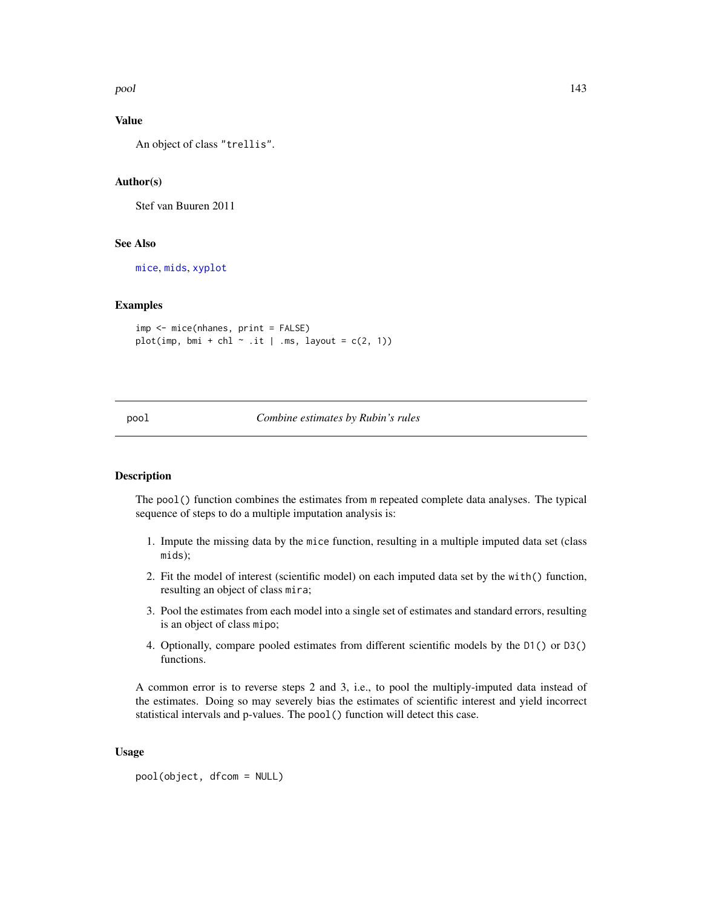pool 143

# Value

An object of class "trellis".

# Author(s)

Stef van Buuren 2011

### See Also

[mice](#page-68-0), [mids](#page-123-1), [xyplot](#page-173-0)

#### Examples

```
imp <- mice(nhanes, print = FALSE)
plot(imp, bmi + chl \sim .it | .ms, layout = c(2, 1))
```
## pool *Combine estimates by Rubin's rules*

## Description

The pool() function combines the estimates from m repeated complete data analyses. The typical sequence of steps to do a multiple imputation analysis is:

- 1. Impute the missing data by the mice function, resulting in a multiple imputed data set (class mids);
- 2. Fit the model of interest (scientific model) on each imputed data set by the with() function, resulting an object of class mira;
- 3. Pool the estimates from each model into a single set of estimates and standard errors, resulting is an object of class mipo;
- 4. Optionally, compare pooled estimates from different scientific models by the D1() or D3() functions.

A common error is to reverse steps 2 and 3, i.e., to pool the multiply-imputed data instead of the estimates. Doing so may severely bias the estimates of scientific interest and yield incorrect statistical intervals and p-values. The pool() function will detect this case.

#### Usage

```
pool(object, dfcom = NULL)
```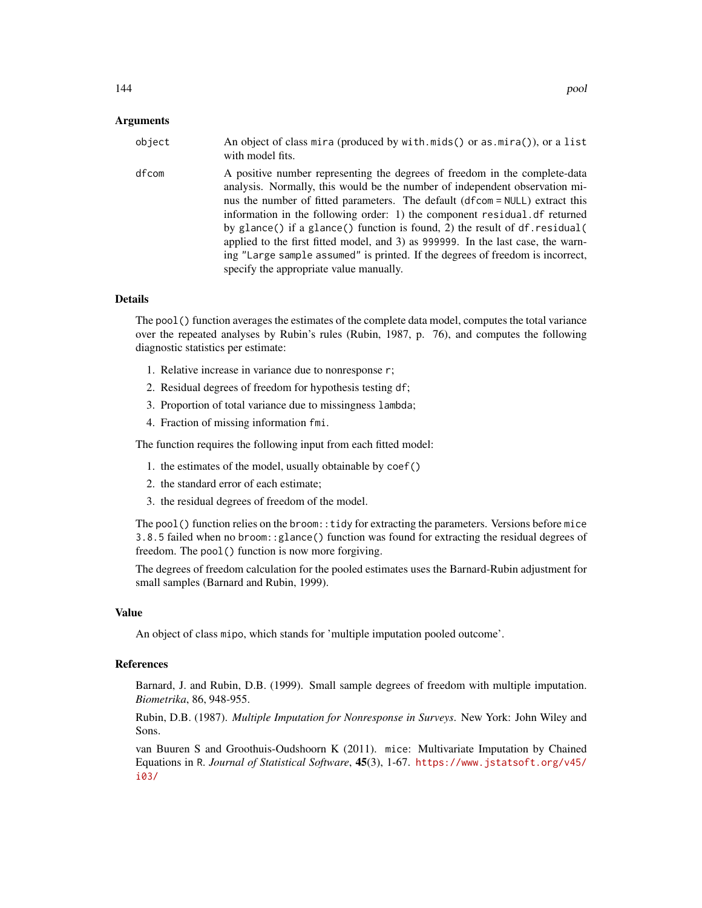| object | An object of class mira (produced by with mids() or as mira()), or a list<br>with model fits.                                                                                                                                                                                                                                                                                                                                                                                                                                                                                  |
|--------|--------------------------------------------------------------------------------------------------------------------------------------------------------------------------------------------------------------------------------------------------------------------------------------------------------------------------------------------------------------------------------------------------------------------------------------------------------------------------------------------------------------------------------------------------------------------------------|
| dfcom  | A positive number representing the degrees of freedom in the complete-data<br>analysis. Normally, this would be the number of independent observation mi-<br>nus the number of fitted parameters. The default (dfcom = NULL) extract this<br>information in the following order: 1) the component residual df returned<br>by glance() if a glance() function is found, 2) the result of $df$ . residual(<br>applied to the first fitted model, and 3) as 999999. In the last case, the warn-<br>ing "Large sample assumed" is printed. If the degrees of freedom is incorrect, |

#### Details

The pool() function averages the estimates of the complete data model, computes the total variance over the repeated analyses by Rubin's rules (Rubin, 1987, p. 76), and computes the following diagnostic statistics per estimate:

- 1. Relative increase in variance due to nonresponse r;
- 2. Residual degrees of freedom for hypothesis testing df;

specify the appropriate value manually.

- 3. Proportion of total variance due to missingness lambda;
- 4. Fraction of missing information fmi.

The function requires the following input from each fitted model:

- 1. the estimates of the model, usually obtainable by coef()
- 2. the standard error of each estimate;
- 3. the residual degrees of freedom of the model.

The pool() function relies on the broom:  $:$  tidy for extracting the parameters. Versions before mice 3.8.5 failed when no broom::glance() function was found for extracting the residual degrees of freedom. The pool() function is now more forgiving.

The degrees of freedom calculation for the pooled estimates uses the Barnard-Rubin adjustment for small samples (Barnard and Rubin, 1999).

## Value

An object of class mipo, which stands for 'multiple imputation pooled outcome'.

# References

Barnard, J. and Rubin, D.B. (1999). Small sample degrees of freedom with multiple imputation. *Biometrika*, 86, 948-955.

Rubin, D.B. (1987). *Multiple Imputation for Nonresponse in Surveys*. New York: John Wiley and Sons.

van Buuren S and Groothuis-Oudshoorn K (2011). mice: Multivariate Imputation by Chained Equations in R. *Journal of Statistical Software*, 45(3), 1-67. [https://www.jstatsoft.org/v45/](https://www.jstatsoft.org/v45/i03/) [i03/](https://www.jstatsoft.org/v45/i03/)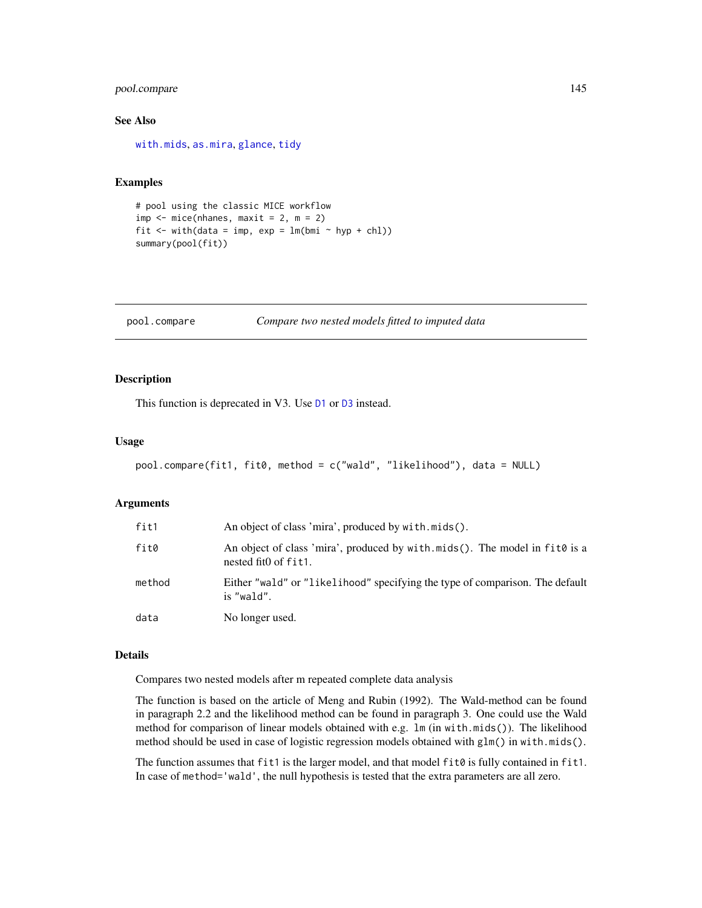## <span id="page-144-0"></span>pool.compare 145

#### See Also

[with.mids](#page-171-0), [as.mira](#page-12-0), [glance](#page-0-0), [tidy](#page-0-0)

#### Examples

```
# pool using the classic MICE workflow
imp \leftarrow mice(nhanes, maxit = 2, m = 2)fit \le with(data = imp, exp = lm(bmi \sim hyp + chl))
summary(pool(fit))
```

```
pool.compare Compare two nested models fitted to imputed data
```
## Description

This function is deprecated in V3. Use  $D1$  or  $D3$  instead.

#### Usage

```
pool.compare(fit1, fit0, method = c("wald", "likelihood"), data = NULL)
```
#### Arguments

| fit1   | An object of class 'mira', produced by with mids().                                                |
|--------|----------------------------------------------------------------------------------------------------|
| fit0   | An object of class 'mira', produced by with mids(). The model in fit0 is a<br>nested fit0 of fit1. |
| method | Either "wald" or "likelihood" specifying the type of comparison. The default<br>is "wald".         |
| data   | No longer used.                                                                                    |

#### Details

Compares two nested models after m repeated complete data analysis

The function is based on the article of Meng and Rubin (1992). The Wald-method can be found in paragraph 2.2 and the likelihood method can be found in paragraph 3. One could use the Wald method for comparison of linear models obtained with e.g. lm (in with.mids()). The likelihood method should be used in case of logistic regression models obtained with glm() in with.mids().

The function assumes that fit1 is the larger model, and that model fit0 is fully contained in fit1. In case of method='wald', the null hypothesis is tested that the extra parameters are all zero.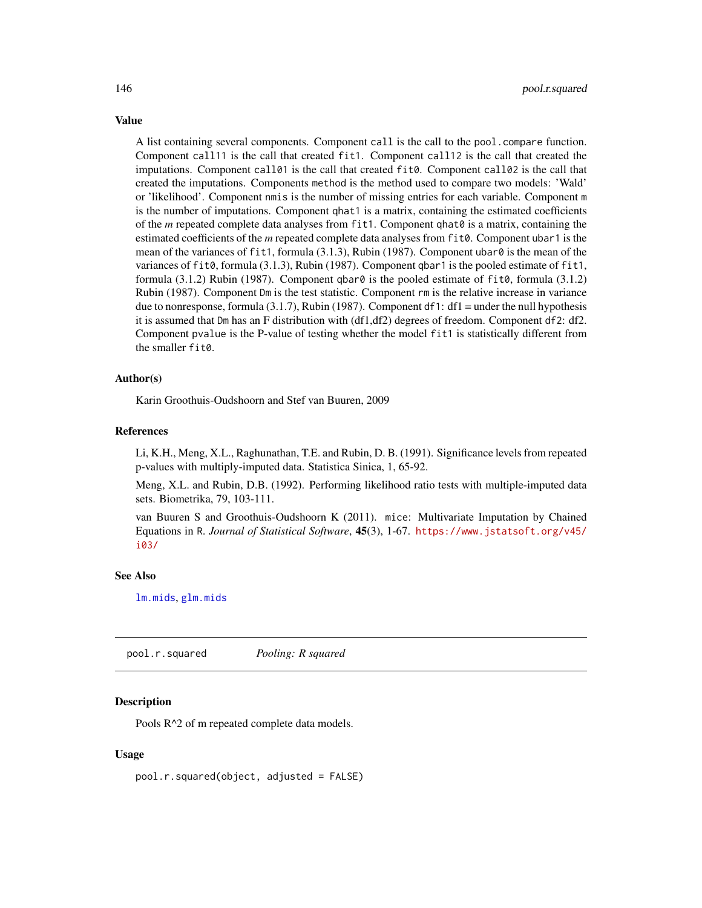A list containing several components. Component call is the call to the pool.compare function. Component call11 is the call that created fit1. Component call12 is the call that created the imputations. Component call01 is the call that created fit0. Component call02 is the call that created the imputations. Components method is the method used to compare two models: 'Wald' or 'likelihood'. Component nmis is the number of missing entries for each variable. Component m is the number of imputations. Component qhat1 is a matrix, containing the estimated coefficients of the *m* repeated complete data analyses from fit1. Component qhat0 is a matrix, containing the estimated coefficients of the *m* repeated complete data analyses from fit0. Component ubar1 is the mean of the variances of fit1, formula (3.1.3), Rubin (1987). Component ubar0 is the mean of the variances of fit0, formula (3.1.3), Rubin (1987). Component qbar1 is the pooled estimate of fit1, formula (3.1.2) Rubin (1987). Component qbar $\theta$  is the pooled estimate of fit $\theta$ , formula (3.1.2) Rubin (1987). Component Dm is the test statistic. Component rm is the relative increase in variance due to nonresponse, formula (3.1.7), Rubin (1987). Component df1: df1 = under the null hypothesis it is assumed that Dm has an F distribution with (df1,df2) degrees of freedom. Component df2: df2. Component pvalue is the P-value of testing whether the model fit1 is statistically different from the smaller fit0.

#### Author(s)

Karin Groothuis-Oudshoorn and Stef van Buuren, 2009

#### References

Li, K.H., Meng, X.L., Raghunathan, T.E. and Rubin, D. B. (1991). Significance levels from repeated p-values with multiply-imputed data. Statistica Sinica, 1, 65-92.

Meng, X.L. and Rubin, D.B. (1992). Performing likelihood ratio tests with multiple-imputed data sets. Biometrika, 79, 103-111.

van Buuren S and Groothuis-Oudshoorn K (2011). mice: Multivariate Imputation by Chained Equations in R. *Journal of Statistical Software*, 45(3), 1-67. [https://www.jstatsoft.org/v45/](https://www.jstatsoft.org/v45/i03/) [i03/](https://www.jstatsoft.org/v45/i03/)

#### See Also

[lm.mids](#page-53-0), [glm.mids](#page-47-0)

<span id="page-145-0"></span>pool.r.squared *Pooling: R squared*

#### Description

Pools R^2 of m repeated complete data models.

#### Usage

pool.r.squared(object, adjusted = FALSE)

<span id="page-145-1"></span>

# Value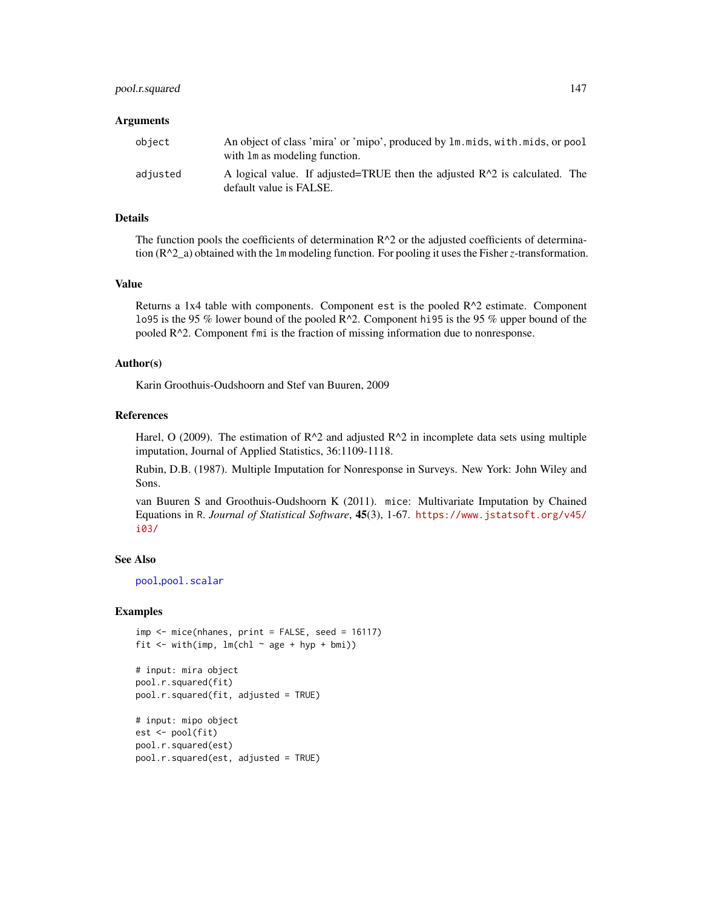#### pool.r.squared 147

#### **Arguments**

| object   | An object of class 'mira' or 'mipo', produced by lm. mids, with. mids, or pool<br>with 1 m as modeling function. |
|----------|------------------------------------------------------------------------------------------------------------------|
| adjusted | A logical value. If adjusted=TRUE then the adjusted $R^2$ is calculated. The<br>default value is FALSE.          |

#### Details

The function pools the coefficients of determination  $R^2$  or the adjusted coefficients of determination (R^2\_a) obtained with the lm modeling function. For pooling it uses the Fisher*z*-transformation.

#### Value

Returns a 1x4 table with components. Component est is the pooled R^2 estimate. Component lo95 is the 95 % lower bound of the pooled R^2. Component hi95 is the 95 % upper bound of the pooled R^2. Component fmi is the fraction of missing information due to nonresponse.

#### Author(s)

Karin Groothuis-Oudshoorn and Stef van Buuren, 2009

#### References

Harel, O (2009). The estimation of  $R^2$  and adjusted  $R^2$  in incomplete data sets using multiple imputation, Journal of Applied Statistics, 36:1109-1118.

Rubin, D.B. (1987). Multiple Imputation for Nonresponse in Surveys. New York: John Wiley and Sons.

van Buuren S and Groothuis-Oudshoorn K (2011). mice: Multivariate Imputation by Chained Equations in R. *Journal of Statistical Software*, 45(3), 1-67. [https://www.jstatsoft.org/v45/](https://www.jstatsoft.org/v45/i03/) [i03/](https://www.jstatsoft.org/v45/i03/)

#### See Also

[pool](#page-142-0),[pool.scalar](#page-147-0)

#### Examples

```
imp \leftarrow mice(nhanes, print = FALSE, seed = 16117)fit \le with(imp, lm(\text{chl} \sim \text{age} + \text{hyp} + \text{bmi}))
```

```
# input: mira object
pool.r.squared(fit)
pool.r.squared(fit, adjusted = TRUE)
```

```
# input: mipo object
est <- pool(fit)
pool.r.squared(est)
pool.r.squared(est, adjusted = TRUE)
```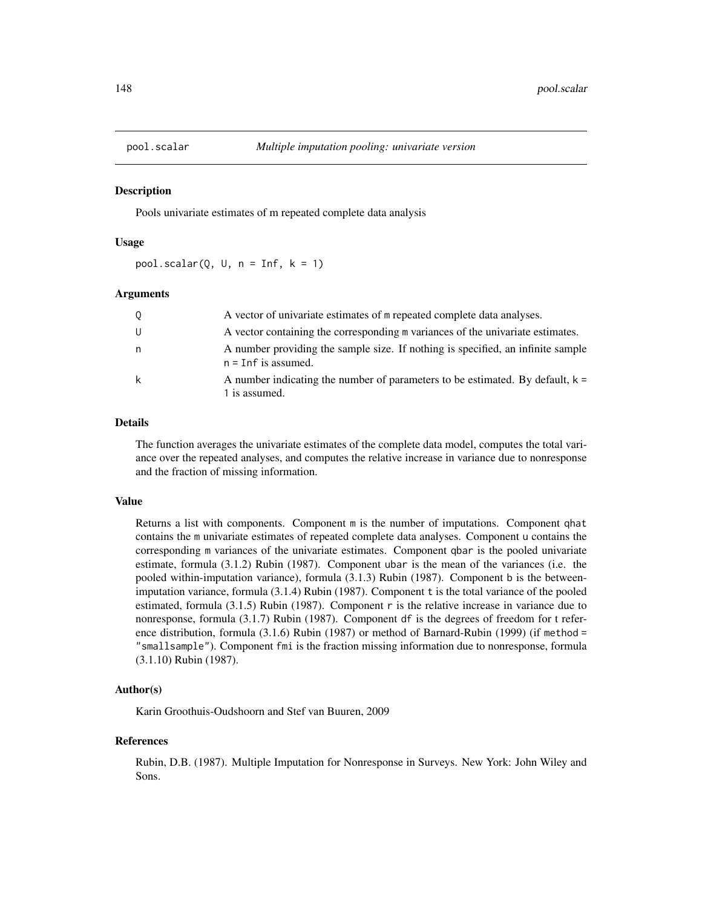<span id="page-147-1"></span><span id="page-147-0"></span>

#### Description

Pools univariate estimates of m repeated complete data analysis

#### Usage

 $pool.scalar(Q, U, n = Inf, k = 1)$ 

#### Arguments

| Q | A vector of univariate estimates of m repeated complete data analyses.                                   |
|---|----------------------------------------------------------------------------------------------------------|
| U | A vector containing the corresponding m variances of the univariate estimates.                           |
| n | A number providing the sample size. If nothing is specified, an infinite sample<br>$n = Inf$ is assumed. |
| k | A number indicating the number of parameters to be estimated. By default, $k =$<br>1 is assumed.         |

#### Details

The function averages the univariate estimates of the complete data model, computes the total variance over the repeated analyses, and computes the relative increase in variance due to nonresponse and the fraction of missing information.

#### Value

Returns a list with components. Component m is the number of imputations. Component qhat contains the m univariate estimates of repeated complete data analyses. Component u contains the corresponding m variances of the univariate estimates. Component qbar is the pooled univariate estimate, formula (3.1.2) Rubin (1987). Component ubar is the mean of the variances (i.e. the pooled within-imputation variance), formula (3.1.3) Rubin (1987). Component b is the betweenimputation variance, formula (3.1.4) Rubin (1987). Component t is the total variance of the pooled estimated, formula (3.1.5) Rubin (1987). Component r is the relative increase in variance due to nonresponse, formula (3.1.7) Rubin (1987). Component df is the degrees of freedom for t reference distribution, formula (3.1.6) Rubin (1987) or method of Barnard-Rubin (1999) (if method = "smallsample"). Component fmi is the fraction missing information due to nonresponse, formula (3.1.10) Rubin (1987).

#### Author(s)

Karin Groothuis-Oudshoorn and Stef van Buuren, 2009

#### References

Rubin, D.B. (1987). Multiple Imputation for Nonresponse in Surveys. New York: John Wiley and Sons.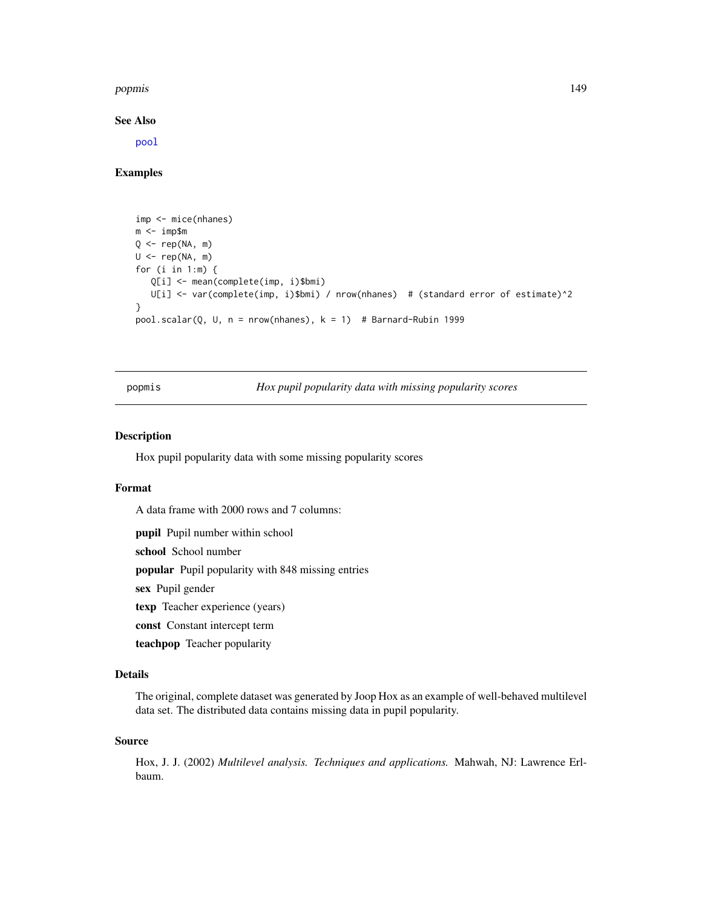#### <span id="page-148-0"></span>popmis to the contract of the contract of the contract of the contract of the contract of the contract of the contract of the contract of the contract of the contract of the contract of the contract of the contract of the

See Also

[pool](#page-142-0)

#### Examples

```
imp <- mice(nhanes)
m <- imp$m
Q \leq - rep(NA, m)U \leftarrow \text{rep}(NA, m)for (i in 1:m) {
   Q[i] <- mean(complete(imp, i)$bmi)
   U[i] <- var(complete(imp, i)$bmi) / nrow(nhanes) # (standard error of estimate)^2
}
pool.scalar(Q, U, n = nrow(nhanes), k = 1) # Barnard-Rubin 1999
```
popmis *Hox pupil popularity data with missing popularity scores*

#### Description

Hox pupil popularity data with some missing popularity scores

#### Format

A data frame with 2000 rows and 7 columns:

pupil Pupil number within school

school School number

popular Pupil popularity with 848 missing entries

sex Pupil gender

texp Teacher experience (years)

const Constant intercept term

teachpop Teacher popularity

#### Details

The original, complete dataset was generated by Joop Hox as an example of well-behaved multilevel data set. The distributed data contains missing data in pupil popularity.

#### Source

Hox, J. J. (2002) *Multilevel analysis. Techniques and applications.* Mahwah, NJ: Lawrence Erlbaum.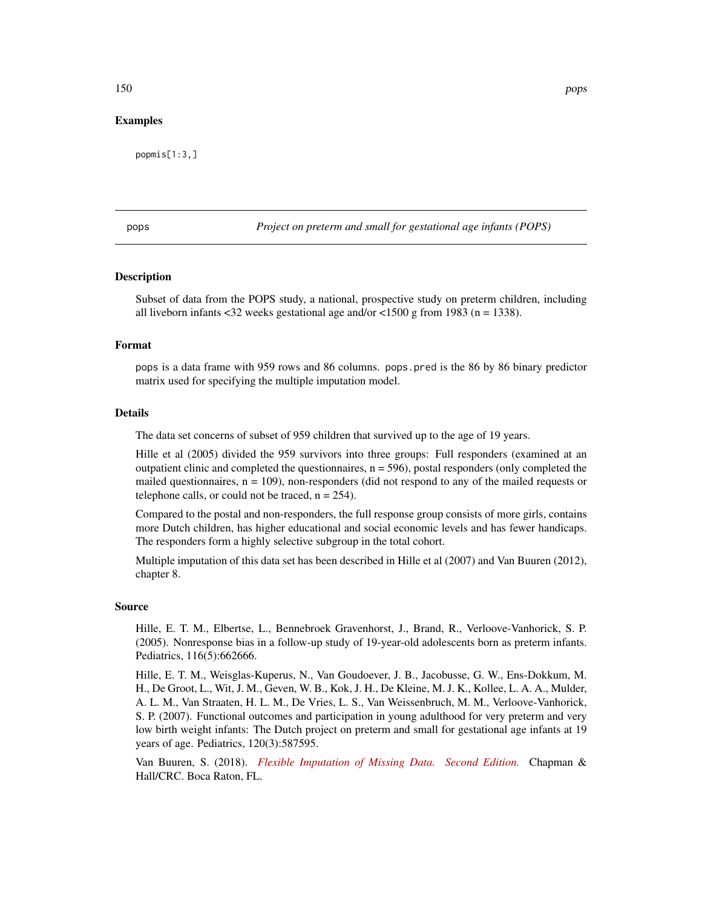#### <span id="page-149-0"></span>Examples

popmis[1:3,]

pops *Project on preterm and small for gestational age infants (POPS)*

#### Description

Subset of data from the POPS study, a national, prospective study on preterm children, including all liveborn infants <32 weeks gestational age and/or <1500 g from 1983 (n = 1338).

#### Format

pops is a data frame with 959 rows and 86 columns. pops.pred is the 86 by 86 binary predictor matrix used for specifying the multiple imputation model.

#### Details

The data set concerns of subset of 959 children that survived up to the age of 19 years.

Hille et al (2005) divided the 959 survivors into three groups: Full responders (examined at an outpatient clinic and completed the questionnaires,  $n = 596$ ), postal responders (only completed the mailed questionnaires,  $n = 109$ ), non-responders (did not respond to any of the mailed requests or telephone calls, or could not be traced,  $n = 254$ .

Compared to the postal and non-responders, the full response group consists of more girls, contains more Dutch children, has higher educational and social economic levels and has fewer handicaps. The responders form a highly selective subgroup in the total cohort.

Multiple imputation of this data set has been described in Hille et al (2007) and Van Buuren (2012), chapter 8.

#### Source

Hille, E. T. M., Elbertse, L., Bennebroek Gravenhorst, J., Brand, R., Verloove-Vanhorick, S. P. (2005). Nonresponse bias in a follow-up study of 19-year-old adolescents born as preterm infants. Pediatrics, 116(5):662666.

Hille, E. T. M., Weisglas-Kuperus, N., Van Goudoever, J. B., Jacobusse, G. W., Ens-Dokkum, M. H., De Groot, L., Wit, J. M., Geven, W. B., Kok, J. H., De Kleine, M. J. K., Kollee, L. A. A., Mulder, A. L. M., Van Straaten, H. L. M., De Vries, L. S., Van Weissenbruch, M. M., Verloove-Vanhorick, S. P. (2007). Functional outcomes and participation in young adulthood for very preterm and very low birth weight infants: The Dutch project on preterm and small for gestational age infants at 19 years of age. Pediatrics, 120(3):587595.

Van Buuren, S. (2018). *[Flexible Imputation of Missing Data. Second Edition.](https://stefvanbuuren.name/fimd/sec-selective.html#pops-study-19-years-follow-up)* Chapman & Hall/CRC. Boca Raton, FL.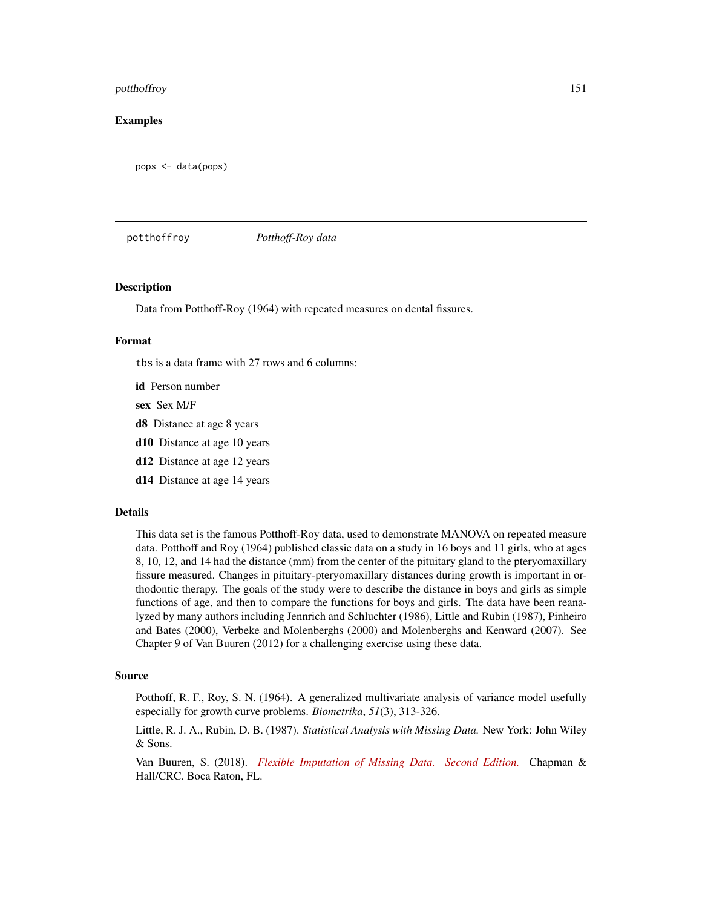#### <span id="page-150-0"></span>potthoffroy 151

#### Examples

pops <- data(pops)

potthoffroy *Potthoff-Roy data*

#### **Description**

Data from Potthoff-Roy (1964) with repeated measures on dental fissures.

#### Format

tbs is a data frame with 27 rows and 6 columns:

id Person number

sex Sex M/F

- d8 Distance at age 8 years
- d10 Distance at age 10 years
- d12 Distance at age 12 years
- d14 Distance at age 14 years

#### Details

This data set is the famous Potthoff-Roy data, used to demonstrate MANOVA on repeated measure data. Potthoff and Roy (1964) published classic data on a study in 16 boys and 11 girls, who at ages 8, 10, 12, and 14 had the distance (mm) from the center of the pituitary gland to the pteryomaxillary fissure measured. Changes in pituitary-pteryomaxillary distances during growth is important in orthodontic therapy. The goals of the study were to describe the distance in boys and girls as simple functions of age, and then to compare the functions for boys and girls. The data have been reanalyzed by many authors including Jennrich and Schluchter (1986), Little and Rubin (1987), Pinheiro and Bates (2000), Verbeke and Molenberghs (2000) and Molenberghs and Kenward (2007). See Chapter 9 of Van Buuren (2012) for a challenging exercise using these data.

#### Source

Potthoff, R. F., Roy, S. N. (1964). A generalized multivariate analysis of variance model usefully especially for growth curve problems. *Biometrika*, *51*(3), 313-326.

Little, R. J. A., Rubin, D. B. (1987). *Statistical Analysis with Missing Data.* New York: John Wiley & Sons.

Van Buuren, S. (2018). *[Flexible Imputation of Missing Data. Second Edition.](https://stefvanbuuren.name/fimd/ex-ch-longitudinal.html)* Chapman & Hall/CRC. Boca Raton, FL.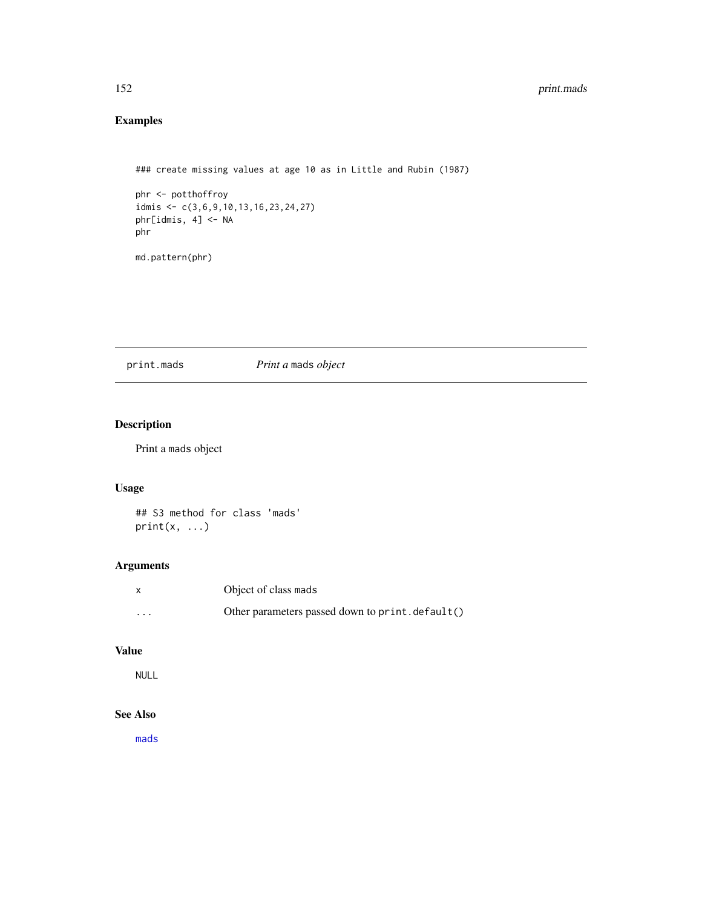# Examples

### create missing values at age 10 as in Little and Rubin (1987)

```
phr <- potthoffroy
idmis <- c(3,6,9,10,13,16,23,24,27)
phr[idmis, 4] <- NA
phr
```
md.pattern(phr)

print.mads *Print a* mads *object*

# Description

Print a mads object

## Usage

## S3 method for class 'mads'  $print(x, \ldots)$ 

## Arguments

| x                       | Object of class mads                             |
|-------------------------|--------------------------------------------------|
| $\cdot$ $\cdot$ $\cdot$ | Other parameters passed down to print. default() |

# Value

NULL

## See Also

[mads](#page-55-0)

<span id="page-151-0"></span>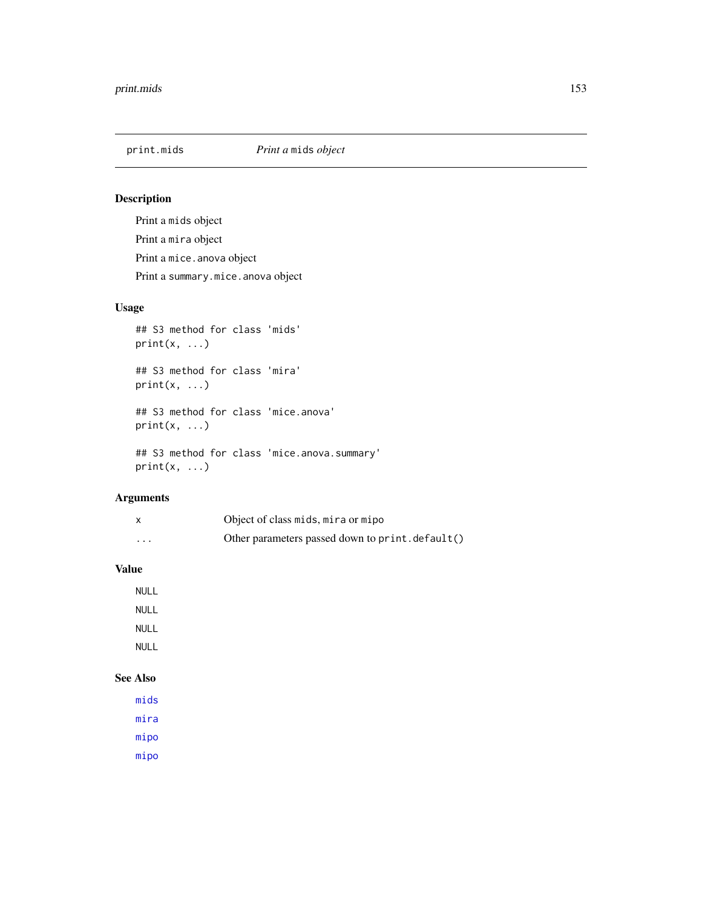## Description

Print a mids object Print a mira object Print a mice.anova object Print a summary.mice.anova object

# Usage

## S3 method for class 'mids'  $print(x, \ldots)$ 

## S3 method for class 'mira'  $print(x, \ldots)$ 

## S3 method for class 'mice.anova'  $print(x, \ldots)$ 

```
## S3 method for class 'mice.anova.summary'
print(x, \ldots)
```
## Arguments

|   | Object of class mids, mira or mipo               |
|---|--------------------------------------------------|
| . | Other parameters passed down to print. default() |

## Value

NULL NULL NULL NULL

# See Also

[mids](#page-123-0) [mira](#page-128-0) [mipo](#page-0-0) [mipo](#page-0-0)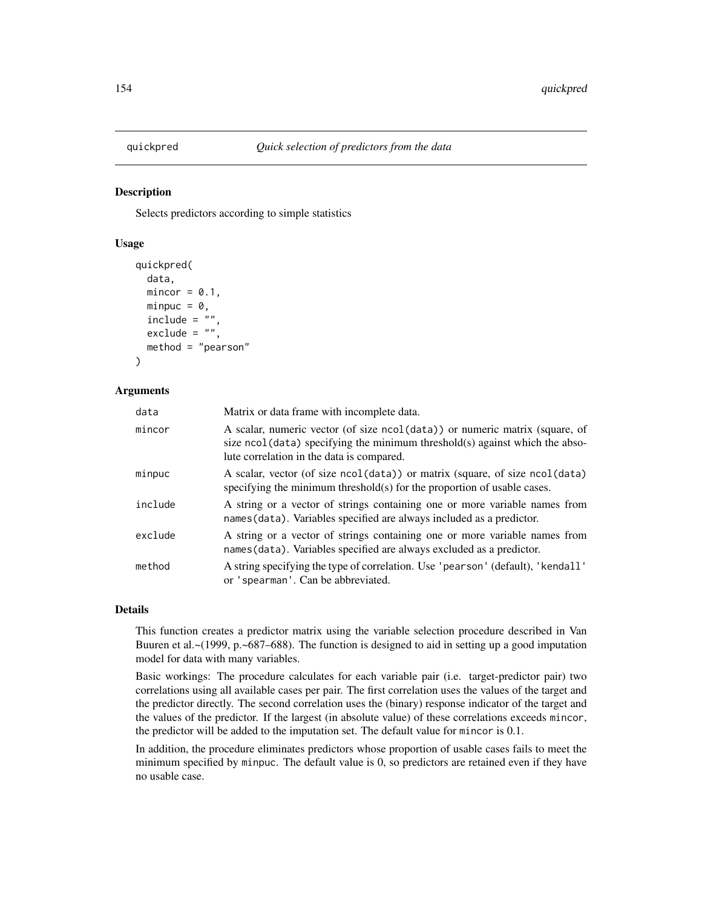<span id="page-153-0"></span>

#### Description

Selects predictors according to simple statistics

#### Usage

```
quickpred(
  data,
  mincor = 0.1,
  minpuc = \theta,
  include = " "exclude = "",method = "pearson"
)
```
#### Arguments

| data    | Matrix or data frame with incomplete data.                                                                                                                                                               |
|---------|----------------------------------------------------------------------------------------------------------------------------------------------------------------------------------------------------------|
| mincor  | A scalar, numeric vector (of size ncol(data)) or numeric matrix (square, of<br>size ncol (data) specifying the minimum threshold(s) against which the abso-<br>lute correlation in the data is compared. |
| minpuc  | A scalar, vector (of size ncol(data)) or matrix (square, of size ncol(data)<br>specifying the minimum threshold(s) for the proportion of usable cases.                                                   |
| include | A string or a vector of strings containing one or more variable names from<br>names (data). Variables specified are always included as a predictor.                                                      |
| exclude | A string or a vector of strings containing one or more variable names from<br>names (data). Variables specified are always excluded as a predictor.                                                      |
| method  | A string specifying the type of correlation. Use 'pearson' (default), 'kendall'<br>or 'spearman'. Can be abbreviated.                                                                                    |

#### Details

This function creates a predictor matrix using the variable selection procedure described in Van Buuren et al.~(1999, p.~687–688). The function is designed to aid in setting up a good imputation model for data with many variables.

Basic workings: The procedure calculates for each variable pair (i.e. target-predictor pair) two correlations using all available cases per pair. The first correlation uses the values of the target and the predictor directly. The second correlation uses the (binary) response indicator of the target and the values of the predictor. If the largest (in absolute value) of these correlations exceeds mincor, the predictor will be added to the imputation set. The default value for mincor is 0.1.

In addition, the procedure eliminates predictors whose proportion of usable cases fails to meet the minimum specified by minpuc. The default value is 0, so predictors are retained even if they have no usable case.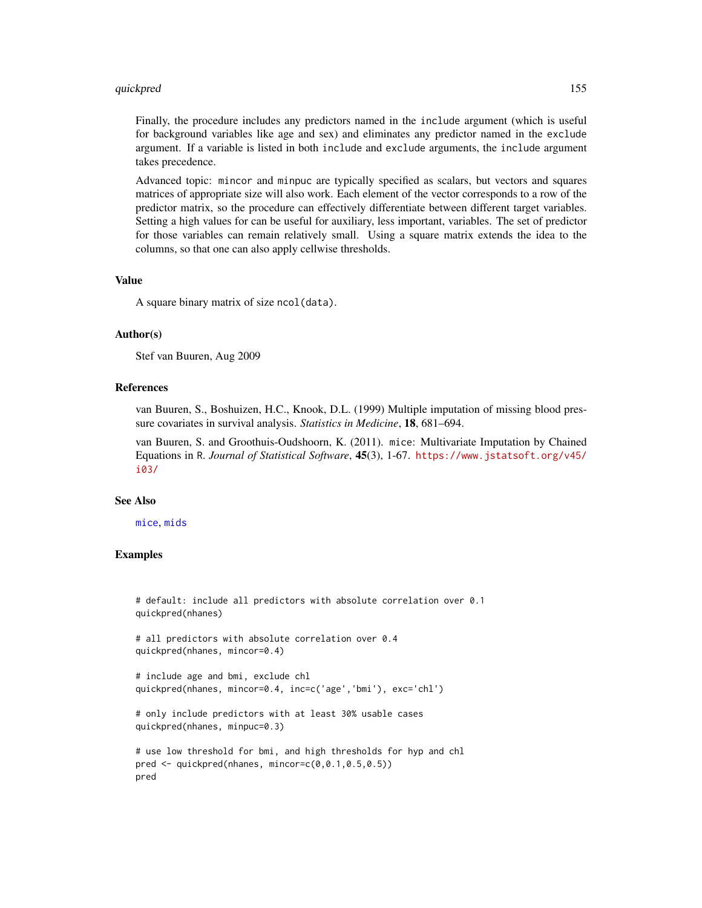#### <span id="page-154-0"></span>quickpred 155

Finally, the procedure includes any predictors named in the include argument (which is useful for background variables like age and sex) and eliminates any predictor named in the exclude argument. If a variable is listed in both include and exclude arguments, the include argument takes precedence.

Advanced topic: mincor and minpuc are typically specified as scalars, but vectors and squares matrices of appropriate size will also work. Each element of the vector corresponds to a row of the predictor matrix, so the procedure can effectively differentiate between different target variables. Setting a high values for can be useful for auxiliary, less important, variables. The set of predictor for those variables can remain relatively small. Using a square matrix extends the idea to the columns, so that one can also apply cellwise thresholds.

#### Value

A square binary matrix of size ncol(data).

#### Author(s)

Stef van Buuren, Aug 2009

#### References

van Buuren, S., Boshuizen, H.C., Knook, D.L. (1999) Multiple imputation of missing blood pressure covariates in survival analysis. *Statistics in Medicine*, 18, 681–694.

van Buuren, S. and Groothuis-Oudshoorn, K. (2011). mice: Multivariate Imputation by Chained Equations in R. *Journal of Statistical Software*, 45(3), 1-67. [https://www.jstatsoft.org/v45/](https://www.jstatsoft.org/v45/i03/) [i03/](https://www.jstatsoft.org/v45/i03/)

#### See Also

[mice](#page-68-0), [mids](#page-123-0)

#### Examples

```
# default: include all predictors with absolute correlation over 0.1
quickpred(nhanes)
# all predictors with absolute correlation over 0.4
quickpred(nhanes, mincor=0.4)
# include age and bmi, exclude chl
quickpred(nhanes, mincor=0.4, inc=c('age','bmi'), exc='chl')
# only include predictors with at least 30% usable cases
quickpred(nhanes, minpuc=0.3)
```

```
# use low threshold for bmi, and high thresholds for hyp and chl
pred <- quickpred(nhanes, mincor=c(0,0.1,0.5,0.5))
pred
```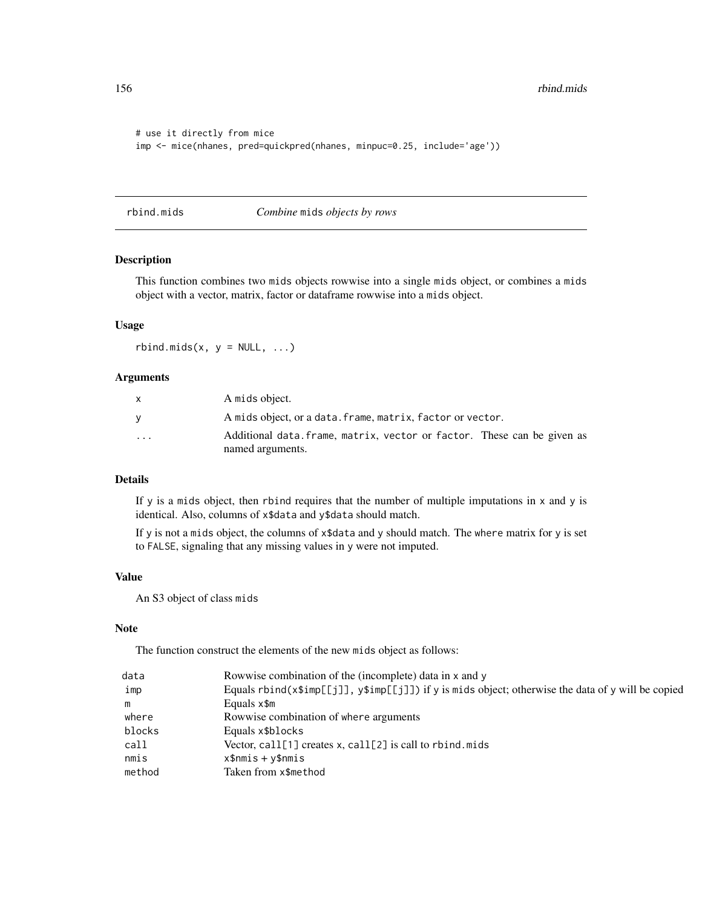```
# use it directly from mice
imp <- mice(nhanes, pred=quickpred(nhanes, minpuc=0.25, include='age'))
```
rbind.mids *Combine* mids *objects by rows*

# Description

This function combines two mids objects rowwise into a single mids object, or combines a mids object with a vector, matrix, factor or dataframe rowwise into a mids object.

## Usage

 $rbind.mids(x, y = NULL, ...)$ 

#### Arguments

| X                       | A mids object.                                                          |
|-------------------------|-------------------------------------------------------------------------|
|                         | A mids object, or a data. frame, matrix, factor or vector.              |
| $\cdot$ $\cdot$ $\cdot$ | Additional data. frame, matrix, vector or factor. These can be given as |
|                         | named arguments.                                                        |

## Details

If y is a mids object, then rbind requires that the number of multiple imputations in  $x$  and  $y$  is identical. Also, columns of x\$data and y\$data should match.

If y is not a mids object, the columns of x\$data and y should match. The where matrix for y is set to FALSE, signaling that any missing values in y were not imputed.

#### Value

An S3 object of class mids

#### Note

The function construct the elements of the new mids object as follows:

| data   | Rowwise combination of the (incomplete) data in x and y                                                   |
|--------|-----------------------------------------------------------------------------------------------------------|
| imp    | Equals rbind( $x$ \$imp[[j]], $y$ \$imp[[j]]) if y is mids object; otherwise the data of y will be copied |
| m      | Equals $x$ \$m                                                                                            |
| where  | Rowwise combination of where arguments                                                                    |
| blocks | Equals x\$blocks                                                                                          |
| call   | Vector, $call[1]$ creates x, $call[2]$ is call to rbind.mids                                              |
| nmis   | $x$ \$nmis + y\$nmis                                                                                      |
| method | Taken from x\$method                                                                                      |

<span id="page-155-0"></span>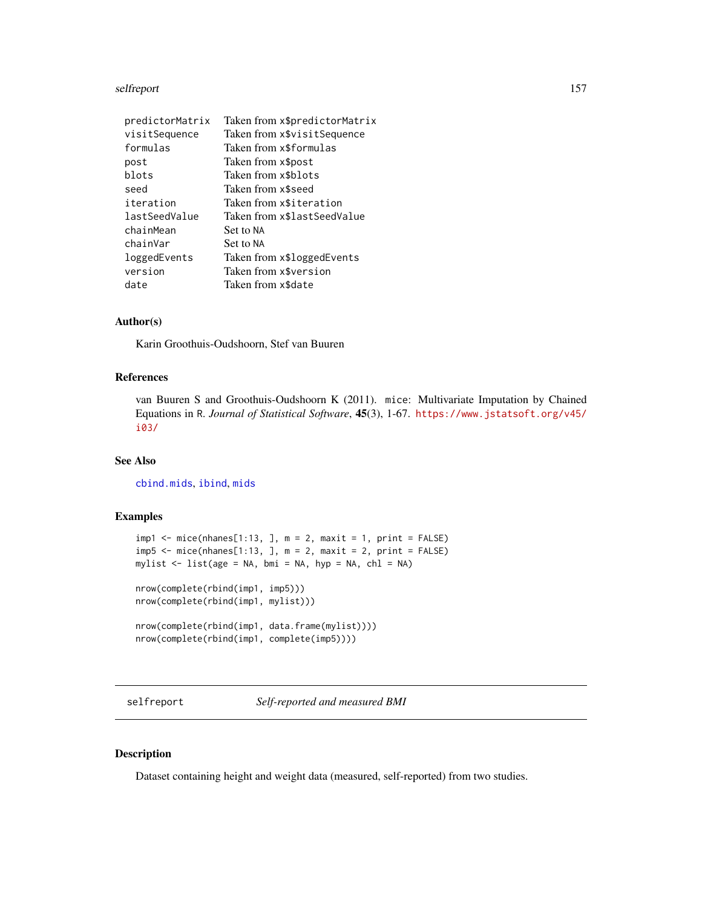#### <span id="page-156-0"></span>selfreport 157

| predictorMatrix | Taken from x\$predictorMatrix |
|-----------------|-------------------------------|
| visitSequence   | Taken from x\$visitSequence   |
| formulas        | Taken from x\$formulas        |
| post            | Taken from x\$post            |
| blots           | Taken from x\$blots           |
| seed            | Taken from x\$seed            |
| iteration       | Taken from x\$iteration       |
| lastSeedValue   | Taken from x\$lastSeedValue   |
| chainMean       | Set to NA                     |
| chainVar        | Set to NA                     |
| loggedEvents    | Taken from x\$loggedEvents    |
| version         | Taken from x\$version         |
| date            | Taken from x\$date            |

#### Author(s)

Karin Groothuis-Oudshoorn, Stef van Buuren

#### References

van Buuren S and Groothuis-Oudshoorn K (2011). mice: Multivariate Imputation by Chained Equations in R. *Journal of Statistical Software*, 45(3), 1-67. [https://www.jstatsoft.org/v45/](https://www.jstatsoft.org/v45/i03/) [i03/](https://www.jstatsoft.org/v45/i03/)

#### See Also

[cbind.mids](#page-21-0), [ibind](#page-48-0), [mids](#page-123-0)

## Examples

```
impl \leftarrow mice(nhanes[1:13, ], m = 2, maxit = 1, print = FALSE)imp5 \leq mice(nhanes[1:13, ], m = 2, maxit = 2, print = FALSE)mylist \le list(age = NA, bmi = NA, hyp = NA, chl = NA)
```

```
nrow(complete(rbind(imp1, imp5)))
nrow(complete(rbind(imp1, mylist)))
```

```
nrow(complete(rbind(imp1, data.frame(mylist))))
nrow(complete(rbind(imp1, complete(imp5))))
```
selfreport *Self-reported and measured BMI*

#### Description

Dataset containing height and weight data (measured, self-reported) from two studies.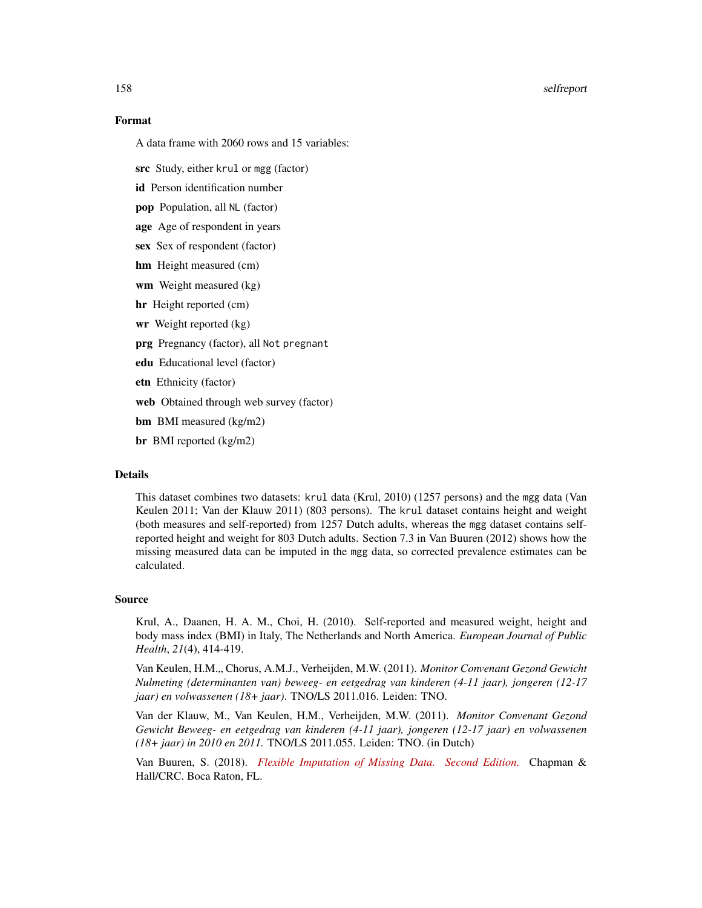#### 158 selfreport

#### Format

A data frame with 2060 rows and 15 variables:

src Study, either krul or mgg (factor)

id Person identification number

pop Population, all NL (factor)

age Age of respondent in years

sex Sex of respondent (factor)

hm Height measured (cm)

wm Weight measured (kg)

hr Height reported (cm)

wr Weight reported (kg)

prg Pregnancy (factor), all Not pregnant

edu Educational level (factor)

etn Ethnicity (factor)

web Obtained through web survey (factor)

bm BMI measured (kg/m2)

br BMI reported (kg/m2)

#### Details

This dataset combines two datasets: krul data (Krul, 2010) (1257 persons) and the mgg data (Van Keulen 2011; Van der Klauw 2011) (803 persons). The krul dataset contains height and weight (both measures and self-reported) from 1257 Dutch adults, whereas the mgg dataset contains selfreported height and weight for 803 Dutch adults. Section 7.3 in Van Buuren (2012) shows how the missing measured data can be imputed in the mgg data, so corrected prevalence estimates can be calculated.

#### Source

Krul, A., Daanen, H. A. M., Choi, H. (2010). Self-reported and measured weight, height and body mass index (BMI) in Italy, The Netherlands and North America. *European Journal of Public Health*, *21*(4), 414-419.

Van Keulen, H.M." Chorus, A.M.J., Verheijden, M.W. (2011). *Monitor Convenant Gezond Gewicht Nulmeting (determinanten van) beweeg- en eetgedrag van kinderen (4-11 jaar), jongeren (12-17 jaar) en volwassenen (18+ jaar)*. TNO/LS 2011.016. Leiden: TNO.

Van der Klauw, M., Van Keulen, H.M., Verheijden, M.W. (2011). *Monitor Convenant Gezond Gewicht Beweeg- en eetgedrag van kinderen (4-11 jaar), jongeren (12-17 jaar) en volwassenen (18+ jaar) in 2010 en 2011.* TNO/LS 2011.055. Leiden: TNO. (in Dutch)

Van Buuren, S. (2018). *[Flexible Imputation of Missing Data. Second Edition.](https://stefvanbuuren.name/fimd/sec-prevalence.html#sec:srcdata)* Chapman & Hall/CRC. Boca Raton, FL.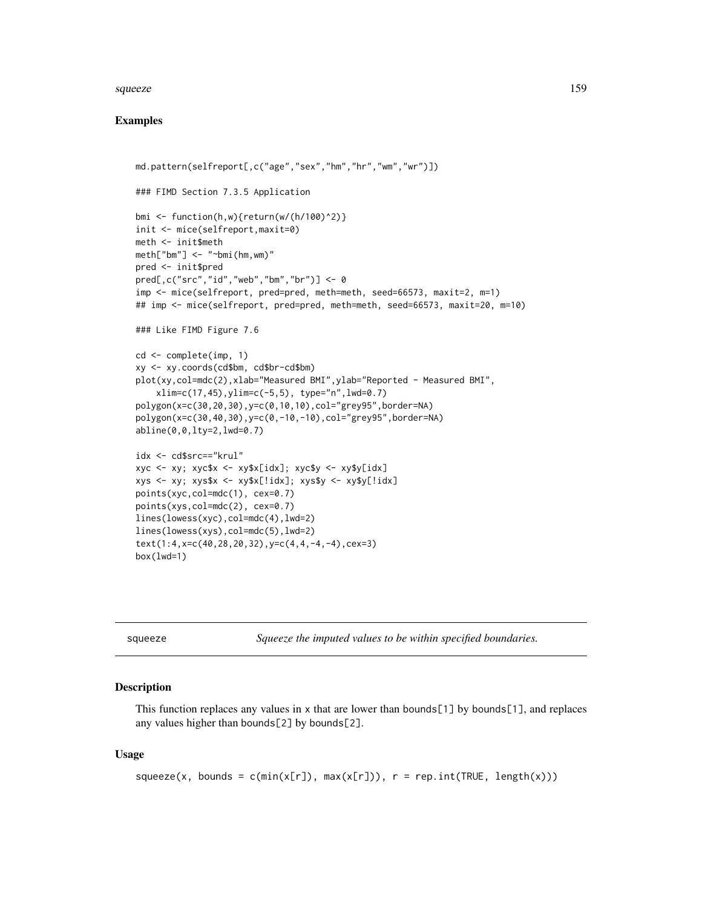#### squeeze 159

#### Examples

```
md.pattern(selfreport[,c("age","sex","hm","hr","wm","wr")])
### FIMD Section 7.3.5 Application
bmi <- function(h,w){return(w/(h/100)^2)}
init <- mice(selfreport,maxit=0)
meth <- init$meth
meth["bm"] <- "~bmi(hm,wm)"
pred <- init$pred
pred[,c("src","id","web","bm","br")] <- 0
imp <- mice(selfreport, pred=pred, meth=meth, seed=66573, maxit=2, m=1)
## imp <- mice(selfreport, pred=pred, meth=meth, seed=66573, maxit=20, m=10)
### Like FIMD Figure 7.6
cd <- complete(imp, 1)
xy <- xy.coords(cd$bm, cd$br-cd$bm)
plot(xy,col=mdc(2),xlab="Measured BMI",ylab="Reported - Measured BMI",
    xlim=c(17,45),ylim=c(-5,5), type="n",lwd=0.7)
polygon(x=c(30,20,30),y=c(0,10,10),col="grey95",border=NA)
polygon(x=c(30,40,30),y=c(0,-10,-10),col="grey95",border=NA)
abline(0,0,lty=2,lwd=0.7)
idx <- cd$src=="krul"
xyz \leq -xy; xyc$x \leq -xy$x[idx]; xyc$y \leq -xy$y[idx]
xys \leq -xy; xys*x \leq -xy*x[!idx]; xyssy \leq -xysy[!idx]
points(xyc,col=mdc(1), cex=0.7)
points(xys,col=mdc(2), cex=0.7)
lines(lowess(xyc),col=mdc(4),lwd=2)
lines(lowess(xys),col=mdc(5),lwd=2)
text(1:4,x=c(40,28,20,32),y=c(4,4,-4,-4),cex=3)
box(1wd=1)
```

| squeeze |  |  |
|---------|--|--|

squeeze *Squeeze the imputed values to be within specified boundaries.*

#### Description

This function replaces any values in  $x$  that are lower than bounds[1] by bounds[1], and replaces any values higher than bounds[2] by bounds[2].

#### Usage

```
square(x, bounds = c(min(x[r]), max(x[r])), r = rep.int(TRUE, length(x)))
```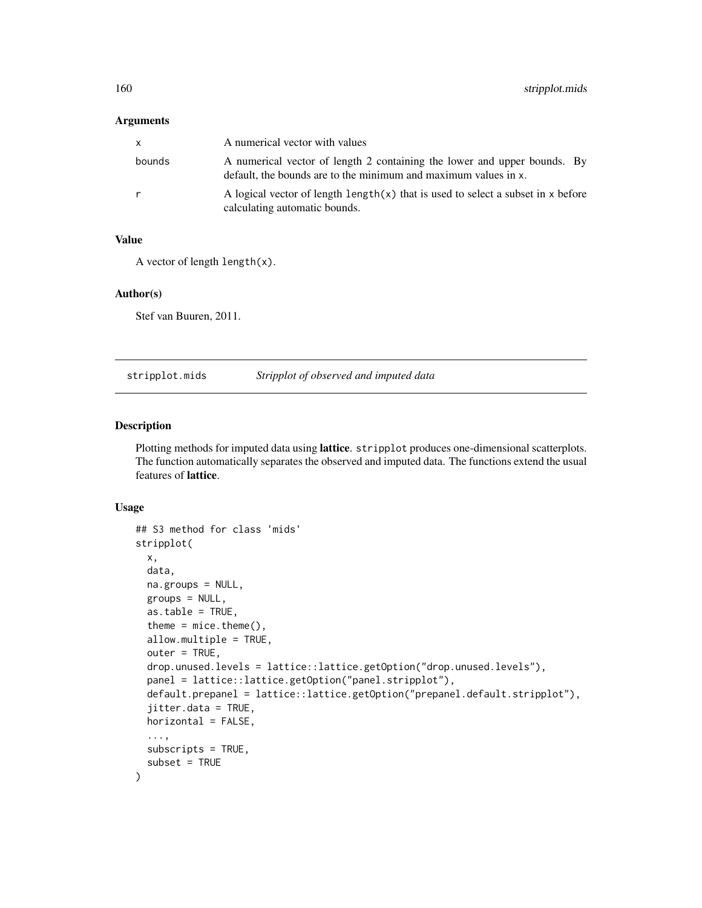#### <span id="page-159-1"></span>Arguments

| X      | A numerical vector with values                                                                                                              |
|--------|---------------------------------------------------------------------------------------------------------------------------------------------|
| bounds | A numerical vector of length 2 containing the lower and upper bounds. By<br>default, the bounds are to the minimum and maximum values in x. |
| r      | A logical vector of length $\text{length}(x)$ that is used to select a subset in x before<br>calculating automatic bounds.                  |

#### Value

```
A vector of length length(x).
```
#### Author(s)

Stef van Buuren, 2011.

stripplot.mids *Stripplot of observed and imputed data*

#### <span id="page-159-0"></span>Description

Plotting methods for imputed data using lattice. stripplot produces one-dimensional scatterplots. The function automatically separates the observed and imputed data. The functions extend the usual features of lattice.

#### Usage

```
## S3 method for class 'mids'
stripplot(
 x,
  data,
 na.groups = NULL,
 groups = NULL,
  as.table = TRUE,
  theme = mice. theme(),allow.multiple = TRUE,
  outer = TRUE,
  drop.unused.levels = lattice::lattice.getOption("drop.unused.levels"),
  panel = lattice::lattice.getOption("panel.stripplot"),
  default.prepanel = lattice::lattice.getOption("prepanel.default.stripplot"),
  jitter.data = TRUE,
 horizontal = FALSE,
  ...,
  subscripts = TRUE,
  subset = TRUE)
```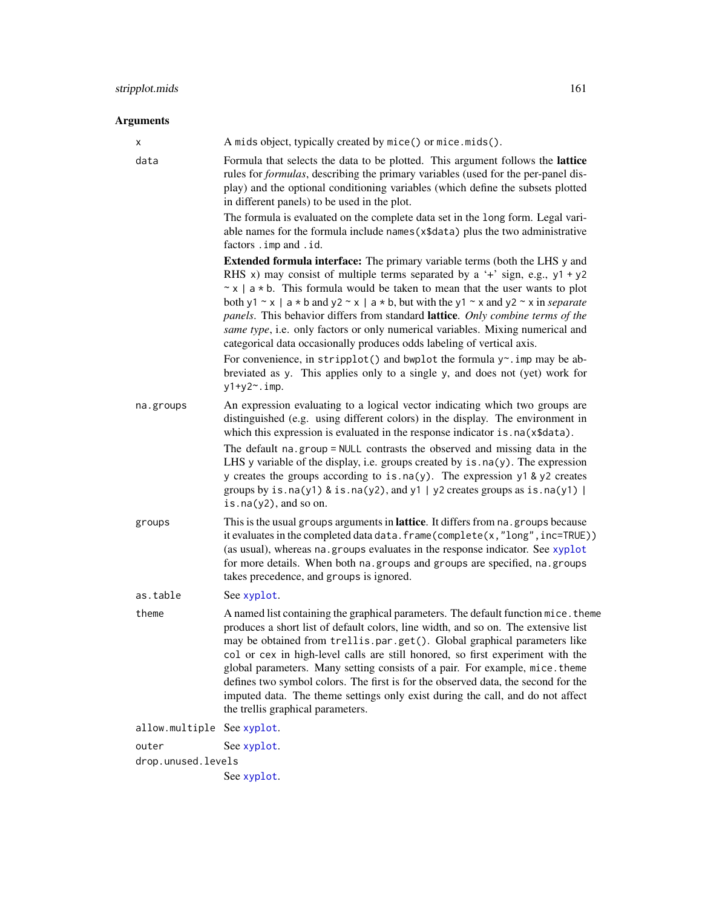# Arguments

| х              | A mids object, typically created by mice() or mice.mids().                                                                                                                                                                                                                                                                                                                                                                                                                                                                                                                                                                                                                                                                                                                               |
|----------------|------------------------------------------------------------------------------------------------------------------------------------------------------------------------------------------------------------------------------------------------------------------------------------------------------------------------------------------------------------------------------------------------------------------------------------------------------------------------------------------------------------------------------------------------------------------------------------------------------------------------------------------------------------------------------------------------------------------------------------------------------------------------------------------|
| data           | Formula that selects the data to be plotted. This argument follows the lattice<br>rules for <i>formulas</i> , describing the primary variables (used for the per-panel dis-<br>play) and the optional conditioning variables (which define the subsets plotted<br>in different panels) to be used in the plot.                                                                                                                                                                                                                                                                                                                                                                                                                                                                           |
|                | The formula is evaluated on the complete data set in the long form. Legal vari-<br>able names for the formula include names (x\$data) plus the two administrative<br>factors . imp and . id.                                                                                                                                                                                                                                                                                                                                                                                                                                                                                                                                                                                             |
|                | <b>Extended formula interface:</b> The primary variable terms (both the LHS y and<br>RHS x) may consist of multiple terms separated by a '+' sign, e.g., $y1 + y2$<br>$x \times$ a $\star$ b. This formula would be taken to mean that the user wants to plot<br>both y1 ~ x   a * b and y2 ~ x   a * b, but with the y1 ~ x and y2 ~ x in <i>separate</i><br>panels. This behavior differs from standard lattice. Only combine terms of the<br>same type, i.e. only factors or only numerical variables. Mixing numerical and<br>categorical data occasionally produces odds labeling of vertical axis.<br>For convenience, in stripplot() and bwplot the formula y~. imp may be ab-<br>breviated as y. This applies only to a single y, and does not (yet) work for<br>$y1+y2$ ~. imp. |
| na.groups      | An expression evaluating to a logical vector indicating which two groups are<br>distinguished (e.g. using different colors) in the display. The environment in<br>which this expression is evaluated in the response indicator is . na(x\$data).                                                                                                                                                                                                                                                                                                                                                                                                                                                                                                                                         |
|                | The default na.group = NULL contrasts the observed and missing data in the<br>LHS y variable of the display, i.e. groups created by $is$ $na(y)$ . The expression<br>y creates the groups according to is. $na(y)$ . The expression y1 & y2 creates<br>groups by is.na(y1) & is.na(y2), and y1   y2 creates groups as is.na(y1)  <br>is.na $(y2)$ , and so on.                                                                                                                                                                                                                                                                                                                                                                                                                           |
| groups         | This is the usual groups arguments in lattice. It differs from na. groups because<br>it evaluates in the completed data data. frame(complete(x,"long", inc=TRUE))<br>(as usual), whereas na. groups evaluates in the response indicator. See xyplot<br>for more details. When both na. groups and groups are specified, na. groups<br>takes precedence, and groups is ignored.                                                                                                                                                                                                                                                                                                                                                                                                           |
| as.table       | See xyplot.                                                                                                                                                                                                                                                                                                                                                                                                                                                                                                                                                                                                                                                                                                                                                                              |
| theme          | A named list containing the graphical parameters. The default function mice. theme<br>produces a short list of default colors, line width, and so on. The extensive list<br>may be obtained from trellis.par.get(). Global graphical parameters like<br>col or cex in high-level calls are still honored, so first experiment with the<br>global parameters. Many setting consists of a pair. For example, mice. theme<br>defines two symbol colors. The first is for the observed data, the second for the<br>imputed data. The theme settings only exist during the call, and do not affect<br>the trellis graphical parameters.                                                                                                                                                       |
| allow.multiple | See xyplot.                                                                                                                                                                                                                                                                                                                                                                                                                                                                                                                                                                                                                                                                                                                                                                              |
| outer          | See xyplot.                                                                                                                                                                                                                                                                                                                                                                                                                                                                                                                                                                                                                                                                                                                                                                              |

drop.unused.levels See [xyplot](#page-173-0).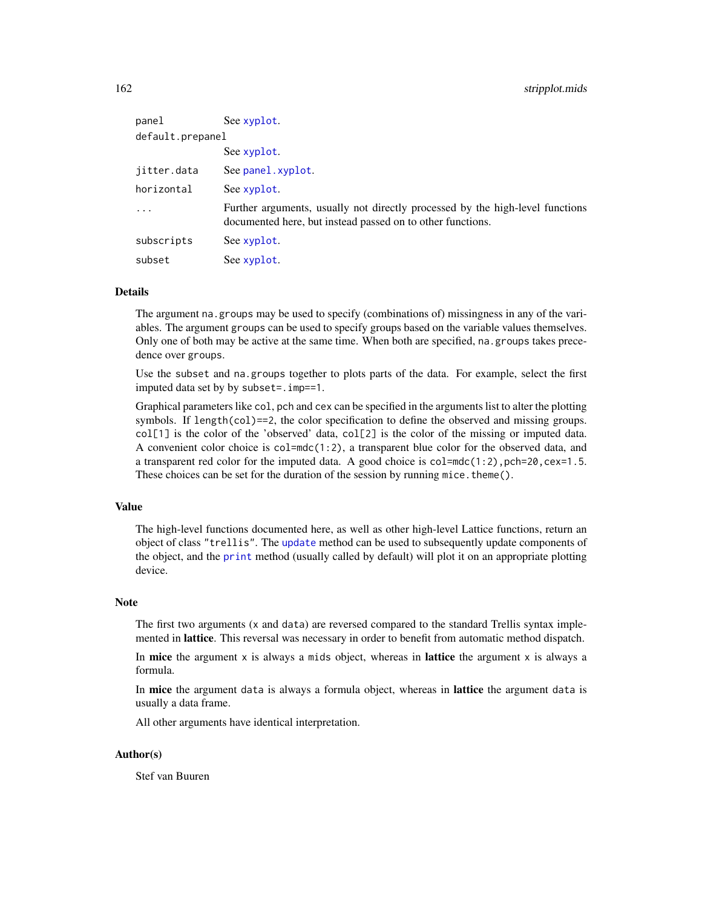| panel            | See xyplot.                                                                                                                                 |  |
|------------------|---------------------------------------------------------------------------------------------------------------------------------------------|--|
| default.prepanel |                                                                                                                                             |  |
|                  | See xyplot.                                                                                                                                 |  |
| jitter.data      | See panel.xyplot.                                                                                                                           |  |
| horizontal       | See xyplot.                                                                                                                                 |  |
| .                | Further arguments, usually not directly processed by the high-level functions<br>documented here, but instead passed on to other functions. |  |
| subscripts       | See xyplot.                                                                                                                                 |  |
| subset           | See xyplot.                                                                                                                                 |  |

#### Details

The argument na.groups may be used to specify (combinations of) missingness in any of the variables. The argument groups can be used to specify groups based on the variable values themselves. Only one of both may be active at the same time. When both are specified, na.groups takes precedence over groups.

Use the subset and na.groups together to plots parts of the data. For example, select the first imputed data set by by subset=.imp==1.

Graphical parameters like col, pch and cex can be specified in the arguments list to alter the plotting symbols. If length(col)==2, the color specification to define the observed and missing groups. col[1] is the color of the 'observed' data, col[2] is the color of the missing or imputed data. A convenient color choice is col=mdc(1:2), a transparent blue color for the observed data, and a transparent red color for the imputed data. A good choice is col=mdc(1:2), pch=20, cex=1.5. These choices can be set for the duration of the session by running mice. theme $()$ .

#### Value

The high-level functions documented here, as well as other high-level Lattice functions, return an object of class "trellis". The [update](#page-0-0) method can be used to subsequently update components of the object, and the [print](#page-0-0) method (usually called by default) will plot it on an appropriate plotting device.

#### Note

The first two arguments (x and data) are reversed compared to the standard Trellis syntax implemented in lattice. This reversal was necessary in order to benefit from automatic method dispatch.

In mice the argument  $x$  is always a mids object, whereas in **lattice** the argument  $x$  is always a formula.

In **mice** the argument data is always a formula object, whereas in **lattice** the argument data is usually a data frame.

All other arguments have identical interpretation.

#### Author(s)

Stef van Buuren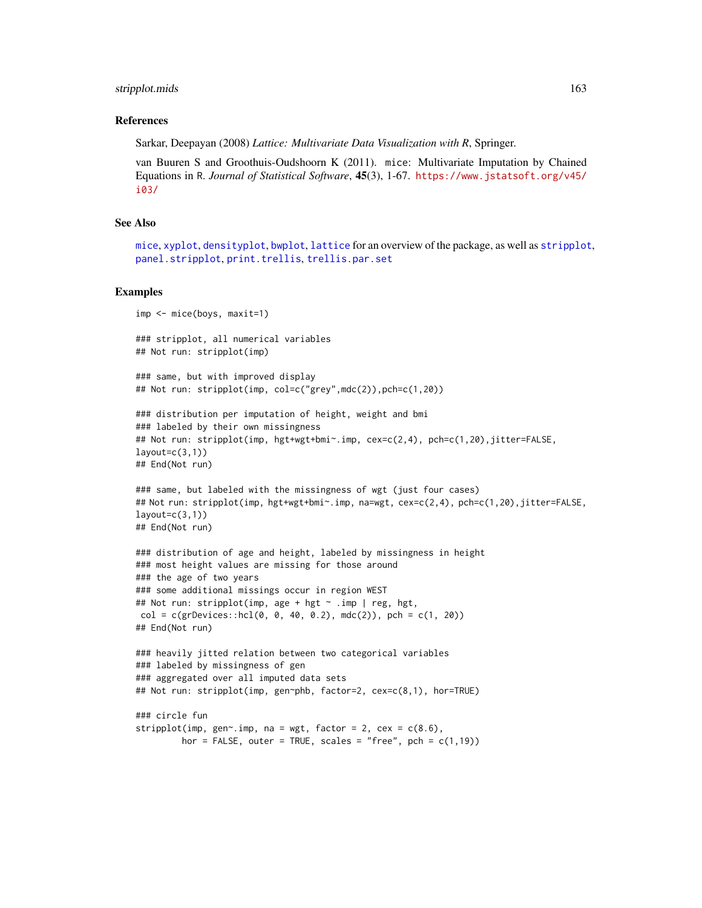#### <span id="page-162-0"></span>stripplot.mids 163

#### References

Sarkar, Deepayan (2008) *Lattice: Multivariate Data Visualization with R*, Springer.

van Buuren S and Groothuis-Oudshoorn K (2011). mice: Multivariate Imputation by Chained Equations in R. *Journal of Statistical Software*, 45(3), 1-67. [https://www.jstatsoft.org/v45/](https://www.jstatsoft.org/v45/i03/) [i03/](https://www.jstatsoft.org/v45/i03/)

# See Also

[mice](#page-68-0), [xyplot](#page-173-0), [densityplot](#page-31-0), [bwplot](#page-18-0), [lattice](#page-0-0) for an overview of the package, as well as [stripplot](#page-159-0), [panel.stripplot](#page-0-0), [print.trellis](#page-0-0), [trellis.par.set](#page-0-0)

#### Examples

```
imp <- mice(boys, maxit=1)
### stripplot, all numerical variables
## Not run: stripplot(imp)
```

```
### same, but with improved display
## Not run: stripplot(imp, col=c("grey",mdc(2)),pch=c(1,20))
```

```
### distribution per imputation of height, weight and bmi
### labeled by their own missingness
## Not run: stripplot(imp, hgt+wgt+bmi~.imp, cex=c(2,4), pch=c(1,20),jitter=FALSE,
layout=c(3,1))
## End(Not run)
```

```
### same, but labeled with the missingness of wgt (just four cases)
## Not run: stripplot(imp, hgt+wgt+bmi~.imp, na=wgt, cex=c(2,4), pch=c(1,20),jitter=FALSE,
layout=c(3,1))
## End(Not run)
```

```
### distribution of age and height, labeled by missingness in height
### most height values are missing for those around
### the age of two years
### some additional missings occur in region WEST
## Not run: stripplot(imp, age + hgt ~ .imp | reg, hgt,
col = c(grDevices::hcl(0, 0, 40, 0.2), mdc(2)), pch = c(1, 20))
```

```
## End(Not run)
```

```
### heavily jitted relation between two categorical variables
### labeled by missingness of gen
### aggregated over all imputed data sets
## Not run: stripplot(imp, gen~phb, factor=2, cex=c(8,1), hor=TRUE)
```

```
### circle fun
stripplot(imp, gen~.imp, na = wgt, factor = 2, cex = c(8.6),
        hor = FALSE, outer = TRUE, scales = "free", pch = c(1,19))
```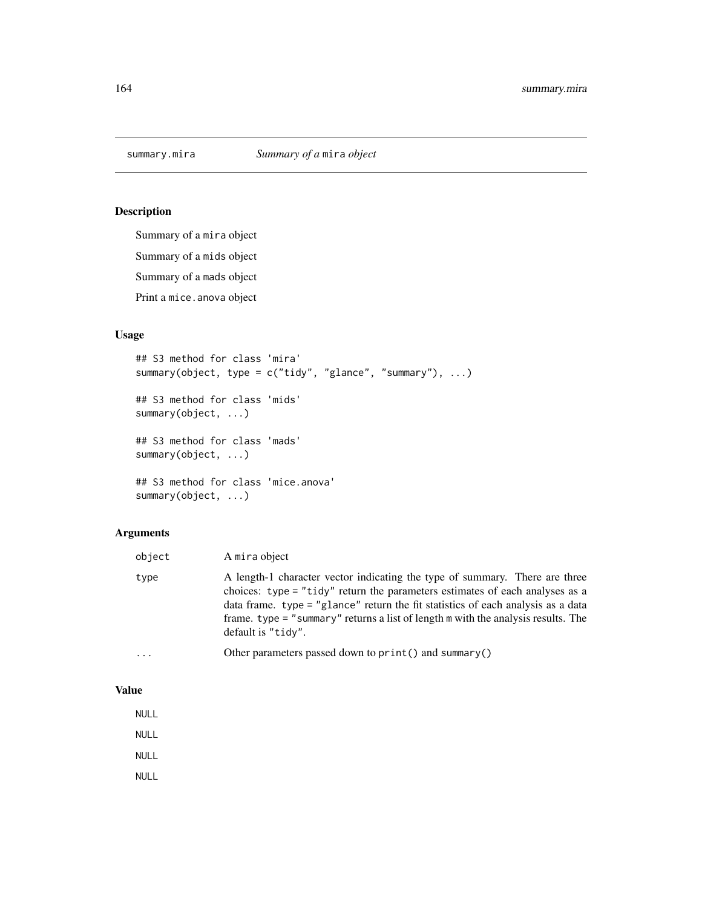# Description

Summary of a mira object Summary of a mids object Summary of a mads object Print a mice. anova object

# Usage

```
## S3 method for class 'mira'
summary(object, type = c("tidy", "glance", "summary"), ...)
## S3 method for class 'mids'
summary(object, ...)
## S3 method for class 'mads'
summary(object, ...)
## S3 method for class 'mice.anova'
summary(object, ...)
```
## Arguments

| object   | A mira object                                                                                                                                                                                                                                                                                                                                                  |
|----------|----------------------------------------------------------------------------------------------------------------------------------------------------------------------------------------------------------------------------------------------------------------------------------------------------------------------------------------------------------------|
| type     | A length-1 character vector indicating the type of summary. There are three<br>choices: type = "tidy" return the parameters estimates of each analyses as a<br>data frame. type = "glance" return the fit statistics of each analysis as a data<br>frame. $type = "summary"$ returns a list of length $m$ with the analysis results. The<br>default is "tidy". |
| $\cdots$ | Other parameters passed down to print () and summary ()                                                                                                                                                                                                                                                                                                        |

#### Value

NULL

NULL

NULL

NULL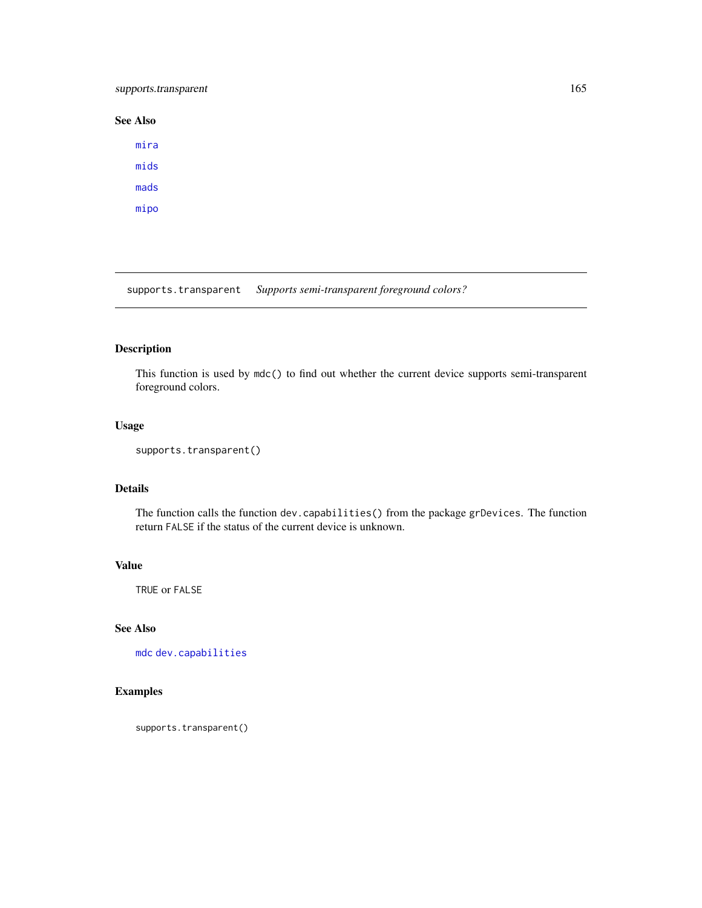## <span id="page-164-0"></span>supports.transparent 165

# See Also

[mira](#page-128-0) [mids](#page-123-0) [mads](#page-55-0) [mipo](#page-0-0)

supports.transparent *Supports semi-transparent foreground colors?* 

# Description

This function is used by mdc() to find out whether the current device supports semi-transparent foreground colors.

#### Usage

```
supports.transparent()
```
## Details

The function calls the function dev.capabilities() from the package grDevices. The function return FALSE if the status of the current device is unknown.

#### Value

TRUE or FALSE

## See Also

[mdc](#page-66-0) [dev.capabilities](#page-0-0)

## Examples

supports.transparent()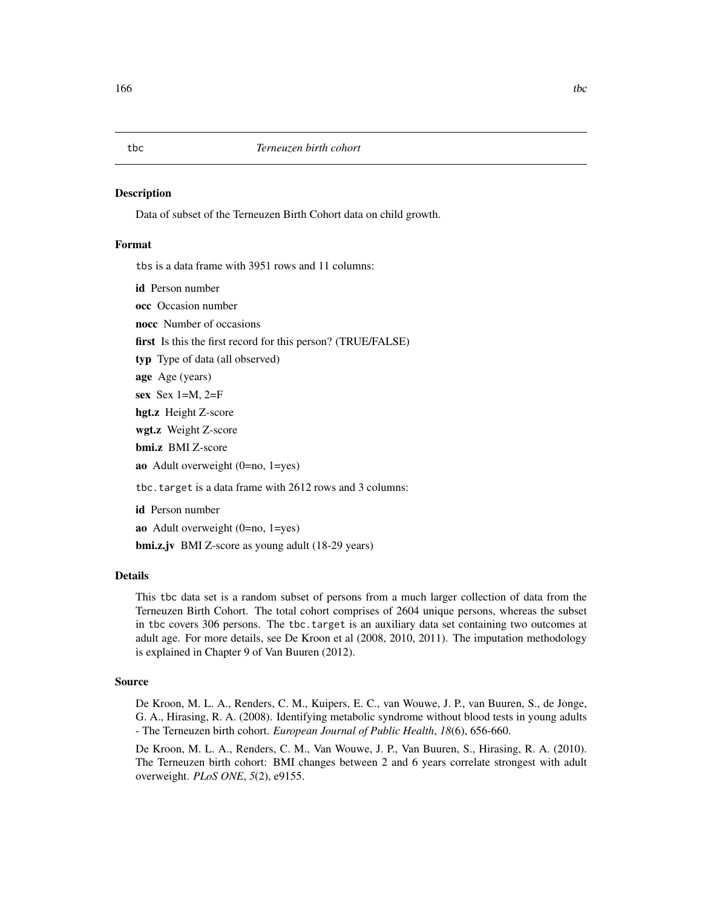#### <span id="page-165-0"></span>**Description**

Data of subset of the Terneuzen Birth Cohort data on child growth.

#### Format

tbs is a data frame with 3951 rows and 11 columns:

id Person number

occ Occasion number

nocc Number of occasions

first Is this the first record for this person? (TRUE/FALSE)

typ Type of data (all observed)

age Age (years)

sex Sex  $1=M$ ,  $2=F$ 

hgt.z Height Z-score

wgt.z Weight Z-score

bmi.z BMI Z-score

ao Adult overweight (0=no, 1=yes)

tbc.target is a data frame with 2612 rows and 3 columns:

id Person number

ao Adult overweight (0=no, 1=yes)

bmi.z.jv BMI Z-score as young adult (18-29 years)

#### Details

This tbc data set is a random subset of persons from a much larger collection of data from the Terneuzen Birth Cohort. The total cohort comprises of 2604 unique persons, whereas the subset in tbc covers 306 persons. The tbc.target is an auxiliary data set containing two outcomes at adult age. For more details, see De Kroon et al (2008, 2010, 2011). The imputation methodology is explained in Chapter 9 of Van Buuren (2012).

#### Source

De Kroon, M. L. A., Renders, C. M., Kuipers, E. C., van Wouwe, J. P., van Buuren, S., de Jonge, G. A., Hirasing, R. A. (2008). Identifying metabolic syndrome without blood tests in young adults - The Terneuzen birth cohort. *European Journal of Public Health*, *18*(6), 656-660.

De Kroon, M. L. A., Renders, C. M., Van Wouwe, J. P., Van Buuren, S., Hirasing, R. A. (2010). The Terneuzen birth cohort: BMI changes between 2 and 6 years correlate strongest with adult overweight. *PLoS ONE*, *5*(2), e9155.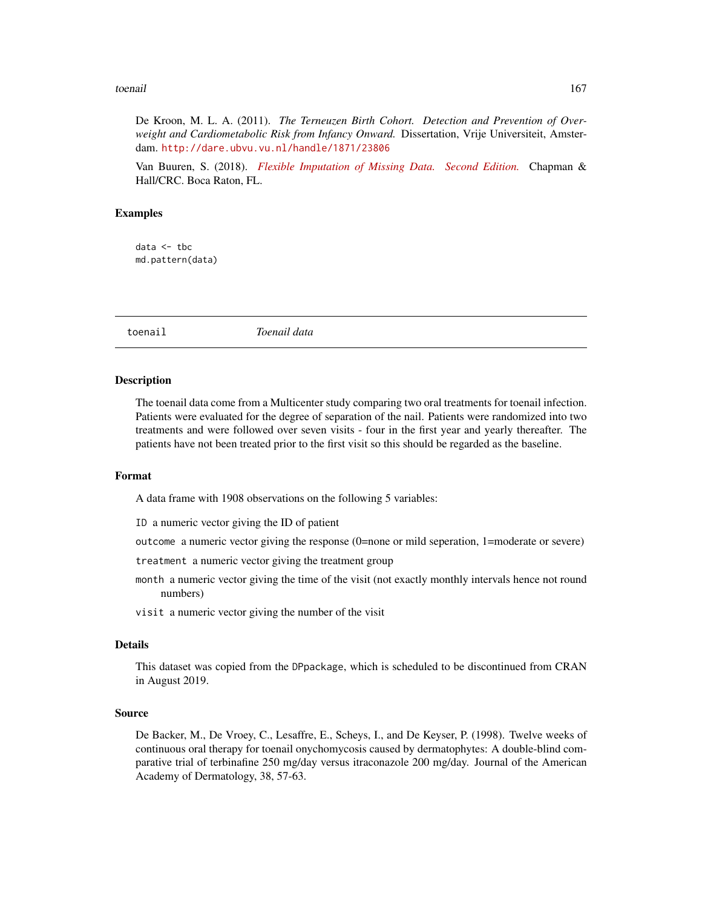#### <span id="page-166-1"></span>toenail and the state of the state of the state of the state of the state of the state of the state of the state of the state of the state of the state of the state of the state of the state of the state of the state of th

De Kroon, M. L. A. (2011). *The Terneuzen Birth Cohort. Detection and Prevention of Overweight and Cardiometabolic Risk from Infancy Onward.* Dissertation, Vrije Universiteit, Amsterdam. <http://dare.ubvu.vu.nl/handle/1871/23806>

Van Buuren, S. (2018). *[Flexible Imputation of Missing Data. Second Edition.](https://stefvanbuuren.name/fimd/sec-rastering.html#terneuzen-birth-cohort)* Chapman & Hall/CRC. Boca Raton, FL.

#### Examples

data <- tbc md.pattern(data)

<span id="page-166-0"></span>toenail *Toenail data*

#### **Description**

The toenail data come from a Multicenter study comparing two oral treatments for toenail infection. Patients were evaluated for the degree of separation of the nail. Patients were randomized into two treatments and were followed over seven visits - four in the first year and yearly thereafter. The patients have not been treated prior to the first visit so this should be regarded as the baseline.

#### Format

A data frame with 1908 observations on the following 5 variables:

ID a numeric vector giving the ID of patient

outcome a numeric vector giving the response (0=none or mild seperation, 1=moderate or severe)

treatment a numeric vector giving the treatment group

- month a numeric vector giving the time of the visit (not exactly monthly intervals hence not round numbers)
- visit a numeric vector giving the number of the visit

#### Details

This dataset was copied from the DPpackage, which is scheduled to be discontinued from CRAN in August 2019.

#### Source

De Backer, M., De Vroey, C., Lesaffre, E., Scheys, I., and De Keyser, P. (1998). Twelve weeks of continuous oral therapy for toenail onychomycosis caused by dermatophytes: A double-blind comparative trial of terbinafine 250 mg/day versus itraconazole 200 mg/day. Journal of the American Academy of Dermatology, 38, 57-63.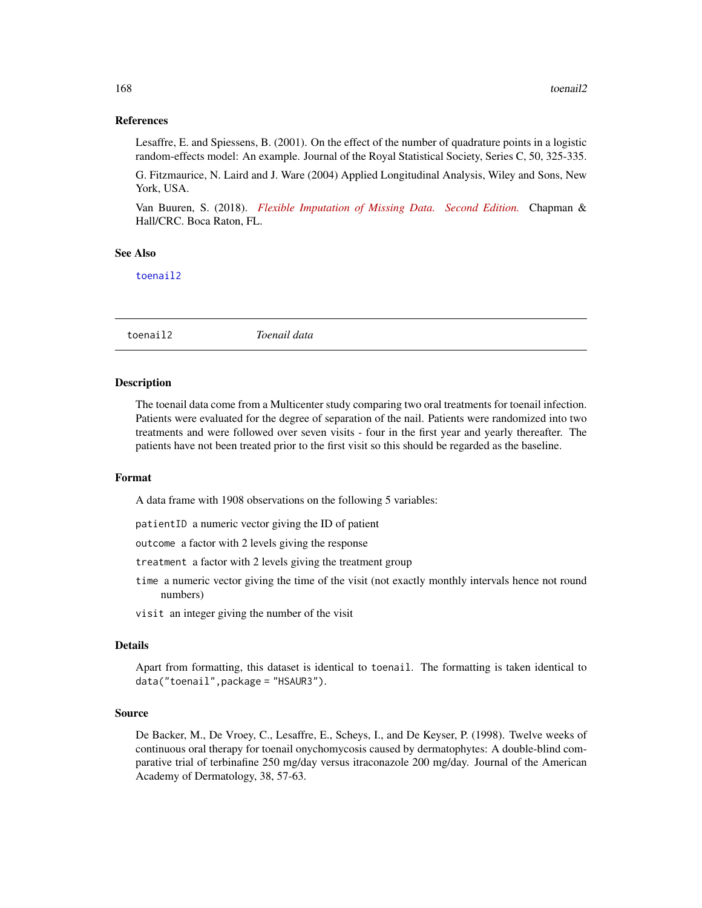#### <span id="page-167-1"></span>References

Lesaffre, E. and Spiessens, B. (2001). On the effect of the number of quadrature points in a logistic random-effects model: An example. Journal of the Royal Statistical Society, Series C, 50, 325-335.

G. Fitzmaurice, N. Laird and J. Ware (2004) Applied Longitudinal Analysis, Wiley and Sons, New York, USA.

Van Buuren, S. (2018). *[Flexible Imputation of Missing Data. Second Edition.](https://stefvanbuuren.name/fimd/sec-catoutcome.html#example)* Chapman & Hall/CRC. Boca Raton, FL.

## See Also

[toenail2](#page-167-0)

<span id="page-167-0"></span>toenail2 *Toenail data*

#### Description

The toenail data come from a Multicenter study comparing two oral treatments for toenail infection. Patients were evaluated for the degree of separation of the nail. Patients were randomized into two treatments and were followed over seven visits - four in the first year and yearly thereafter. The patients have not been treated prior to the first visit so this should be regarded as the baseline.

#### Format

A data frame with 1908 observations on the following 5 variables:

patientID a numeric vector giving the ID of patient

outcome a factor with 2 levels giving the response

treatment a factor with 2 levels giving the treatment group

- time a numeric vector giving the time of the visit (not exactly monthly intervals hence not round numbers)
- visit an integer giving the number of the visit

#### Details

Apart from formatting, this dataset is identical to toenail. The formatting is taken identical to data("toenail",package = "HSAUR3").

#### Source

De Backer, M., De Vroey, C., Lesaffre, E., Scheys, I., and De Keyser, P. (1998). Twelve weeks of continuous oral therapy for toenail onychomycosis caused by dermatophytes: A double-blind comparative trial of terbinafine 250 mg/day versus itraconazole 200 mg/day. Journal of the American Academy of Dermatology, 38, 57-63.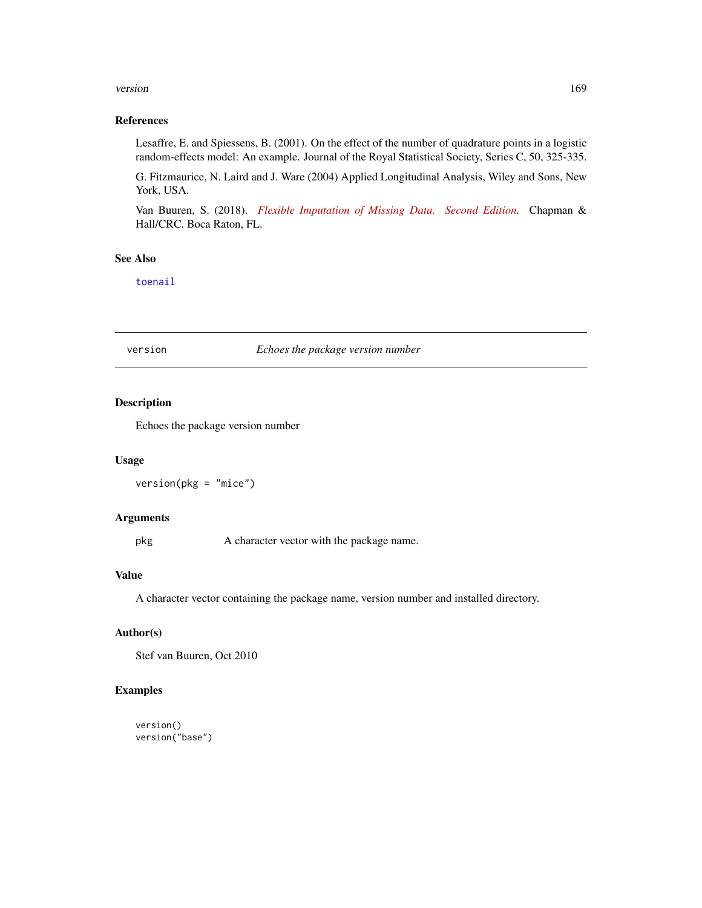#### <span id="page-168-0"></span>version and the contract of the contract of the contract of the contract of the contract of the contract of the contract of the contract of the contract of the contract of the contract of the contract of the contract of th

#### References

Lesaffre, E. and Spiessens, B. (2001). On the effect of the number of quadrature points in a logistic random-effects model: An example. Journal of the Royal Statistical Society, Series C, 50, 325-335.

G. Fitzmaurice, N. Laird and J. Ware (2004) Applied Longitudinal Analysis, Wiley and Sons, New York, USA.

Van Buuren, S. (2018). *[Flexible Imputation of Missing Data. Second Edition.](https://stefvanbuuren.name/fimd/sec-catoutcome.html#example)* Chapman & Hall/CRC. Boca Raton, FL.

# See Also

[toenail](#page-166-0)

#### version *Echoes the package version number*

## Description

Echoes the package version number

#### Usage

version(pkg = "mice")

## Arguments

pkg A character vector with the package name.

#### Value

A character vector containing the package name, version number and installed directory.

#### Author(s)

Stef van Buuren, Oct 2010

#### Examples

version() version("base")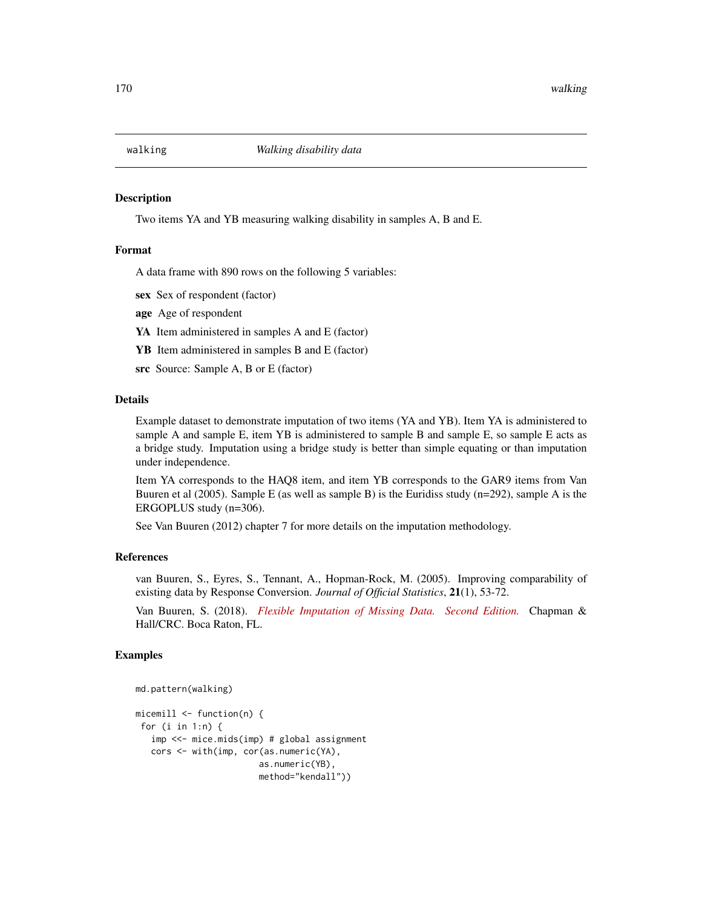<span id="page-169-0"></span>

#### Description

Two items YA and YB measuring walking disability in samples A, B and E.

#### Format

A data frame with 890 rows on the following 5 variables:

sex Sex of respondent (factor)

age Age of respondent

YA Item administered in samples A and E (factor)

YB Item administered in samples B and E (factor)

src Source: Sample A, B or E (factor)

#### Details

Example dataset to demonstrate imputation of two items (YA and YB). Item YA is administered to sample A and sample E, item YB is administered to sample B and sample E, so sample E acts as a bridge study. Imputation using a bridge study is better than simple equating or than imputation under independence.

Item YA corresponds to the HAQ8 item, and item YB corresponds to the GAR9 items from Van Buuren et al  $(2005)$ . Sample E (as well as sample B) is the Euridiss study  $(n=292)$ , sample A is the ERGOPLUS study (n=306).

See Van Buuren (2012) chapter 7 for more details on the imputation methodology.

#### References

van Buuren, S., Eyres, S., Tennant, A., Hopman-Rock, M. (2005). Improving comparability of existing data by Response Conversion. *Journal of Official Statistics*, 21(1), 53-72.

Van Buuren, S. (2018). *[Flexible Imputation of Missing Data. Second Edition.](https://stefvanbuuren.name/fimd/sec-codingsystems.html#sec:impbridge)* Chapman & Hall/CRC. Boca Raton, FL.

#### Examples

```
md.pattern(walking)
```

```
micemill <- function(n) {
for (i in 1:n) {
  imp <<- mice.mids(imp) # global assignment
  cors <- with(imp, cor(as.numeric(YA),
                       as.numeric(YB),
                       method="kendall"))
```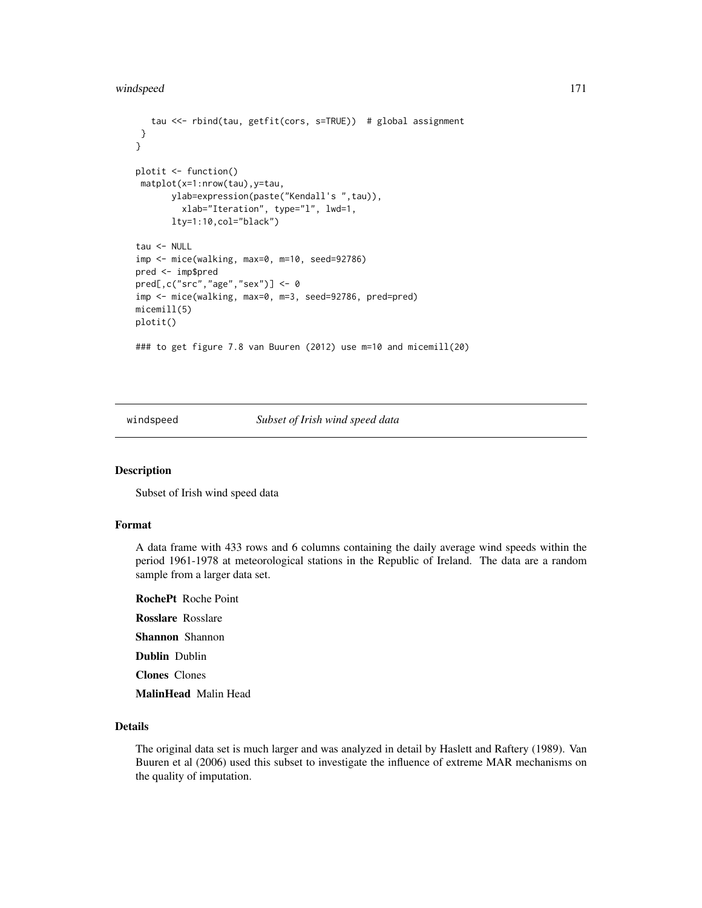```
tau <<- rbind(tau, getfit(cors, s=TRUE)) # global assignment
 }
}
plotit <- function()
matplot(x=1:nrow(tau),y=tau,
      ylab=expression(paste("Kendall's ",tau)),
         xlab="Iteration", type="l", lwd=1,
       lty=1:10,col="black")
tau <- NULL
imp <- mice(walking, max=0, m=10, seed=92786)
pred <- imp$pred
pred[,c("src","age","sex")] <- 0
imp <- mice(walking, max=0, m=3, seed=92786, pred=pred)
micemill(5)
plotit()
### to get figure 7.8 van Buuren (2012) use m=10 and micemill(20)
```
windspeed *Subset of Irish wind speed data*

#### Description

Subset of Irish wind speed data

#### Format

A data frame with 433 rows and 6 columns containing the daily average wind speeds within the period 1961-1978 at meteorological stations in the Republic of Ireland. The data are a random sample from a larger data set.

RochePt Roche Point Rosslare Rosslare

Shannon Shannon

Dublin Dublin

Clones Clones

MalinHead Malin Head

#### Details

The original data set is much larger and was analyzed in detail by Haslett and Raftery (1989). Van Buuren et al (2006) used this subset to investigate the influence of extreme MAR mechanisms on the quality of imputation.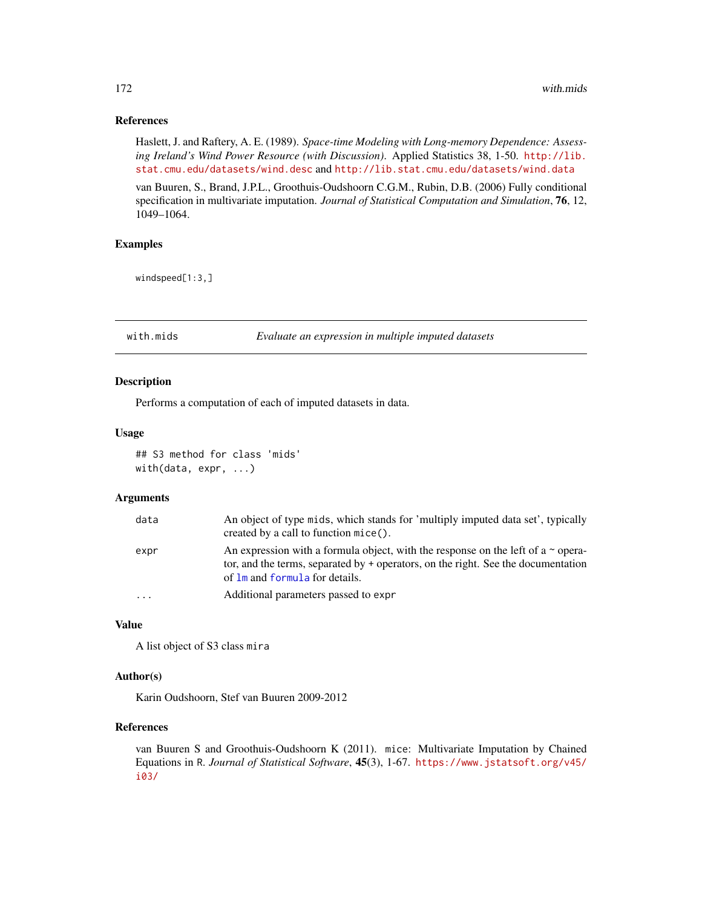#### <span id="page-171-1"></span>References

Haslett, J. and Raftery, A. E. (1989). *Space-time Modeling with Long-memory Dependence: Assessing Ireland's Wind Power Resource (with Discussion)*. Applied Statistics 38, 1-50. [http://lib.](http://lib.stat.cmu.edu/datasets/wind.desc) [stat.cmu.edu/datasets/wind.desc](http://lib.stat.cmu.edu/datasets/wind.desc) and <http://lib.stat.cmu.edu/datasets/wind.data>

van Buuren, S., Brand, J.P.L., Groothuis-Oudshoorn C.G.M., Rubin, D.B. (2006) Fully conditional specification in multivariate imputation. *Journal of Statistical Computation and Simulation*, 76, 12, 1049–1064.

#### Examples

windspeed[1:3,]

<span id="page-171-0"></span>

with.mids *Evaluate an expression in multiple imputed datasets*

#### Description

Performs a computation of each of imputed datasets in data.

#### Usage

## S3 method for class 'mids' with(data, expr, ...)

#### Arguments

| data     | An object of type mids, which stands for 'multiply imputed data set', typically<br>created by a call to function mice().                                                                                     |
|----------|--------------------------------------------------------------------------------------------------------------------------------------------------------------------------------------------------------------|
| expr     | An expression with a formula object, with the response on the left of a $\sim$ opera-<br>tor, and the terms, separated by + operators, on the right. See the documentation<br>of lm and formula for details. |
| $\cdots$ | Additional parameters passed to expr                                                                                                                                                                         |

#### Value

A list object of S3 class mira

#### Author(s)

Karin Oudshoorn, Stef van Buuren 2009-2012

#### References

van Buuren S and Groothuis-Oudshoorn K (2011). mice: Multivariate Imputation by Chained Equations in R. *Journal of Statistical Software*, 45(3), 1-67. [https://www.jstatsoft.org/v45/](https://www.jstatsoft.org/v45/i03/) [i03/](https://www.jstatsoft.org/v45/i03/)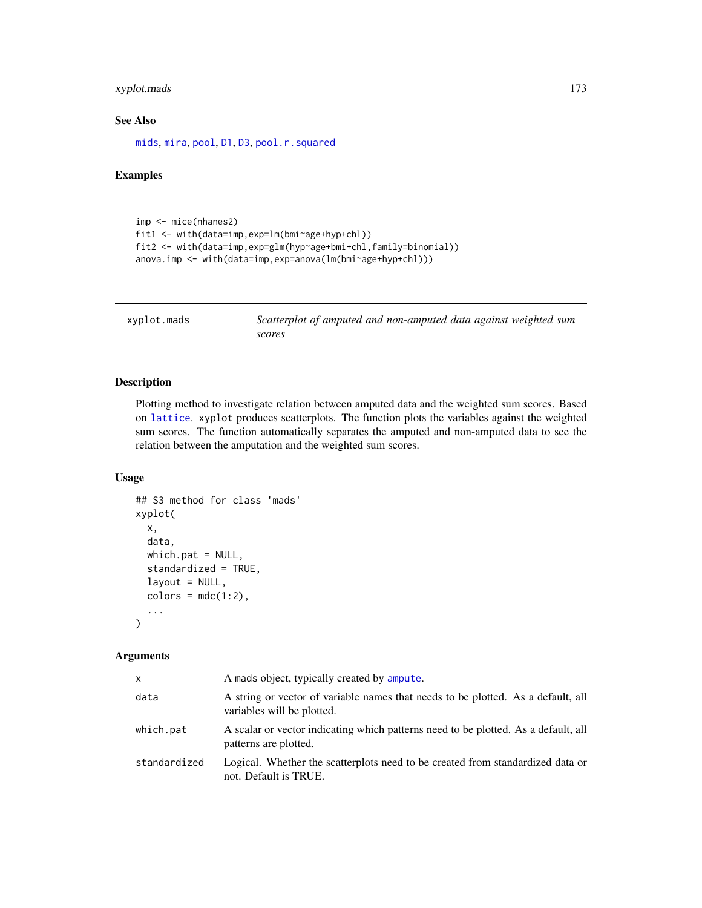## <span id="page-172-0"></span>xyplot.mads 173

## See Also

[mids](#page-123-0), [mira](#page-128-0), [pool](#page-142-0), [D1](#page-28-0), [D3](#page-30-0), [pool.r.squared](#page-145-0)

#### Examples

```
imp <- mice(nhanes2)
fit1 <- with(data=imp,exp=lm(bmi~age+hyp+chl))
fit2 <- with(data=imp,exp=glm(hyp~age+bmi+chl,family=binomial))
anova.imp <- with(data=imp,exp=anova(lm(bmi~age+hyp+chl)))
```

| xyplot.mads | Scatterplot of amputed and non-amputed data against weighted sum |
|-------------|------------------------------------------------------------------|
|             | scores                                                           |

## Description

Plotting method to investigate relation between amputed data and the weighted sum scores. Based on [lattice](#page-0-0). xyplot produces scatterplots. The function plots the variables against the weighted sum scores. The function automatically separates the amputed and non-amputed data to see the relation between the amputation and the weighted sum scores.

## Usage

```
## S3 method for class 'mads'
xyplot(
 x,
  data,
 which.path = NULL,standardized = TRUE,
  layout = NULL,
  colors = mdc(1:2),
  ...
\mathcal{L}
```
#### Arguments

| X.           | A mads object, typically created by ampute.                                                                    |
|--------------|----------------------------------------------------------------------------------------------------------------|
| data         | A string or vector of variable names that needs to be plotted. As a default, all<br>variables will be plotted. |
| which.pat    | A scalar or vector indicating which patterns need to be plotted. As a default, all<br>patterns are plotted.    |
| standardized | Logical. Whether the scatterplots need to be created from standardized data or<br>not. Default is TRUE.        |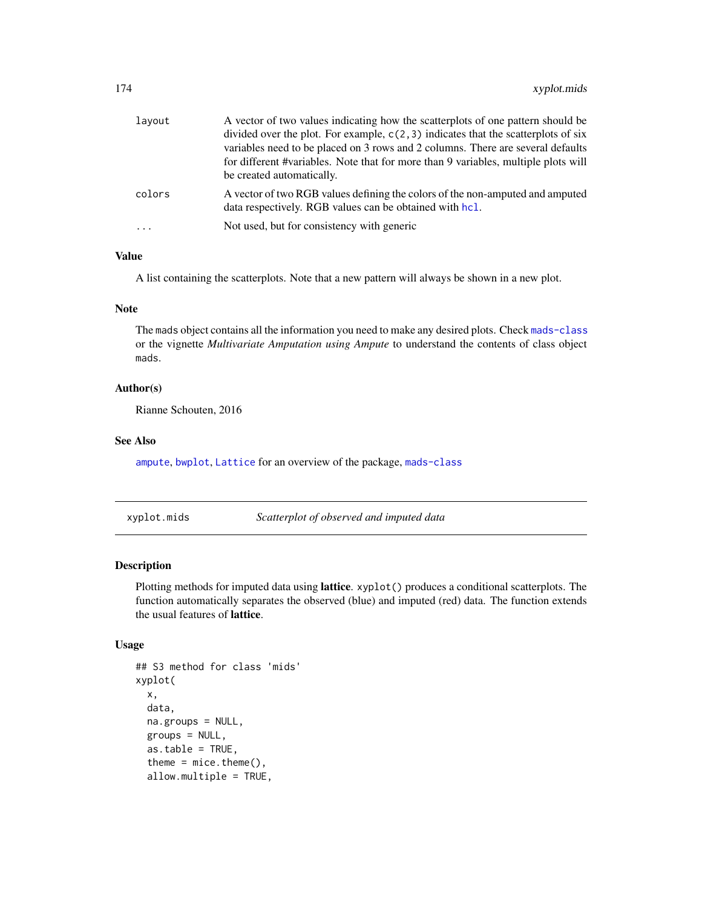<span id="page-173-1"></span>

| layout  | A vector of two values indicating how the scatterplots of one pattern should be                                                          |
|---------|------------------------------------------------------------------------------------------------------------------------------------------|
|         | divided over the plot. For example, $c(2,3)$ indicates that the scatterplots of six                                                      |
|         | variables need to be placed on 3 rows and 2 columns. There are several defaults                                                          |
|         | for different #variables. Note that for more than 9 variables, multiple plots will                                                       |
|         | be created automatically.                                                                                                                |
| colors  | A vector of two RGB values defining the colors of the non-amputed and amputed<br>data respectively. RGB values can be obtained with hcl. |
| $\cdot$ | Not used, but for consistency with generic                                                                                               |
|         |                                                                                                                                          |

#### Value

A list containing the scatterplots. Note that a new pattern will always be shown in a new plot.

#### Note

The mads object contains all the information you need to make any desired plots. Check [mads-class](#page-55-0) or the vignette *Multivariate Amputation using Ampute* to understand the contents of class object mads.

#### Author(s)

Rianne Schouten, 2016

#### See Also

[ampute](#page-5-0), [bwplot](#page-18-0), [Lattice](#page-0-0) for an overview of the package, [mads-class](#page-55-0)

xyplot.mids *Scatterplot of observed and imputed data*

#### <span id="page-173-0"></span>Description

Plotting methods for imputed data using lattice. xyplot() produces a conditional scatterplots. The function automatically separates the observed (blue) and imputed (red) data. The function extends the usual features of lattice.

#### Usage

```
## S3 method for class 'mids'
xyplot(
 x,
  data,
 na.groups = NULL,
  groups = NULL,
  as.table = TRUE,theme = mice. theme(),allow.multiple = TRUE,
```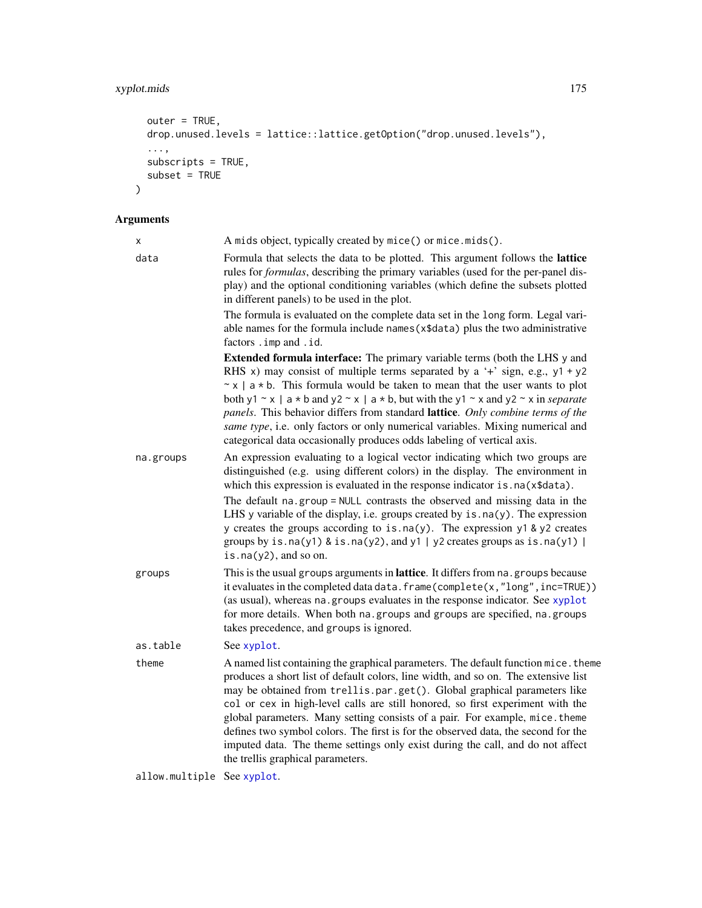# xyplot.mids 175

```
outer = TRUE,
drop.unused.levels = lattice::lattice.getOption("drop.unused.levels"),
...,
subscripts = TRUE,
subset = TRUE
```
# Arguments

 $\mathcal{L}$ 

| X                          | A mids object, typically created by mice() or mice.mids().                                                                                                                                                                                                                                                                                                                                                                                                                                                                                                                                                                         |
|----------------------------|------------------------------------------------------------------------------------------------------------------------------------------------------------------------------------------------------------------------------------------------------------------------------------------------------------------------------------------------------------------------------------------------------------------------------------------------------------------------------------------------------------------------------------------------------------------------------------------------------------------------------------|
| data                       | Formula that selects the data to be plotted. This argument follows the lattice<br>rules for <i>formulas</i> , describing the primary variables (used for the per-panel dis-<br>play) and the optional conditioning variables (which define the subsets plotted<br>in different panels) to be used in the plot.                                                                                                                                                                                                                                                                                                                     |
|                            | The formula is evaluated on the complete data set in the long form. Legal vari-<br>able names for the formula include names (x\$data) plus the two administrative<br>factors . imp and . id.                                                                                                                                                                                                                                                                                                                                                                                                                                       |
|                            | <b>Extended formula interface:</b> The primary variable terms (both the LHS y and<br>RHS x) may consist of multiple terms separated by a '+' sign, e.g., $y1 + y2$<br>$\sim$ x   a $\star$ b. This formula would be taken to mean that the user wants to plot<br>both y1 ~ x   a * b and y2 ~ x   a * b, but with the y1 ~ x and y2 ~ x in <i>separate</i><br>panels. This behavior differs from standard lattice. Only combine terms of the<br>same type, i.e. only factors or only numerical variables. Mixing numerical and<br>categorical data occasionally produces odds labeling of vertical axis.                           |
| na.groups                  | An expression evaluating to a logical vector indicating which two groups are<br>distinguished (e.g. using different colors) in the display. The environment in<br>which this expression is evaluated in the response indicator is . na(x\$data).                                                                                                                                                                                                                                                                                                                                                                                   |
|                            | The default na.group = NULL contrasts the observed and missing data in the<br>LHS y variable of the display, i.e. groups created by $is$ . $na(y)$ . The expression<br>y creates the groups according to is.na(y). The expression y1 & y2 creates<br>groups by is.na(y1) & is.na(y2), and y1   y2 creates groups as is.na(y1)  <br>is.na $(y2)$ , and so on.                                                                                                                                                                                                                                                                       |
| groups                     | This is the usual groups arguments in lattice. It differs from na. groups because<br>it evaluates in the completed data data. frame(complete(x,"long", inc=TRUE))<br>(as usual), whereas na. groups evaluates in the response indicator. See xyplot<br>for more details. When both na.groups and groups are specified, na.groups<br>takes precedence, and groups is ignored.                                                                                                                                                                                                                                                       |
| as.table                   | See xyplot.                                                                                                                                                                                                                                                                                                                                                                                                                                                                                                                                                                                                                        |
| theme                      | A named list containing the graphical parameters. The default function mice. theme<br>produces a short list of default colors, line width, and so on. The extensive list<br>may be obtained from trellis.par.get(). Global graphical parameters like<br>col or cex in high-level calls are still honored, so first experiment with the<br>global parameters. Many setting consists of a pair. For example, mice. theme<br>defines two symbol colors. The first is for the observed data, the second for the<br>imputed data. The theme settings only exist during the call, and do not affect<br>the trellis graphical parameters. |
| allow.multiple See xyplot. |                                                                                                                                                                                                                                                                                                                                                                                                                                                                                                                                                                                                                                    |
|                            |                                                                                                                                                                                                                                                                                                                                                                                                                                                                                                                                                                                                                                    |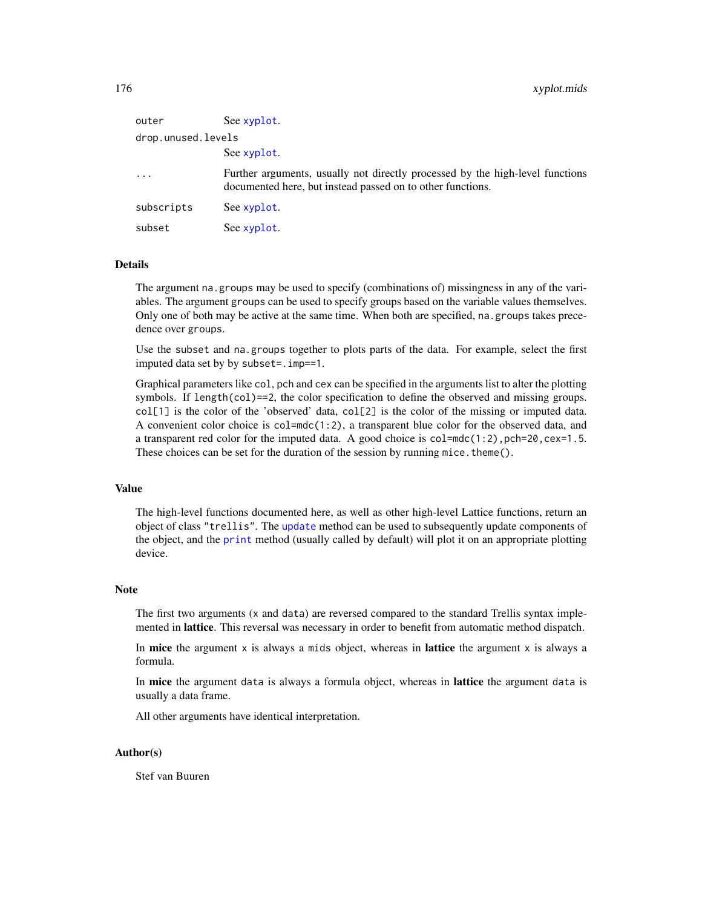| outer              | See xyplot.                                                                                                                                 |
|--------------------|---------------------------------------------------------------------------------------------------------------------------------------------|
| drop.unused.levels |                                                                                                                                             |
|                    | See xyplot.                                                                                                                                 |
| $\cdots$           | Further arguments, usually not directly processed by the high-level functions<br>documented here, but instead passed on to other functions. |
| subscripts         | See xyplot.                                                                                                                                 |
| subset             | See xyplot.                                                                                                                                 |

## Details

The argument na.groups may be used to specify (combinations of) missingness in any of the variables. The argument groups can be used to specify groups based on the variable values themselves. Only one of both may be active at the same time. When both are specified, na.groups takes precedence over groups.

Use the subset and na.groups together to plots parts of the data. For example, select the first imputed data set by by subset=.imp==1.

Graphical parameters like col, pch and cex can be specified in the arguments list to alter the plotting symbols. If length(col)==2, the color specification to define the observed and missing groups.  $col[1]$  is the color of the 'observed' data,  $col[2]$  is the color of the missing or imputed data. A convenient color choice is  $col = mdc(1:2)$ , a transparent blue color for the observed data, and a transparent red color for the imputed data. A good choice is  $col = mc(1:2)$ ,  $pch = 20$ ,  $cex = 1.5$ . These choices can be set for the duration of the session by running mice.theme().

#### Value

The high-level functions documented here, as well as other high-level Lattice functions, return an object of class "trellis". The [update](#page-0-0) method can be used to subsequently update components of the object, and the [print](#page-0-0) method (usually called by default) will plot it on an appropriate plotting device.

#### Note

The first two arguments (x and data) are reversed compared to the standard Trellis syntax implemented in lattice. This reversal was necessary in order to benefit from automatic method dispatch.

In mice the argument  $x$  is always a mids object, whereas in **lattice** the argument  $x$  is always a formula.

In mice the argument data is always a formula object, whereas in lattice the argument data is usually a data frame.

All other arguments have identical interpretation.

#### Author(s)

Stef van Buuren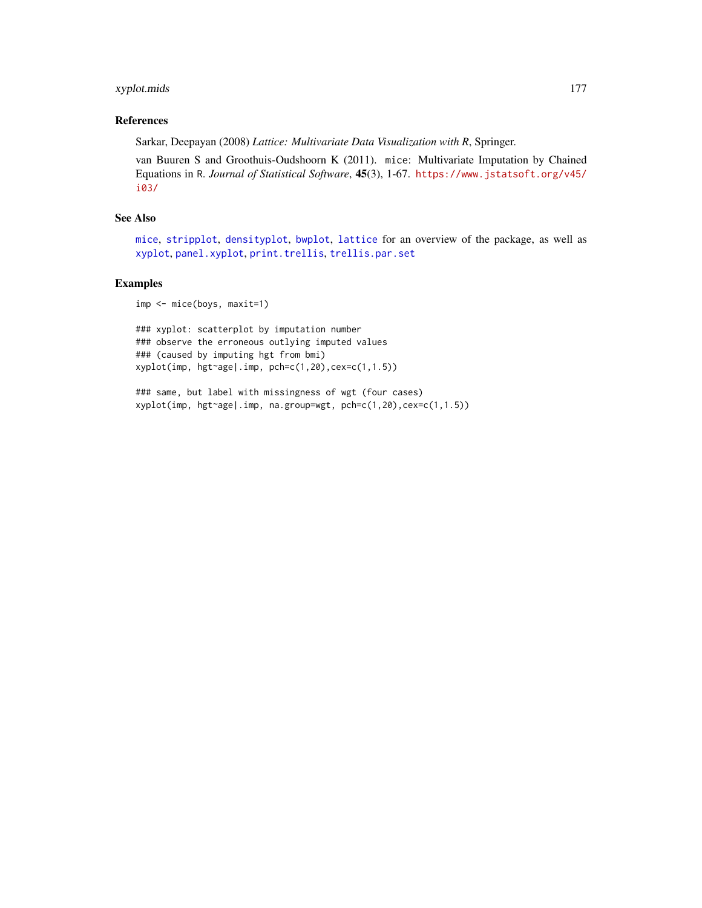## <span id="page-176-0"></span>xyplot.mids 177

#### References

Sarkar, Deepayan (2008) *Lattice: Multivariate Data Visualization with R*, Springer.

van Buuren S and Groothuis-Oudshoorn K (2011). mice: Multivariate Imputation by Chained Equations in R. *Journal of Statistical Software*, 45(3), 1-67. [https://www.jstatsoft.org/v45/](https://www.jstatsoft.org/v45/i03/) [i03/](https://www.jstatsoft.org/v45/i03/)

#### See Also

[mice](#page-68-0), [stripplot](#page-159-0), [densityplot](#page-31-0), [bwplot](#page-18-0), [lattice](#page-0-0) for an overview of the package, as well as [xyplot](#page-173-0), [panel.xyplot](#page-0-0), [print.trellis](#page-0-0), [trellis.par.set](#page-0-0)

#### Examples

imp <- mice(boys, maxit=1)

### xyplot: scatterplot by imputation number ### observe the erroneous outlying imputed values ### (caused by imputing hgt from bmi) xyplot(imp, hgt~age|.imp, pch=c(1,20),cex=c(1,1.5))

### same, but label with missingness of wgt (four cases) xyplot(imp, hgt~age|.imp, na.group=wgt, pch=c(1,20),cex=c(1,1.5))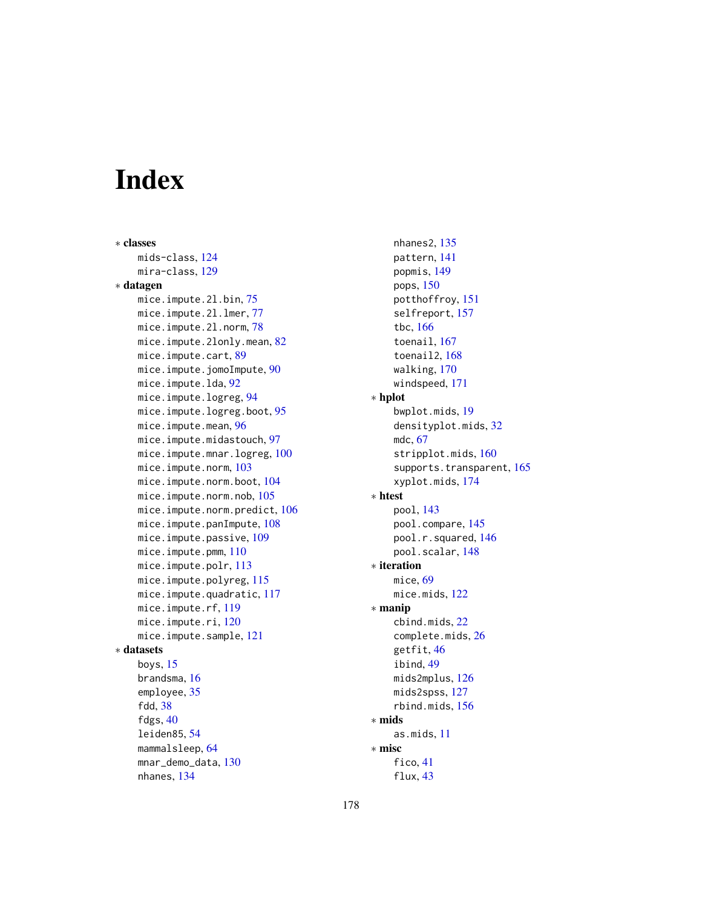# Index

∗ classes mids-class, [124](#page-123-1) mira-class, [129](#page-128-1) ∗ datagen mice.impute.2l.bin, [75](#page-74-0) mice.impute.2l.lmer, [77](#page-76-0) mice.impute.2l.norm, [78](#page-77-0) mice.impute.2lonly.mean, [82](#page-81-0) mice.impute.cart, [89](#page-88-0) mice.impute.jomoImpute, [90](#page-89-0) mice.impute.lda, [92](#page-91-0) mice.impute.logreg, [94](#page-93-0) mice.impute.logreg.boot, [95](#page-94-0) mice.impute.mean, [96](#page-95-0) mice.impute.midastouch, [97](#page-96-0) mice.impute.mnar.logreg, [100](#page-99-0) mice.impute.norm, [103](#page-102-0) mice.impute.norm.boot, [104](#page-103-0) mice.impute.norm.nob, [105](#page-104-0) mice.impute.norm.predict, [106](#page-105-0) mice.impute.panImpute, [108](#page-107-0) mice.impute.passive, [109](#page-108-0) mice.impute.pmm, [110](#page-109-0) mice.impute.polr, [113](#page-112-0) mice.impute.polyreg, [115](#page-114-0) mice.impute.quadratic, [117](#page-116-0) mice.impute.rf, [119](#page-118-0) mice.impute.ri, [120](#page-119-0) mice.impute.sample, [121](#page-120-0) ∗ datasets boys, [15](#page-14-0) brandsma, [16](#page-15-0) employee, [35](#page-34-0) fdd, [38](#page-37-0) fdgs, [40](#page-39-0) leiden85, [54](#page-53-1) mammalsleep, [64](#page-63-0) mnar\_demo\_data, [130](#page-129-0) nhanes, [134](#page-133-0)

nhanes2, [135](#page-134-0) pattern, [141](#page-140-0) popmis, [149](#page-148-0) pops, [150](#page-149-0) potthoffroy, [151](#page-150-0) selfreport, [157](#page-156-0) tbc, [166](#page-165-0) toenail, [167](#page-166-1) toenail2, [168](#page-167-1) walking, [170](#page-169-0) windspeed, [171](#page-170-0) ∗ hplot bwplot.mids, [19](#page-18-1) densityplot.mids, [32](#page-31-1) mdc, [67](#page-66-1) stripplot.mids, [160](#page-159-1) supports.transparent, [165](#page-164-0) xyplot.mids, [174](#page-173-1) ∗ htest pool, [143](#page-142-1) pool.compare, [145](#page-144-0) pool.r.squared, [146](#page-145-1) pool.scalar, [148](#page-147-1) ∗ iteration mice, [69](#page-68-1) mice.mids, [122](#page-121-0) ∗ manip cbind.mids, [22](#page-21-1) complete.mids, [26](#page-25-0) getfit, [46](#page-45-0) ibind, [49](#page-48-1) mids2mplus, [126](#page-125-0) mids2spss, [127](#page-126-0) rbind.mids, [156](#page-155-0) ∗ mids as.mids, [11](#page-10-0) ∗ misc fico, [41](#page-40-0) flux, [43](#page-42-0)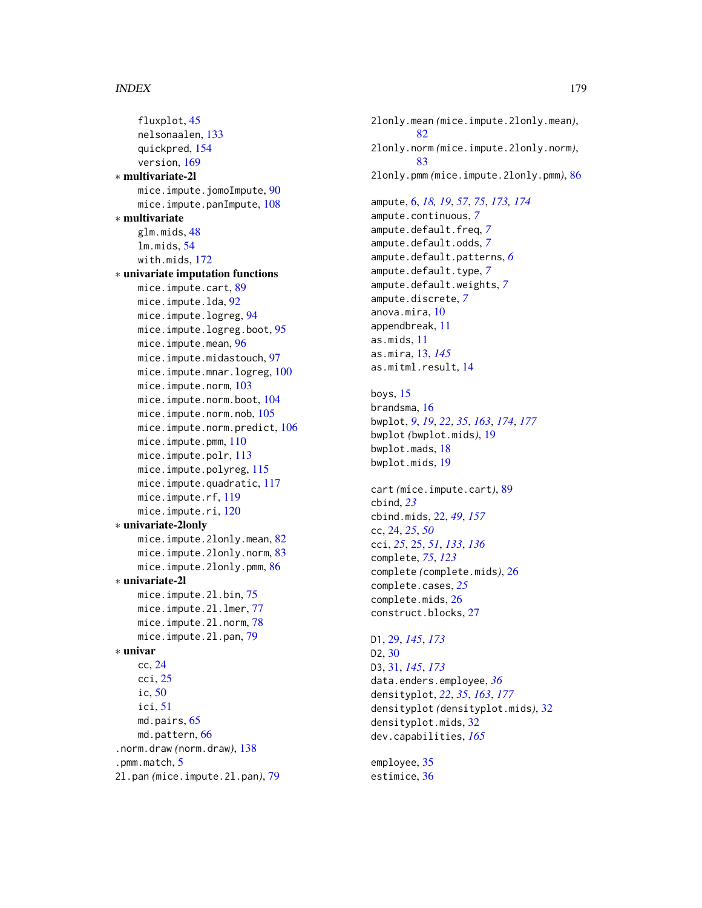#### INDEX 279

```
fluxplot, 45
    nelsonaalen, 133
    quickpred, 154
    version, 169
∗ multivariate-2l
    mice.impute.jomoImpute, 90
    mice.impute.panImpute, 108
∗ multivariate
    glm.mids, 48
    lm.mids, 54
    with.mids, 172
∗ univariate imputation functions
    mice.impute.cart, 89
    mice.impute.lda, 92
    mice.impute.logreg, 94
    mice.impute.logreg.boot, 95
    mice.impute.mean, 96
    mice.impute.midastouch, 97
    mice.impute.mnar.logreg, 100
    mice.impute.norm, 103
    mice.impute.norm.boot, 104
    mice.impute.norm.nob, 105
    mice.impute.norm.predict, 106
    mice.impute.pmm, 110
    mice.impute.polr, 113
    mice.impute.polyreg, 115
    mice.impute.quadratic, 117
    mice.impute.rf, 119
    mice.impute.ri, 120
∗ univariate-2lonly
    mice.impute.2lonly.mean, 82
    mice.impute.2lonly.norm, 83
    mice.impute.2lonly.pmm, 86
∗ univariate-2l
    mice.impute.2l.bin, 75
    mice.impute.2l.lmer, 77
    mice.impute.2l.norm, 78
    mice.impute.2l.pan, 79
∗ univar
    cc, 24
    cci, 25
    ic, 50
    ici, 51
    md.pairs, 65
    md.pattern, 66
.norm.draw (norm.draw), 138
5
2l.pan (mice.impute.2l.pan), 79
```
2lonly.mean *(*mice.impute.2lonly.mean*)*, [82](#page-81-0) 2lonly.norm *(*mice.impute.2lonly.norm*)*, [83](#page-82-0) 2lonly.pmm *(*mice.impute.2lonly.pmm*)*, [86](#page-85-0) ampute, [6,](#page-5-1) *[18,](#page-17-0) [19](#page-18-1)*, *[57](#page-56-0)*, *[75](#page-74-0)*, *[173,](#page-172-0) [174](#page-173-1)* ampute.continuous, *[7](#page-6-0)* ampute.default.freq, *[7](#page-6-0)* ampute.default.odds, *[7](#page-6-0)* ampute.default.patterns, *[6](#page-5-1)* ampute.default.type, *[7](#page-6-0)* ampute.default.weights, *[7](#page-6-0)* ampute.discrete, *[7](#page-6-0)* anova.mira, [10](#page-9-0) appendbreak, [11](#page-10-0) as.mids, [11](#page-10-0) as.mira, [13,](#page-12-1) *[145](#page-144-0)* as.mitml.result, [14](#page-13-0) boys, [15](#page-14-0) brandsma, [16](#page-15-0) bwplot, *[9](#page-8-0)*, *[19](#page-18-1)*, *[22](#page-21-1)*, *[35](#page-34-0)*, *[163](#page-162-0)*, *[174](#page-173-1)*, *[177](#page-176-0)* bwplot *(*bwplot.mids*)*, [19](#page-18-1) bwplot.mads, [18](#page-17-0) bwplot.mids, [19](#page-18-1) cart *(*mice.impute.cart*)*, [89](#page-88-0) cbind, *[23](#page-22-0)* cbind.mids, [22,](#page-21-1) *[49](#page-48-1)*, *[157](#page-156-0)* cc, [24,](#page-23-0) *[25](#page-24-0)*, *[50](#page-49-0)* cci, *[25](#page-24-0)*, [25,](#page-24-0) *[51](#page-50-0)*, *[133](#page-132-0)*, *[136](#page-135-0)* complete, *[75](#page-74-0)*, *[123](#page-122-0)* complete *(*complete.mids*)*, [26](#page-25-0) complete.cases, *[25](#page-24-0)* complete.mids, [26](#page-25-0) construct.blocks, [27](#page-26-0) D1, [29,](#page-28-1) *[145](#page-144-0)*, *[173](#page-172-0)* D2, [30](#page-29-0) D3, [31,](#page-30-1) *[145](#page-144-0)*, *[173](#page-172-0)* data.enders.employee, *[36](#page-35-0)* densityplot, *[22](#page-21-1)*, *[35](#page-34-0)*, *[163](#page-162-0)*, *[177](#page-176-0)* densityplot *(*densityplot.mids*)*, [32](#page-31-1) densityplot.mids, [32](#page-31-1) dev.capabilities, *[165](#page-164-0)* employee, [35](#page-34-0) estimice, [36](#page-35-0)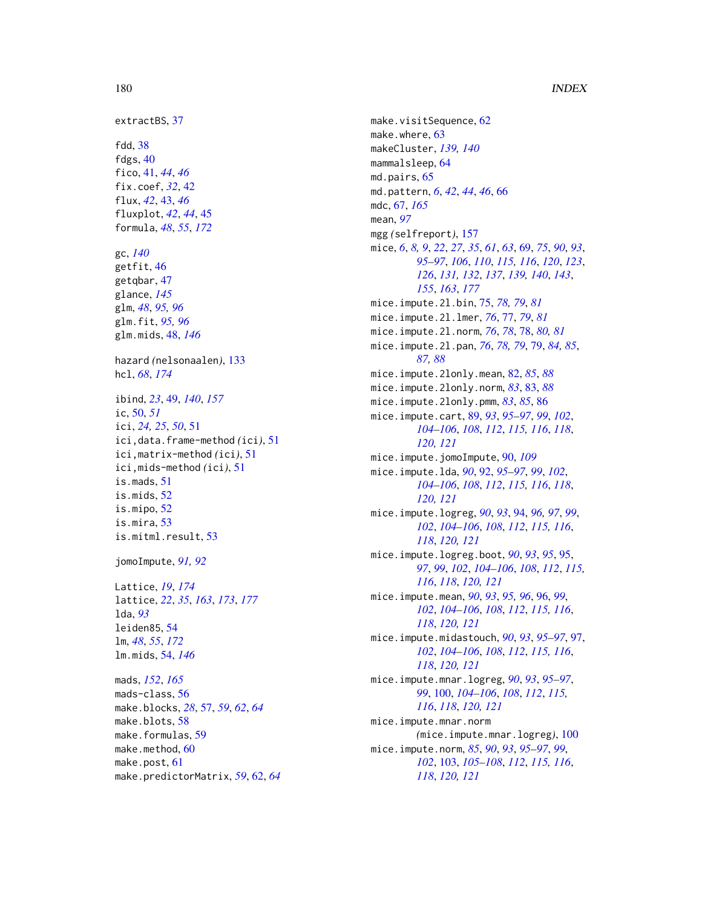180 INDEX extractBS, [37](#page-36-0) fdd , [38](#page-37-0) fdgs, [40](#page-39-0) fico , [41](#page-40-0) , *[44](#page-43-0)* , *[46](#page-45-0)* fix.coef, [32](#page-31-1), [42](#page-41-0) flux , *[42](#page-41-0)* , [43](#page-42-0) , *[46](#page-45-0)* fluxplot , *[42](#page-41-0)* , *[44](#page-43-0)* , [45](#page-44-0) formula , *[48](#page-47-1)* , *[55](#page-54-0)* , *[172](#page-171-1)* gc , *[140](#page-139-0)* getfit , [46](#page-45-0) getqbar , [47](#page-46-0) glance , *[145](#page-144-0)* glm , *[48](#page-47-1)* , *[95](#page-94-0) , [96](#page-95-0)* glm.fit , *[95](#page-94-0) , [96](#page-95-0)* glm.mids , [48](#page-47-1) , *[146](#page-145-1)* hazard *(*nelsonaalen *)* , [133](#page-132-0) hcl , *[68](#page-67-0)* , *[174](#page-173-1)* ibind , *[23](#page-22-0)* , [49](#page-48-1) , *[140](#page-139-0)* , *[157](#page-156-0)* ic , [50](#page-49-0) , *[51](#page-50-0)* ici , *[24](#page-23-0) , [25](#page-24-0)* , *[50](#page-49-0)* , [51](#page-50-0) ici,data.frame-method *(*ici *)* , [51](#page-50-0) ici,matrix-method *(*ici *)* , [51](#page-50-0) ici,mids-method *(*ici *)* , [51](#page-50-0) is.mads , [51](#page-50-0) is.mids , [52](#page-51-0) is.mipo , [52](#page-51-0) is.mira , [53](#page-52-0) is.mitml.result , [53](#page-52-0) jomoImpute , *[91](#page-90-0) , [92](#page-91-0)* Lattice , *[19](#page-18-1)* , *[174](#page-173-1)* lattice , *[22](#page-21-1)* , *[35](#page-34-0)* , *[163](#page-162-0)* , *[173](#page-172-0)* , *[177](#page-176-0)* lda , *[93](#page-92-0)* leiden85 , [54](#page-53-1) lm , *[48](#page-47-1)* , *[55](#page-54-0)* , *[172](#page-171-1)* lm.mids , [54](#page-53-1) , *[146](#page-145-1)* mads , *[152](#page-151-0)* , *[165](#page-164-0)* mads-class , [56](#page-55-1) make.blocks , *[28](#page-27-0)* , [57](#page-56-0) , *[59](#page-58-0)* , *[62](#page-61-0)* , *[64](#page-63-0)* make.blots, [58](#page-57-0) make.formulas, [59](#page-58-0) make.method, <mark>[60](#page-59-0)</mark>

make.post, [61](#page-60-0)

make.predictorMatrix , *[59](#page-58-0)* , [62](#page-61-0) , *[64](#page-63-0)*

make.visitSequence, [62](#page-61-0) make.where, [63](#page-62-0) makeCluster , *[139](#page-138-0) , [140](#page-139-0)* mammalsleep, [64](#page-63-0) md.pairs, [65](#page-64-0) md.pattern , *[6](#page-5-1)* , *[42](#page-41-0)* , *[44](#page-43-0)* , *[46](#page-45-0)* , [66](#page-65-0) mdc , [67](#page-66-1) , *[165](#page-164-0)* mean , *[97](#page-96-0)* mgg *(*selfreport *)* , [157](#page-156-0) mice , *[6](#page-5-1)* , *[8](#page-7-0) , [9](#page-8-0)* , *[22](#page-21-1)* , *[27](#page-26-0)* , *[35](#page-34-0)* , *[61](#page-60-0)* , *[63](#page-62-0)* , [69](#page-68-1) , *[75](#page-74-0)* , *[90](#page-89-0)* , *[93](#page-92-0)* , *[95](#page-94-0) [–97](#page-96-0)* , *[106](#page-105-0)* , *[110](#page-109-0)* , *[115](#page-114-0) , [116](#page-115-0)* , *[120](#page-119-0)* , *[123](#page-122-0)* , *[126](#page-125-0)* , *[131](#page-130-0) , [132](#page-131-0)* , *[137](#page-136-0)* , *[139](#page-138-0) , [140](#page-139-0)* , *[143](#page-142-1)* , *[155](#page-154-0)* , *[163](#page-162-0)* , *[177](#page-176-0)* mice.impute.2l.bin , [75](#page-74-0) , *[78](#page-77-0) , [79](#page-78-0)* , *[81](#page-80-0)* mice.impute.2l.lmer , *[76](#page-75-0)* , [77](#page-76-0) , *[79](#page-78-0)* , *[81](#page-80-0)* mice.impute.2l.norm , *[76](#page-75-0)* , *[78](#page-77-0)* , [78](#page-77-0) , *[80](#page-79-0) , [81](#page-80-0)* mice.impute.2l.pan , *[76](#page-75-0)* , *[78](#page-77-0) , [79](#page-78-0)* , [79](#page-78-0) , *[84](#page-83-0) , [85](#page-84-0)* , *[87,](#page-86-0) [88](#page-87-0)* mice.impute.2lonly.mean , [82](#page-81-0) , *[85](#page-84-0)* , *[88](#page-87-0)* mice.impute.2lonly.norm , *[83](#page-82-0)* , [83](#page-82-0) , *[88](#page-87-0)* mice.impute.2lonly.pmm , *[83](#page-82-0)* , *[85](#page-84-0)* , [86](#page-85-0) mice.impute.cart , [89](#page-88-0) , *[93](#page-92-0)* , *[95](#page-94-0) [–97](#page-96-0)* , *[99](#page-98-0)* , *[102](#page-101-0)* , *[104](#page-103-0) [–106](#page-105-0)* , *[108](#page-107-0)* , *[112](#page-111-0)* , *[115](#page-114-0) , [116](#page-115-0)* , *[118](#page-117-0)* , *[120](#page-119-0) , [121](#page-120-0)* mice.impute.jomoImpute , [90](#page-89-0) , *[109](#page-108-0)* mice.impute.lda , *[90](#page-89-0)* , [92](#page-91-0) , *[95](#page-94-0) [–97](#page-96-0)* , *[99](#page-98-0)* , *[102](#page-101-0)* , *[104](#page-103-0) [–106](#page-105-0)* , *[108](#page-107-0)* , *[112](#page-111-0)* , *[115](#page-114-0) , [116](#page-115-0)* , *[118](#page-117-0)* , *[120](#page-119-0) , [121](#page-120-0)* mice.impute.logreg , *[90](#page-89-0)* , *[93](#page-92-0)* , [94](#page-93-0) , *[96,](#page-95-0) [97](#page-96-0)* , *[99](#page-98-0)* , *[102](#page-101-0)* , *[104](#page-103-0) [–106](#page-105-0)* , *[108](#page-107-0)* , *[112](#page-111-0)* , *[115](#page-114-0) , [116](#page-115-0)* , *[118](#page-117-0)* , *[120](#page-119-0) , [121](#page-120-0)* mice.impute.logreg.boot , *[90](#page-89-0)* , *[93](#page-92-0)* , *[95](#page-94-0)* , [95](#page-94-0) , *[97](#page-96-0)* , *[99](#page-98-0)* , *[102](#page-101-0)* , *[104](#page-103-0) [–106](#page-105-0)* , *[108](#page-107-0)* , *[112](#page-111-0)* , *[115](#page-114-0) , [116](#page-115-0)* , *[118](#page-117-0)* , *[120](#page-119-0) , [121](#page-120-0)* mice.impute.mean , *[90](#page-89-0)* , *[93](#page-92-0)* , *[95](#page-94-0) , [96](#page-95-0)* , [96](#page-95-0) , *[99](#page-98-0)* , *[102](#page-101-0)* , *[104](#page-103-0) [–106](#page-105-0)* , *[108](#page-107-0)* , *[112](#page-111-0)* , *[115](#page-114-0) , [116](#page-115-0)* , *[118](#page-117-0)* , *[120](#page-119-0) , [121](#page-120-0)* mice.impute.midastouch , *[90](#page-89-0)* , *[93](#page-92-0)* , *[95](#page-94-0) [–97](#page-96-0)* , [97](#page-96-0) , *[102](#page-101-0)* , *[104](#page-103-0) [–106](#page-105-0)* , *[108](#page-107-0)* , *[112](#page-111-0)* , *[115](#page-114-0) , [116](#page-115-0)* , *[118](#page-117-0)* , *[120](#page-119-0) , [121](#page-120-0)* mice.impute.mnar.logreg , *[90](#page-89-0)* , *[93](#page-92-0)* , *[95](#page-94-0) [–97](#page-96-0)* , *[99](#page-98-0)* , [100](#page-99-0) , *[104](#page-103-0) [–106](#page-105-0)* , *[108](#page-107-0)* , *[112](#page-111-0)* , *[115](#page-114-0) , [116](#page-115-0)* , *[118](#page-117-0)* , *[120](#page-119-0) , [121](#page-120-0)* mice.impute.mnar.norm *(*mice.impute.mnar.logreg *)* , [100](#page-99-0) mice.impute.norm , *[85](#page-84-0)* , *[90](#page-89-0)* , *[93](#page-92-0)* , *[95](#page-94-0) [–97](#page-96-0)* , *[99](#page-98-0)* , *[102](#page-101-0)* , [103](#page-102-0) , *[105](#page-104-0) [–108](#page-107-0)* , *[112](#page-111-0)* , *[115](#page-114-0) , [116](#page-115-0)* , *[118](#page-117-0)* , *[120](#page-119-0) , [121](#page-120-0)*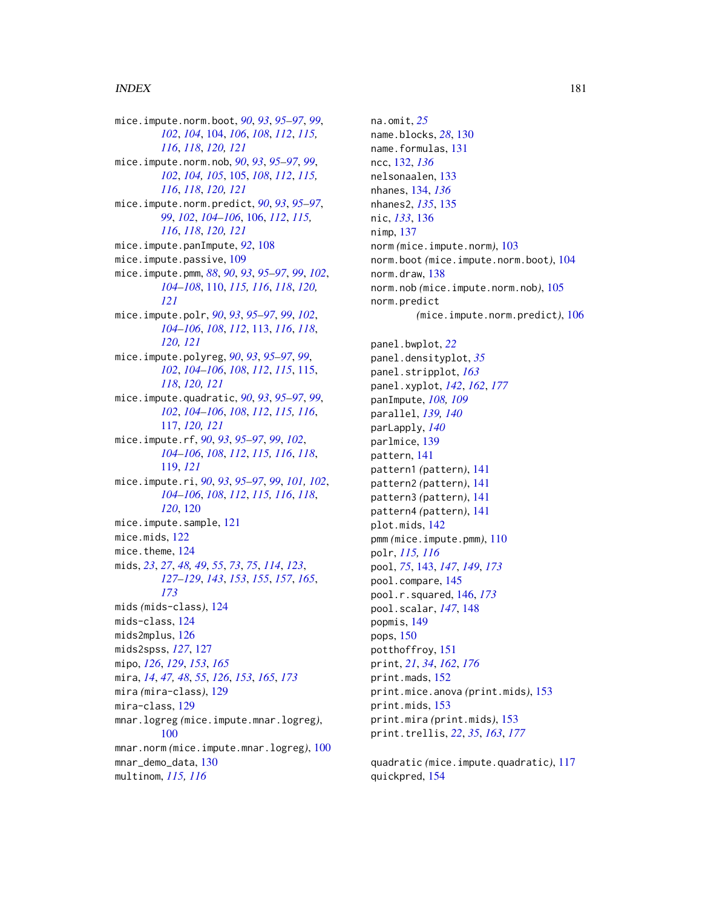mice.impute.norm.boot, *[90](#page-89-0)*, *[93](#page-92-0)*, *[95–](#page-94-0)[97](#page-96-0)*, *[99](#page-98-0)*, *[102](#page-101-0)*, *[104](#page-103-0)*, [104,](#page-103-0) *[106](#page-105-0)*, *[108](#page-107-0)*, *[112](#page-111-0)*, *[115,](#page-114-0) [116](#page-115-0)*, *[118](#page-117-0)*, *[120,](#page-119-0) [121](#page-120-0)* mice.impute.norm.nob, *[90](#page-89-0)*, *[93](#page-92-0)*, *[95–](#page-94-0)[97](#page-96-0)*, *[99](#page-98-0)*, *[102](#page-101-0)*, *[104,](#page-103-0) [105](#page-104-0)*, [105,](#page-104-0) *[108](#page-107-0)*, *[112](#page-111-0)*, *[115,](#page-114-0) [116](#page-115-0)*, *[118](#page-117-0)*, *[120,](#page-119-0) [121](#page-120-0)* mice.impute.norm.predict, *[90](#page-89-0)*, *[93](#page-92-0)*, *[95–](#page-94-0)[97](#page-96-0)*, *[99](#page-98-0)*, *[102](#page-101-0)*, *[104](#page-103-0)[–106](#page-105-0)*, [106,](#page-105-0) *[112](#page-111-0)*, *[115,](#page-114-0) [116](#page-115-0)*, *[118](#page-117-0)*, *[120,](#page-119-0) [121](#page-120-0)* mice.impute.panImpute, *[92](#page-91-0)*, [108](#page-107-0) mice.impute.passive, [109](#page-108-0) mice.impute.pmm, *[88](#page-87-0)*, *[90](#page-89-0)*, *[93](#page-92-0)*, *[95–](#page-94-0)[97](#page-96-0)*, *[99](#page-98-0)*, *[102](#page-101-0)*, *[104](#page-103-0)[–108](#page-107-0)*, [110,](#page-109-0) *[115,](#page-114-0) [116](#page-115-0)*, *[118](#page-117-0)*, *[120,](#page-119-0) [121](#page-120-0)* mice.impute.polr, *[90](#page-89-0)*, *[93](#page-92-0)*, *[95–](#page-94-0)[97](#page-96-0)*, *[99](#page-98-0)*, *[102](#page-101-0)*, *[104](#page-103-0)[–106](#page-105-0)*, *[108](#page-107-0)*, *[112](#page-111-0)*, [113,](#page-112-0) *[116](#page-115-0)*, *[118](#page-117-0)*, *[120,](#page-119-0) [121](#page-120-0)* mice.impute.polyreg, *[90](#page-89-0)*, *[93](#page-92-0)*, *[95–](#page-94-0)[97](#page-96-0)*, *[99](#page-98-0)*, *[102](#page-101-0)*, *[104](#page-103-0)[–106](#page-105-0)*, *[108](#page-107-0)*, *[112](#page-111-0)*, *[115](#page-114-0)*, [115,](#page-114-0) *[118](#page-117-0)*, *[120,](#page-119-0) [121](#page-120-0)* mice.impute.quadratic, *[90](#page-89-0)*, *[93](#page-92-0)*, *[95–](#page-94-0)[97](#page-96-0)*, *[99](#page-98-0)*, *[102](#page-101-0)*, *[104](#page-103-0)[–106](#page-105-0)*, *[108](#page-107-0)*, *[112](#page-111-0)*, *[115,](#page-114-0) [116](#page-115-0)*, [117,](#page-116-0) *[120,](#page-119-0) [121](#page-120-0)* mice.impute.rf, *[90](#page-89-0)*, *[93](#page-92-0)*, *[95–](#page-94-0)[97](#page-96-0)*, *[99](#page-98-0)*, *[102](#page-101-0)*, *[104](#page-103-0)[–106](#page-105-0)*, *[108](#page-107-0)*, *[112](#page-111-0)*, *[115,](#page-114-0) [116](#page-115-0)*, *[118](#page-117-0)*, [119,](#page-118-0) *[121](#page-120-0)* mice.impute.ri, *[90](#page-89-0)*, *[93](#page-92-0)*, *[95–](#page-94-0)[97](#page-96-0)*, *[99](#page-98-0)*, *[101,](#page-100-0) [102](#page-101-0)*, *[104](#page-103-0)[–106](#page-105-0)*, *[108](#page-107-0)*, *[112](#page-111-0)*, *[115,](#page-114-0) [116](#page-115-0)*, *[118](#page-117-0)*, *[120](#page-119-0)*, [120](#page-119-0) mice.impute.sample, [121](#page-120-0) mice.mids, [122](#page-121-0) mice.theme, [124](#page-123-0) mids, *[23](#page-22-0)*, *[27](#page-26-0)*, *[48,](#page-47-0) [49](#page-48-0)*, *[55](#page-54-0)*, *[73](#page-72-0)*, *[75](#page-74-0)*, *[114](#page-113-0)*, *[123](#page-122-0)*, *[127](#page-126-0)[–129](#page-128-0)*, *[143](#page-142-0)*, *[153](#page-152-0)*, *[155](#page-154-0)*, *[157](#page-156-0)*, *[165](#page-164-0)*, *[173](#page-172-0)* mids *(*mids-class*)*, [124](#page-123-0) mids-class, [124](#page-123-0) mids2mplus, [126](#page-125-0) mids2spss, *[127](#page-126-0)*, [127](#page-126-0) mipo, *[126](#page-125-0)*, *[129](#page-128-0)*, *[153](#page-152-0)*, *[165](#page-164-0)* mira, *[14](#page-13-0)*, *[47,](#page-46-0) [48](#page-47-0)*, *[55](#page-54-0)*, *[126](#page-125-0)*, *[153](#page-152-0)*, *[165](#page-164-0)*, *[173](#page-172-0)* mira *(*mira-class*)*, [129](#page-128-0) mira-class, [129](#page-128-0) mnar.logreg *(*mice.impute.mnar.logreg*)*, [100](#page-99-0) mnar.norm *(*mice.impute.mnar.logreg*)*, [100](#page-99-0) mnar\_demo\_data, [130](#page-129-0) multinom, *[115,](#page-114-0) [116](#page-115-0)*

na.omit, *[25](#page-24-0)* name.blocks, *[28](#page-27-0)*, [130](#page-129-0) name.formulas, [131](#page-130-0) ncc, [132,](#page-131-0) *[136](#page-135-0)* nelsonaalen, [133](#page-132-0) nhanes, [134,](#page-133-0) *[136](#page-135-0)* nhanes2, *[135](#page-134-0)*, [135](#page-134-0) nic, *[133](#page-132-0)*, [136](#page-135-0) nimp, [137](#page-136-0) norm *(*mice.impute.norm*)*, [103](#page-102-0) norm.boot *(*mice.impute.norm.boot*)*, [104](#page-103-0) norm.draw, [138](#page-137-0) norm.nob *(*mice.impute.norm.nob*)*, [105](#page-104-0) norm.predict *(*mice.impute.norm.predict*)*, [106](#page-105-0) panel.bwplot, *[22](#page-21-0)* panel.densityplot, *[35](#page-34-0)* panel.stripplot, *[163](#page-162-0)* panel.xyplot, *[142](#page-141-0)*, *[162](#page-161-0)*, *[177](#page-176-0)* panImpute, *[108,](#page-107-0) [109](#page-108-0)* parallel, *[139,](#page-138-0) [140](#page-139-0)* parLapply, *[140](#page-139-0)* parlmice, [139](#page-138-0) pattern, [141](#page-140-0) pattern1 *(*pattern*)*, [141](#page-140-0) pattern2 *(*pattern*)*, [141](#page-140-0) pattern3 *(*pattern*)*, [141](#page-140-0) pattern4 *(*pattern*)*, [141](#page-140-0) plot.mids, [142](#page-141-0) pmm *(*mice.impute.pmm*)*, [110](#page-109-0) polr, *[115,](#page-114-0) [116](#page-115-0)* pool, *[75](#page-74-0)*, [143,](#page-142-0) *[147](#page-146-0)*, *[149](#page-148-0)*, *[173](#page-172-0)* pool.compare, [145](#page-144-0) pool.r.squared, [146,](#page-145-0) *[173](#page-172-0)* pool.scalar, *[147](#page-146-0)*, [148](#page-147-0) popmis, [149](#page-148-0) pops, [150](#page-149-0) potthoffroy, [151](#page-150-0) print, *[21](#page-20-0)*, *[34](#page-33-0)*, *[162](#page-161-0)*, *[176](#page-175-0)* print.mads, [152](#page-151-0) print.mice.anova *(*print.mids*)*, [153](#page-152-0) print.mids, [153](#page-152-0) print.mira *(*print.mids*)*, [153](#page-152-0) print.trellis, *[22](#page-21-0)*, *[35](#page-34-0)*, *[163](#page-162-0)*, *[177](#page-176-0)*

quadratic *(*mice.impute.quadratic*)*, [117](#page-116-0) quickpred, [154](#page-153-0)